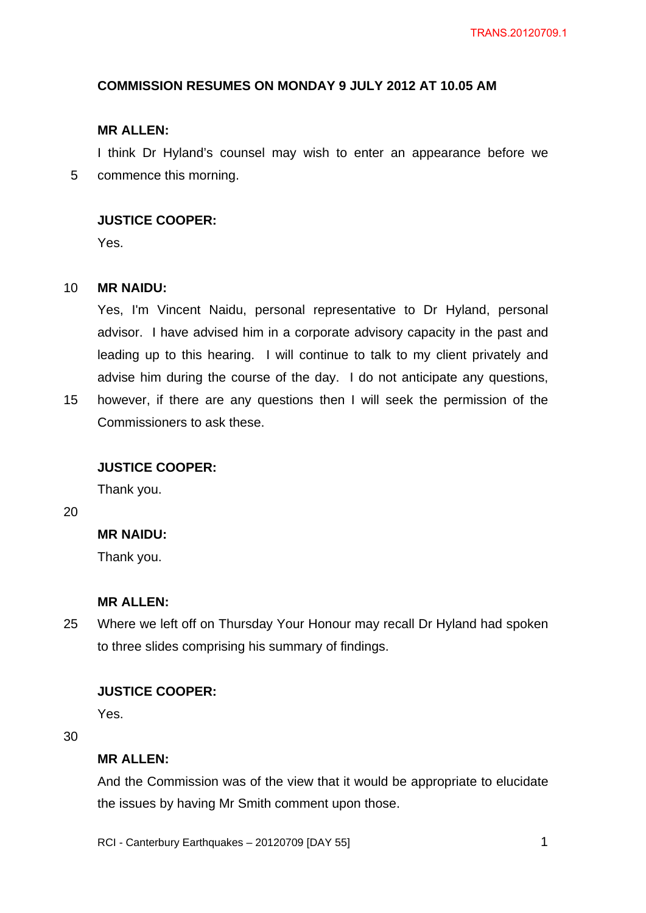# **COMMISSION RESUMES ON MONDAY 9 JULY 2012 AT 10.05 AM**

## **MR ALLEN:**

5 I think Dr Hyland's counsel may wish to enter an appearance before we commence this morning.

## **JUSTICE COOPER:**

Yes.

#### 10 **MR NAIDU:**

Yes, I'm Vincent Naidu, personal representative to Dr Hyland, personal advisor. I have advised him in a corporate advisory capacity in the past and leading up to this hearing. I will continue to talk to my client privately and advise him during the course of the day. I do not anticipate any questions, however, if there are any questions then I will seek the permission of the

## Commissioners to ask these.

## **JUSTICE COOPER:**

Thank you.

20

15

## **MR NAIDU:**

Thank you.

### **MR ALLEN:**

25 Where we left off on Thursday Your Honour may recall Dr Hyland had spoken to three slides comprising his summary of findings.

## **JUSTICE COOPER:**

Yes.

30

### **MR ALLEN:**

And the Commission was of the view that it would be appropriate to elucidate the issues by having Mr Smith comment upon those.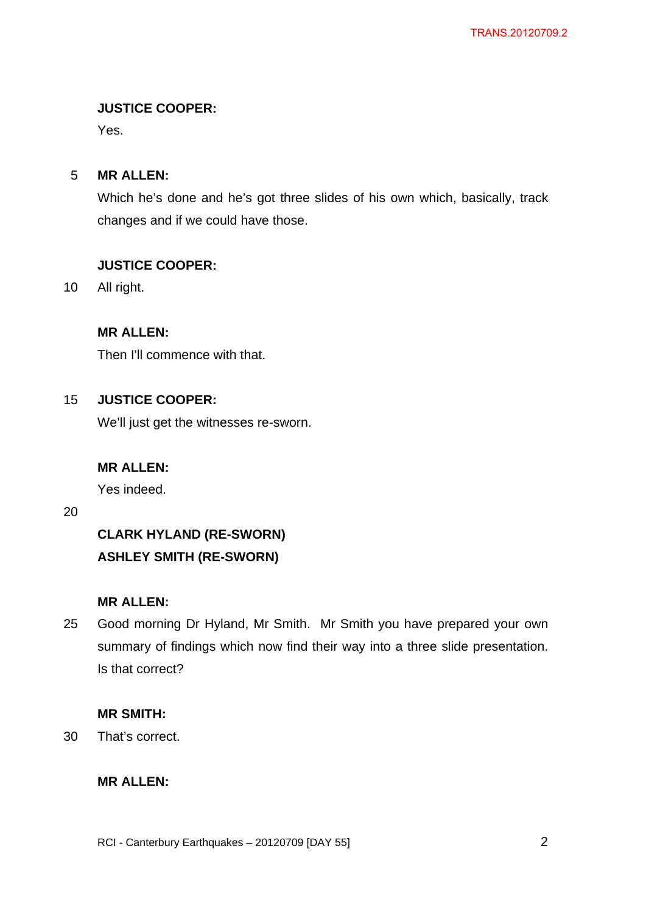# **JUSTICE COOPER:**

Yes.

#### 5 **MR ALLEN:**

Which he's done and he's got three slides of his own which, basically, track changes and if we could have those.

## **JUSTICE COOPER:**

10 All right.

# **MR ALLEN:**

Then I'll commence with that.

#### 15 **JUSTICE COOPER:**

We'll just get the witnesses re-sworn.

# **MR ALLEN:**

Yes indeed.

20

# **CLARK HYLAND (RE-SWORN) ASHLEY SMITH (RE-SWORN)**

# **MR ALLEN:**

25 Good morning Dr Hyland, Mr Smith. Mr Smith you have prepared your own summary of findings which now find their way into a three slide presentation. Is that correct?

# **MR SMITH:**

30 That's correct.

## **MR ALLEN:**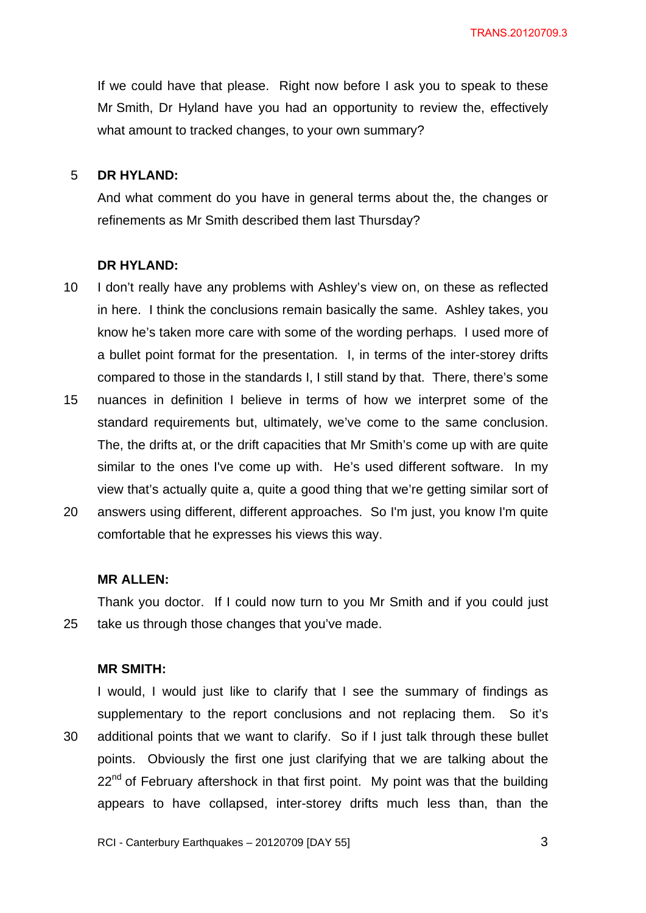TRANS.20120709.3

If we could have that please. Right now before I ask you to speak to these Mr Smith, Dr Hyland have you had an opportunity to review the, effectively what amount to tracked changes, to your own summary?

#### 5 **DR HYLAND:**

And what comment do you have in general terms about the, the changes or refinements as Mr Smith described them last Thursday?

#### **DR HYLAND:**

- 10 I don't really have any problems with Ashley's view on, on these as reflected in here. I think the conclusions remain basically the same. Ashley takes, you know he's taken more care with some of the wording perhaps. I used more of a bullet point format for the presentation. I, in terms of the inter-storey drifts compared to those in the standards I, I still stand by that. There, there's some
- 15 nuances in definition I believe in terms of how we interpret some of the standard requirements but, ultimately, we've come to the same conclusion. The, the drifts at, or the drift capacities that Mr Smith's come up with are quite similar to the ones I've come up with. He's used different software. In my view that's actually quite a, quite a good thing that we're getting similar sort of
- 20 answers using different, different approaches. So I'm just, you know I'm quite comfortable that he expresses his views this way.

### **MR ALLEN:**

25 Thank you doctor. If I could now turn to you Mr Smith and if you could just take us through those changes that you've made.

## **MR SMITH:**

30 I would, I would just like to clarify that I see the summary of findings as supplementary to the report conclusions and not replacing them. So it's additional points that we want to clarify. So if I just talk through these bullet points. Obviously the first one just clarifying that we are talking about the  $22<sup>nd</sup>$  of February aftershock in that first point. My point was that the building appears to have collapsed, inter-storey drifts much less than, than the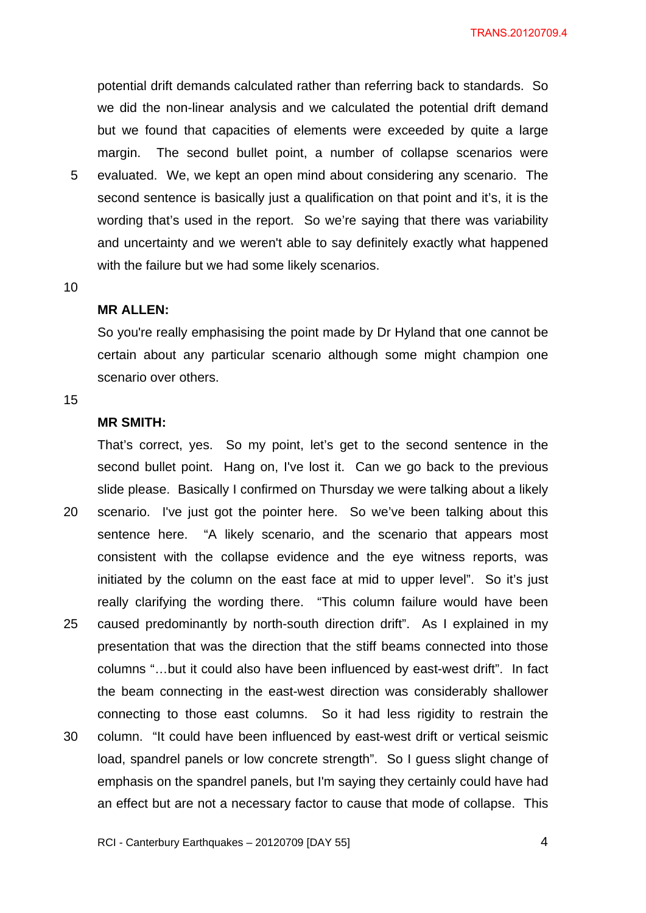TRANS.20120709.4

potential drift demands calculated rather than referring back to standards. So we did the non-linear analysis and we calculated the potential drift demand but we found that capacities of elements were exceeded by quite a large margin. The second bullet point, a number of collapse scenarios were evaluated. We, we kept an open mind about considering any scenario. The second sentence is basically just a qualification on that point and it's, it is the wording that's used in the report. So we're saying that there was variability and uncertainty and we weren't able to say definitely exactly what happened with the failure but we had some likely scenarios.

#### 10

5

### **MR ALLEN:**

So you're really emphasising the point made by Dr Hyland that one cannot be certain about any particular scenario although some might champion one scenario over others.

15

## **MR SMITH:**

20 25 30 That's correct, yes. So my point, let's get to the second sentence in the second bullet point. Hang on, I've lost it. Can we go back to the previous slide please. Basically I confirmed on Thursday we were talking about a likely scenario. I've just got the pointer here. So we've been talking about this sentence here. "A likely scenario, and the scenario that appears most consistent with the collapse evidence and the eye witness reports, was initiated by the column on the east face at mid to upper level". So it's just really clarifying the wording there. "This column failure would have been caused predominantly by north-south direction drift". As I explained in my presentation that was the direction that the stiff beams connected into those columns "…but it could also have been influenced by east-west drift". In fact the beam connecting in the east-west direction was considerably shallower connecting to those east columns. So it had less rigidity to restrain the column. "It could have been influenced by east-west drift or vertical seismic load, spandrel panels or low concrete strength". So I guess slight change of emphasis on the spandrel panels, but I'm saying they certainly could have had an effect but are not a necessary factor to cause that mode of collapse. This

RCI - Canterbury Earthquakes – 20120709 [DAY 55]

4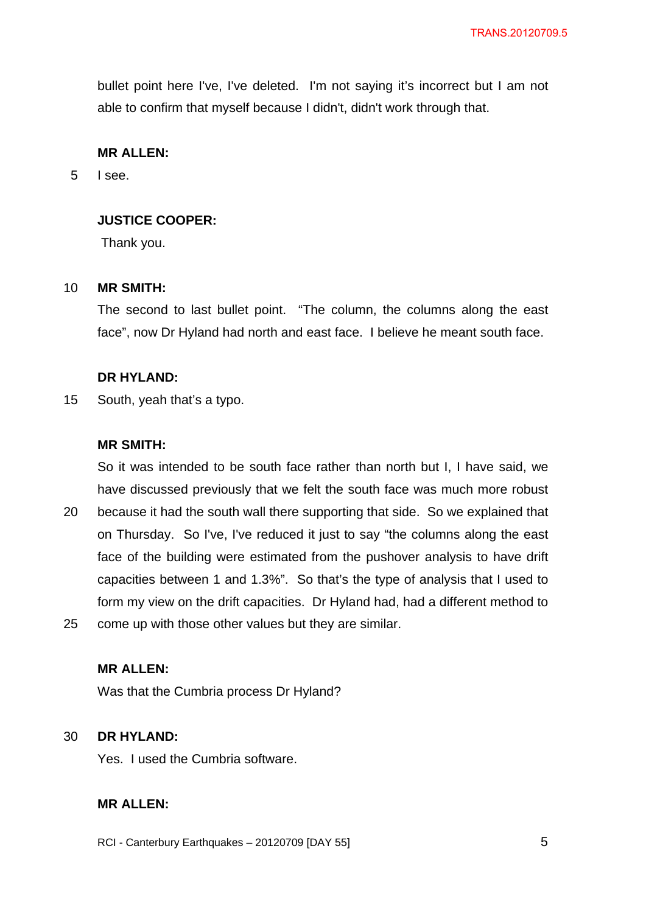bullet point here I've, I've deleted. I'm not saying it's incorrect but I am not able to confirm that myself because I didn't, didn't work through that.

## **MR ALLEN:**

5 I see.

## **JUSTICE COOPER:**

Thank you.

#### 10 **MR SMITH:**

The second to last bullet point. "The column, the columns along the east face", now Dr Hyland had north and east face. I believe he meant south face.

### **DR HYLAND:**

15 South, yeah that's a typo.

## **MR SMITH:**

So it was intended to be south face rather than north but I, I have said, we have discussed previously that we felt the south face was much more robust

- 20 25 because it had the south wall there supporting that side. So we explained that on Thursday. So I've, I've reduced it just to say "the columns along the east face of the building were estimated from the pushover analysis to have drift capacities between 1 and 1.3%". So that's the type of analysis that I used to form my view on the drift capacities. Dr Hyland had, had a different method to come up with those other values but they are similar.
	- **MR ALLEN:**

Was that the Cumbria process Dr Hyland?

#### 30 **DR HYLAND:**

Yes. I used the Cumbria software.

## **MR ALLEN:**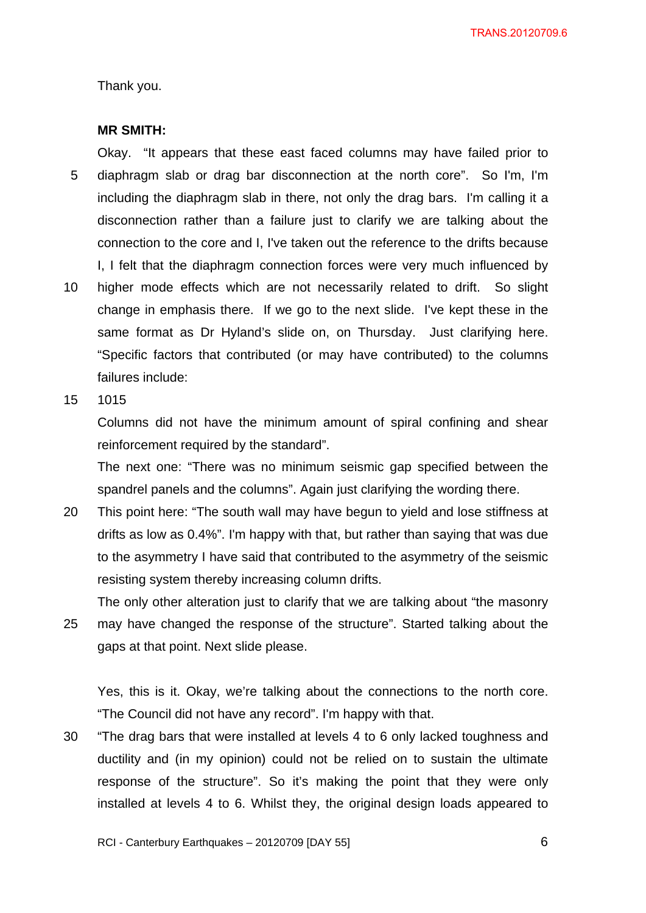TRANS.20120709.6

Thank you.

#### **MR SMITH:**

5 10 Okay. "It appears that these east faced columns may have failed prior to diaphragm slab or drag bar disconnection at the north core". So I'm, I'm including the diaphragm slab in there, not only the drag bars. I'm calling it a disconnection rather than a failure just to clarify we are talking about the connection to the core and I, I've taken out the reference to the drifts because I, I felt that the diaphragm connection forces were very much influenced by higher mode effects which are not necessarily related to drift. So slight change in emphasis there. If we go to the next slide. I've kept these in the same format as Dr Hyland's slide on, on Thursday. Just clarifying here. "Specific factors that contributed (or may have contributed) to the columns failures include:

15 1015

> Columns did not have the minimum amount of spiral confining and shear reinforcement required by the standard".

> The next one: "There was no minimum seismic gap specified between the spandrel panels and the columns". Again just clarifying the wording there.

20 This point here: "The south wall may have begun to yield and lose stiffness at drifts as low as 0.4%". I'm happy with that, but rather than saying that was due to the asymmetry I have said that contributed to the asymmetry of the seismic resisting system thereby increasing column drifts.

25 The only other alteration just to clarify that we are talking about "the masonry may have changed the response of the structure". Started talking about the gaps at that point. Next slide please.

Yes, this is it. Okay, we're talking about the connections to the north core. "The Council did not have any record". I'm happy with that.

30 "The drag bars that were installed at levels 4 to 6 only lacked toughness and ductility and (in my opinion) could not be relied on to sustain the ultimate response of the structure". So it's making the point that they were only installed at levels 4 to 6. Whilst they, the original design loads appeared to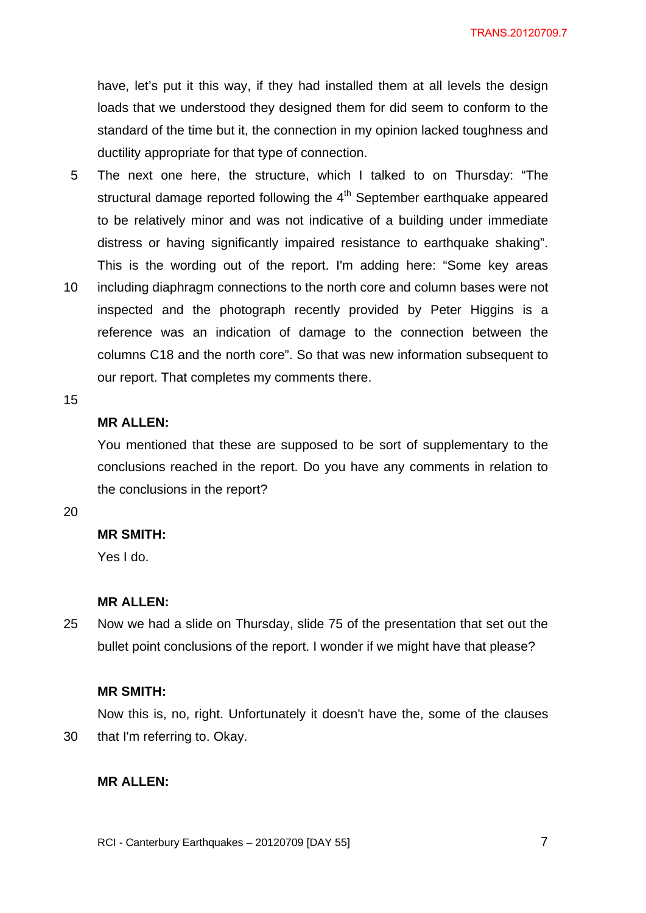TRANS.20120709.7

have, let's put it this way, if they had installed them at all levels the design loads that we understood they designed them for did seem to conform to the standard of the time but it, the connection in my opinion lacked toughness and ductility appropriate for that type of connection.

- 5 The next one here, the structure, which I talked to on Thursday: "The structural damage reported following the  $4<sup>th</sup>$  September earthquake appeared to be relatively minor and was not indicative of a building under immediate distress or having significantly impaired resistance to earthquake shaking". This is the wording out of the report. I'm adding here: "Some key areas
- 10 including diaphragm connections to the north core and column bases were not inspected and the photograph recently provided by Peter Higgins is a reference was an indication of damage to the connection between the columns C18 and the north core". So that was new information subsequent to our report. That completes my comments there.

#### 15

## **MR ALLEN:**

You mentioned that these are supposed to be sort of supplementary to the conclusions reached in the report. Do you have any comments in relation to the conclusions in the report?

#### 20

#### **MR SMITH:**

Yes I do.

#### **MR ALLEN:**

25 Now we had a slide on Thursday, slide 75 of the presentation that set out the bullet point conclusions of the report. I wonder if we might have that please?

#### **MR SMITH:**

30 Now this is, no, right. Unfortunately it doesn't have the, some of the clauses that I'm referring to. Okay.

### **MR ALLEN:**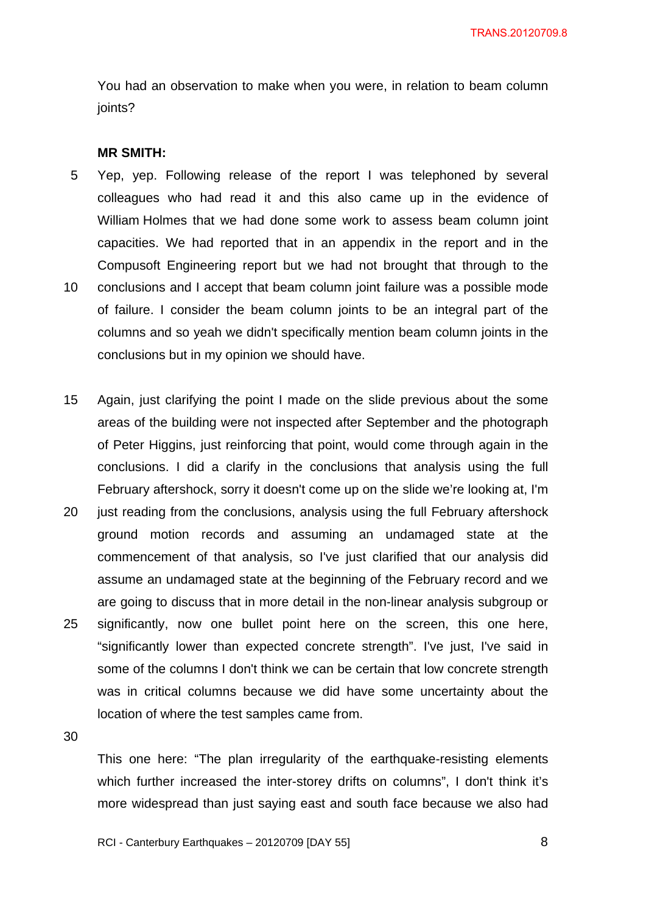You had an observation to make when you were, in relation to beam column joints?

#### **MR SMITH:**

- 5 10 Yep, yep. Following release of the report I was telephoned by several colleagues who had read it and this also came up in the evidence of William Holmes that we had done some work to assess beam column joint capacities. We had reported that in an appendix in the report and in the Compusoft Engineering report but we had not brought that through to the conclusions and I accept that beam column joint failure was a possible mode of failure. I consider the beam column joints to be an integral part of the columns and so yeah we didn't specifically mention beam column joints in the conclusions but in my opinion we should have.
- 15 Again, just clarifying the point I made on the slide previous about the some areas of the building were not inspected after September and the photograph of Peter Higgins, just reinforcing that point, would come through again in the conclusions. I did a clarify in the conclusions that analysis using the full February aftershock, sorry it doesn't come up on the slide we're looking at, I'm
- 20 25 just reading from the conclusions, analysis using the full February aftershock ground motion records and assuming an undamaged state at the commencement of that analysis, so I've just clarified that our analysis did assume an undamaged state at the beginning of the February record and we are going to discuss that in more detail in the non-linear analysis subgroup or significantly, now one bullet point here on the screen, this one here, "significantly lower than expected concrete strength". I've just, I've said in some of the columns I don't think we can be certain that low concrete strength was in critical columns because we did have some uncertainty about the location of where the test samples came from.

30

This one here: "The plan irregularity of the earthquake-resisting elements which further increased the inter-storey drifts on columns", I don't think it's more widespread than just saying east and south face because we also had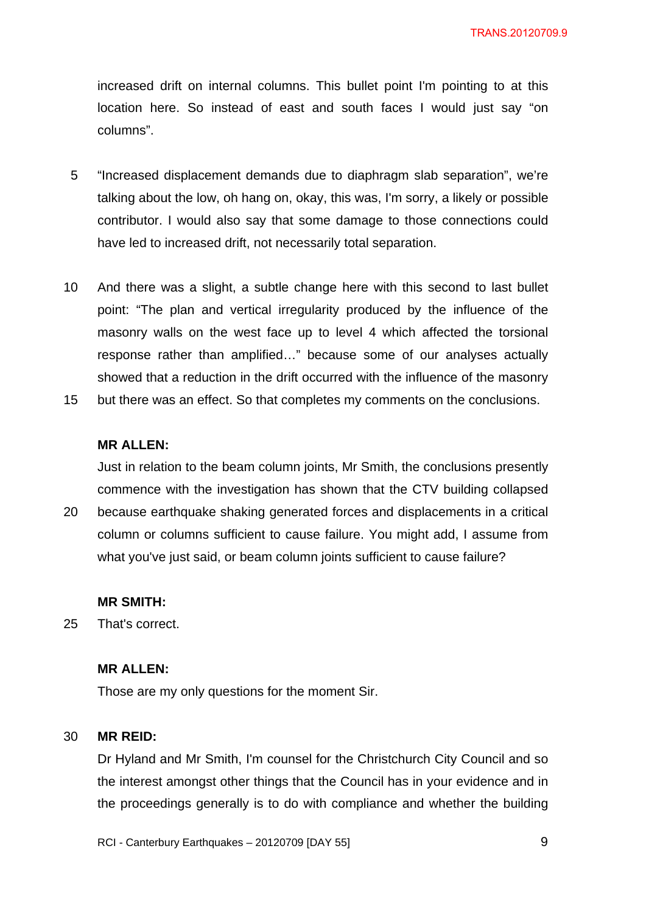increased drift on internal columns. This bullet point I'm pointing to at this location here. So instead of east and south faces I would just say "on columns".

- 5 "Increased displacement demands due to diaphragm slab separation", we're talking about the low, oh hang on, okay, this was, I'm sorry, a likely or possible contributor. I would also say that some damage to those connections could have led to increased drift, not necessarily total separation.
- 10 And there was a slight, a subtle change here with this second to last bullet point: "The plan and vertical irregularity produced by the influence of the masonry walls on the west face up to level 4 which affected the torsional response rather than amplified…" because some of our analyses actually showed that a reduction in the drift occurred with the influence of the masonry
- 15 but there was an effect. So that completes my comments on the conclusions.

#### **MR ALLEN:**

Just in relation to the beam column joints, Mr Smith, the conclusions presently commence with the investigation has shown that the CTV building collapsed

20 because earthquake shaking generated forces and displacements in a critical column or columns sufficient to cause failure. You might add, I assume from what you've just said, or beam column joints sufficient to cause failure?

### **MR SMITH:**

25 That's correct.

## **MR ALLEN:**

Those are my only questions for the moment Sir.

#### 30 **MR REID:**

Dr Hyland and Mr Smith, I'm counsel for the Christchurch City Council and so the interest amongst other things that the Council has in your evidence and in the proceedings generally is to do with compliance and whether the building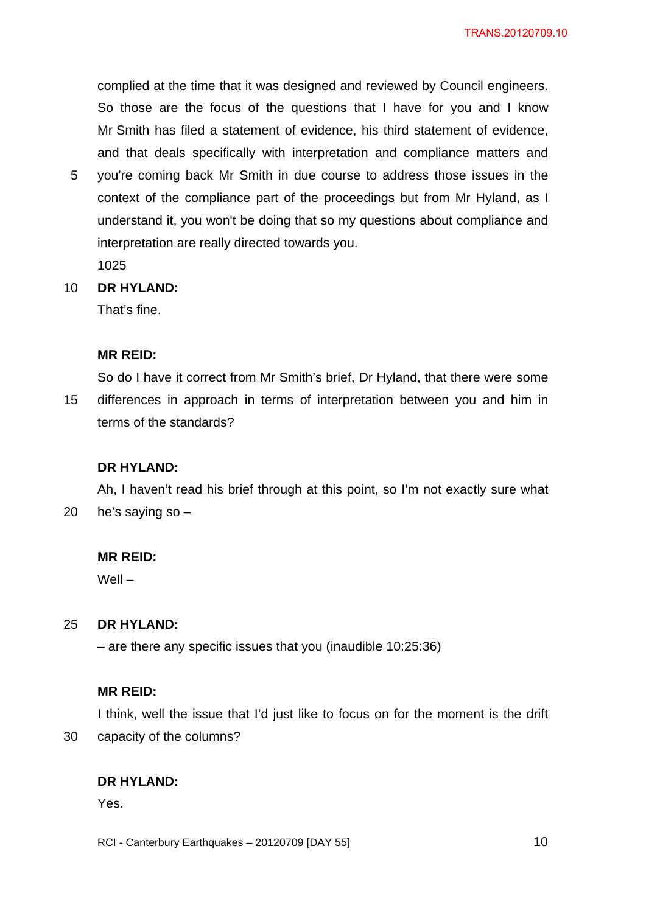complied at the time that it was designed and reviewed by Council engineers. So those are the focus of the questions that I have for you and I know Mr Smith has filed a statement of evidence, his third statement of evidence, and that deals specifically with interpretation and compliance matters and

5 you're coming back Mr Smith in due course to address those issues in the context of the compliance part of the proceedings but from Mr Hyland, as I understand it, you won't be doing that so my questions about compliance and interpretation are really directed towards you.

1025

10 **DR HYLAND:** 

That's fine.

## **MR REID:**

15 So do I have it correct from Mr Smith's brief, Dr Hyland, that there were some differences in approach in terms of interpretation between you and him in terms of the standards?

## **DR HYLAND:**

20 Ah, I haven't read his brief through at this point, so I'm not exactly sure what he's saying so –

## **MR REID:**

Well –

#### 25 **DR HYLAND:**

– are there any specific issues that you (inaudible 10:25:36)

## **MR REID:**

30 I think, well the issue that I'd just like to focus on for the moment is the drift capacity of the columns?

## **DR HYLAND:**

Yes.

RCI - Canterbury Earthquakes – 20120709 [DAY 55]

 $\sim$  10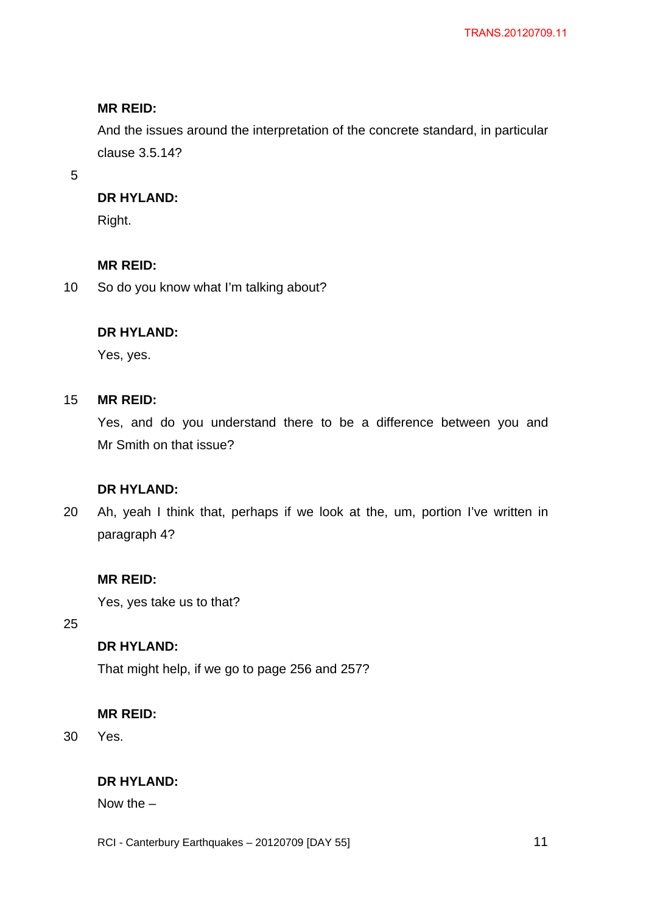And the issues around the interpretation of the concrete standard, in particular clause 3.5.14?

5

## **DR HYLAND:**

Right.

## **MR REID:**

10 So do you know what I'm talking about?

## **DR HYLAND:**

Yes, yes.

#### 15 **MR REID:**

Yes, and do you understand there to be a difference between you and Mr Smith on that issue?

# **DR HYLAND:**

20 Ah, yeah I think that, perhaps if we look at the, um, portion I've written in paragraph 4?

## **MR REID:**

Yes, yes take us to that?

25

# **DR HYLAND:**

That might help, if we go to page 256 and 257?

## **MR REID:**

30 Yes.

# **DR HYLAND:**

Now the –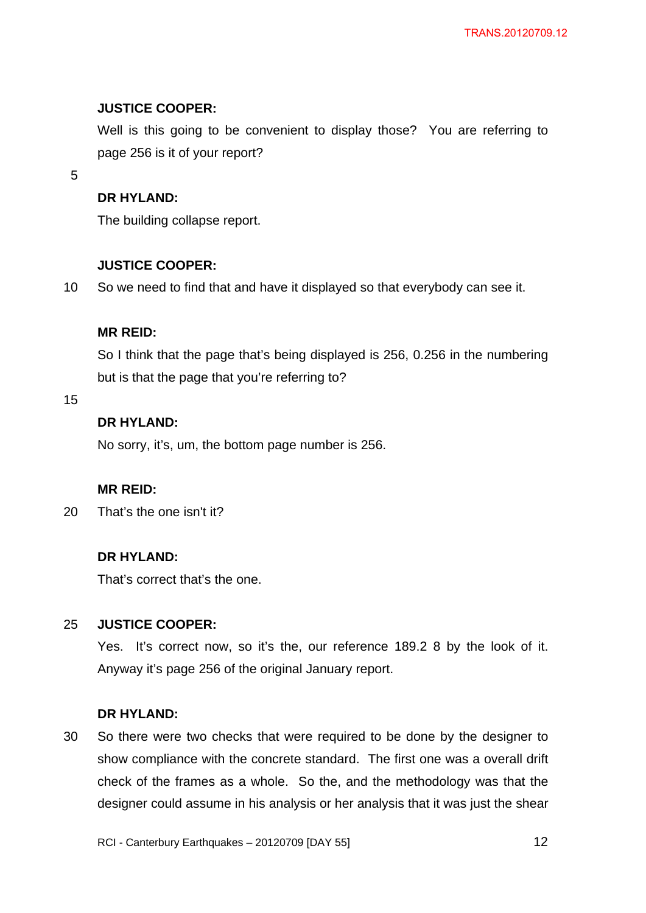## **JUSTICE COOPER:**

Well is this going to be convenient to display those? You are referring to page 256 is it of your report?

5

## **DR HYLAND:**

The building collapse report.

## **JUSTICE COOPER:**

10 So we need to find that and have it displayed so that everybody can see it.

## **MR REID:**

So I think that the page that's being displayed is 256, 0.256 in the numbering but is that the page that you're referring to?

15

# **DR HYLAND:**

No sorry, it's, um, the bottom page number is 256.

## **MR REID:**

20 That's the one isn't it?

## **DR HYLAND:**

That's correct that's the one.

#### 25 **JUSTICE COOPER:**

Yes. It's correct now, so it's the, our reference 189.2 8 by the look of it. Anyway it's page 256 of the original January report.

### **DR HYLAND:**

30 So there were two checks that were required to be done by the designer to show compliance with the concrete standard. The first one was a overall drift check of the frames as a whole. So the, and the methodology was that the designer could assume in his analysis or her analysis that it was just the shear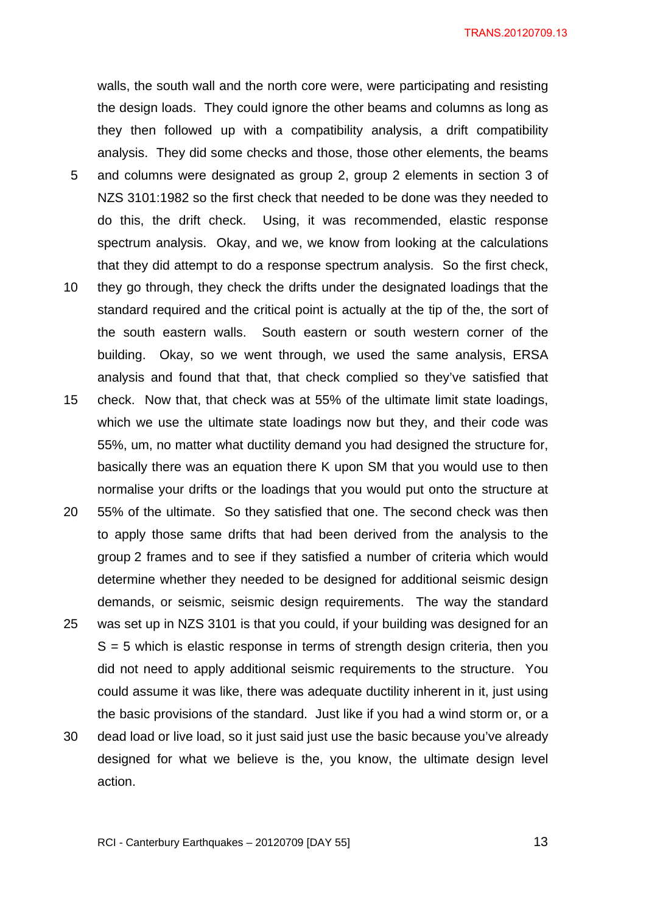5 10 walls, the south wall and the north core were, were participating and resisting the design loads. They could ignore the other beams and columns as long as they then followed up with a compatibility analysis, a drift compatibility analysis. They did some checks and those, those other elements, the beams and columns were designated as group 2, group 2 elements in section 3 of NZS 3101:1982 so the first check that needed to be done was they needed to do this, the drift check. Using, it was recommended, elastic response spectrum analysis. Okay, and we, we know from looking at the calculations that they did attempt to do a response spectrum analysis. So the first check, they go through, they check the drifts under the designated loadings that the standard required and the critical point is actually at the tip of the, the sort of

- 15 the south eastern walls. South eastern or south western corner of the building. Okay, so we went through, we used the same analysis, ERSA analysis and found that that, that check complied so they've satisfied that check. Now that, that check was at 55% of the ultimate limit state loadings, which we use the ultimate state loadings now but they, and their code was
- 55%, um, no matter what ductility demand you had designed the structure for, basically there was an equation there K upon SM that you would use to then normalise your drifts or the loadings that you would put onto the structure at
- 20 25 30 55% of the ultimate. So they satisfied that one. The second check was then to apply those same drifts that had been derived from the analysis to the group 2 frames and to see if they satisfied a number of criteria which would determine whether they needed to be designed for additional seismic design demands, or seismic, seismic design requirements. The way the standard was set up in NZS 3101 is that you could, if your building was designed for an  $S = 5$  which is elastic response in terms of strength design criteria, then you did not need to apply additional seismic requirements to the structure. You could assume it was like, there was adequate ductility inherent in it, just using the basic provisions of the standard. Just like if you had a wind storm or, or a dead load or live load, so it just said just use the basic because you've already
- designed for what we believe is the, you know, the ultimate design level action.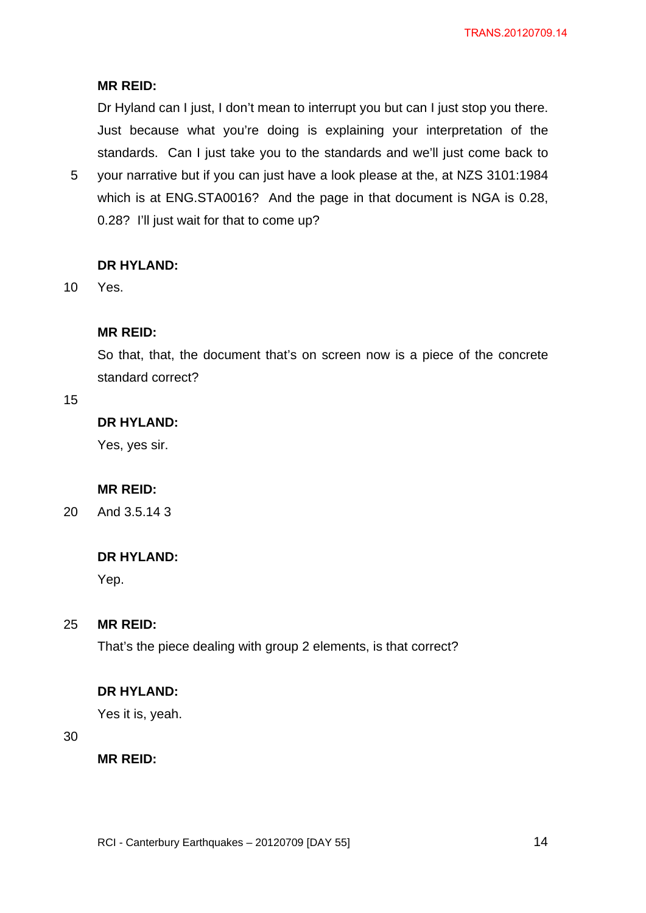Dr Hyland can I just, I don't mean to interrupt you but can I just stop you there. Just because what you're doing is explaining your interpretation of the standards. Can I just take you to the standards and we'll just come back to

5 your narrative but if you can just have a look please at the, at NZS 3101:1984 which is at ENG.STA0016? And the page in that document is NGA is 0.28, 0.28? I'll just wait for that to come up?

## **DR HYLAND:**

10 Yes.

## **MR REID:**

So that, that, the document that's on screen now is a piece of the concrete standard correct?

### 15

# **DR HYLAND:**

Yes, yes sir.

## **MR REID:**

20 And 3.5.14 3

## **DR HYLAND:**

Yep.

#### 25 **MR REID:**

That's the piece dealing with group 2 elements, is that correct?

### **DR HYLAND:**

Yes it is, yeah.

### 30

**MR REID:**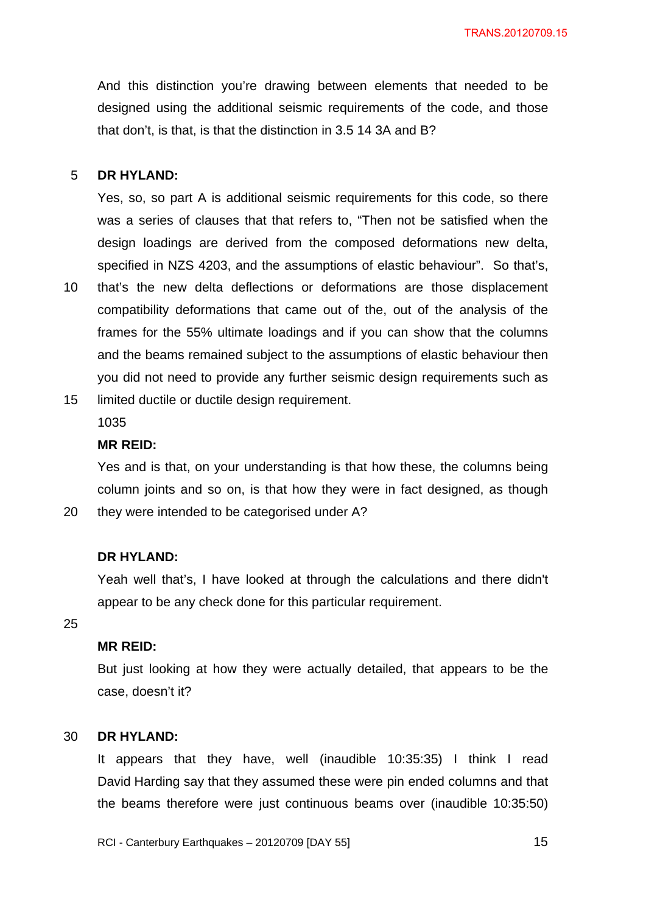And this distinction you're drawing between elements that needed to be designed using the additional seismic requirements of the code, and those that don't, is that, is that the distinction in 3.5 14 3A and B?

#### 5 **DR HYLAND:**

Yes, so, so part A is additional seismic requirements for this code, so there was a series of clauses that that refers to, "Then not be satisfied when the design loadings are derived from the composed deformations new delta, specified in NZS 4203, and the assumptions of elastic behaviour". So that's,

- 10 that's the new delta deflections or deformations are those displacement compatibility deformations that came out of the, out of the analysis of the frames for the 55% ultimate loadings and if you can show that the columns and the beams remained subject to the assumptions of elastic behaviour then you did not need to provide any further seismic design requirements such as
- 15 limited ductile or ductile design requirement.

1035

#### **MR REID:**

Yes and is that, on your understanding is that how these, the columns being column joints and so on, is that how they were in fact designed, as though they were intended to be categorised under A?

#### **DR HYLAND:**

Yeah well that's, I have looked at through the calculations and there didn't appear to be any check done for this particular requirement.

25

20

## **MR REID:**

But just looking at how they were actually detailed, that appears to be the case, doesn't it?

#### 30 **DR HYLAND:**

It appears that they have, well (inaudible 10:35:35) I think I read David Harding say that they assumed these were pin ended columns and that the beams therefore were just continuous beams over (inaudible 10:35:50)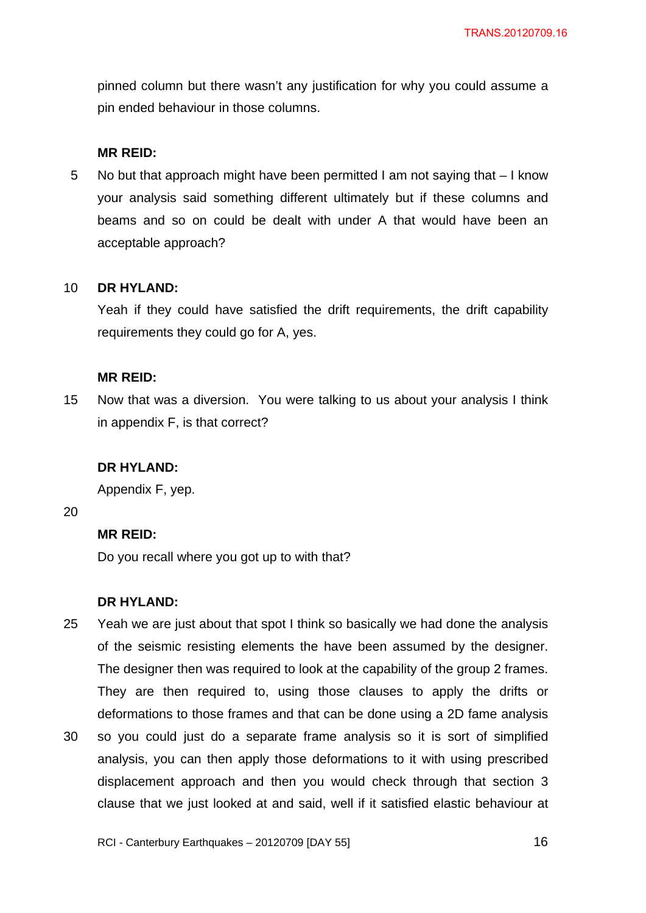pinned column but there wasn't any justification for why you could assume a pin ended behaviour in those columns.

#### **MR REID:**

5 No but that approach might have been permitted I am not saying that  $-1$  know your analysis said something different ultimately but if these columns and beams and so on could be dealt with under A that would have been an acceptable approach?

#### 10 **DR HYLAND:**

Yeah if they could have satisfied the drift requirements, the drift capability requirements they could go for A, yes.

#### **MR REID:**

15 Now that was a diversion. You were talking to us about your analysis I think in appendix F, is that correct?

### **DR HYLAND:**

Appendix F, yep.

20

## **MR REID:**

Do you recall where you got up to with that?

#### **DR HYLAND:**

- 25 Yeah we are just about that spot I think so basically we had done the analysis of the seismic resisting elements the have been assumed by the designer. The designer then was required to look at the capability of the group 2 frames. They are then required to, using those clauses to apply the drifts or deformations to those frames and that can be done using a 2D fame analysis
- 30 so you could just do a separate frame analysis so it is sort of simplified analysis, you can then apply those deformations to it with using prescribed displacement approach and then you would check through that section 3 clause that we just looked at and said, well if it satisfied elastic behaviour at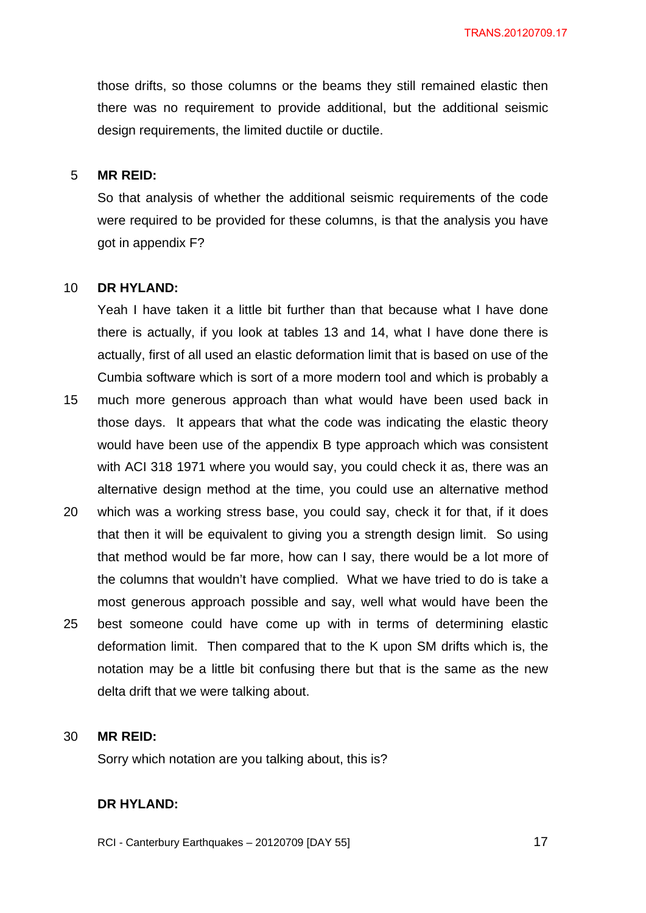those drifts, so those columns or the beams they still remained elastic then there was no requirement to provide additional, but the additional seismic design requirements, the limited ductile or ductile.

#### 5 **MR REID:**

So that analysis of whether the additional seismic requirements of the code were required to be provided for these columns, is that the analysis you have got in appendix F?

#### 10 **DR HYLAND:**

Yeah I have taken it a little bit further than that because what I have done there is actually, if you look at tables 13 and 14, what I have done there is actually, first of all used an elastic deformation limit that is based on use of the Cumbia software which is sort of a more modern tool and which is probably a

- 15 much more generous approach than what would have been used back in those days. It appears that what the code was indicating the elastic theory would have been use of the appendix B type approach which was consistent with ACI 318 1971 where you would say, you could check it as, there was an alternative design method at the time, you could use an alternative method
- 20 25 which was a working stress base, you could say, check it for that, if it does that then it will be equivalent to giving you a strength design limit. So using that method would be far more, how can I say, there would be a lot more of the columns that wouldn't have complied. What we have tried to do is take a most generous approach possible and say, well what would have been the best someone could have come up with in terms of determining elastic deformation limit. Then compared that to the K upon SM drifts which is, the
	- notation may be a little bit confusing there but that is the same as the new delta drift that we were talking about.

#### 30 **MR REID:**

Sorry which notation are you talking about, this is?

### **DR HYLAND:**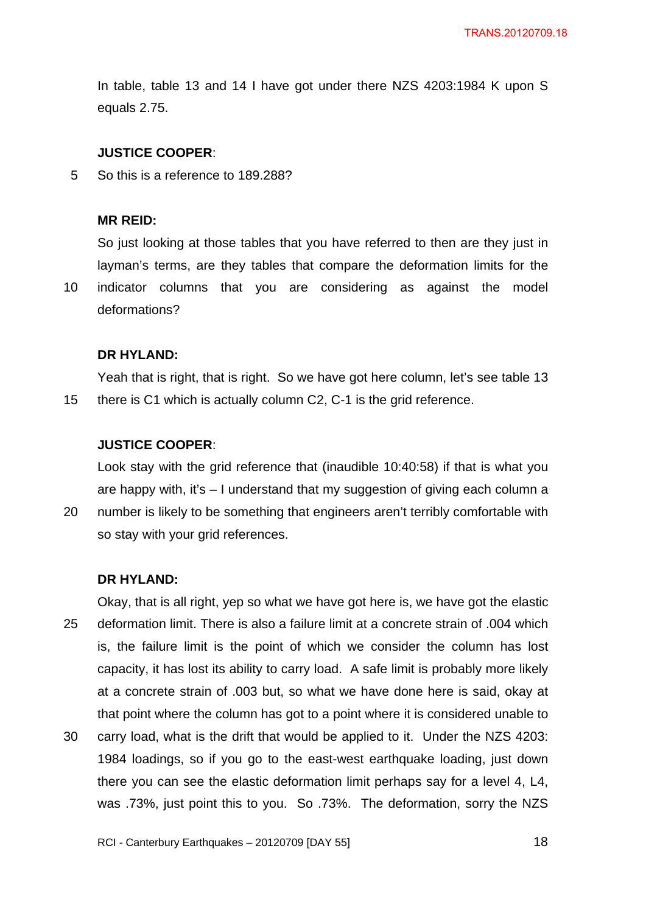In table, table 13 and 14 I have got under there NZS 4203:1984 K upon S equals 2.75.

#### **JUSTICE COOPER**:

5 So this is a reference to 189.288?

#### **MR REID:**

10

So just looking at those tables that you have referred to then are they just in layman's terms, are they tables that compare the deformation limits for the indicator columns that you are considering as against the model deformations?

#### **DR HYLAND:**

15 Yeah that is right, that is right. So we have got here column, let's see table 13 there is C1 which is actually column C2, C-1 is the grid reference.

#### **JUSTICE COOPER**:

Look stay with the grid reference that (inaudible 10:40:58) if that is what you are happy with, it's  $-1$  understand that my suggestion of giving each column a

20 number is likely to be something that engineers aren't terribly comfortable with so stay with your grid references.

#### **DR HYLAND:**

25 30 Okay, that is all right, yep so what we have got here is, we have got the elastic deformation limit. There is also a failure limit at a concrete strain of .004 which is, the failure limit is the point of which we consider the column has lost capacity, it has lost its ability to carry load. A safe limit is probably more likely at a concrete strain of .003 but, so what we have done here is said, okay at that point where the column has got to a point where it is considered unable to carry load, what is the drift that would be applied to it. Under the NZS 4203: 1984 loadings, so if you go to the east-west earthquake loading, just down there you can see the elastic deformation limit perhaps say for a level 4, L4,

was .73%, just point this to you. So .73%. The deformation, sorry the NZS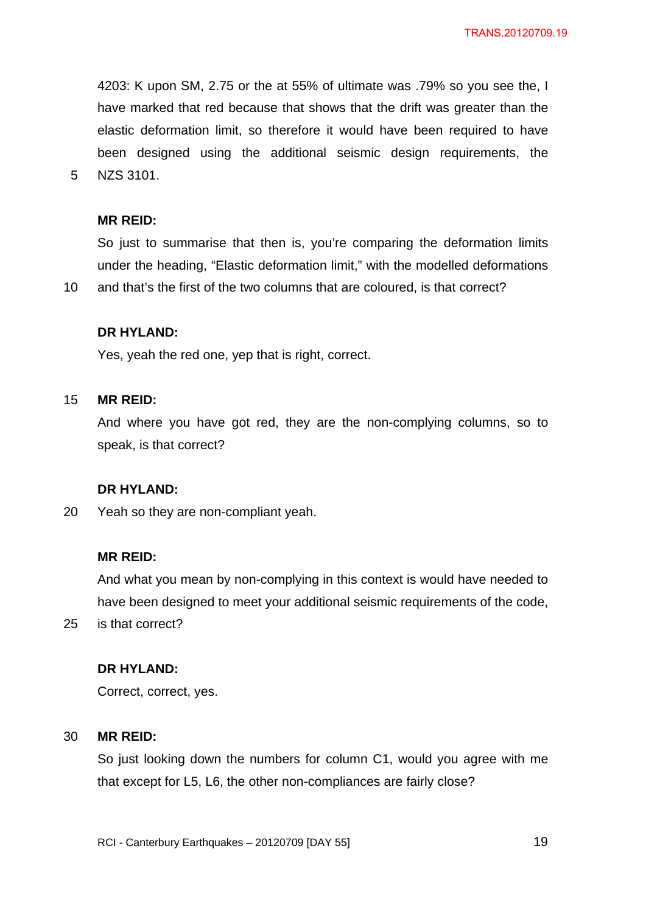4203: K upon SM, 2.75 or the at 55% of ultimate was .79% so you see the, I have marked that red because that shows that the drift was greater than the elastic deformation limit, so therefore it would have been required to have been designed using the additional seismic design requirements, the NZS 3101.

#### **MR REID:**

5

So just to summarise that then is, you're comparing the deformation limits under the heading, "Elastic deformation limit," with the modelled deformations

10 and that's the first of the two columns that are coloured, is that correct?

### **DR HYLAND:**

Yes, yeah the red one, yep that is right, correct.

#### 15 **MR REID:**

And where you have got red, they are the non-complying columns, so to speak, is that correct?

#### **DR HYLAND:**

20 Yeah so they are non-compliant yeah.

#### **MR REID:**

And what you mean by non-complying in this context is would have needed to have been designed to meet your additional seismic requirements of the code,

25 is that correct?

## **DR HYLAND:**

Correct, correct, yes.

#### 30 **MR REID:**

So just looking down the numbers for column C1, would you agree with me that except for L5, L6, the other non-compliances are fairly close?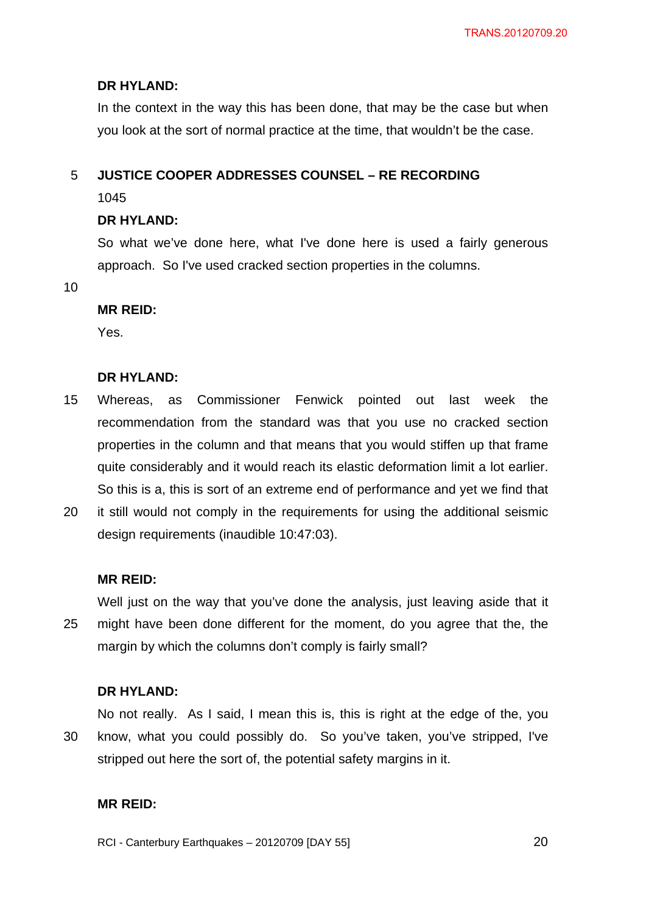## **DR HYLAND:**

In the context in the way this has been done, that may be the case but when you look at the sort of normal practice at the time, that wouldn't be the case.

#### 5 **JUSTICE COOPER ADDRESSES COUNSEL – RE RECORDING**

1045

## **DR HYLAND:**

So what we've done here, what I've done here is used a fairly generous approach. So I've used cracked section properties in the columns.

10

## **MR REID:**

Yes.

## **DR HYLAND:**

- 15 Whereas, as Commissioner Fenwick pointed out last week the recommendation from the standard was that you use no cracked section properties in the column and that means that you would stiffen up that frame quite considerably and it would reach its elastic deformation limit a lot earlier. So this is a, this is sort of an extreme end of performance and yet we find that
- 20 it still would not comply in the requirements for using the additional seismic design requirements (inaudible 10:47:03).

## **MR REID:**

25 Well just on the way that you've done the analysis, just leaving aside that it might have been done different for the moment, do you agree that the, the margin by which the columns don't comply is fairly small?

## **DR HYLAND:**

30 No not really. As I said, I mean this is, this is right at the edge of the, you know, what you could possibly do. So you've taken, you've stripped, I've stripped out here the sort of, the potential safety margins in it.

## **MR REID:**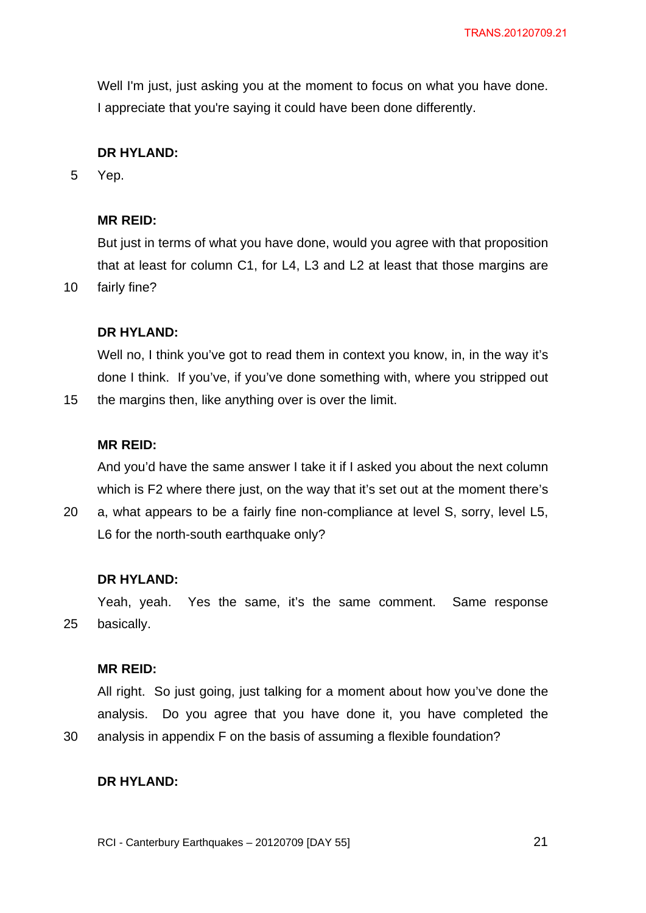Well I'm just, just asking you at the moment to focus on what you have done. I appreciate that you're saying it could have been done differently.

# **DR HYLAND:**

5 Yep.

10

15

30

## **MR REID:**

But just in terms of what you have done, would you agree with that proposition that at least for column C1, for L4, L3 and L2 at least that those margins are fairly fine?

## **DR HYLAND:**

Well no, I think you've got to read them in context you know, in, in the way it's done I think. If you've, if you've done something with, where you stripped out the margins then, like anything over is over the limit.

### **MR REID:**

And you'd have the same answer I take it if I asked you about the next column which is F2 where there just, on the way that it's set out at the moment there's

20 a, what appears to be a fairly fine non-compliance at level S, sorry, level L5, L6 for the north-south earthquake only?

#### **DR HYLAND:**

25 Yeah, yeah. Yes the same, it's the same comment. Same response basically.

### **MR REID:**

All right. So just going, just talking for a moment about how you've done the analysis. Do you agree that you have done it, you have completed the analysis in appendix F on the basis of assuming a flexible foundation?

### **DR HYLAND:**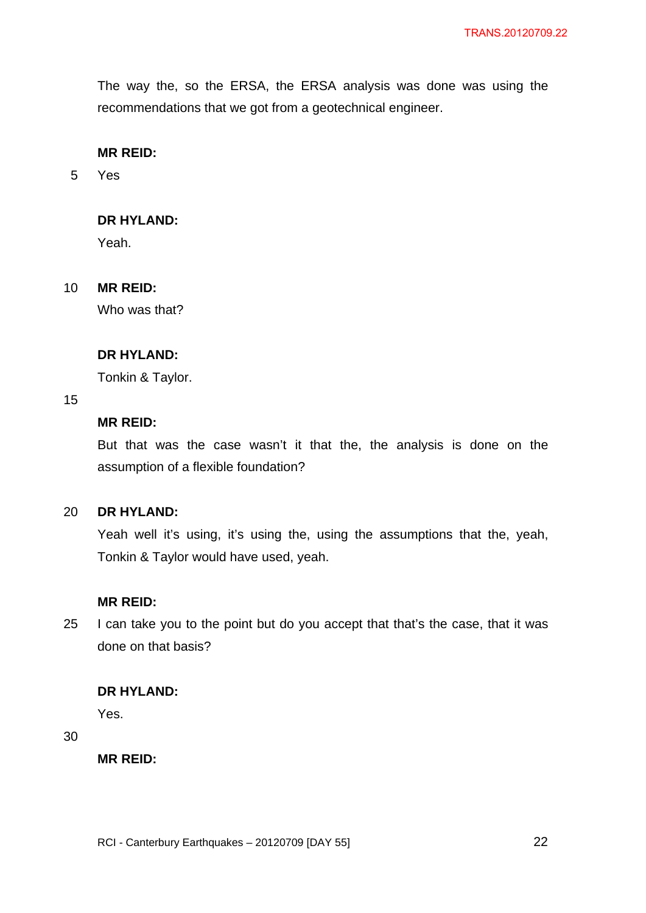The way the, so the ERSA, the ERSA analysis was done was using the recommendations that we got from a geotechnical engineer.

## **MR REID:**

5 Yes

## **DR HYLAND:**

Yeah.

#### 10 **MR REID:**

Who was that?

## **DR HYLAND:**

Tonkin & Taylor.

### 15

## **MR REID:**

But that was the case wasn't it that the, the analysis is done on the assumption of a flexible foundation?

#### $20<sub>2</sub>$ **DR HYLAND:**

Yeah well it's using, it's using the, using the assumptions that the, yeah, Tonkin & Taylor would have used, yeah.

### **MR REID:**

25 I can take you to the point but do you accept that that's the case, that it was done on that basis?

## **DR HYLAND:**

Yes.

30

**MR REID:**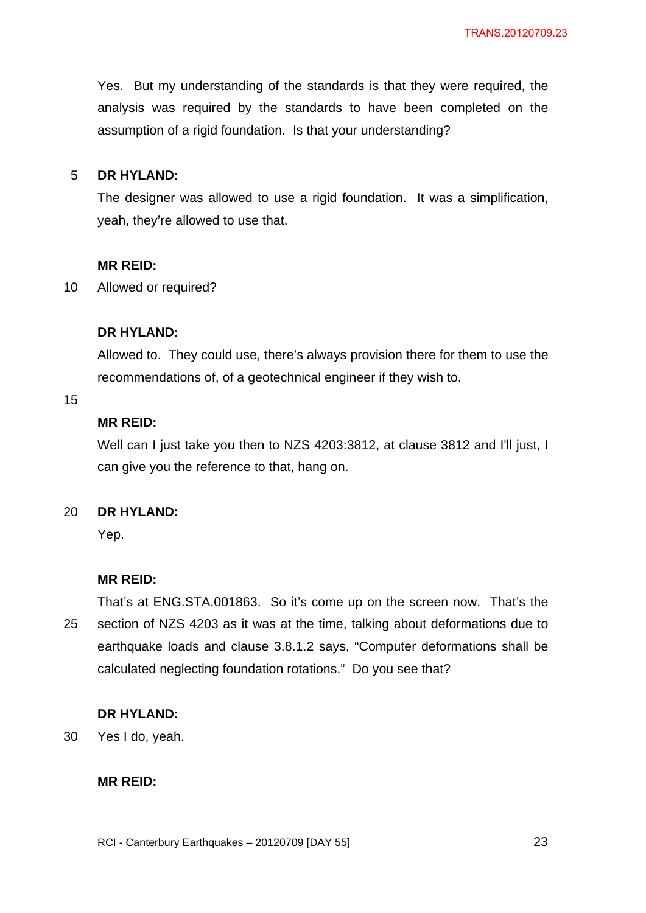Yes. But my understanding of the standards is that they were required, the analysis was required by the standards to have been completed on the assumption of a rigid foundation. Is that your understanding?

#### 5 **DR HYLAND:**

The designer was allowed to use a rigid foundation. It was a simplification, yeah, they're allowed to use that.

### **MR REID:**

10 Allowed or required?

## **DR HYLAND:**

Allowed to. They could use, there's always provision there for them to use the recommendations of, of a geotechnical engineer if they wish to.

### 15

## **MR REID:**

Well can I just take you then to NZS 4203:3812, at clause 3812 and I'll just, I can give you the reference to that, hang on.

#### 20 **DR HYLAND:**

Yep.

## **MR REID:**

25 That's at ENG.STA.001863. So it's come up on the screen now. That's the section of NZS 4203 as it was at the time, talking about deformations due to earthquake loads and clause 3.8.1.2 says, "Computer deformations shall be calculated neglecting foundation rotations." Do you see that?

## **DR HYLAND:**

30 Yes I do, yeah.

### **MR REID:**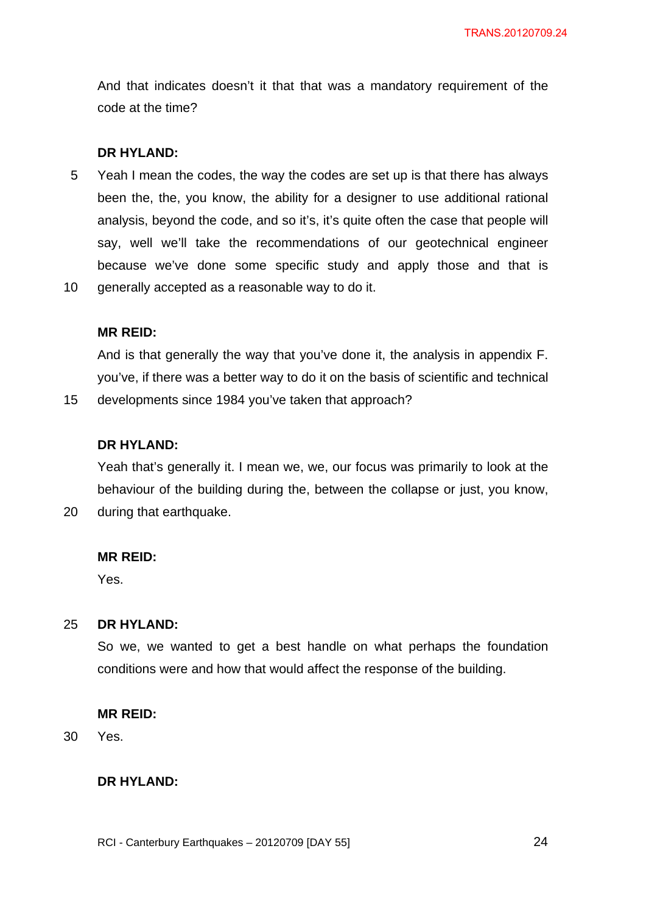And that indicates doesn't it that that was a mandatory requirement of the code at the time?

### **DR HYLAND:**

5 10 Yeah I mean the codes, the way the codes are set up is that there has always been the, the, you know, the ability for a designer to use additional rational analysis, beyond the code, and so it's, it's quite often the case that people will say, well we'll take the recommendations of our geotechnical engineer because we've done some specific study and apply those and that is generally accepted as a reasonable way to do it.

### **MR REID:**

15

20

And is that generally the way that you've done it, the analysis in appendix F. you've, if there was a better way to do it on the basis of scientific and technical developments since 1984 you've taken that approach?

#### **DR HYLAND:**

Yeah that's generally it. I mean we, we, our focus was primarily to look at the behaviour of the building during the, between the collapse or just, you know, during that earthquake.

#### **MR REID:**

Yes.

#### 25 **DR HYLAND:**

So we, we wanted to get a best handle on what perhaps the foundation conditions were and how that would affect the response of the building.

#### **MR REID:**

30 Yes.

### **DR HYLAND:**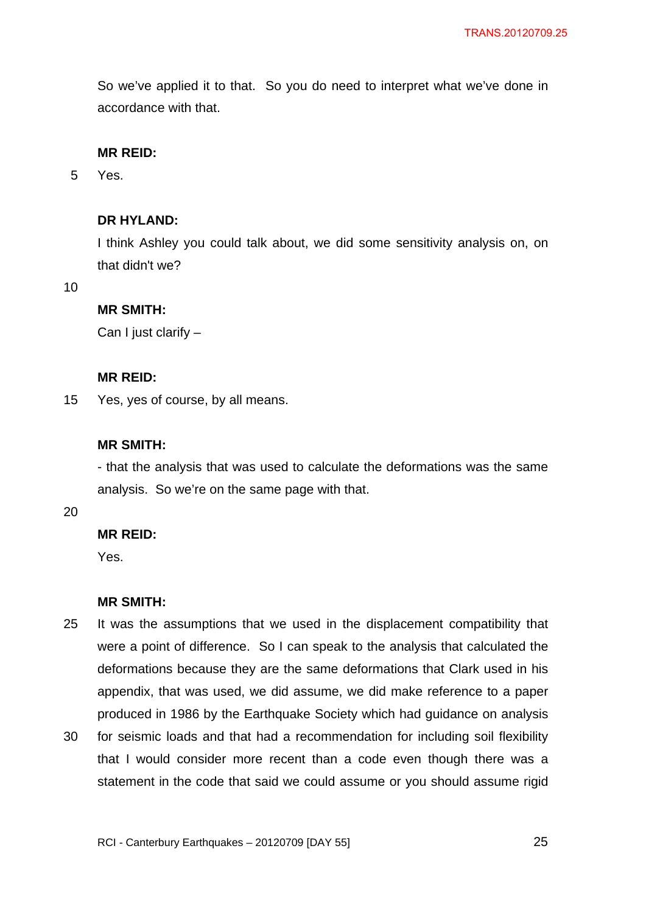So we've applied it to that. So you do need to interpret what we've done in accordance with that.

## **MR REID:**

5 Yes.

## **DR HYLAND:**

I think Ashley you could talk about, we did some sensitivity analysis on, on that didn't we?

10

## **MR SMITH:**

Can I just clarify –

### **MR REID:**

15 Yes, yes of course, by all means.

## **MR SMITH:**

- that the analysis that was used to calculate the deformations was the same analysis. So we're on the same page with that.

20

## **MR REID:**

Yes.

## **MR SMITH:**

- 25 It was the assumptions that we used in the displacement compatibility that were a point of difference. So I can speak to the analysis that calculated the deformations because they are the same deformations that Clark used in his appendix, that was used, we did assume, we did make reference to a paper produced in 1986 by the Earthquake Society which had guidance on analysis
- 30 for seismic loads and that had a recommendation for including soil flexibility that I would consider more recent than a code even though there was a statement in the code that said we could assume or you should assume rigid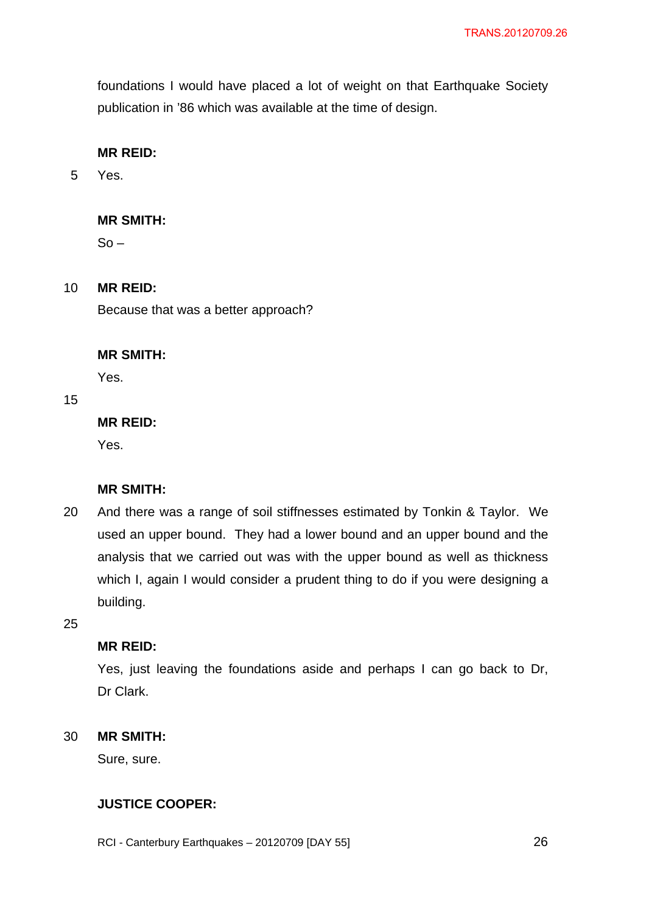foundations I would have placed a lot of weight on that Earthquake Society publication in '86 which was available at the time of design.

## **MR REID:**

5 Yes.

## **MR SMITH:**

 $So -$ 

#### 10 **MR REID:**

Because that was a better approach?

#### **MR SMITH:**

Yes.

## 15

## **MR REID:**

Yes.

## **MR SMITH:**

20 And there was a range of soil stiffnesses estimated by Tonkin & Taylor. We used an upper bound. They had a lower bound and an upper bound and the analysis that we carried out was with the upper bound as well as thickness which I, again I would consider a prudent thing to do if you were designing a building.

25

## **MR REID:**

Yes, just leaving the foundations aside and perhaps I can go back to Dr, Dr Clark.

#### 30 **MR SMITH:**

Sure, sure.

## **JUSTICE COOPER:**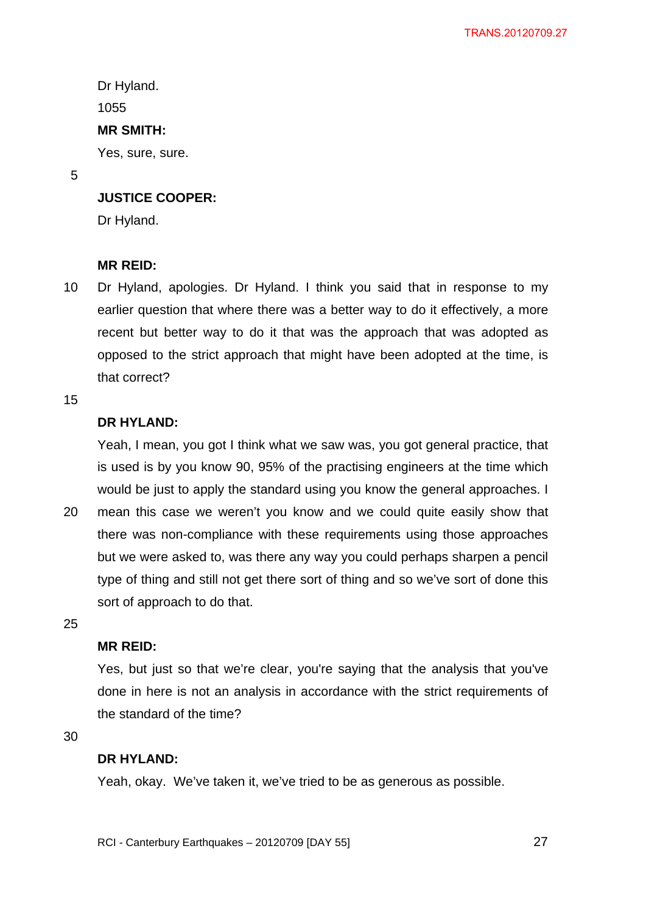Dr Hyland. 1055

## **MR SMITH:**

Yes, sure, sure.

5

# **JUSTICE COOPER:**

Dr Hyland.

## **MR REID:**

10 Dr Hyland, apologies. Dr Hyland. I think you said that in response to my earlier question that where there was a better way to do it effectively, a more recent but better way to do it that was the approach that was adopted as opposed to the strict approach that might have been adopted at the time, is that correct?

15

## **DR HYLAND:**

Yeah, I mean, you got I think what we saw was, you got general practice, that is used is by you know 90, 95% of the practising engineers at the time which would be just to apply the standard using you know the general approaches. I

20 mean this case we weren't you know and we could quite easily show that there was non-compliance with these requirements using those approaches but we were asked to, was there any way you could perhaps sharpen a pencil type of thing and still not get there sort of thing and so we've sort of done this sort of approach to do that.

25

## **MR REID:**

Yes, but just so that we're clear, you're saying that the analysis that you've done in here is not an analysis in accordance with the strict requirements of the standard of the time?

30

### **DR HYLAND:**

Yeah, okay. We've taken it, we've tried to be as generous as possible.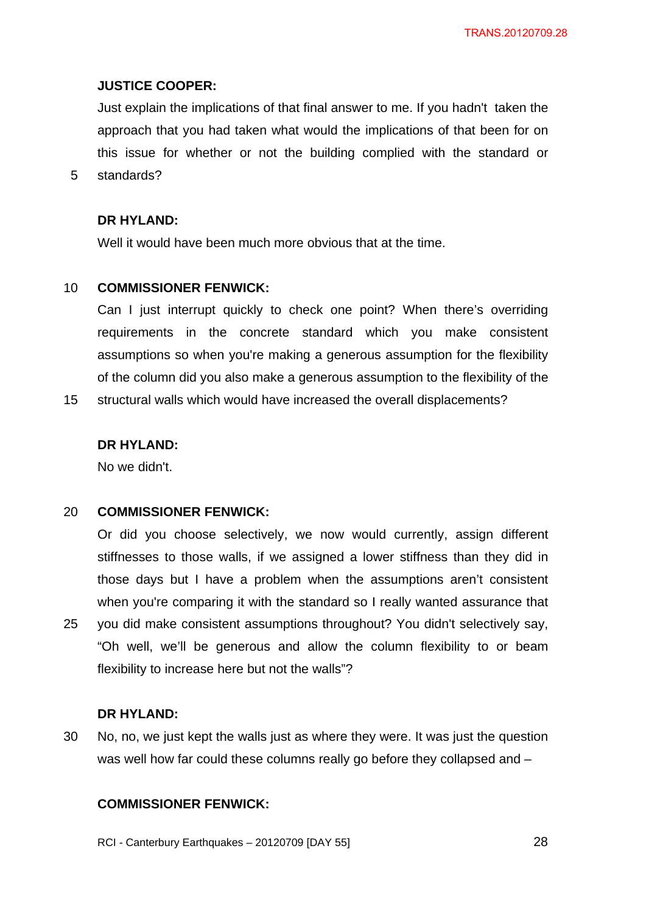### **JUSTICE COOPER:**

Just explain the implications of that final answer to me. If you hadn't taken the approach that you had taken what would the implications of that been for on this issue for whether or not the building complied with the standard or standards?

**DR HYLAND:** 

5

Well it would have been much more obvious that at the time.

#### 10 **COMMISSIONER FENWICK:**

Can I just interrupt quickly to check one point? When there's overriding requirements in the concrete standard which you make consistent assumptions so when you're making a generous assumption for the flexibility of the column did you also make a generous assumption to the flexibility of the

15 structural walls which would have increased the overall displacements?

### **DR HYLAND:**

No we didn't.

#### 20 **COMMISSIONER FENWICK:**

Or did you choose selectively, we now would currently, assign different stiffnesses to those walls, if we assigned a lower stiffness than they did in those days but I have a problem when the assumptions aren't consistent when you're comparing it with the standard so I really wanted assurance that you did make consistent assumptions throughout? You didn't selectively say, "Oh well, we'll be generous and allow the column flexibility to or beam flexibility to increase here but not the walls"?

#### **DR HYLAND:**

25

30 No, no, we just kept the walls just as where they were. It was just the question was well how far could these columns really go before they collapsed and -

## **COMMISSIONER FENWICK:**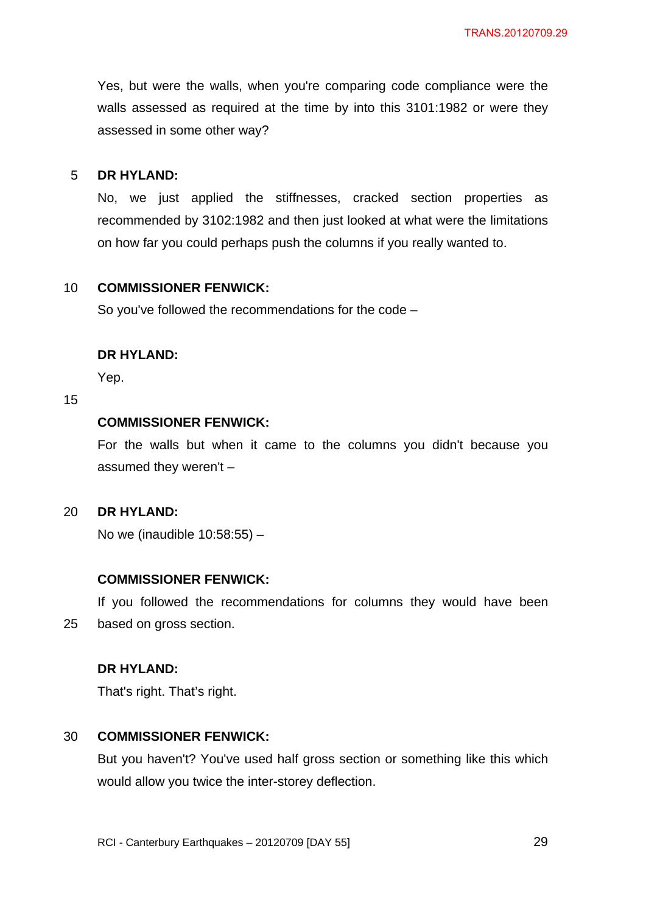Yes, but were the walls, when you're comparing code compliance were the walls assessed as required at the time by into this 3101:1982 or were they assessed in some other way?

#### 5 **DR HYLAND:**

No, we just applied the stiffnesses, cracked section properties as recommended by 3102:1982 and then just looked at what were the limitations on how far you could perhaps push the columns if you really wanted to.

#### 10 **COMMISSIONER FENWICK:**

So you've followed the recommendations for the code –

## **DR HYLAND:**

Yep.

### 15

## **COMMISSIONER FENWICK:**

For the walls but when it came to the columns you didn't because you assumed they weren't –

#### $20<sub>2</sub>$ **DR HYLAND:**

No we (inaudible 10:58:55) –

### **COMMISSIONER FENWICK:**

25 If you followed the recommendations for columns they would have been based on gross section.

### **DR HYLAND:**

That's right. That's right.

#### 30 **COMMISSIONER FENWICK:**

But you haven't? You've used half gross section or something like this which would allow you twice the inter-storey deflection.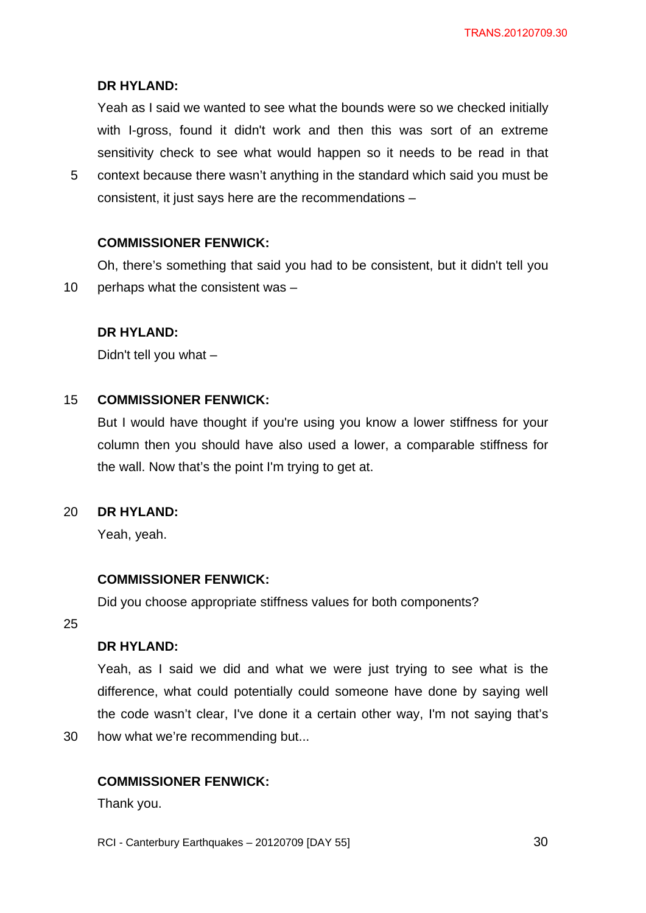## **DR HYLAND:**

Yeah as I said we wanted to see what the bounds were so we checked initially with I-gross, found it didn't work and then this was sort of an extreme sensitivity check to see what would happen so it needs to be read in that

5 context because there wasn't anything in the standard which said you must be consistent, it just says here are the recommendations –

## **COMMISSIONER FENWICK:**

10 Oh, there's something that said you had to be consistent, but it didn't tell you perhaps what the consistent was –

## **DR HYLAND:**

Didn't tell you what –

#### 15 **COMMISSIONER FENWICK:**

But I would have thought if you're using you know a lower stiffness for your column then you should have also used a lower, a comparable stiffness for the wall. Now that's the point I'm trying to get at.

#### 20 **DR HYLAND:**

Yeah, yeah.

### **COMMISSIONER FENWICK:**

Did you choose appropriate stiffness values for both components?

25

## **DR HYLAND:**

Yeah, as I said we did and what we were just trying to see what is the difference, what could potentially could someone have done by saying well the code wasn't clear, I've done it a certain other way, I'm not saying that's

30 how what we're recommending but...

### **COMMISSIONER FENWICK:**

Thank you.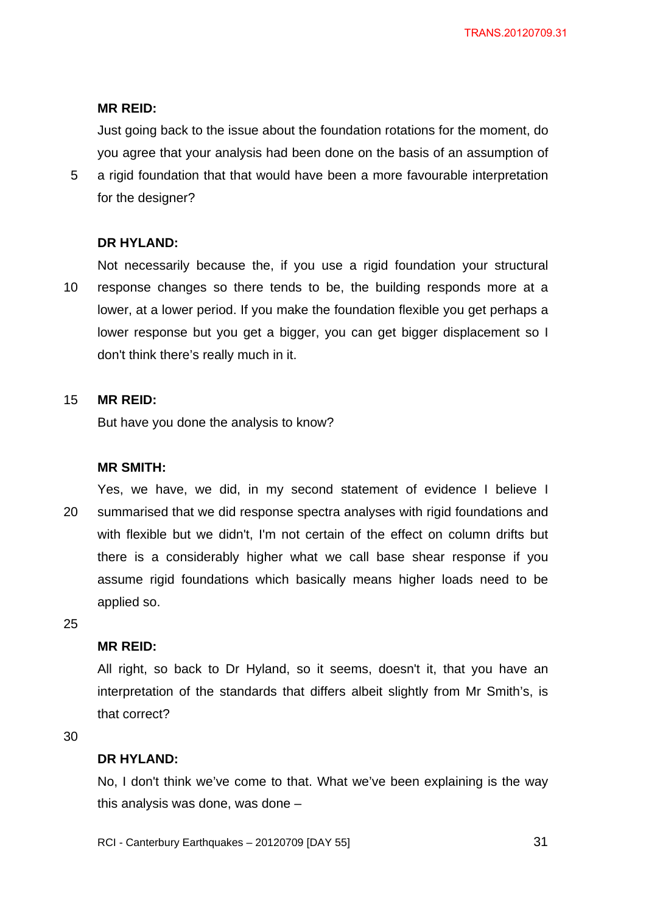Just going back to the issue about the foundation rotations for the moment, do you agree that your analysis had been done on the basis of an assumption of

5 a rigid foundation that that would have been a more favourable interpretation for the designer?

#### **DR HYLAND:**

10 Not necessarily because the, if you use a rigid foundation your structural response changes so there tends to be, the building responds more at a lower, at a lower period. If you make the foundation flexible you get perhaps a lower response but you get a bigger, you can get bigger displacement so I don't think there's really much in it.

#### 15 **MR REID:**

But have you done the analysis to know?

#### **MR SMITH:**

20 Yes, we have, we did, in my second statement of evidence I believe I summarised that we did response spectra analyses with rigid foundations and with flexible but we didn't, I'm not certain of the effect on column drifts but there is a considerably higher what we call base shear response if you assume rigid foundations which basically means higher loads need to be applied so.

25

### **MR REID:**

All right, so back to Dr Hyland, so it seems, doesn't it, that you have an interpretation of the standards that differs albeit slightly from Mr Smith's, is that correct?

30

#### **DR HYLAND:**

No, I don't think we've come to that. What we've been explaining is the way this analysis was done, was done –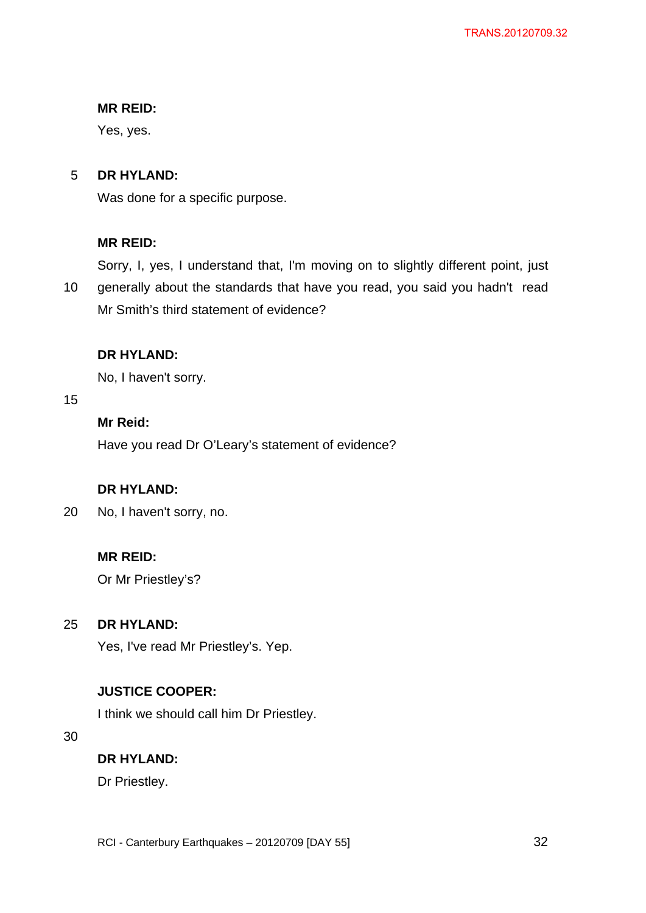Yes, yes.

#### 5 **DR HYLAND:**

Was done for a specific purpose.

# **MR REID:**

Sorry, I, yes, I understand that, I'm moving on to slightly different point, just

10 generally about the standards that have you read, you said you hadn't read Mr Smith's third statement of evidence?

# **DR HYLAND:**

No, I haven't sorry.

## 15

# **Mr Reid:**

Have you read Dr O'Leary's statement of evidence?

# **DR HYLAND:**

20 No, I haven't sorry, no.

# **MR REID:**

Or Mr Priestley's?

#### 25 **DR HYLAND:**

Yes, I've read Mr Priestley's. Yep.

# **JUSTICE COOPER:**

I think we should call him Dr Priestley.

30

# **DR HYLAND:**

Dr Priestley.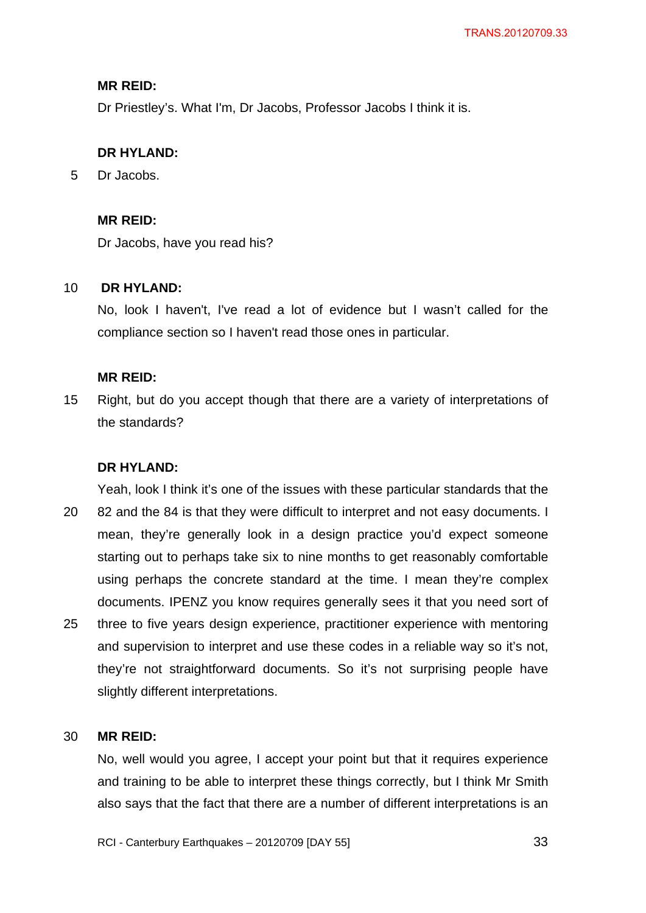Dr Priestley's. What I'm, Dr Jacobs, Professor Jacobs I think it is.

## **DR HYLAND:**

5 Dr Jacobs.

## **MR REID:**

Dr Jacobs, have you read his?

#### 10  **DR HYLAND:**

No, look I haven't, I've read a lot of evidence but I wasn't called for the compliance section so I haven't read those ones in particular.

### **MR REID:**

15 Right, but do you accept though that there are a variety of interpretations of the standards?

### **DR HYLAND:**

20 25 Yeah, look I think it's one of the issues with these particular standards that the 82 and the 84 is that they were difficult to interpret and not easy documents. I mean, they're generally look in a design practice you'd expect someone starting out to perhaps take six to nine months to get reasonably comfortable using perhaps the concrete standard at the time. I mean they're complex documents. IPENZ you know requires generally sees it that you need sort of three to five years design experience, practitioner experience with mentoring and supervision to interpret and use these codes in a reliable way so it's not, they're not straightforward documents. So it's not surprising people have slightly different interpretations.

#### 30 **MR REID:**

No, well would you agree, I accept your point but that it requires experience and training to be able to interpret these things correctly, but I think Mr Smith also says that the fact that there are a number of different interpretations is an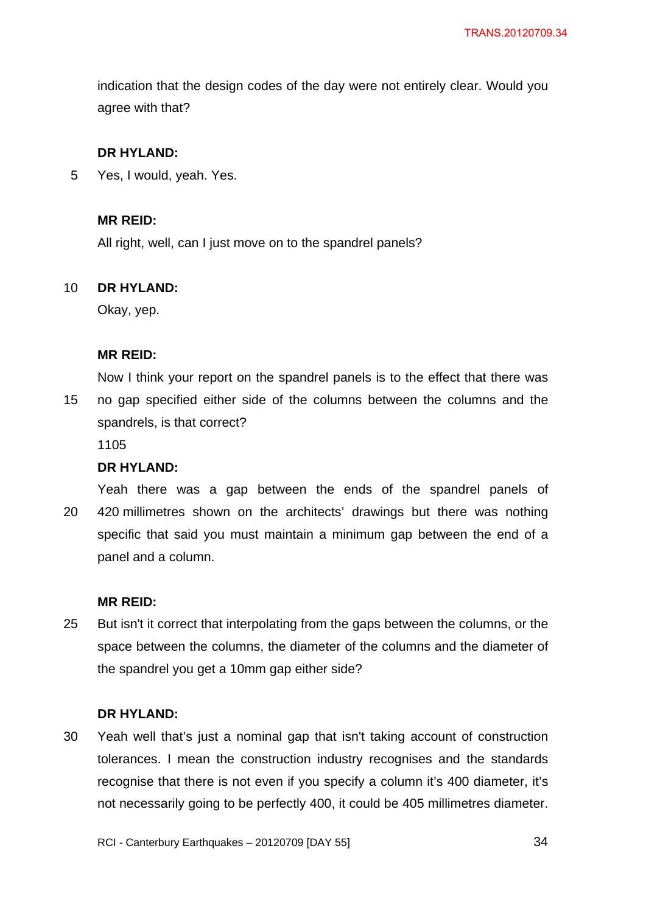indication that the design codes of the day were not entirely clear. Would you agree with that?

## **DR HYLAND:**

5 Yes, I would, yeah. Yes.

## **MR REID:**

All right, well, can I just move on to the spandrel panels?

#### 10 **DR HYLAND:**

Okay, yep.

## **MR REID:**

15 Now I think your report on the spandrel panels is to the effect that there was no gap specified either side of the columns between the columns and the spandrels, is that correct?

1105

### **DR HYLAND:**

20 Yeah there was a gap between the ends of the spandrel panels of 420 millimetres shown on the architects' drawings but there was nothing specific that said you must maintain a minimum gap between the end of a panel and a column.

### **MR REID:**

25 But isn't it correct that interpolating from the gaps between the columns, or the space between the columns, the diameter of the columns and the diameter of the spandrel you get a 10mm gap either side?

### **DR HYLAND:**

30 Yeah well that's just a nominal gap that isn't taking account of construction tolerances. I mean the construction industry recognises and the standards recognise that there is not even if you specify a column it's 400 diameter, it's not necessarily going to be perfectly 400, it could be 405 millimetres diameter.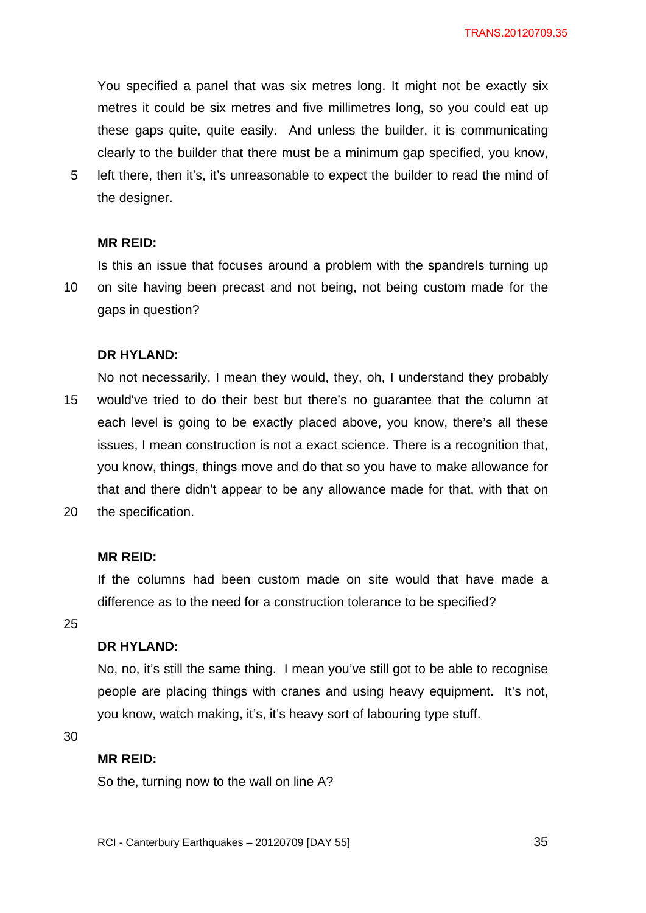You specified a panel that was six metres long. It might not be exactly six metres it could be six metres and five millimetres long, so you could eat up these gaps quite, quite easily. And unless the builder, it is communicating clearly to the builder that there must be a minimum gap specified, you know,

5 left there, then it's, it's unreasonable to expect the builder to read the mind of the designer.

#### **MR REID:**

10 Is this an issue that focuses around a problem with the spandrels turning up on site having been precast and not being, not being custom made for the gaps in question?

### **DR HYLAND:**

15 20 No not necessarily, I mean they would, they, oh, I understand they probably would've tried to do their best but there's no guarantee that the column at each level is going to be exactly placed above, you know, there's all these issues, I mean construction is not a exact science. There is a recognition that, you know, things, things move and do that so you have to make allowance for that and there didn't appear to be any allowance made for that, with that on the specification.

#### **MR REID:**

If the columns had been custom made on site would that have made a difference as to the need for a construction tolerance to be specified?

25

## **DR HYLAND:**

No, no, it's still the same thing. I mean you've still got to be able to recognise people are placing things with cranes and using heavy equipment. It's not, you know, watch making, it's, it's heavy sort of labouring type stuff.

30

#### **MR REID:**

So the, turning now to the wall on line A?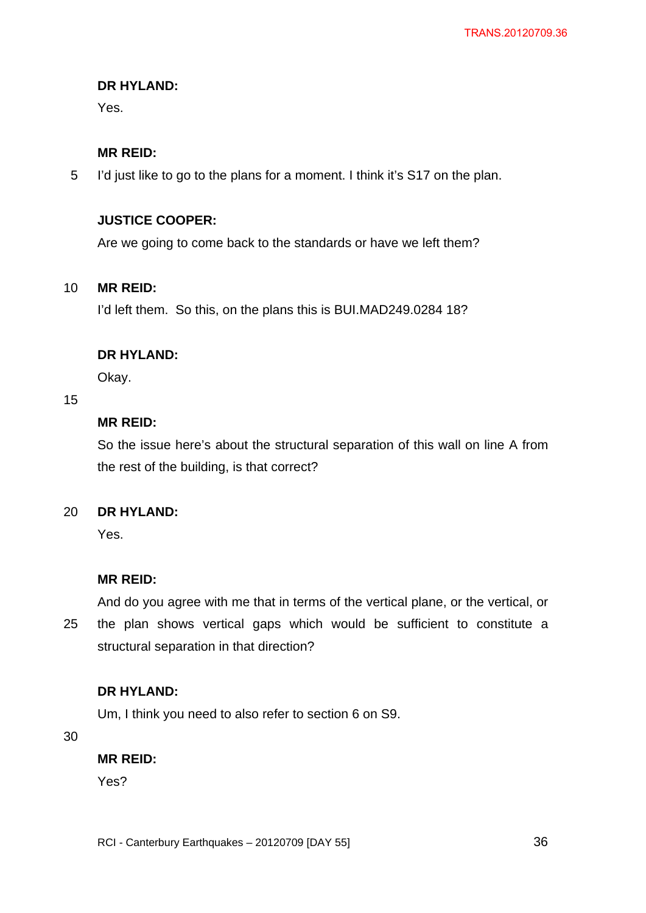# **DR HYLAND:**

Yes.

## **MR REID:**

5 I'd just like to go to the plans for a moment. I think it's S17 on the plan.

## **JUSTICE COOPER:**

Are we going to come back to the standards or have we left them?

#### 10 **MR REID:**

I'd left them. So this, on the plans this is BUI.MAD249.0284 18?

### **DR HYLAND:**

Okay.

## 15

## **MR REID:**

So the issue here's about the structural separation of this wall on line A from the rest of the building, is that correct?

#### 20 **DR HYLAND:**

Yes.

### **MR REID:**

And do you agree with me that in terms of the vertical plane, or the vertical, or

25 the plan shows vertical gaps which would be sufficient to constitute a structural separation in that direction?

### **DR HYLAND:**

Um, I think you need to also refer to section 6 on S9.

30

### **MR REID:**

Yes?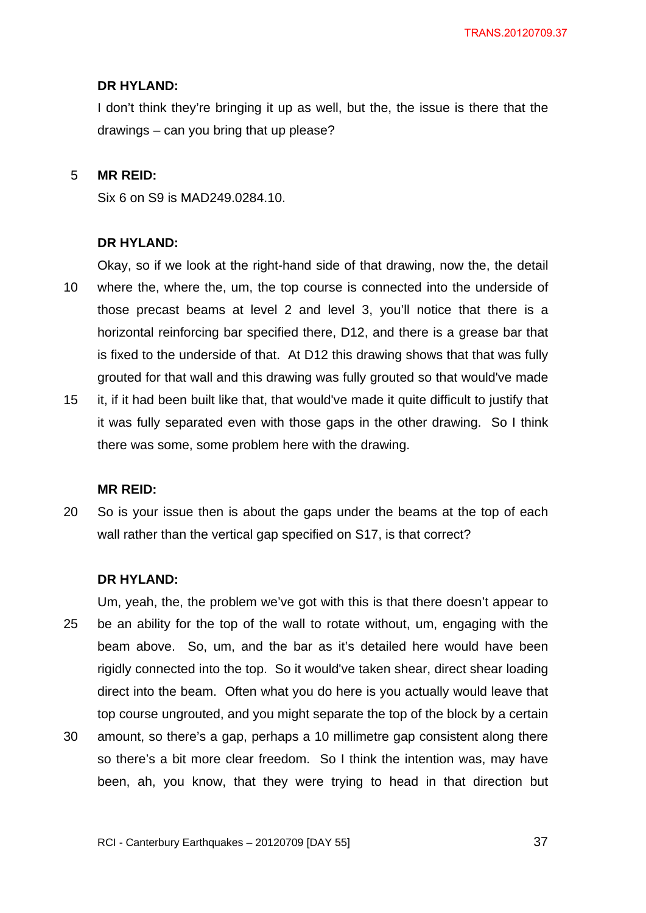#### **DR HYLAND:**

I don't think they're bringing it up as well, but the, the issue is there that the drawings – can you bring that up please?

#### 5 **MR REID:**

Six 6 on S9 is MAD249.0284.10.

#### **DR HYLAND:**

10 Okay, so if we look at the right-hand side of that drawing, now the, the detail where the, where the, um, the top course is connected into the underside of those precast beams at level 2 and level 3, you'll notice that there is a horizontal reinforcing bar specified there, D12, and there is a grease bar that is fixed to the underside of that. At D12 this drawing shows that that was fully grouted for that wall and this drawing was fully grouted so that would've made

15 it, if it had been built like that, that would've made it quite difficult to justify that it was fully separated even with those gaps in the other drawing. So I think there was some, some problem here with the drawing.

#### **MR REID:**

20 So is your issue then is about the gaps under the beams at the top of each wall rather than the vertical gap specified on S17, is that correct?

#### **DR HYLAND:**

25 Um, yeah, the, the problem we've got with this is that there doesn't appear to be an ability for the top of the wall to rotate without, um, engaging with the beam above. So, um, and the bar as it's detailed here would have been rigidly connected into the top. So it would've taken shear, direct shear loading direct into the beam. Often what you do here is you actually would leave that top course ungrouted, and you might separate the top of the block by a certain

30 amount, so there's a gap, perhaps a 10 millimetre gap consistent along there so there's a bit more clear freedom. So I think the intention was, may have been, ah, you know, that they were trying to head in that direction but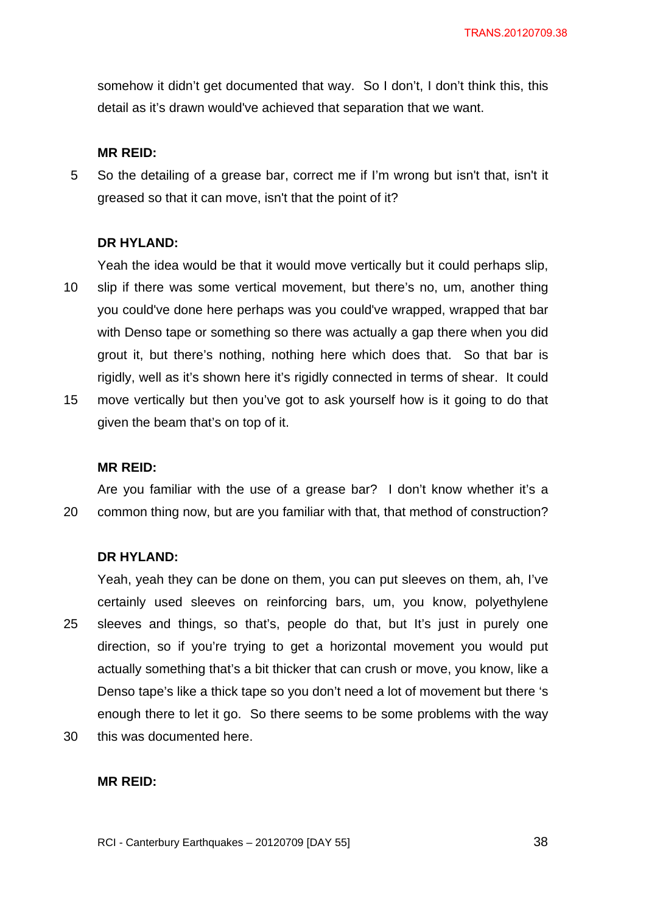somehow it didn't get documented that way. So I don't, I don't think this, this detail as it's drawn would've achieved that separation that we want.

#### **MR REID:**

5 So the detailing of a grease bar, correct me if I'm wrong but isn't that, isn't it greased so that it can move, isn't that the point of it?

### **DR HYLAND:**

Yeah the idea would be that it would move vertically but it could perhaps slip,

- 10 slip if there was some vertical movement, but there's no, um, another thing you could've done here perhaps was you could've wrapped, wrapped that bar with Denso tape or something so there was actually a gap there when you did grout it, but there's nothing, nothing here which does that. So that bar is rigidly, well as it's shown here it's rigidly connected in terms of shear. It could
- 15 move vertically but then you've got to ask yourself how is it going to do that given the beam that's on top of it.

#### **MR REID:**

20 Are you familiar with the use of a grease bar? I don't know whether it's a common thing now, but are you familiar with that, that method of construction?

#### **DR HYLAND:**

25 Yeah, yeah they can be done on them, you can put sleeves on them, ah, I've certainly used sleeves on reinforcing bars, um, you know, polyethylene sleeves and things, so that's, people do that, but It's just in purely one direction, so if you're trying to get a horizontal movement you would put actually something that's a bit thicker that can crush or move, you know, like a Denso tape's like a thick tape so you don't need a lot of movement but there 's enough there to let it go. So there seems to be some problems with the way

30 this was documented here.

### **MR REID:**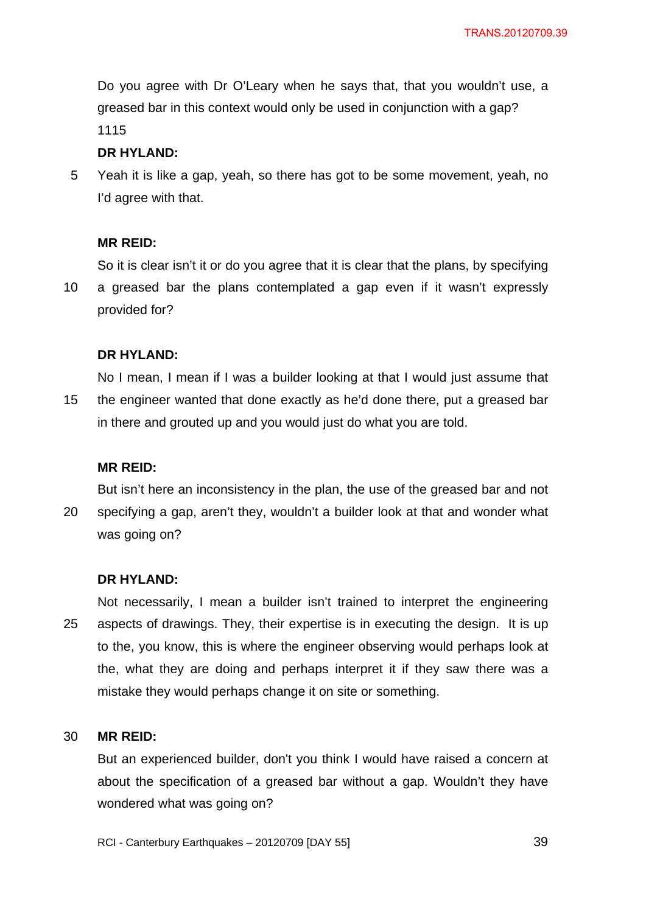Do you agree with Dr O'Leary when he says that, that you wouldn't use, a greased bar in this context would only be used in conjunction with a gap? 1115

## **DR HYLAND:**

5 Yeah it is like a gap, yeah, so there has got to be some movement, yeah, no I'd agree with that.

## **MR REID:**

So it is clear isn't it or do you agree that it is clear that the plans, by specifying

10 a greased bar the plans contemplated a gap even if it wasn't expressly provided for?

## **DR HYLAND:**

15 No I mean, I mean if I was a builder looking at that I would just assume that the engineer wanted that done exactly as he'd done there, put a greased bar in there and grouted up and you would just do what you are told.

### **MR REID:**

20 But isn't here an inconsistency in the plan, the use of the greased bar and not specifying a gap, aren't they, wouldn't a builder look at that and wonder what was going on?

### **DR HYLAND:**

25 Not necessarily, I mean a builder isn't trained to interpret the engineering aspects of drawings. They, their expertise is in executing the design. It is up to the, you know, this is where the engineer observing would perhaps look at the, what they are doing and perhaps interpret it if they saw there was a mistake they would perhaps change it on site or something.

#### 30 **MR REID:**

But an experienced builder, don't you think I would have raised a concern at about the specification of a greased bar without a gap. Wouldn't they have wondered what was going on?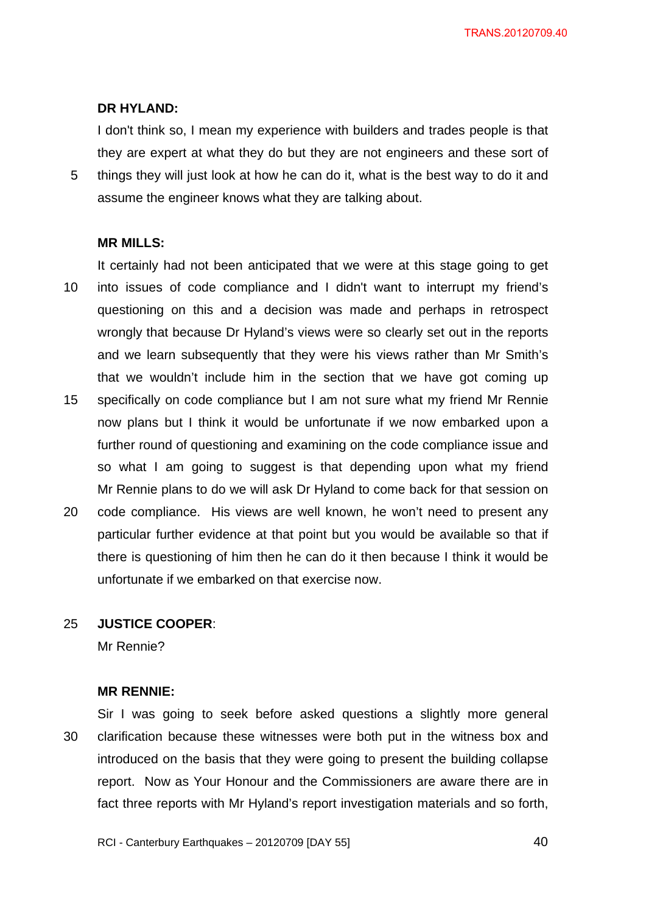TRANS.20120709.40

## **DR HYLAND:**

I don't think so, I mean my experience with builders and trades people is that they are expert at what they do but they are not engineers and these sort of things they will just look at how he can do it, what is the best way to do it and assume the engineer knows what they are talking about.

#### **MR MILLS:**

5

10 15 It certainly had not been anticipated that we were at this stage going to get into issues of code compliance and I didn't want to interrupt my friend's questioning on this and a decision was made and perhaps in retrospect wrongly that because Dr Hyland's views were so clearly set out in the reports and we learn subsequently that they were his views rather than Mr Smith's that we wouldn't include him in the section that we have got coming up specifically on code compliance but I am not sure what my friend Mr Rennie

- now plans but I think it would be unfortunate if we now embarked upon a further round of questioning and examining on the code compliance issue and so what I am going to suggest is that depending upon what my friend Mr Rennie plans to do we will ask Dr Hyland to come back for that session on
- 20 code compliance. His views are well known, he won't need to present any particular further evidence at that point but you would be available so that if there is questioning of him then he can do it then because I think it would be unfortunate if we embarked on that exercise now.

#### 25 **JUSTICE COOPER**:

Mr Rennie?

#### **MR RENNIE:**

30 Sir I was going to seek before asked questions a slightly more general clarification because these witnesses were both put in the witness box and introduced on the basis that they were going to present the building collapse report. Now as Your Honour and the Commissioners are aware there are in fact three reports with Mr Hyland's report investigation materials and so forth,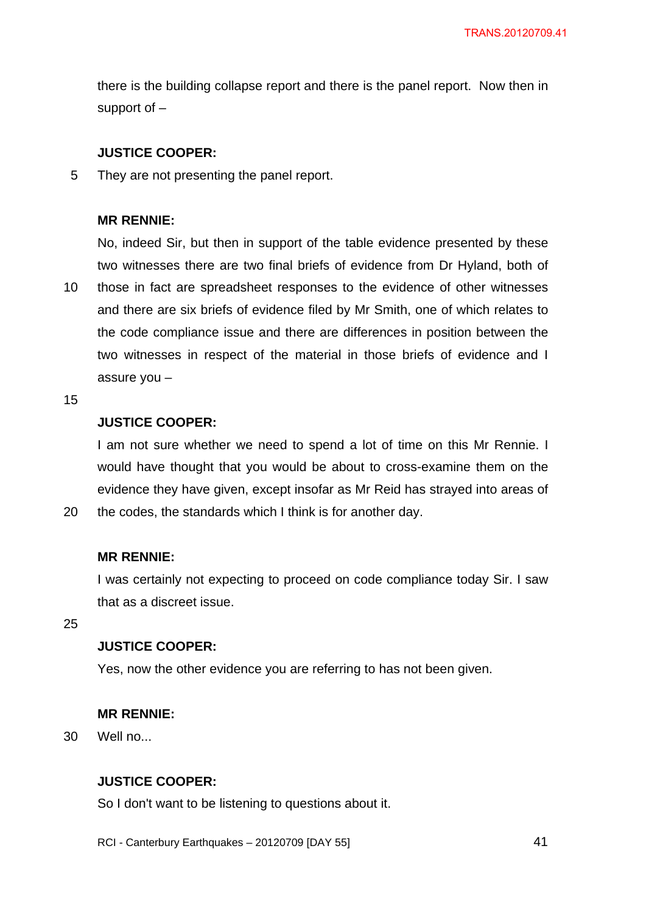there is the building collapse report and there is the panel report. Now then in support of –

## **JUSTICE COOPER:**

5 They are not presenting the panel report.

## **MR RENNIE:**

10 No, indeed Sir, but then in support of the table evidence presented by these two witnesses there are two final briefs of evidence from Dr Hyland, both of those in fact are spreadsheet responses to the evidence of other witnesses and there are six briefs of evidence filed by Mr Smith, one of which relates to the code compliance issue and there are differences in position between the two witnesses in respect of the material in those briefs of evidence and I assure you –

15

20

## **JUSTICE COOPER:**

I am not sure whether we need to spend a lot of time on this Mr Rennie. I would have thought that you would be about to cross-examine them on the evidence they have given, except insofar as Mr Reid has strayed into areas of the codes, the standards which I think is for another day.

### **MR RENNIE:**

I was certainly not expecting to proceed on code compliance today Sir. I saw that as a discreet issue.

25

## **JUSTICE COOPER:**

Yes, now the other evidence you are referring to has not been given.

## **MR RENNIE:**

30 Well no...

## **JUSTICE COOPER:**

So I don't want to be listening to questions about it.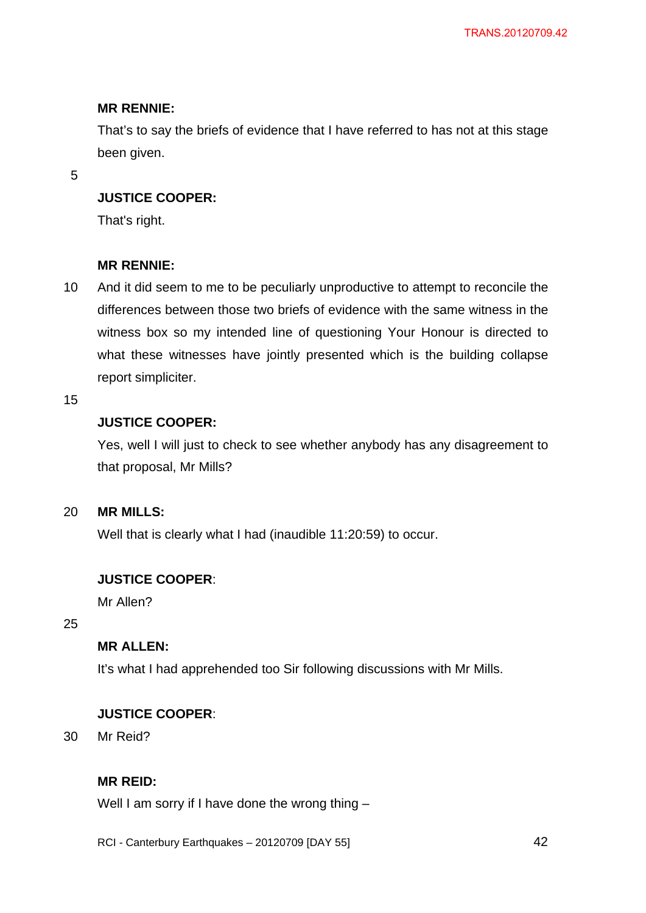## **MR RENNIE:**

That's to say the briefs of evidence that I have referred to has not at this stage been given.

5

## **JUSTICE COOPER:**

That's right.

## **MR RENNIE:**

10 And it did seem to me to be peculiarly unproductive to attempt to reconcile the differences between those two briefs of evidence with the same witness in the witness box so my intended line of questioning Your Honour is directed to what these witnesses have jointly presented which is the building collapse report simpliciter.

15

## **JUSTICE COOPER:**

Yes, well I will just to check to see whether anybody has any disagreement to that proposal, Mr Mills?

#### 20 **MR MILLS:**

Well that is clearly what I had (inaudible 11:20:59) to occur.

## **JUSTICE COOPER**:

Mr Allen?

25

## **MR ALLEN:**

It's what I had apprehended too Sir following discussions with Mr Mills.

## **JUSTICE COOPER**:

30 Mr Reid?

## **MR REID:**

Well I am sorry if I have done the wrong thing -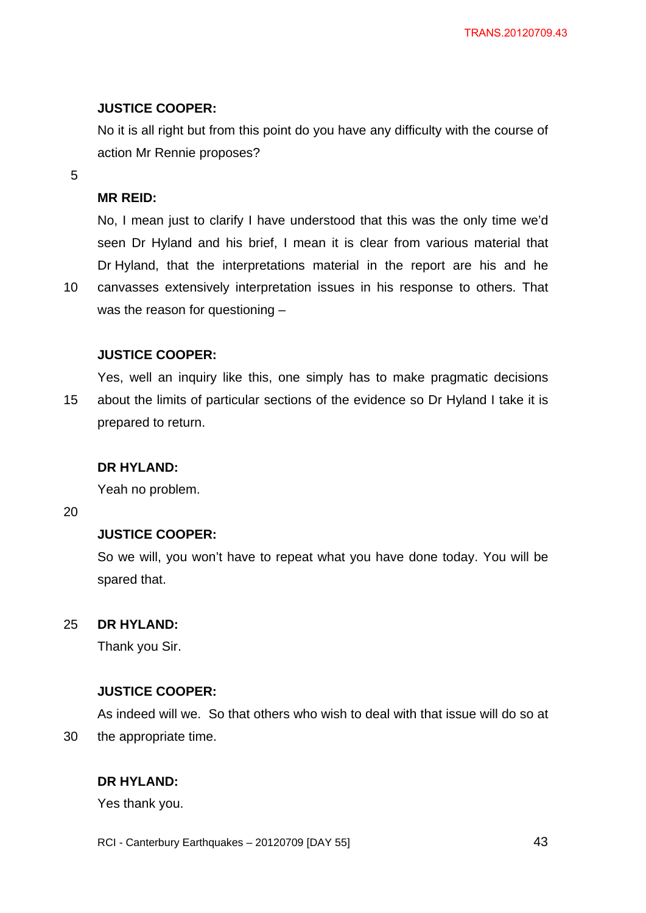## **JUSTICE COOPER:**

No it is all right but from this point do you have any difficulty with the course of action Mr Rennie proposes?

5

## **MR REID:**

No, I mean just to clarify I have understood that this was the only time we'd seen Dr Hyland and his brief, I mean it is clear from various material that Dr Hyland, that the interpretations material in the report are his and he

10 canvasses extensively interpretation issues in his response to others. That was the reason for questioning –

## **JUSTICE COOPER:**

15 Yes, well an inquiry like this, one simply has to make pragmatic decisions about the limits of particular sections of the evidence so Dr Hyland I take it is prepared to return.

### **DR HYLAND:**

Yeah no problem.

20

30

## **JUSTICE COOPER:**

So we will, you won't have to repeat what you have done today. You will be spared that.

#### 25 **DR HYLAND:**

Thank you Sir.

### **JUSTICE COOPER:**

As indeed will we. So that others who wish to deal with that issue will do so at the appropriate time.

## **DR HYLAND:**

Yes thank you.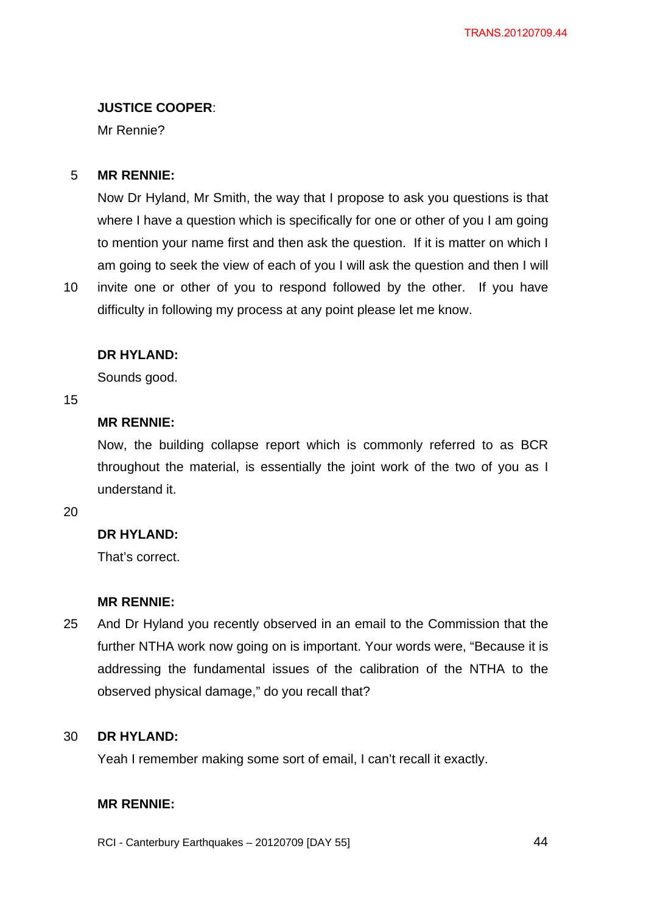## **JUSTICE COOPER**:

Mr Rennie?

#### 5 **MR RENNIE:**

Now Dr Hyland, Mr Smith, the way that I propose to ask you questions is that where I have a question which is specifically for one or other of you I am going to mention your name first and then ask the question. If it is matter on which I am going to seek the view of each of you I will ask the question and then I will

10 invite one or other of you to respond followed by the other. If you have difficulty in following my process at any point please let me know.

## **DR HYLAND:**

Sounds good.

15

## **MR RENNIE:**

Now, the building collapse report which is commonly referred to as BCR throughout the material, is essentially the joint work of the two of you as I understand it.

20

## **DR HYLAND:**

That's correct.

## **MR RENNIE:**

25 And Dr Hyland you recently observed in an email to the Commission that the further NTHA work now going on is important. Your words were, "Because it is addressing the fundamental issues of the calibration of the NTHA to the observed physical damage," do you recall that?

#### 30 **DR HYLAND:**

Yeah I remember making some sort of email, I can't recall it exactly.

## **MR RENNIE:**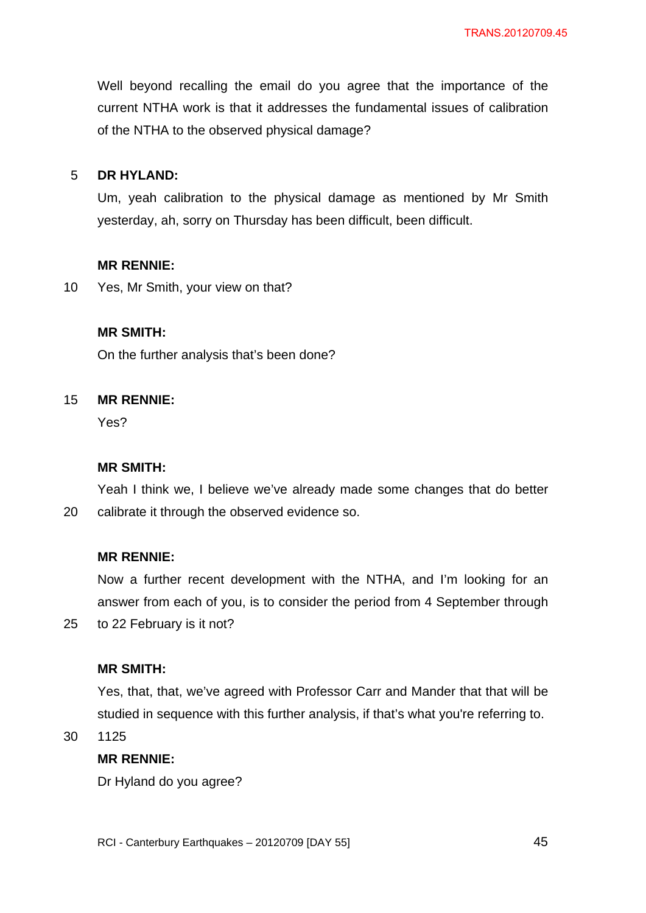Well beyond recalling the email do you agree that the importance of the current NTHA work is that it addresses the fundamental issues of calibration of the NTHA to the observed physical damage?

#### 5 **DR HYLAND:**

Um, yeah calibration to the physical damage as mentioned by Mr Smith yesterday, ah, sorry on Thursday has been difficult, been difficult.

### **MR RENNIE:**

10 Yes, Mr Smith, your view on that?

## **MR SMITH:**

On the further analysis that's been done?

#### 15 **MR RENNIE:**

Yes?

### **MR SMITH:**

20 Yeah I think we, I believe we've already made some changes that do better calibrate it through the observed evidence so.

### **MR RENNIE:**

Now a further recent development with the NTHA, and I'm looking for an answer from each of you, is to consider the period from 4 September through to 22 February is it not?

### **MR SMITH:**

Yes, that, that, we've agreed with Professor Carr and Mander that that will be studied in sequence with this further analysis, if that's what you're referring to.

30 1125

25

## **MR RENNIE:**

Dr Hyland do you agree?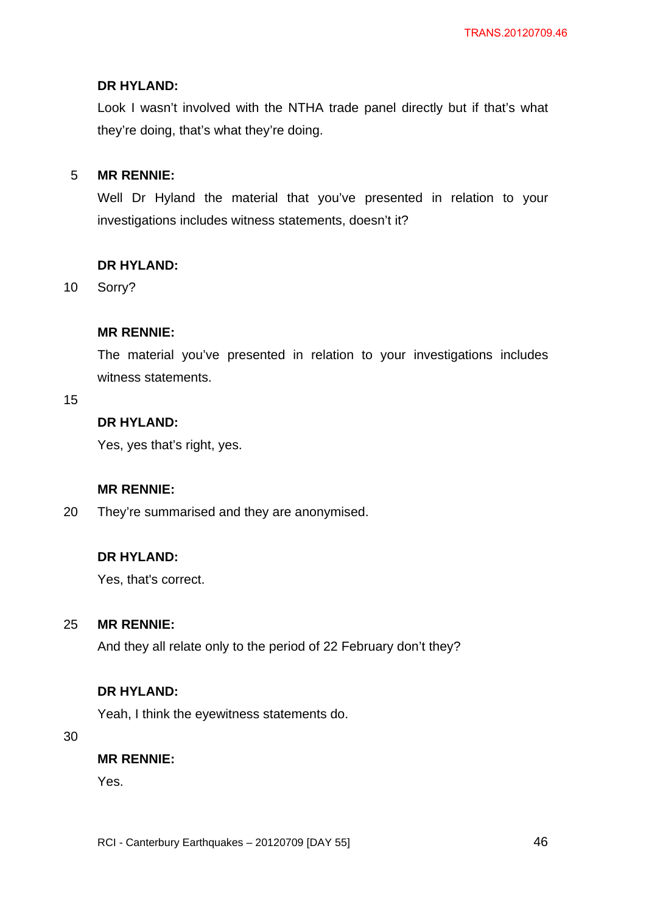## **DR HYLAND:**

Look I wasn't involved with the NTHA trade panel directly but if that's what they're doing, that's what they're doing.

#### 5 **MR RENNIE:**

Well Dr Hyland the material that you've presented in relation to your investigations includes witness statements, doesn't it?

## **DR HYLAND:**

10 Sorry?

## **MR RENNIE:**

The material you've presented in relation to your investigations includes witness statements.

15

## **DR HYLAND:**

Yes, yes that's right, yes.

## **MR RENNIE:**

20 They're summarised and they are anonymised.

## **DR HYLAND:**

Yes, that's correct.

#### 25 **MR RENNIE:**

And they all relate only to the period of 22 February don't they?

## **DR HYLAND:**

Yeah, I think the eyewitness statements do.

30

## **MR RENNIE:**

Yes.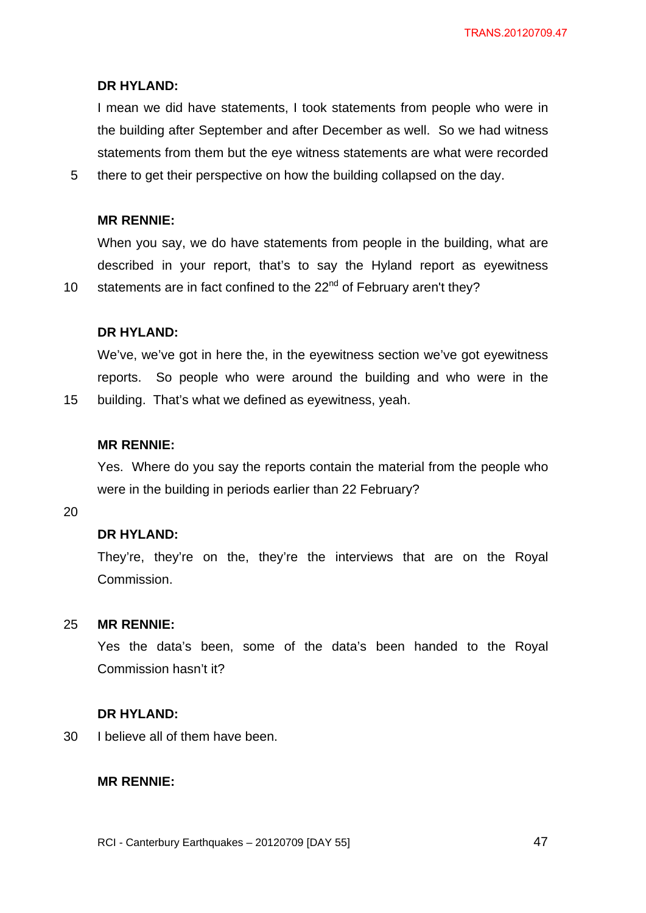TRANS.20120709.47

#### **DR HYLAND:**

I mean we did have statements, I took statements from people who were in the building after September and after December as well. So we had witness statements from them but the eye witness statements are what were recorded

5 there to get their perspective on how the building collapsed on the day.

### **MR RENNIE:**

When you say, we do have statements from people in the building, what are described in your report, that's to say the Hyland report as eyewitness statements are in fact confined to the 22<sup>nd</sup> of February aren't they?

### **DR HYLAND:**

We've, we've got in here the, in the eyewitness section we've got eyewitness reports. So people who were around the building and who were in the building. That's what we defined as eyewitness, yeah.

#### **MR RENNIE:**

Yes. Where do you say the reports contain the material from the people who were in the building in periods earlier than 22 February?

20

10

15

## **DR HYLAND:**

They're, they're on the, they're the interviews that are on the Royal Commission.

#### 25 **MR RENNIE:**

Yes the data's been, some of the data's been handed to the Royal Commission hasn't it?

#### **DR HYLAND:**

30 I believe all of them have been.

#### **MR RENNIE:**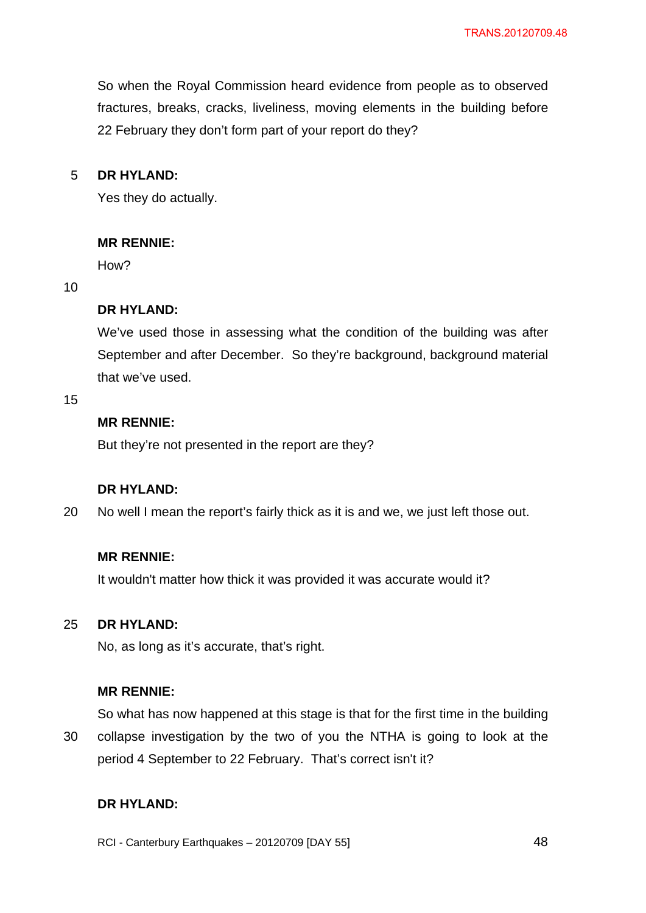So when the Royal Commission heard evidence from people as to observed fractures, breaks, cracks, liveliness, moving elements in the building before 22 February they don't form part of your report do they?

#### 5 **DR HYLAND:**

Yes they do actually.

## **MR RENNIE:**

How?

### 10

## **DR HYLAND:**

We've used those in assessing what the condition of the building was after September and after December. So they're background, background material that we've used.

15

## **MR RENNIE:**

But they're not presented in the report are they?

## **DR HYLAND:**

20 No well I mean the report's fairly thick as it is and we, we just left those out.

### **MR RENNIE:**

It wouldn't matter how thick it was provided it was accurate would it?

#### 25 **DR HYLAND:**

No, as long as it's accurate, that's right.

### **MR RENNIE:**

So what has now happened at this stage is that for the first time in the building

30 collapse investigation by the two of you the NTHA is going to look at the period 4 September to 22 February. That's correct isn't it?

## **DR HYLAND:**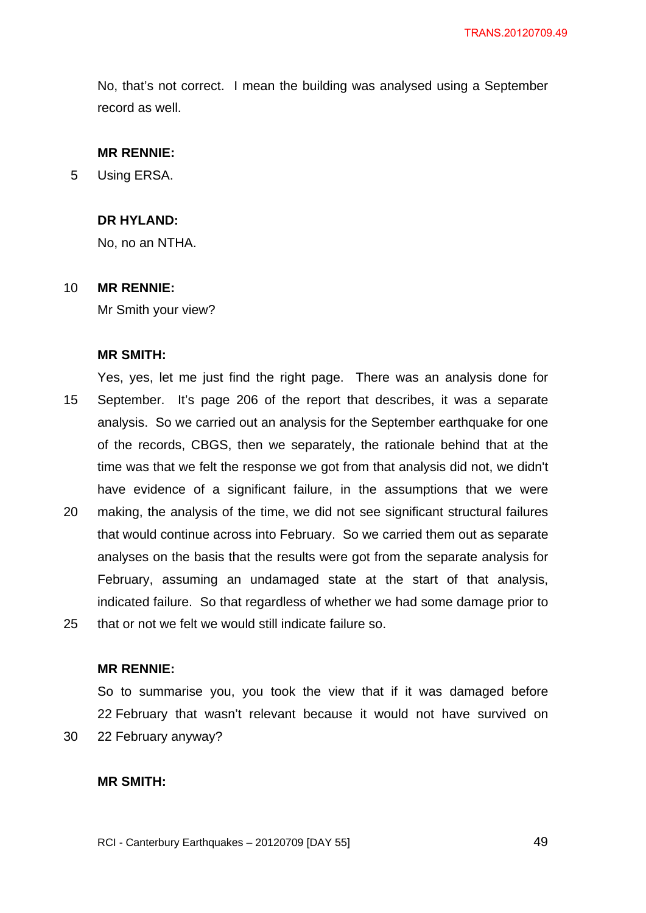No, that's not correct. I mean the building was analysed using a September record as well.

#### **MR RENNIE:**

5 Using ERSA.

### **DR HYLAND:**

No, no an NTHA.

#### 10 **MR RENNIE:**

Mr Smith your view?

#### **MR SMITH:**

15 20 Yes, yes, let me just find the right page. There was an analysis done for September. It's page 206 of the report that describes, it was a separate analysis. So we carried out an analysis for the September earthquake for one of the records, CBGS, then we separately, the rationale behind that at the time was that we felt the response we got from that analysis did not, we didn't have evidence of a significant failure, in the assumptions that we were making, the analysis of the time, we did not see significant structural failures that would continue across into February. So we carried them out as separate analyses on the basis that the results were got from the separate analysis for February, assuming an undamaged state at the start of that analysis,

25 that or not we felt we would still indicate failure so.

### **MR RENNIE:**

30 So to summarise you, you took the view that if it was damaged before 22 February that wasn't relevant because it would not have survived on 22 February anyway?

indicated failure. So that regardless of whether we had some damage prior to

#### **MR SMITH:**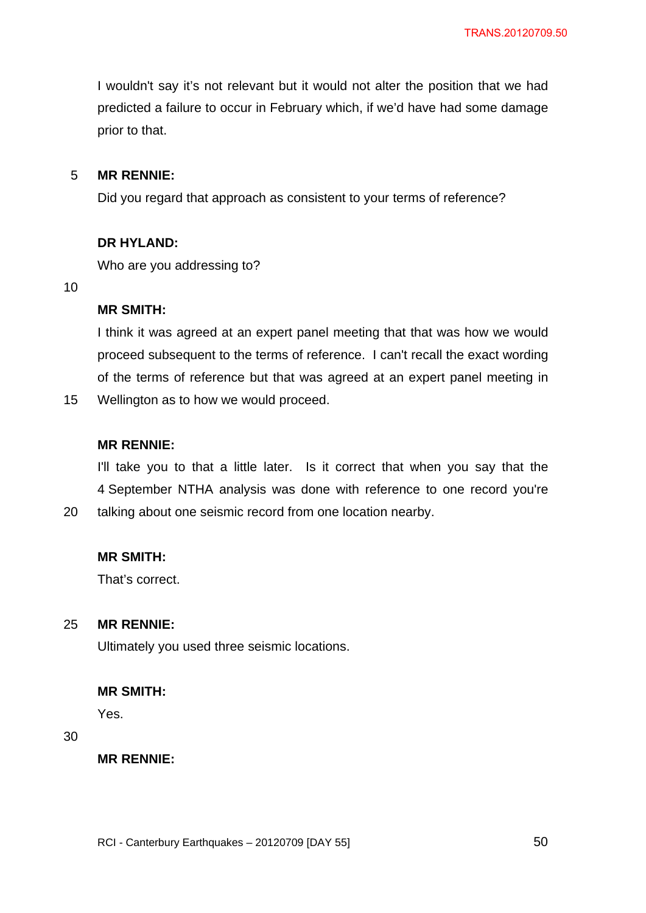I wouldn't say it's not relevant but it would not alter the position that we had predicted a failure to occur in February which, if we'd have had some damage prior to that.

#### 5 **MR RENNIE:**

Did you regard that approach as consistent to your terms of reference?

## **DR HYLAND:**

Who are you addressing to?

10

## **MR SMITH:**

I think it was agreed at an expert panel meeting that that was how we would proceed subsequent to the terms of reference. I can't recall the exact wording of the terms of reference but that was agreed at an expert panel meeting in

15 Wellington as to how we would proceed.

### **MR RENNIE:**

I'll take you to that a little later. Is it correct that when you say that the 4 September NTHA analysis was done with reference to one record you're talking about one seismic record from one location nearby.

### **MR SMITH:**

That's correct.

#### 25 **MR RENNIE:**

Ultimately you used three seismic locations.

### **MR SMITH:**

Yes.

## 30

20

**MR RENNIE:**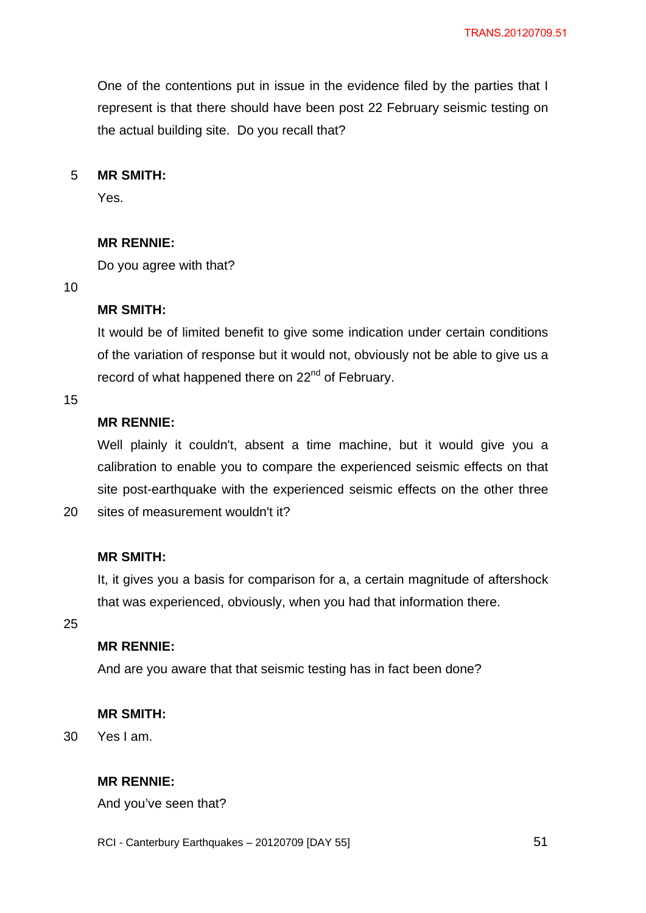One of the contentions put in issue in the evidence filed by the parties that I represent is that there should have been post 22 February seismic testing on the actual building site. Do you recall that?

#### 5 **MR SMITH:**

Yes.

## **MR RENNIE:**

Do you agree with that?

10

## **MR SMITH:**

It would be of limited benefit to give some indication under certain conditions of the variation of response but it would not, obviously not be able to give us a record of what happened there on 22<sup>nd</sup> of February.

### 15

20

## **MR RENNIE:**

Well plainly it couldn't, absent a time machine, but it would give you a calibration to enable you to compare the experienced seismic effects on that site post-earthquake with the experienced seismic effects on the other three sites of measurement wouldn't it?

## **MR SMITH:**

It, it gives you a basis for comparison for a, a certain magnitude of aftershock that was experienced, obviously, when you had that information there.

25

## **MR RENNIE:**

And are you aware that that seismic testing has in fact been done?

### **MR SMITH:**

30 Yes I am.

## **MR RENNIE:**

And you've seen that?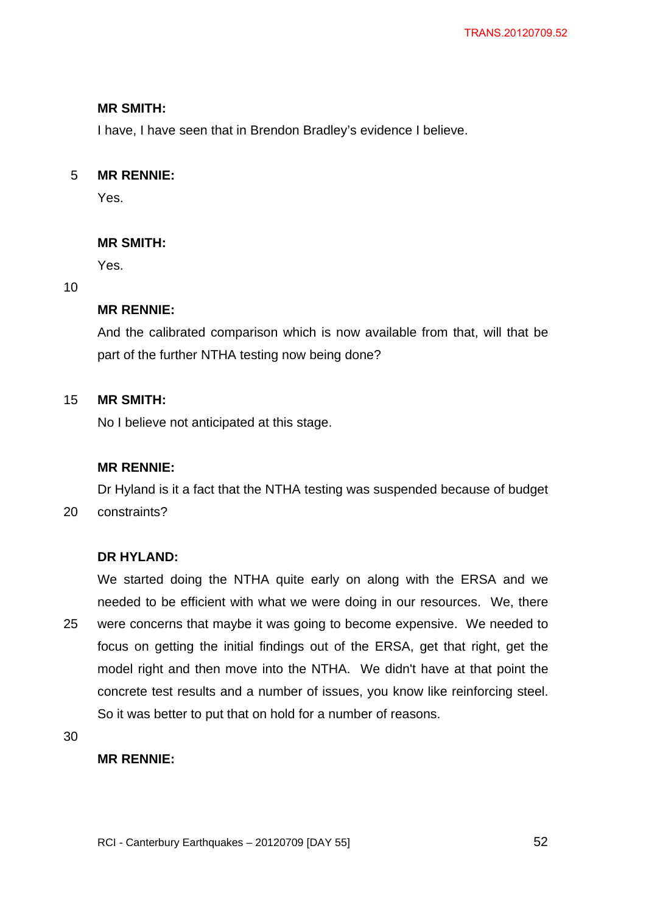## **MR SMITH:**

I have, I have seen that in Brendon Bradley's evidence I believe.

#### 5 **MR RENNIE:**

Yes.

## **MR SMITH:**

Yes.

## 10

## **MR RENNIE:**

And the calibrated comparison which is now available from that, will that be part of the further NTHA testing now being done?

#### 15 **MR SMITH:**

No I believe not anticipated at this stage.

## **MR RENNIE:**

20 Dr Hyland is it a fact that the NTHA testing was suspended because of budget constraints?

## **DR HYLAND:**

25 We started doing the NTHA quite early on along with the ERSA and we needed to be efficient with what we were doing in our resources. We, there were concerns that maybe it was going to become expensive. We needed to focus on getting the initial findings out of the ERSA, get that right, get the model right and then move into the NTHA. We didn't have at that point the concrete test results and a number of issues, you know like reinforcing steel. So it was better to put that on hold for a number of reasons.

30

## **MR RENNIE:**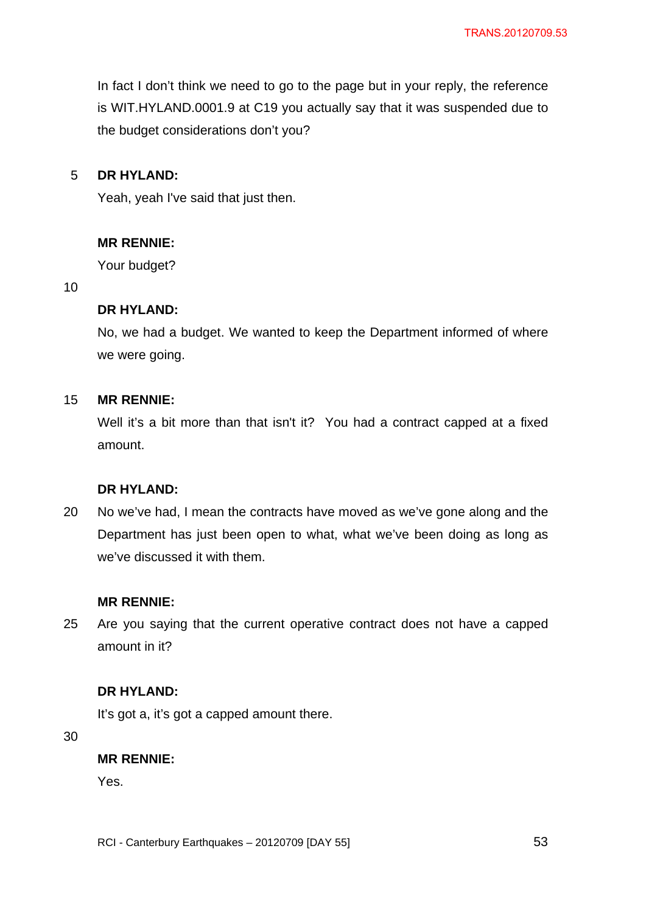In fact I don't think we need to go to the page but in your reply, the reference is WIT.HYLAND.0001.9 at C19 you actually say that it was suspended due to the budget considerations don't you?

#### 5 **DR HYLAND:**

Yeah, yeah I've said that just then.

## **MR RENNIE:**

Your budget?

10

## **DR HYLAND:**

No, we had a budget. We wanted to keep the Department informed of where we were going.

#### 15 **MR RENNIE:**

Well it's a bit more than that isn't it? You had a contract capped at a fixed amount.

## **DR HYLAND:**

20 No we've had, I mean the contracts have moved as we've gone along and the Department has just been open to what, what we've been doing as long as we've discussed it with them.

### **MR RENNIE:**

25 Are you saying that the current operative contract does not have a capped amount in it?

## **DR HYLAND:**

It's got a, it's got a capped amount there.

30

### **MR RENNIE:**

Yes.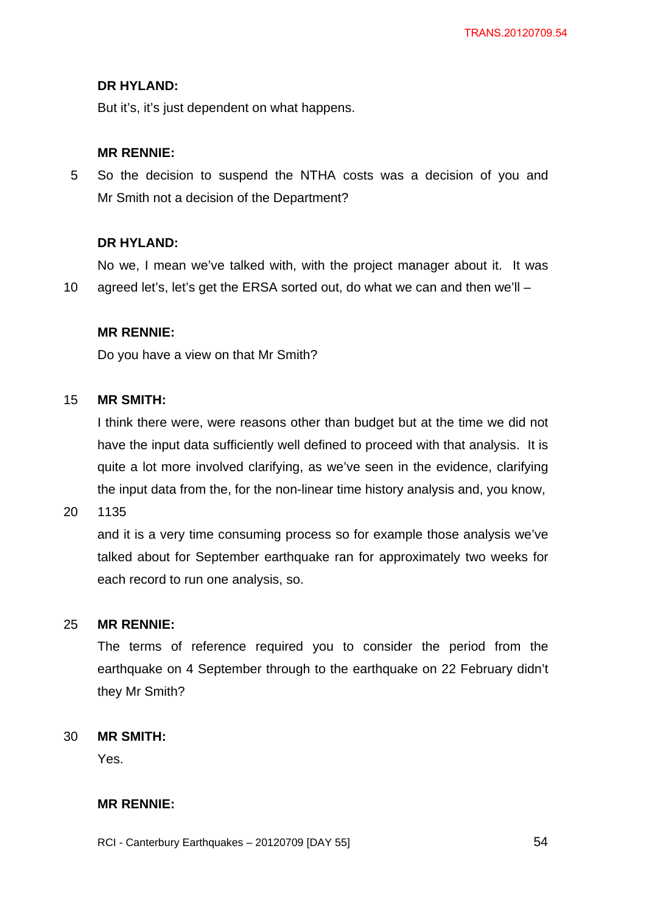## **DR HYLAND:**

But it's, it's just dependent on what happens.

## **MR RENNIE:**

5 So the decision to suspend the NTHA costs was a decision of you and Mr Smith not a decision of the Department?

## **DR HYLAND:**

10 No we, I mean we've talked with, with the project manager about it. It was agreed let's, let's get the ERSA sorted out, do what we can and then we'll –

## **MR RENNIE:**

Do you have a view on that Mr Smith?

#### 15 **MR SMITH:**

I think there were, were reasons other than budget but at the time we did not have the input data sufficiently well defined to proceed with that analysis. It is quite a lot more involved clarifying, as we've seen in the evidence, clarifying the input data from the, for the non-linear time history analysis and, you know,

20 1135

> and it is a very time consuming process so for example those analysis we've talked about for September earthquake ran for approximately two weeks for each record to run one analysis, so.

#### 25 **MR RENNIE:**

The terms of reference required you to consider the period from the earthquake on 4 September through to the earthquake on 22 February didn't they Mr Smith?

#### 30 **MR SMITH:**

Yes.

## **MR RENNIE:**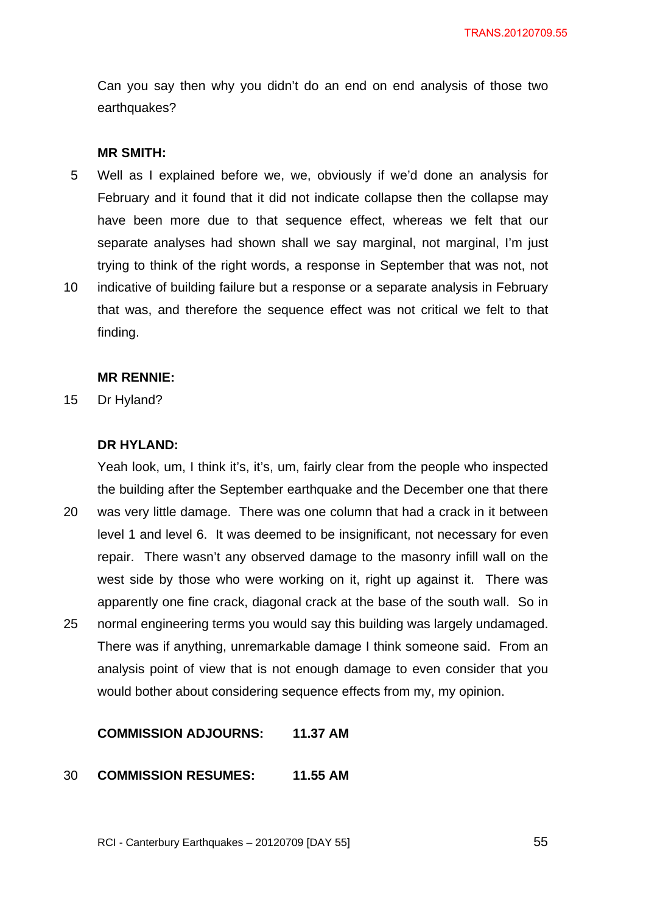Can you say then why you didn't do an end on end analysis of those two earthquakes?

#### **MR SMITH:**

- 5 Well as I explained before we, we, obviously if we'd done an analysis for February and it found that it did not indicate collapse then the collapse may have been more due to that sequence effect, whereas we felt that our separate analyses had shown shall we say marginal, not marginal, I'm just trying to think of the right words, a response in September that was not, not
- 10 indicative of building failure but a response or a separate analysis in February that was, and therefore the sequence effect was not critical we felt to that finding.

#### **MR RENNIE:**

15 Dr Hyland?

### **DR HYLAND:**

20 25 Yeah look, um, I think it's, it's, um, fairly clear from the people who inspected the building after the September earthquake and the December one that there was very little damage. There was one column that had a crack in it between level 1 and level 6. It was deemed to be insignificant, not necessary for even repair. There wasn't any observed damage to the masonry infill wall on the west side by those who were working on it, right up against it. There was apparently one fine crack, diagonal crack at the base of the south wall. So in normal engineering terms you would say this building was largely undamaged. There was if anything, unremarkable damage I think someone said. From an analysis point of view that is not enough damage to even consider that you would bother about considering sequence effects from my, my opinion.

## **COMMISSION ADJOURNS: 11.37 AM**

#### 30 **COMMISSION RESUMES: 11.55 AM**

RCI - Canterbury Earthquakes – 20120709 [DAY 55]

 $\sim$  55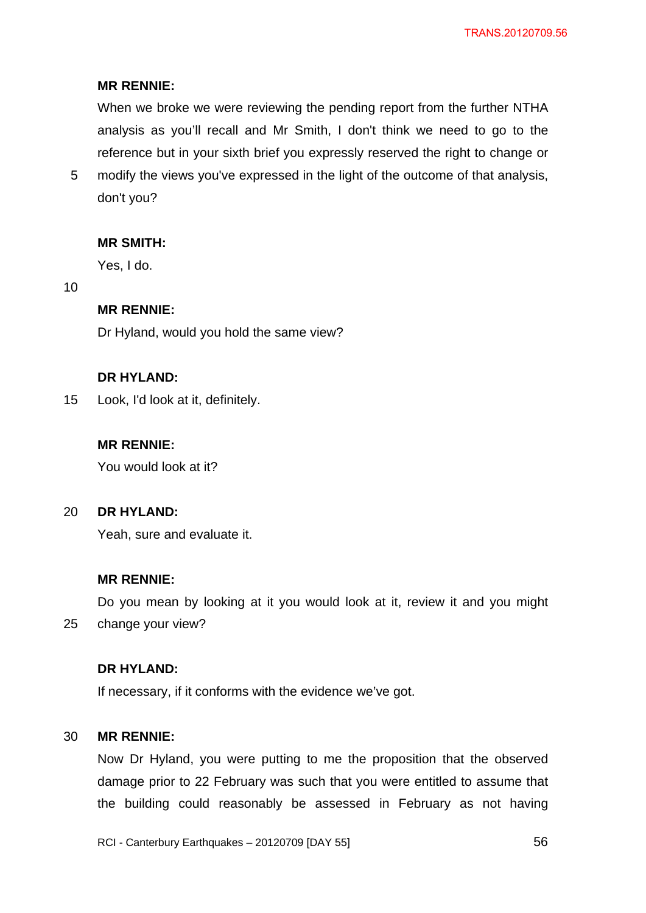## **MR RENNIE:**

When we broke we were reviewing the pending report from the further NTHA analysis as you'll recall and Mr Smith, I don't think we need to go to the reference but in your sixth brief you expressly reserved the right to change or

5 modify the views you've expressed in the light of the outcome of that analysis, don't you?

### **MR SMITH:**

Yes, I do.

10

## **MR RENNIE:**

Dr Hyland, would you hold the same view?

### **DR HYLAND:**

15 Look, I'd look at it, definitely.

### **MR RENNIE:**

You would look at it?

#### 20 **DR HYLAND:**

Yeah, sure and evaluate it.

### **MR RENNIE:**

25 Do you mean by looking at it you would look at it, review it and you might change your view?

## **DR HYLAND:**

If necessary, if it conforms with the evidence we've got.

#### 30 **MR RENNIE:**

Now Dr Hyland, you were putting to me the proposition that the observed damage prior to 22 February was such that you were entitled to assume that the building could reasonably be assessed in February as not having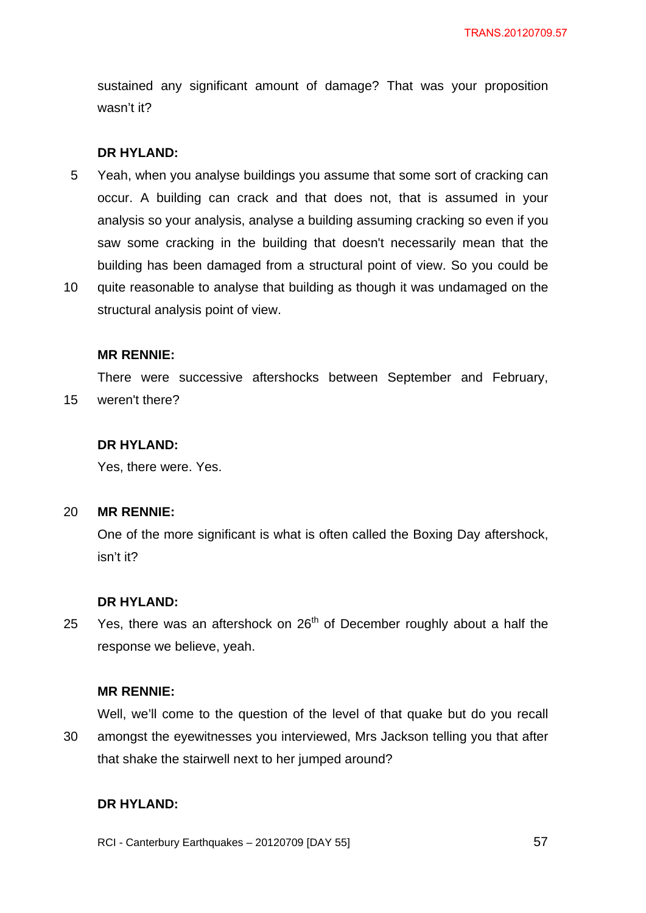sustained any significant amount of damage? That was your proposition wasn't it?

### **DR HYLAND:**

- 5 Yeah, when you analyse buildings you assume that some sort of cracking can occur. A building can crack and that does not, that is assumed in your analysis so your analysis, analyse a building assuming cracking so even if you saw some cracking in the building that doesn't necessarily mean that the building has been damaged from a structural point of view. So you could be
- 10 quite reasonable to analyse that building as though it was undamaged on the structural analysis point of view.

#### **MR RENNIE:**

15 There were successive aftershocks between September and February, weren't there?

## **DR HYLAND:**

Yes, there were. Yes.

#### 20 **MR RENNIE:**

One of the more significant is what is often called the Boxing Day aftershock, isn't it?

#### **DR HYLAND:**

25 Yes, there was an aftershock on 26<sup>th</sup> of December roughly about a half the response we believe, yeah.

#### **MR RENNIE:**

30 Well, we'll come to the question of the level of that quake but do you recall amongst the eyewitnesses you interviewed, Mrs Jackson telling you that after that shake the stairwell next to her jumped around?

## **DR HYLAND:**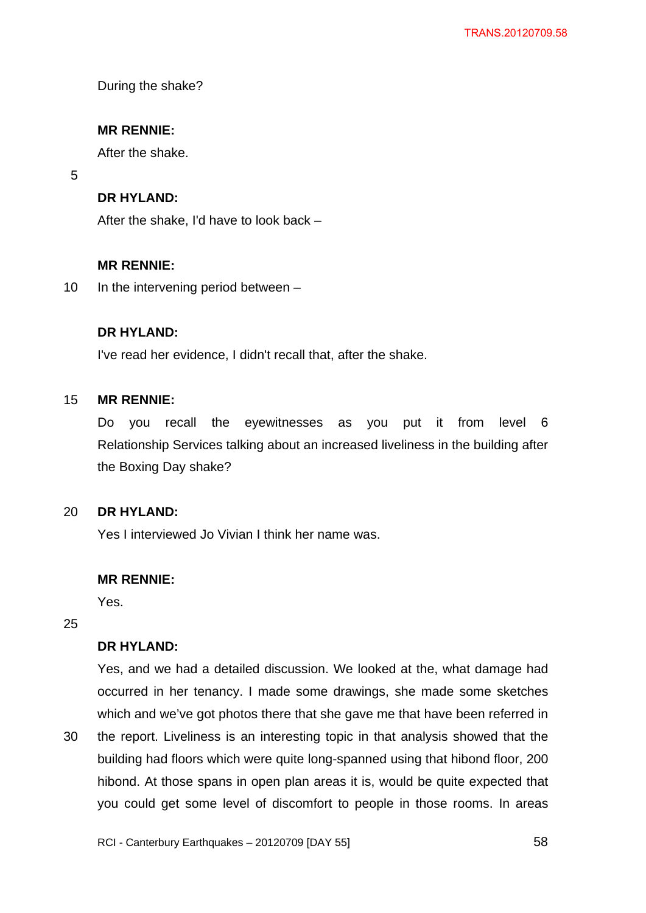During the shake?

## **MR RENNIE:**

After the shake.

5

## **DR HYLAND:**

After the shake, I'd have to look back –

## **MR RENNIE:**

10 In the intervening period between  $-$ 

## **DR HYLAND:**

I've read her evidence, I didn't recall that, after the shake.

#### 15 **MR RENNIE:**

Do you recall the eyewitnesses as you put it from level 6 Relationship Services talking about an increased liveliness in the building after the Boxing Day shake?

#### 20 **DR HYLAND:**

Yes I interviewed Jo Vivian I think her name was.

## **MR RENNIE:**

Yes.

25

## **DR HYLAND:**

Yes, and we had a detailed discussion. We looked at the, what damage had occurred in her tenancy. I made some drawings, she made some sketches which and we've got photos there that she gave me that have been referred in

30 the report. Liveliness is an interesting topic in that analysis showed that the building had floors which were quite long-spanned using that hibond floor, 200 hibond. At those spans in open plan areas it is, would be quite expected that you could get some level of discomfort to people in those rooms. In areas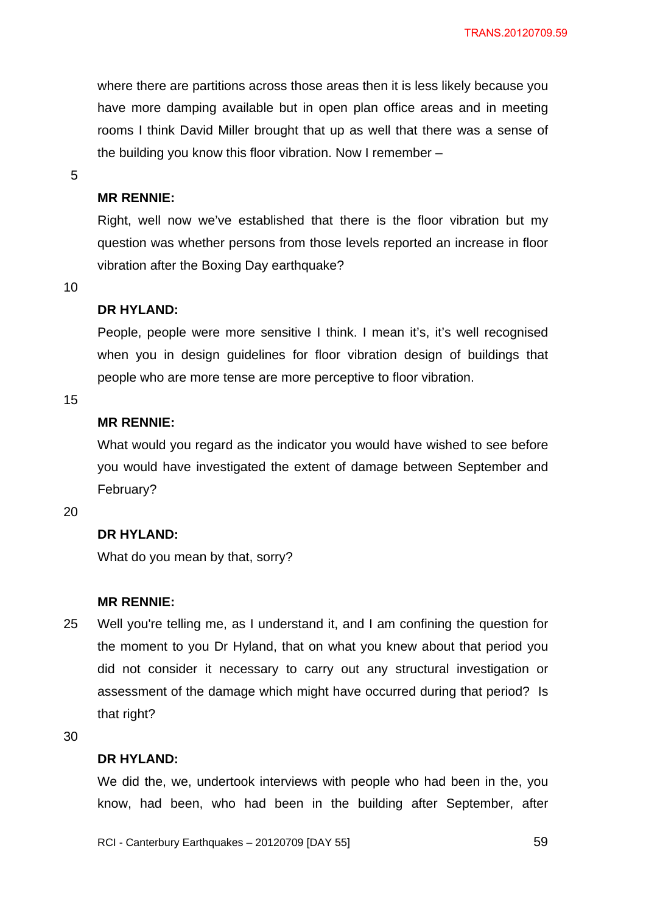where there are partitions across those areas then it is less likely because you have more damping available but in open plan office areas and in meeting rooms I think David Miller brought that up as well that there was a sense of the building you know this floor vibration. Now I remember –

5

### **MR RENNIE:**

Right, well now we've established that there is the floor vibration but my question was whether persons from those levels reported an increase in floor vibration after the Boxing Day earthquake?

10

### **DR HYLAND:**

People, people were more sensitive I think. I mean it's, it's well recognised when you in design guidelines for floor vibration design of buildings that people who are more tense are more perceptive to floor vibration.

15

## **MR RENNIE:**

What would you regard as the indicator you would have wished to see before you would have investigated the extent of damage between September and February?

20

## **DR HYLAND:**

What do you mean by that, sorry?

#### **MR RENNIE:**

25 Well you're telling me, as I understand it, and I am confining the question for the moment to you Dr Hyland, that on what you knew about that period you did not consider it necessary to carry out any structural investigation or assessment of the damage which might have occurred during that period? Is that right?

30

#### **DR HYLAND:**

We did the, we, undertook interviews with people who had been in the, you know, had been, who had been in the building after September, after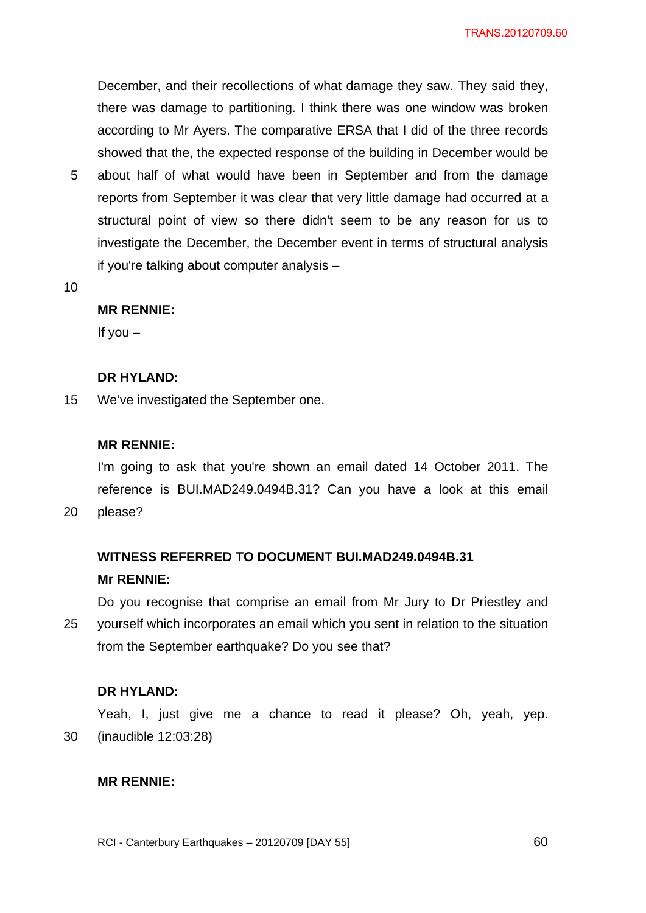December, and their recollections of what damage they saw. They said they, there was damage to partitioning. I think there was one window was broken according to Mr Ayers. The comparative ERSA that I did of the three records showed that the, the expected response of the building in December would be

- 5 about half of what would have been in September and from the damage reports from September it was clear that very little damage had occurred at a structural point of view so there didn't seem to be any reason for us to investigate the December, the December event in terms of structural analysis if you're talking about computer analysis –
- 10

20

### **MR RENNIE:**

If you  $-$ 

#### **DR HYLAND:**

15 We've investigated the September one.

#### **MR RENNIE:**

I'm going to ask that you're shown an email dated 14 October 2011. The reference is BUI.MAD249.0494B.31? Can you have a look at this email please?

# **WITNESS REFERRED TO DOCUMENT BUI.MAD249.0494B.31 Mr RENNIE:**

25 Do you recognise that comprise an email from Mr Jury to Dr Priestley and yourself which incorporates an email which you sent in relation to the situation from the September earthquake? Do you see that?

#### **DR HYLAND:**

30 Yeah, I, just give me a chance to read it please? Oh, yeah, yep. (inaudible 12:03:28)

#### **MR RENNIE:**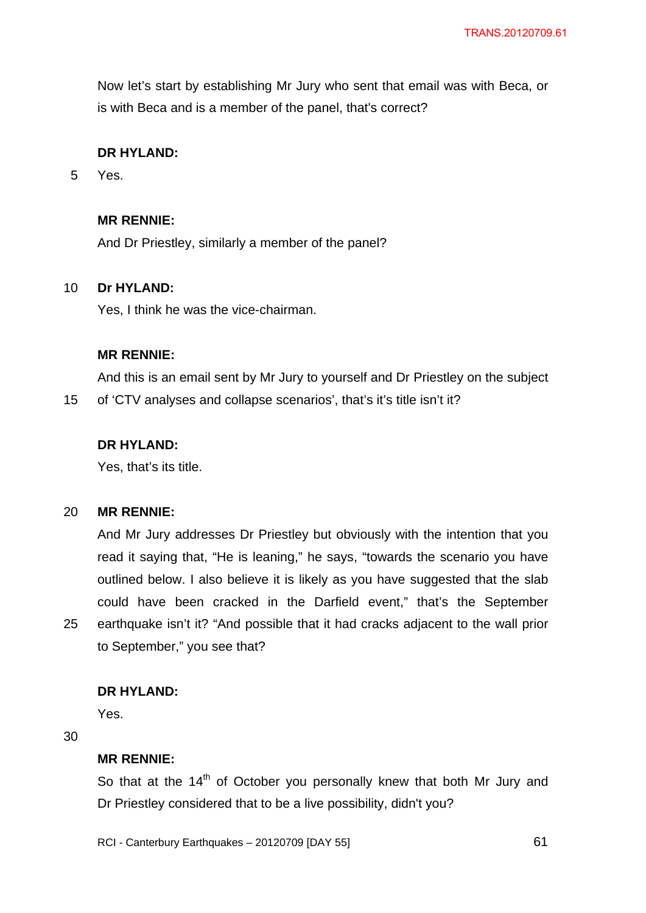Now let's start by establishing Mr Jury who sent that email was with Beca, or is with Beca and is a member of the panel, that's correct?

## **DR HYLAND:**

5 Yes.

## **MR RENNIE:**

And Dr Priestley, similarly a member of the panel?

#### 10 **Dr HYLAND:**

Yes, I think he was the vice-chairman.

### **MR RENNIE:**

And this is an email sent by Mr Jury to yourself and Dr Priestley on the subject

15 of 'CTV analyses and collapse scenarios', that's it's title isn't it?

## **DR HYLAND:**

Yes, that's its title.

#### 20 **MR RENNIE:**

And Mr Jury addresses Dr Priestley but obviously with the intention that you read it saying that, "He is leaning," he says, "towards the scenario you have outlined below. I also believe it is likely as you have suggested that the slab could have been cracked in the Darfield event," that's the September earthquake isn't it? "And possible that it had cracks adjacent to the wall prior to September," you see that?

## **DR HYLAND:**

Yes.

30

25

## **MR RENNIE:**

So that at the  $14<sup>th</sup>$  of October you personally knew that both Mr Jury and Dr Priestley considered that to be a live possibility, didn't you?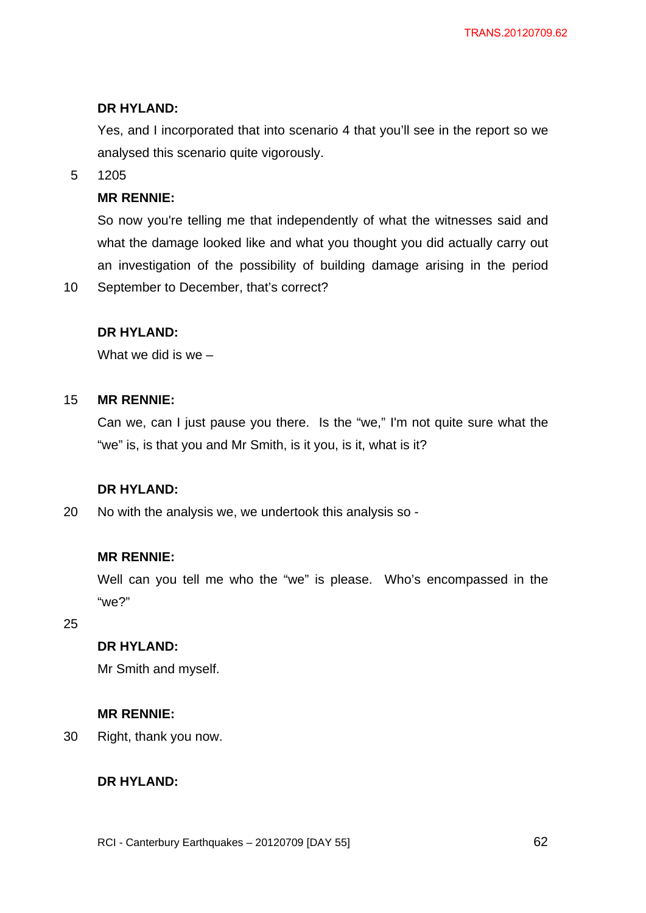## **DR HYLAND:**

Yes, and I incorporated that into scenario 4 that you'll see in the report so we analysed this scenario quite vigorously.

5 1205

10

## **MR RENNIE:**

So now you're telling me that independently of what the witnesses said and what the damage looked like and what you thought you did actually carry out an investigation of the possibility of building damage arising in the period September to December, that's correct?

## **DR HYLAND:**

What we did is we –

#### 15 **MR RENNIE:**

Can we, can I just pause you there. Is the "we," I'm not quite sure what the "we" is, is that you and Mr Smith, is it you, is it, what is it?

## **DR HYLAND:**

20 No with the analysis we, we undertook this analysis so -

### **MR RENNIE:**

Well can you tell me who the "we" is please. Who's encompassed in the "we?"

25

## **DR HYLAND:**

Mr Smith and myself.

#### **MR RENNIE:**

30 Right, thank you now.

## **DR HYLAND:**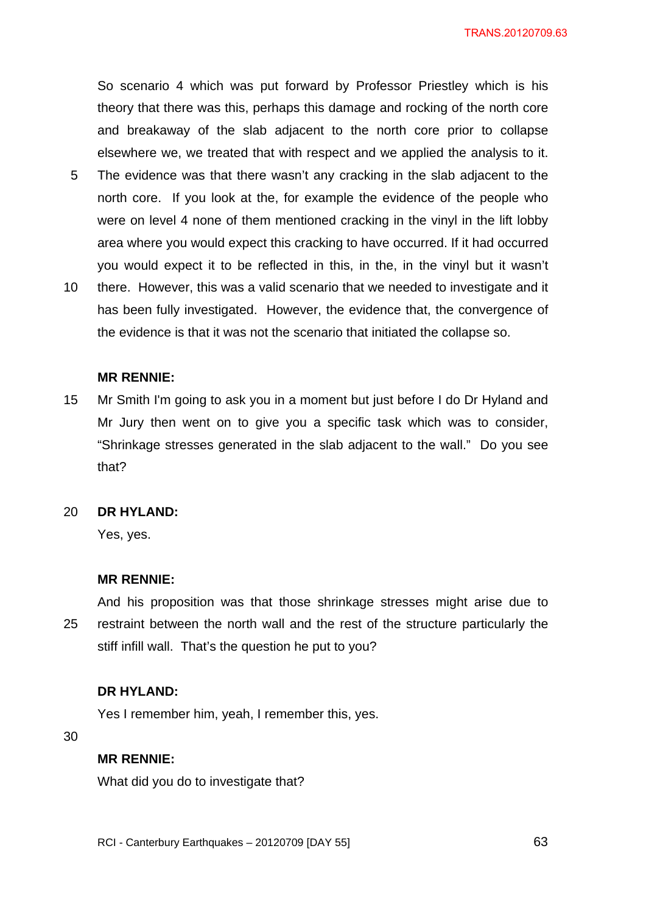So scenario 4 which was put forward by Professor Priestley which is his theory that there was this, perhaps this damage and rocking of the north core and breakaway of the slab adjacent to the north core prior to collapse elsewhere we, we treated that with respect and we applied the analysis to it.

- 5 The evidence was that there wasn't any cracking in the slab adjacent to the north core. If you look at the, for example the evidence of the people who were on level 4 none of them mentioned cracking in the vinyl in the lift lobby area where you would expect this cracking to have occurred. If it had occurred you would expect it to be reflected in this, in the, in the vinyl but it wasn't
- 10 there. However, this was a valid scenario that we needed to investigate and it has been fully investigated. However, the evidence that, the convergence of the evidence is that it was not the scenario that initiated the collapse so.

#### **MR RENNIE:**

15 Mr Smith I'm going to ask you in a moment but just before I do Dr Hyland and Mr Jury then went on to give you a specific task which was to consider, "Shrinkage stresses generated in the slab adjacent to the wall." Do you see that?

#### 20 **DR HYLAND:**

Yes, yes.

### **MR RENNIE:**

25 And his proposition was that those shrinkage stresses might arise due to restraint between the north wall and the rest of the structure particularly the stiff infill wall. That's the question he put to you?

#### **DR HYLAND:**

Yes I remember him, yeah, I remember this, yes.

30

### **MR RENNIE:**

What did you do to investigate that?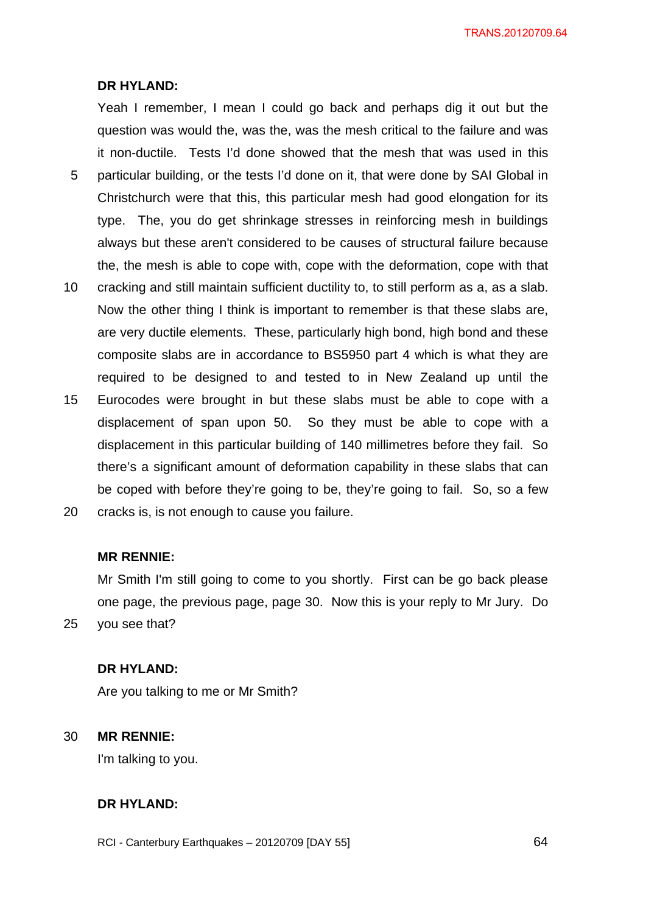TRANS.20120709.64

#### **DR HYLAND:**

5 Yeah I remember, I mean I could go back and perhaps dig it out but the question was would the, was the, was the mesh critical to the failure and was it non-ductile. Tests I'd done showed that the mesh that was used in this particular building, or the tests I'd done on it, that were done by SAI Global in Christchurch were that this, this particular mesh had good elongation for its type. The, you do get shrinkage stresses in reinforcing mesh in buildings always but these aren't considered to be causes of structural failure because the, the mesh is able to cope with, cope with the deformation, cope with that

- 10 cracking and still maintain sufficient ductility to, to still perform as a, as a slab. Now the other thing I think is important to remember is that these slabs are, are very ductile elements. These, particularly high bond, high bond and these composite slabs are in accordance to BS5950 part 4 which is what they are required to be designed to and tested to in New Zealand up until the
- 15 Eurocodes were brought in but these slabs must be able to cope with a displacement of span upon 50. So they must be able to cope with a displacement in this particular building of 140 millimetres before they fail. So there's a significant amount of deformation capability in these slabs that can be coped with before they're going to be, they're going to fail. So, so a few
- 20 cracks is, is not enough to cause you failure.

## **MR RENNIE:**

Mr Smith I'm still going to come to you shortly. First can be go back please one page, the previous page, page 30. Now this is your reply to Mr Jury. Do you see that?

## **DR HYLAND:**

Are you talking to me or Mr Smith?

#### 30 **MR RENNIE:**

25

I'm talking to you.

## **DR HYLAND:**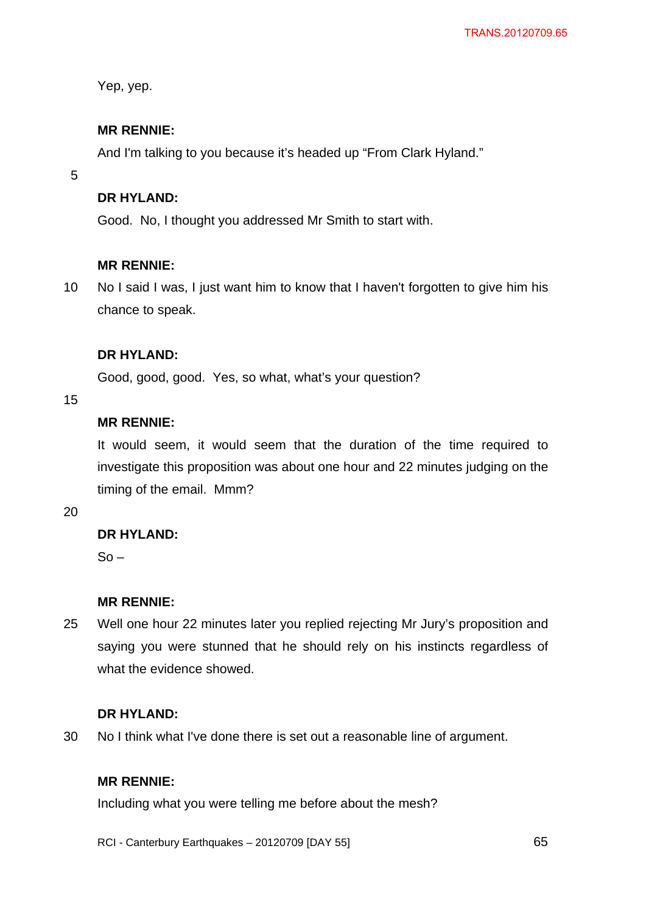Yep, yep.

## **MR RENNIE:**

And I'm talking to you because it's headed up "From Clark Hyland."

5

## **DR HYLAND:**

Good. No, I thought you addressed Mr Smith to start with.

## **MR RENNIE:**

10 No I said I was, I just want him to know that I haven't forgotten to give him his chance to speak.

## **DR HYLAND:**

Good, good, good. Yes, so what, what's your question?

15

## **MR RENNIE:**

It would seem, it would seem that the duration of the time required to investigate this proposition was about one hour and 22 minutes judging on the timing of the email. Mmm?

20

## **DR HYLAND:**

 $So -$ 

## **MR RENNIE:**

25 Well one hour 22 minutes later you replied rejecting Mr Jury's proposition and saying you were stunned that he should rely on his instincts regardless of what the evidence showed.

### **DR HYLAND:**

30 No I think what I've done there is set out a reasonable line of argument.

## **MR RENNIE:**

Including what you were telling me before about the mesh?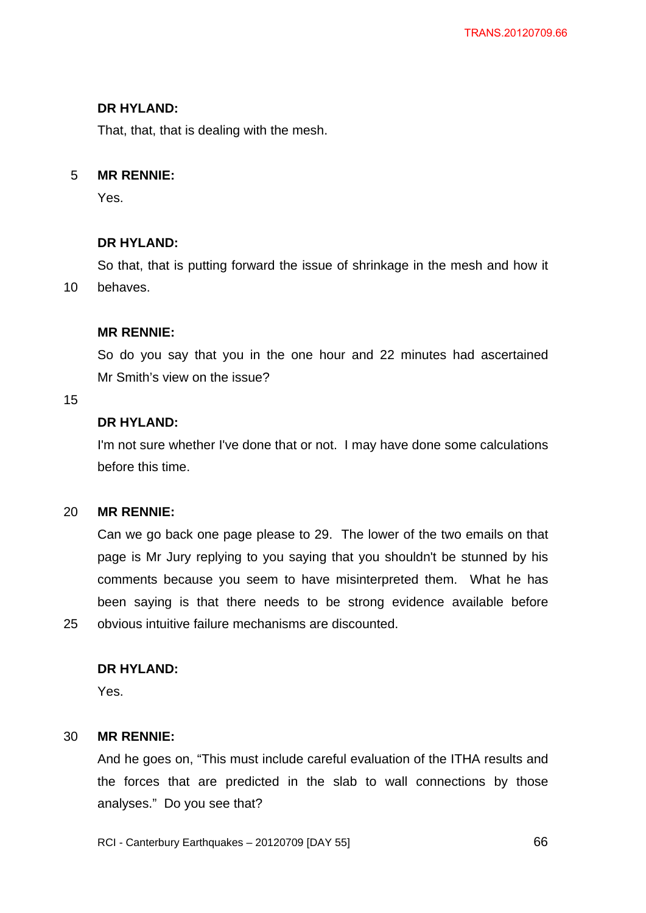## **DR HYLAND:**

That, that, that is dealing with the mesh.

#### 5 **MR RENNIE:**

Yes.

## **DR HYLAND:**

So that, that is putting forward the issue of shrinkage in the mesh and how it behaves.

## **MR RENNIE:**

So do you say that you in the one hour and 22 minutes had ascertained Mr Smith's view on the issue?

### 15

25

10

## **DR HYLAND:**

I'm not sure whether I've done that or not. I may have done some calculations before this time.

#### 20 **MR RENNIE:**

Can we go back one page please to 29. The lower of the two emails on that page is Mr Jury replying to you saying that you shouldn't be stunned by his comments because you seem to have misinterpreted them. What he has been saying is that there needs to be strong evidence available before obvious intuitive failure mechanisms are discounted.

## **DR HYLAND:**

Yes.

#### 30 **MR RENNIE:**

And he goes on, "This must include careful evaluation of the ITHA results and the forces that are predicted in the slab to wall connections by those analyses." Do you see that?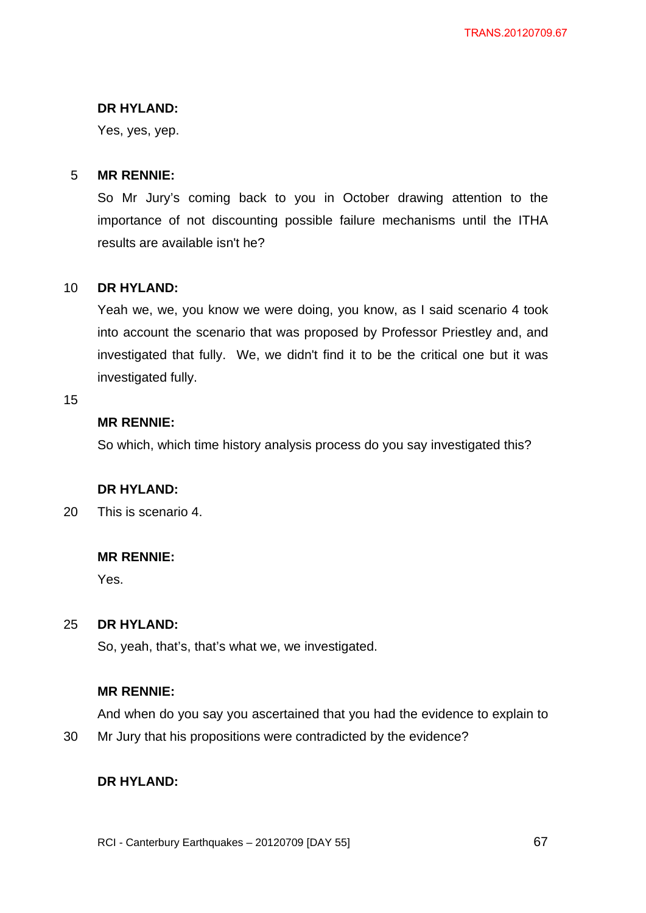## **DR HYLAND:**

Yes, yes, yep.

#### 5 **MR RENNIE:**

So Mr Jury's coming back to you in October drawing attention to the importance of not discounting possible failure mechanisms until the ITHA results are available isn't he?

#### 10 **DR HYLAND:**

Yeah we, we, you know we were doing, you know, as I said scenario 4 took into account the scenario that was proposed by Professor Priestley and, and investigated that fully. We, we didn't find it to be the critical one but it was investigated fully.

15

## **MR RENNIE:**

So which, which time history analysis process do you say investigated this?

## **DR HYLAND:**

20 This is scenario 4.

## **MR RENNIE:**

Yes.

#### 25 **DR HYLAND:**

So, yeah, that's, that's what we, we investigated.

## **MR RENNIE:**

And when do you say you ascertained that you had the evidence to explain to

30 Mr Jury that his propositions were contradicted by the evidence?

## **DR HYLAND:**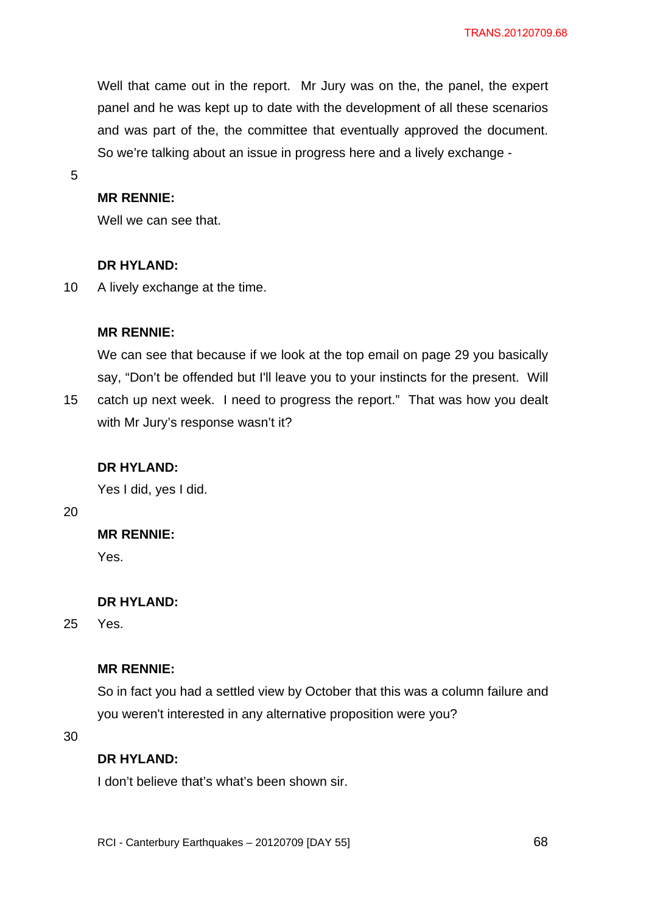Well that came out in the report. Mr Jury was on the, the panel, the expert panel and he was kept up to date with the development of all these scenarios and was part of the, the committee that eventually approved the document. So we're talking about an issue in progress here and a lively exchange -

5

## **MR RENNIE:**

Well we can see that.

## **DR HYLAND:**

10 A lively exchange at the time.

## **MR RENNIE:**

We can see that because if we look at the top email on page 29 you basically say, "Don't be offended but I'll leave you to your instincts for the present. Will catch up next week. I need to progress the report." That was how you dealt with Mr Jury's response wasn't it?

## **DR HYLAND:**

Yes I did, yes I did.

20

15

## **MR RENNIE:**

Yes.

## **DR HYLAND:**

25 Yes.

### **MR RENNIE:**

So in fact you had a settled view by October that this was a column failure and you weren't interested in any alternative proposition were you?

30

## **DR HYLAND:**

I don't believe that's what's been shown sir.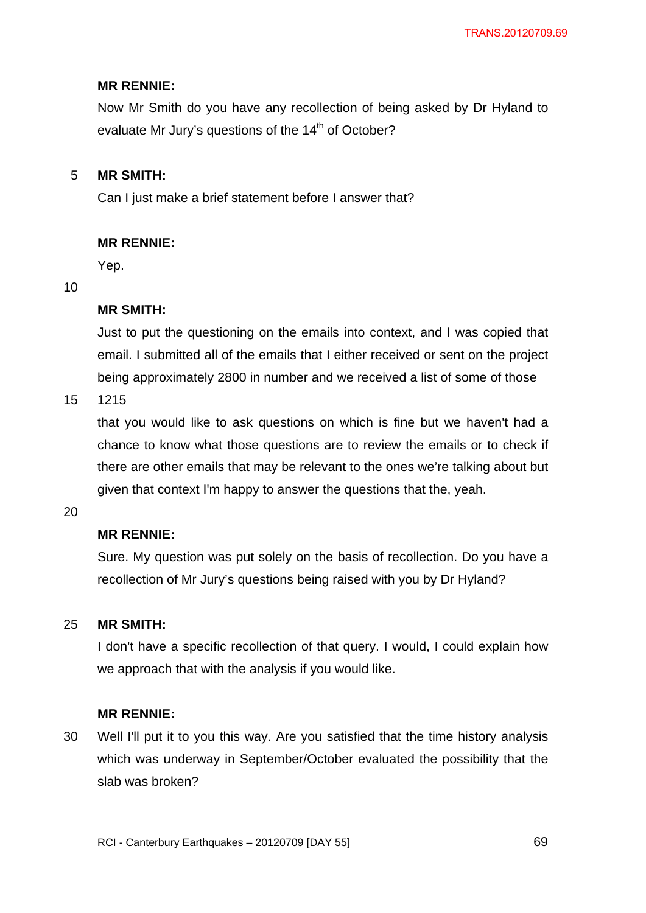## **MR RENNIE:**

Now Mr Smith do you have any recollection of being asked by Dr Hyland to evaluate Mr Jury's questions of the  $14<sup>th</sup>$  of October?

#### 5 **MR SMITH:**

Can I just make a brief statement before I answer that?

## **MR RENNIE:**

Yep.

### 10

## **MR SMITH:**

Just to put the questioning on the emails into context, and I was copied that email. I submitted all of the emails that I either received or sent on the project being approximately 2800 in number and we received a list of some of those

15 1215

> that you would like to ask questions on which is fine but we haven't had a chance to know what those questions are to review the emails or to check if there are other emails that may be relevant to the ones we're talking about but given that context I'm happy to answer the questions that the, yeah.

20

## **MR RENNIE:**

Sure. My question was put solely on the basis of recollection. Do you have a recollection of Mr Jury's questions being raised with you by Dr Hyland?

#### 25 **MR SMITH:**

I don't have a specific recollection of that query. I would, I could explain how we approach that with the analysis if you would like.

### **MR RENNIE:**

30 Well I'll put it to you this way. Are you satisfied that the time history analysis which was underway in September/October evaluated the possibility that the slab was broken?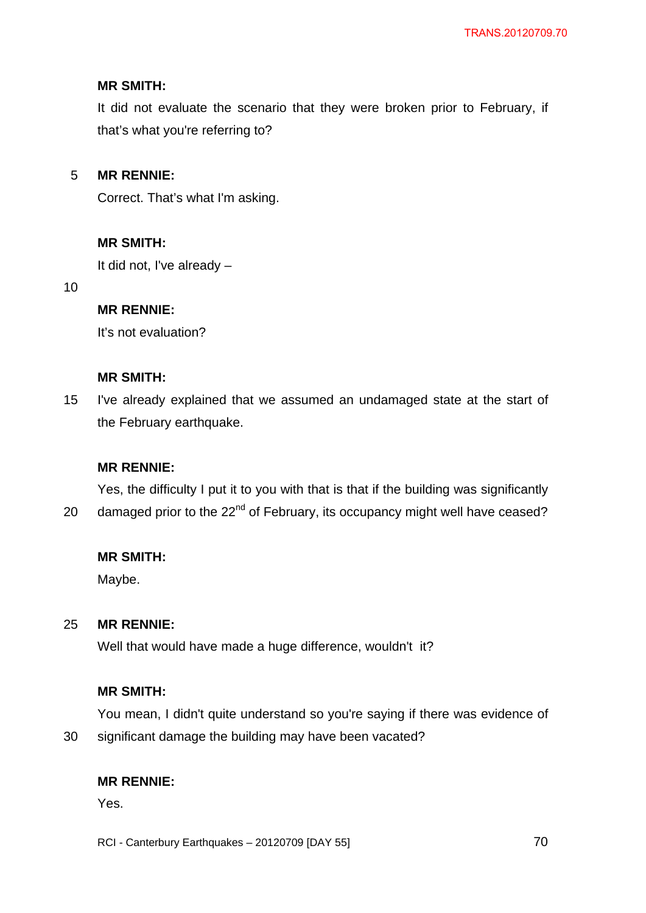## **MR SMITH:**

It did not evaluate the scenario that they were broken prior to February, if that's what you're referring to?

#### 5 **MR RENNIE:**

Correct. That's what I'm asking.

## **MR SMITH:**

It did not, I've already –

10

## **MR RENNIE:**

It's not evaluation?

## **MR SMITH:**

15 I've already explained that we assumed an undamaged state at the start of the February earthquake.

## **MR RENNIE:**

20 Yes, the difficulty I put it to you with that is that if the building was significantly damaged prior to the 22<sup>nd</sup> of February, its occupancy might well have ceased?

### **MR SMITH:**

Maybe.

#### 25 **MR RENNIE:**

Well that would have made a huge difference, wouldn't it?

### **MR SMITH:**

You mean, I didn't quite understand so you're saying if there was evidence of significant damage the building may have been vacated?

## **MR RENNIE:**

Yes.

30

RCI - Canterbury Earthquakes – 20120709 [DAY 55]

<u>2014 - Paris Carl The Carl To 2014 - 2014 - 2014 - 2014 - 2014 - 2014 - 2014 - 2014 - 2014 - 2014 - 2014 - 20</u>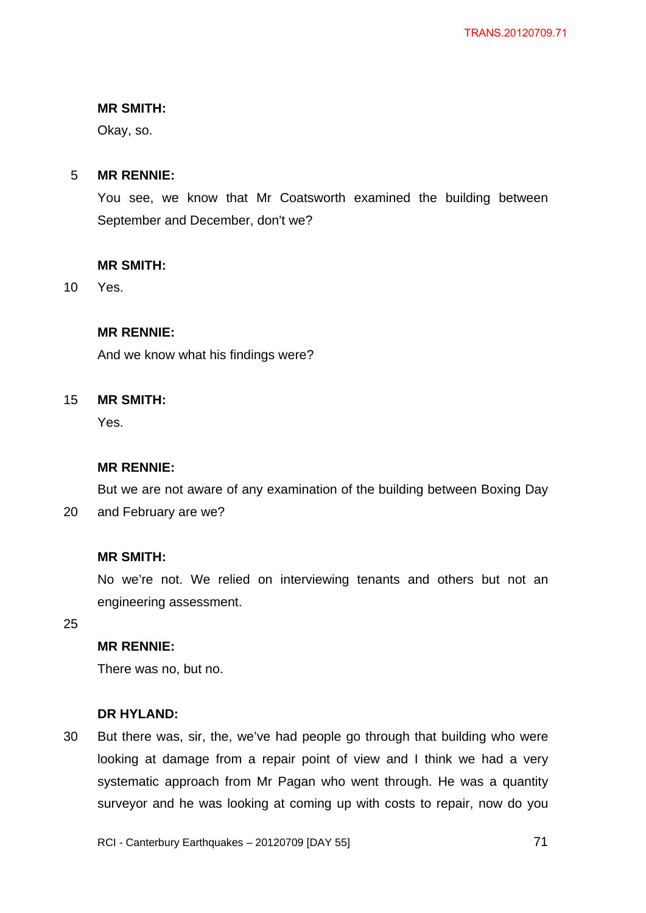#### **MR SMITH:**

Okay, so.

#### 5 **MR RENNIE:**

You see, we know that Mr Coatsworth examined the building between September and December, don't we?

#### **MR SMITH:**

10 Yes.

## **MR RENNIE:**

And we know what his findings were?

#### 15 **MR SMITH:**

Yes.

### **MR RENNIE:**

But we are not aware of any examination of the building between Boxing Day

20 and February are we?

### **MR SMITH:**

No we're not. We relied on interviewing tenants and others but not an engineering assessment.

25

## **MR RENNIE:**

There was no, but no.

#### **DR HYLAND:**

30 But there was, sir, the, we've had people go through that building who were looking at damage from a repair point of view and I think we had a very systematic approach from Mr Pagan who went through. He was a quantity surveyor and he was looking at coming up with costs to repair, now do you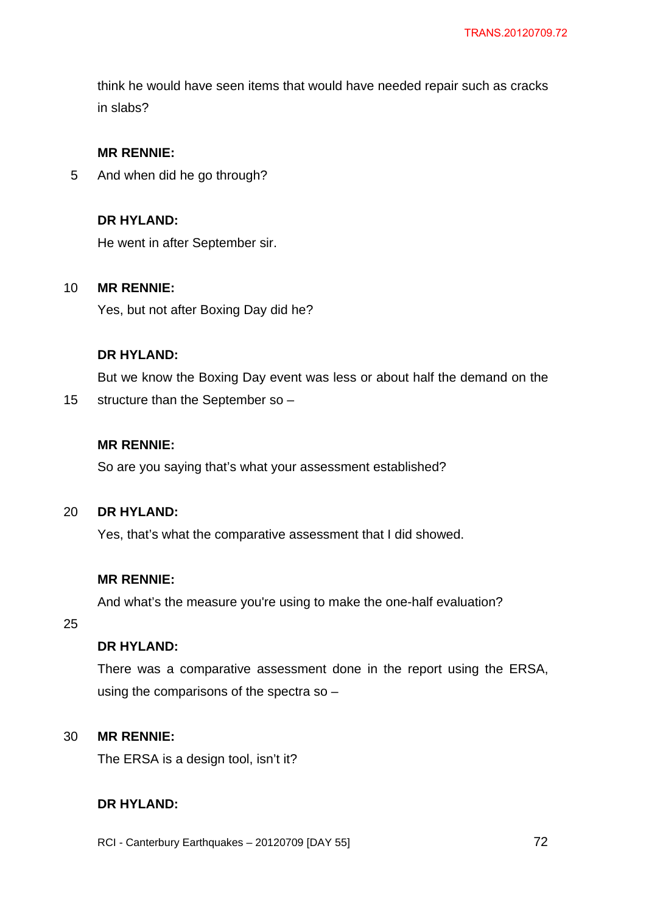think he would have seen items that would have needed repair such as cracks in slabs?

## **MR RENNIE:**

5 And when did he go through?

## **DR HYLAND:**

He went in after September sir.

#### 10 **MR RENNIE:**

Yes, but not after Boxing Day did he?

#### **DR HYLAND:**

But we know the Boxing Day event was less or about half the demand on the

15 structure than the September so –

## **MR RENNIE:**

So are you saying that's what your assessment established?

#### 20 **DR HYLAND:**

Yes, that's what the comparative assessment that I did showed.

## **MR RENNIE:**

And what's the measure you're using to make the one-half evaluation?

25

## **DR HYLAND:**

There was a comparative assessment done in the report using the ERSA, using the comparisons of the spectra so –

#### 30 **MR RENNIE:**

The ERSA is a design tool, isn't it?

## **DR HYLAND:**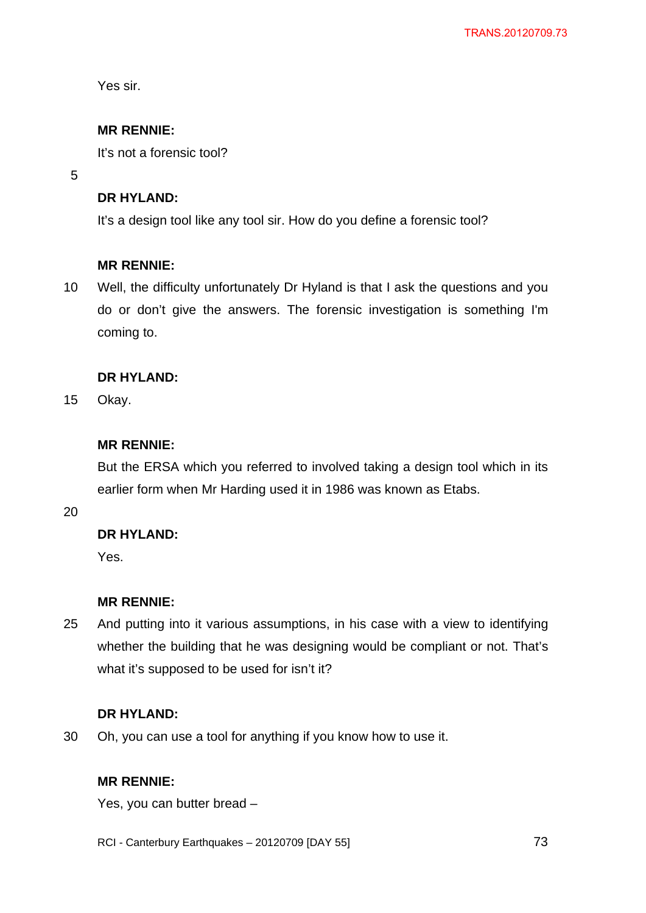Yes sir.

# **MR RENNIE:**

It's not a forensic tool?

5

# **DR HYLAND:**

It's a design tool like any tool sir. How do you define a forensic tool?

# **MR RENNIE:**

10 Well, the difficulty unfortunately Dr Hyland is that I ask the questions and you do or don't give the answers. The forensic investigation is something I'm coming to.

# **DR HYLAND:**

15 Okay.

# **MR RENNIE:**

But the ERSA which you referred to involved taking a design tool which in its earlier form when Mr Harding used it in 1986 was known as Etabs.

20

# **DR HYLAND:**

Yes.

# **MR RENNIE:**

25 And putting into it various assumptions, in his case with a view to identifying whether the building that he was designing would be compliant or not. That's what it's supposed to be used for isn't it?

# **DR HYLAND:**

30 Oh, you can use a tool for anything if you know how to use it.

# **MR RENNIE:**

Yes, you can butter bread –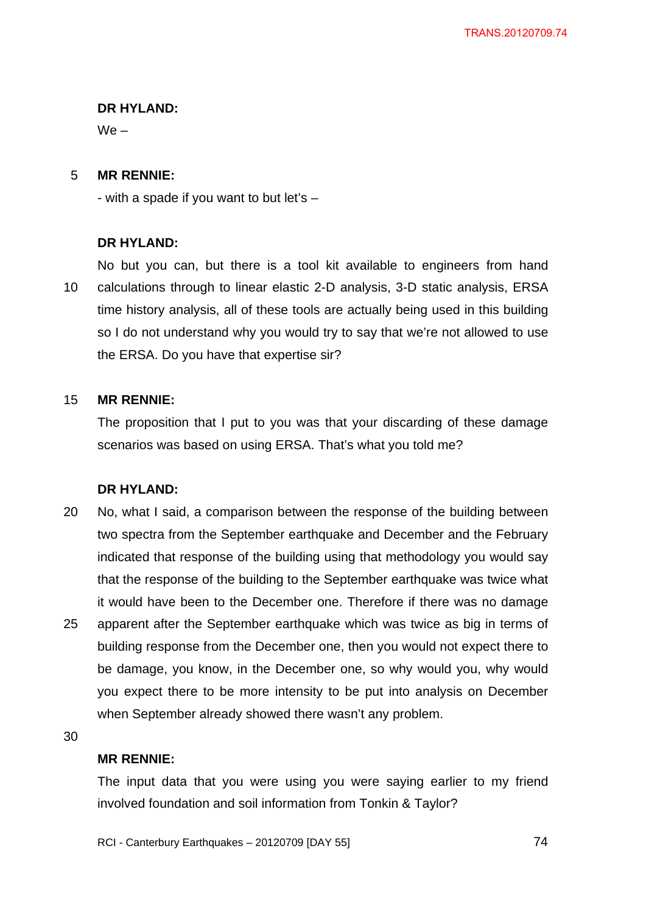### **DR HYLAND:**

 $We -$ 

#### 5 **MR RENNIE:**

- with a spade if you want to but let's –

### **DR HYLAND:**

10 No but you can, but there is a tool kit available to engineers from hand calculations through to linear elastic 2-D analysis, 3-D static analysis, ERSA time history analysis, all of these tools are actually being used in this building so I do not understand why you would try to say that we're not allowed to use the ERSA. Do you have that expertise sir?

#### 15 **MR RENNIE:**

The proposition that I put to you was that your discarding of these damage scenarios was based on using ERSA. That's what you told me?

# **DR HYLAND:**

20 25 No, what I said, a comparison between the response of the building between two spectra from the September earthquake and December and the February indicated that response of the building using that methodology you would say that the response of the building to the September earthquake was twice what it would have been to the December one. Therefore if there was no damage apparent after the September earthquake which was twice as big in terms of building response from the December one, then you would not expect there to be damage, you know, in the December one, so why would you, why would you expect there to be more intensity to be put into analysis on December when September already showed there wasn't any problem.

30

#### **MR RENNIE:**

The input data that you were using you were saying earlier to my friend involved foundation and soil information from Tonkin & Taylor?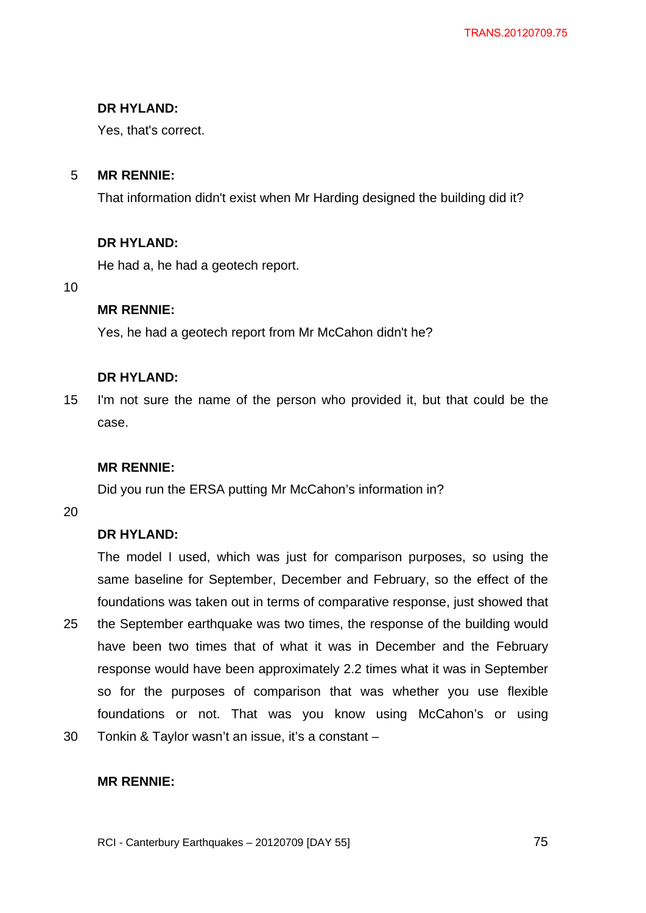# **DR HYLAND:**

Yes, that's correct.

#### 5 **MR RENNIE:**

That information didn't exist when Mr Harding designed the building did it?

# **DR HYLAND:**

He had a, he had a geotech report.

10

# **MR RENNIE:**

Yes, he had a geotech report from Mr McCahon didn't he?

# **DR HYLAND:**

15 I'm not sure the name of the person who provided it, but that could be the case.

# **MR RENNIE:**

Did you run the ERSA putting Mr McCahon's information in?

20

# **DR HYLAND:**

The model I used, which was just for comparison purposes, so using the same baseline for September, December and February, so the effect of the foundations was taken out in terms of comparative response, just showed that

- 25 the September earthquake was two times, the response of the building would have been two times that of what it was in December and the February response would have been approximately 2.2 times what it was in September so for the purposes of comparison that was whether you use flexible foundations or not. That was you know using McCahon's or using
- 30 Tonkin & Taylor wasn't an issue, it's a constant –

# **MR RENNIE:**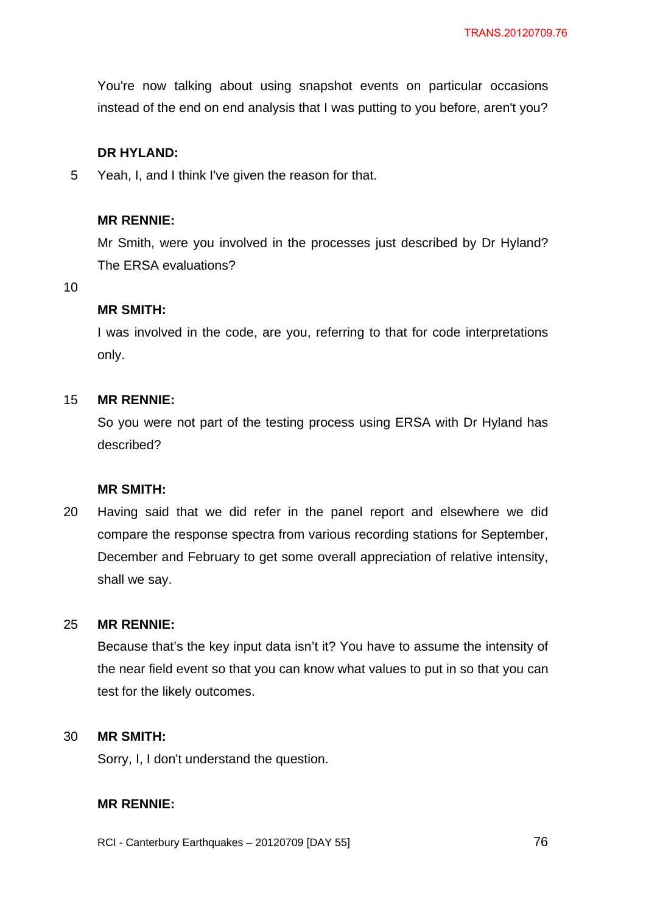You're now talking about using snapshot events on particular occasions instead of the end on end analysis that I was putting to you before, aren't you?

# **DR HYLAND:**

5 Yeah, I, and I think I've given the reason for that.

### **MR RENNIE:**

Mr Smith, were you involved in the processes just described by Dr Hyland? The ERSA evaluations?

10

### **MR SMITH:**

I was involved in the code, are you, referring to that for code interpretations only.

#### 15 **MR RENNIE:**

So you were not part of the testing process using ERSA with Dr Hyland has described?

# **MR SMITH:**

20 Having said that we did refer in the panel report and elsewhere we did compare the response spectra from various recording stations for September, December and February to get some overall appreciation of relative intensity, shall we say.

#### 25 **MR RENNIE:**

Because that's the key input data isn't it? You have to assume the intensity of the near field event so that you can know what values to put in so that you can test for the likely outcomes.

#### 30 **MR SMITH:**

Sorry, I, I don't understand the question.

# **MR RENNIE:**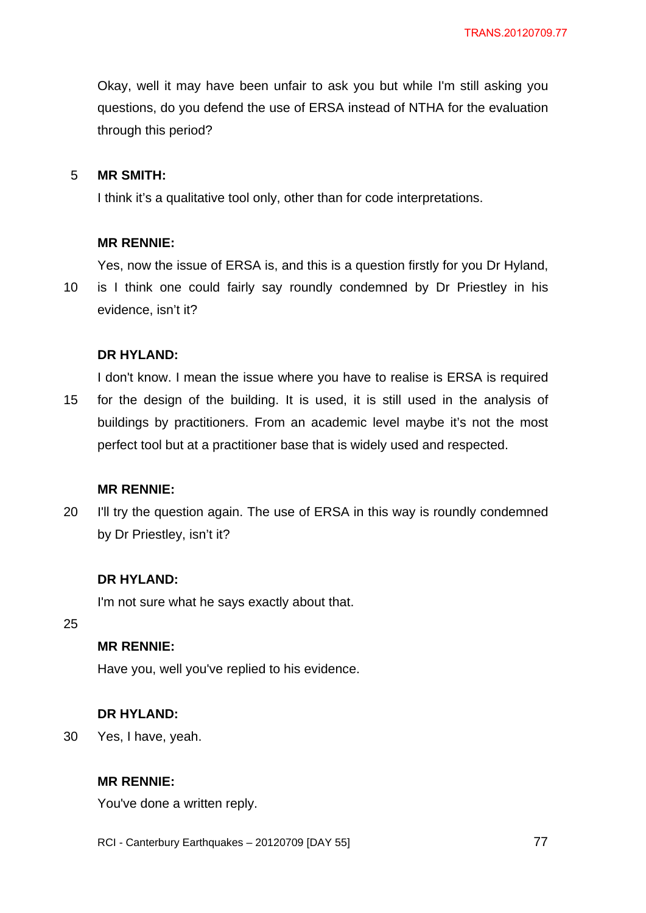Okay, well it may have been unfair to ask you but while I'm still asking you questions, do you defend the use of ERSA instead of NTHA for the evaluation through this period?

#### 5 **MR SMITH:**

I think it's a qualitative tool only, other than for code interpretations.

#### **MR RENNIE:**

Yes, now the issue of ERSA is, and this is a question firstly for you Dr Hyland,

10 is I think one could fairly say roundly condemned by Dr Priestley in his evidence, isn't it?

#### **DR HYLAND:**

15 I don't know. I mean the issue where you have to realise is ERSA is required for the design of the building. It is used, it is still used in the analysis of buildings by practitioners. From an academic level maybe it's not the most perfect tool but at a practitioner base that is widely used and respected.

#### **MR RENNIE:**

20 I'll try the question again. The use of ERSA in this way is roundly condemned by Dr Priestley, isn't it?

#### **DR HYLAND:**

I'm not sure what he says exactly about that.

25

## **MR RENNIE:**

Have you, well you've replied to his evidence.

#### **DR HYLAND:**

30 Yes, I have, yeah.

#### **MR RENNIE:**

You've done a written reply.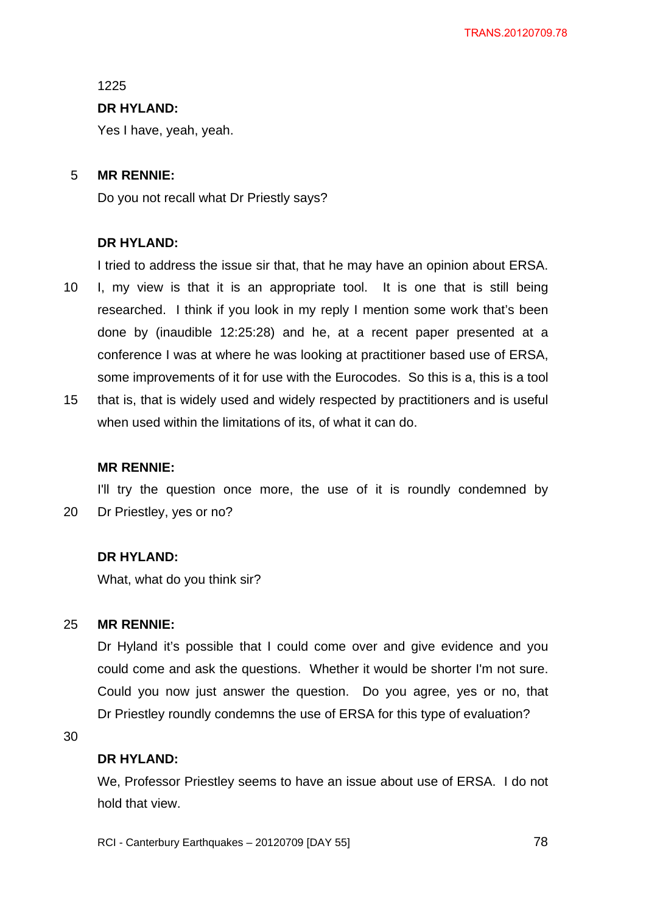1225

### **DR HYLAND:**

Yes I have, yeah, yeah.

#### 5 **MR RENNIE:**

Do you not recall what Dr Priestly says?

### **DR HYLAND:**

I tried to address the issue sir that, that he may have an opinion about ERSA.

- 10 I, my view is that it is an appropriate tool. It is one that is still being researched. I think if you look in my reply I mention some work that's been done by (inaudible 12:25:28) and he, at a recent paper presented at a conference I was at where he was looking at practitioner based use of ERSA, some improvements of it for use with the Eurocodes. So this is a, this is a tool
- 15 that is, that is widely used and widely respected by practitioners and is useful when used within the limitations of its, of what it can do.

#### **MR RENNIE:**

20 I'll try the question once more, the use of it is roundly condemned by Dr Priestley, yes or no?

### **DR HYLAND:**

What, what do you think sir?

#### 25 **MR RENNIE:**

Dr Hyland it's possible that I could come over and give evidence and you could come and ask the questions. Whether it would be shorter I'm not sure. Could you now just answer the question. Do you agree, yes or no, that Dr Priestley roundly condemns the use of ERSA for this type of evaluation?

30

#### **DR HYLAND:**

We, Professor Priestley seems to have an issue about use of ERSA. I do not hold that view.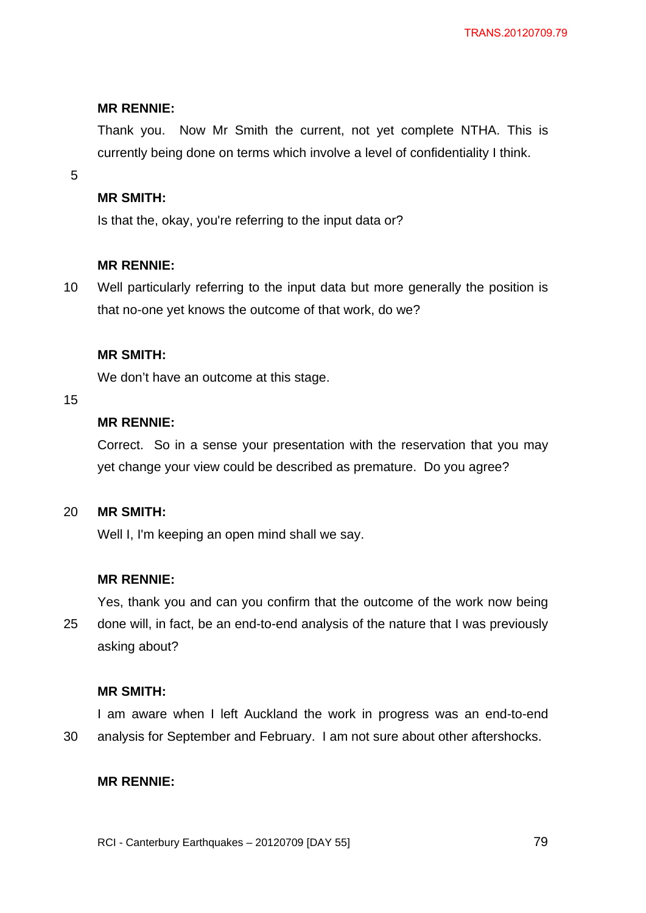Thank you. Now Mr Smith the current, not yet complete NTHA. This is currently being done on terms which involve a level of confidentiality I think.

5

## **MR SMITH:**

Is that the, okay, you're referring to the input data or?

### **MR RENNIE:**

10 Well particularly referring to the input data but more generally the position is that no-one yet knows the outcome of that work, do we?

### **MR SMITH:**

We don't have an outcome at this stage.

### 15

# **MR RENNIE:**

Correct. So in a sense your presentation with the reservation that you may yet change your view could be described as premature. Do you agree?

#### 20 **MR SMITH:**

Well I, I'm keeping an open mind shall we say.

#### **MR RENNIE:**

25 Yes, thank you and can you confirm that the outcome of the work now being done will, in fact, be an end-to-end analysis of the nature that I was previously asking about?

### **MR SMITH:**

30 I am aware when I left Auckland the work in progress was an end-to-end analysis for September and February. I am not sure about other aftershocks.

#### **MR RENNIE:**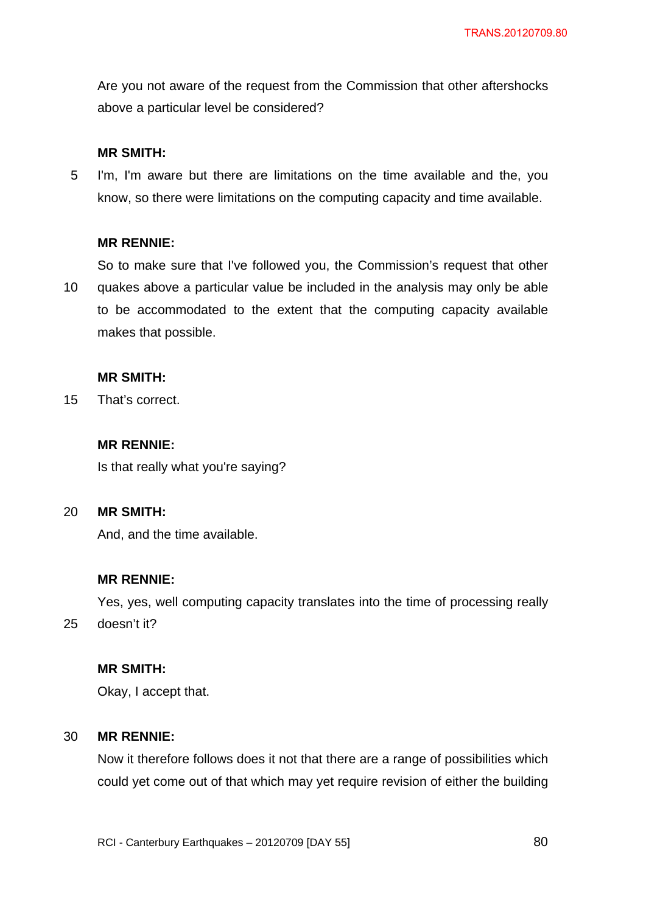Are you not aware of the request from the Commission that other aftershocks above a particular level be considered?

## **MR SMITH:**

5 I'm, I'm aware but there are limitations on the time available and the, you know, so there were limitations on the computing capacity and time available.

### **MR RENNIE:**

10 So to make sure that I've followed you, the Commission's request that other quakes above a particular value be included in the analysis may only be able to be accommodated to the extent that the computing capacity available makes that possible.

### **MR SMITH:**

15 That's correct.

# **MR RENNIE:**

Is that really what you're saying?

#### 20 **MR SMITH:**

25

And, and the time available.

# **MR RENNIE:**

Yes, yes, well computing capacity translates into the time of processing really doesn't it?

#### **MR SMITH:**

Okay, I accept that.

#### 30 **MR RENNIE:**

Now it therefore follows does it not that there are a range of possibilities which could yet come out of that which may yet require revision of either the building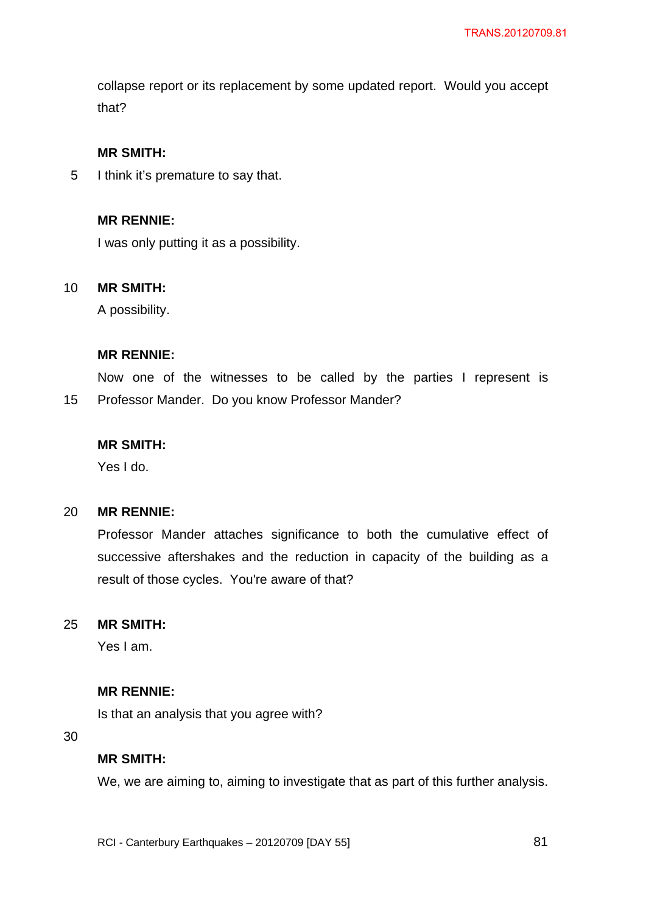collapse report or its replacement by some updated report. Would you accept that?

## **MR SMITH:**

5 I think it's premature to say that.

# **MR RENNIE:**

I was only putting it as a possibility.

#### 10 **MR SMITH:**

A possibility.

#### **MR RENNIE:**

15 Now one of the witnesses to be called by the parties I represent is Professor Mander. Do you know Professor Mander?

#### **MR SMITH:**

Yes I do.

#### 20 **MR RENNIE:**

Professor Mander attaches significance to both the cumulative effect of successive aftershakes and the reduction in capacity of the building as a result of those cycles. You're aware of that?

#### 25 **MR SMITH:**

Yes I am.

## **MR RENNIE:**

Is that an analysis that you agree with?

30

### **MR SMITH:**

We, we are aiming to, aiming to investigate that as part of this further analysis.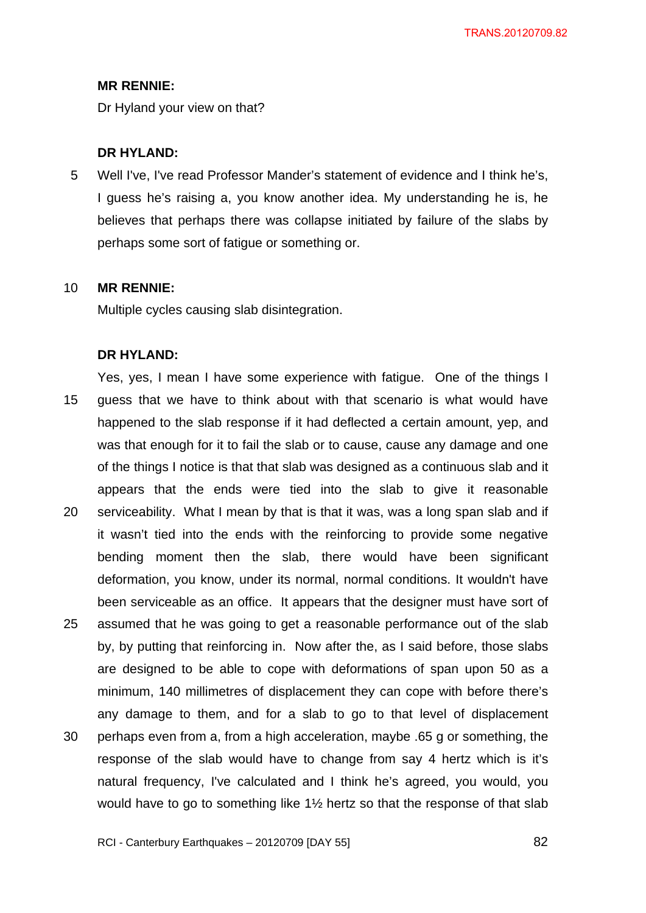Dr Hyland your view on that?

#### **DR HYLAND:**

5 Well I've, I've read Professor Mander's statement of evidence and I think he's, I guess he's raising a, you know another idea. My understanding he is, he believes that perhaps there was collapse initiated by failure of the slabs by perhaps some sort of fatigue or something or.

#### 10 **MR RENNIE:**

Multiple cycles causing slab disintegration.

#### **DR HYLAND:**

15 20 25 30 Yes, yes, I mean I have some experience with fatigue. One of the things I guess that we have to think about with that scenario is what would have happened to the slab response if it had deflected a certain amount, yep, and was that enough for it to fail the slab or to cause, cause any damage and one of the things I notice is that that slab was designed as a continuous slab and it appears that the ends were tied into the slab to give it reasonable serviceability. What I mean by that is that it was, was a long span slab and if it wasn't tied into the ends with the reinforcing to provide some negative bending moment then the slab, there would have been significant deformation, you know, under its normal, normal conditions. It wouldn't have been serviceable as an office. It appears that the designer must have sort of assumed that he was going to get a reasonable performance out of the slab by, by putting that reinforcing in. Now after the, as I said before, those slabs are designed to be able to cope with deformations of span upon 50 as a minimum, 140 millimetres of displacement they can cope with before there's any damage to them, and for a slab to go to that level of displacement perhaps even from a, from a high acceleration, maybe .65 g or something, the response of the slab would have to change from say 4 hertz which is it's natural frequency, I've calculated and I think he's agreed, you would, you would have to go to something like 1½ hertz so that the response of that slab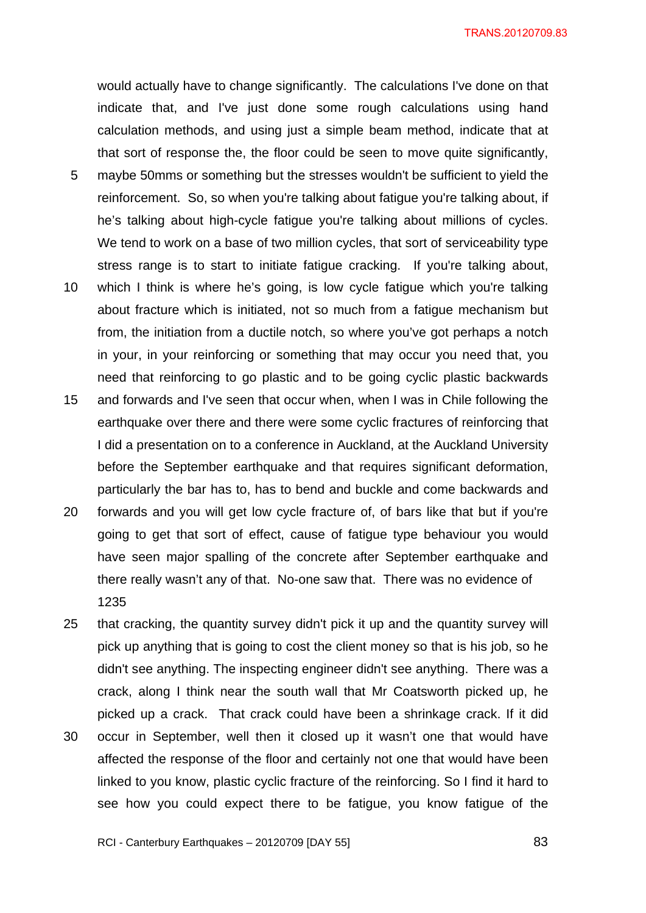TRANS.20120709.83

would actually have to change significantly. The calculations I've done on that indicate that, and I've just done some rough calculations using hand calculation methods, and using just a simple beam method, indicate that at that sort of response the, the floor could be seen to move quite significantly,

- 5 maybe 50mms or something but the stresses wouldn't be sufficient to yield the reinforcement. So, so when you're talking about fatigue you're talking about, if he's talking about high-cycle fatigue you're talking about millions of cycles. We tend to work on a base of two million cycles, that sort of serviceability type stress range is to start to initiate fatigue cracking. If you're talking about,
- 10 which I think is where he's going, is low cycle fatigue which you're talking about fracture which is initiated, not so much from a fatigue mechanism but from, the initiation from a ductile notch, so where you've got perhaps a notch in your, in your reinforcing or something that may occur you need that, you need that reinforcing to go plastic and to be going cyclic plastic backwards
- 15 and forwards and I've seen that occur when, when I was in Chile following the earthquake over there and there were some cyclic fractures of reinforcing that I did a presentation on to a conference in Auckland, at the Auckland University before the September earthquake and that requires significant deformation, particularly the bar has to, has to bend and buckle and come backwards and
- 20 forwards and you will get low cycle fracture of, of bars like that but if you're going to get that sort of effect, cause of fatigue type behaviour you would have seen major spalling of the concrete after September earthquake and there really wasn't any of that. No-one saw that. There was no evidence of 1235
- 25 that cracking, the quantity survey didn't pick it up and the quantity survey will pick up anything that is going to cost the client money so that is his job, so he didn't see anything. The inspecting engineer didn't see anything. There was a crack, along I think near the south wall that Mr Coatsworth picked up, he picked up a crack. That crack could have been a shrinkage crack. If it did
- 30 occur in September, well then it closed up it wasn't one that would have affected the response of the floor and certainly not one that would have been linked to you know, plastic cyclic fracture of the reinforcing. So I find it hard to see how you could expect there to be fatigue, you know fatigue of the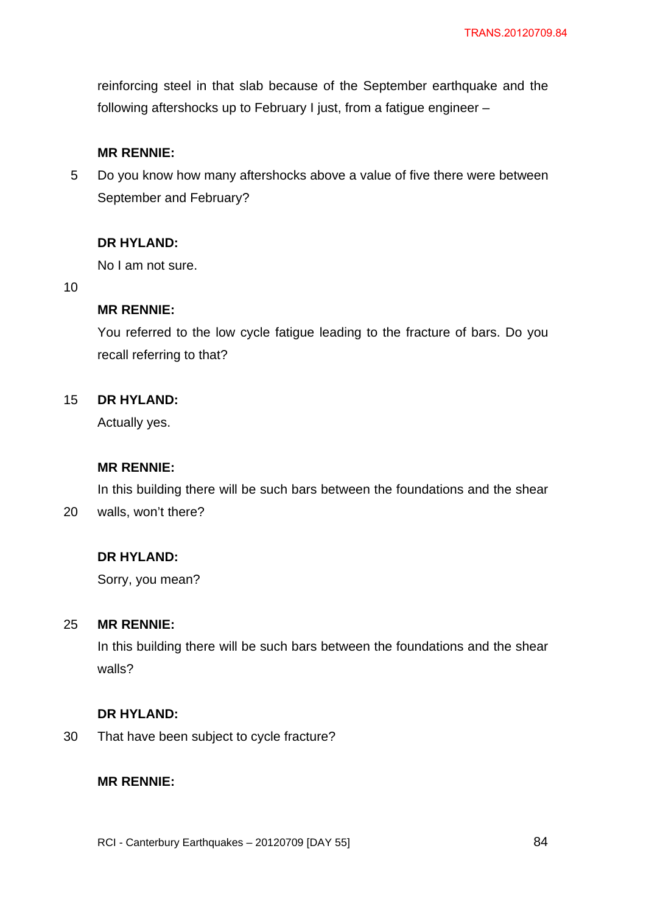reinforcing steel in that slab because of the September earthquake and the following aftershocks up to February I just, from a fatigue engineer –

# **MR RENNIE:**

5 Do you know how many aftershocks above a value of five there were between September and February?

# **DR HYLAND:**

No I am not sure.

10

# **MR RENNIE:**

You referred to the low cycle fatigue leading to the fracture of bars. Do you recall referring to that?

#### 15 **DR HYLAND:**

Actually yes.

# **MR RENNIE:**

20 In this building there will be such bars between the foundations and the shear walls, won't there?

# **DR HYLAND:**

Sorry, you mean?

#### 25 **MR RENNIE:**

In this building there will be such bars between the foundations and the shear walls?

# **DR HYLAND:**

30 That have been subject to cycle fracture?

# **MR RENNIE:**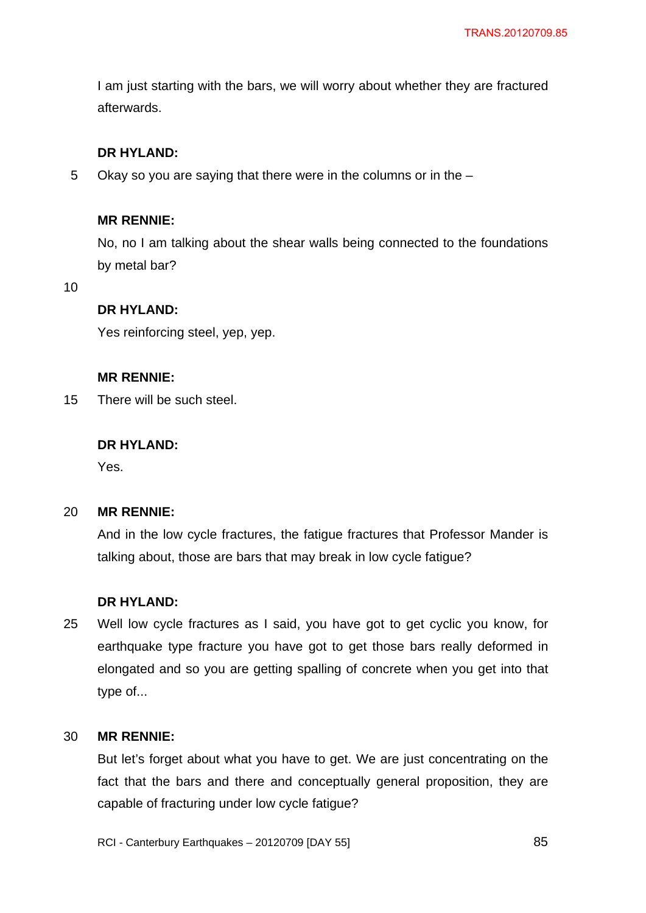I am just starting with the bars, we will worry about whether they are fractured afterwards.

# **DR HYLAND:**

5 Okay so you are saying that there were in the columns or in the –

# **MR RENNIE:**

No, no I am talking about the shear walls being connected to the foundations by metal bar?

10

# **DR HYLAND:**

Yes reinforcing steel, yep, yep.

#### **MR RENNIE:**

15 There will be such steel.

### **DR HYLAND:**

Yes.

#### 20 **MR RENNIE:**

And in the low cycle fractures, the fatigue fractures that Professor Mander is talking about, those are bars that may break in low cycle fatigue?

### **DR HYLAND:**

25 Well low cycle fractures as I said, you have got to get cyclic you know, for earthquake type fracture you have got to get those bars really deformed in elongated and so you are getting spalling of concrete when you get into that type of...

#### 30 **MR RENNIE:**

But let's forget about what you have to get. We are just concentrating on the fact that the bars and there and conceptually general proposition, they are capable of fracturing under low cycle fatigue?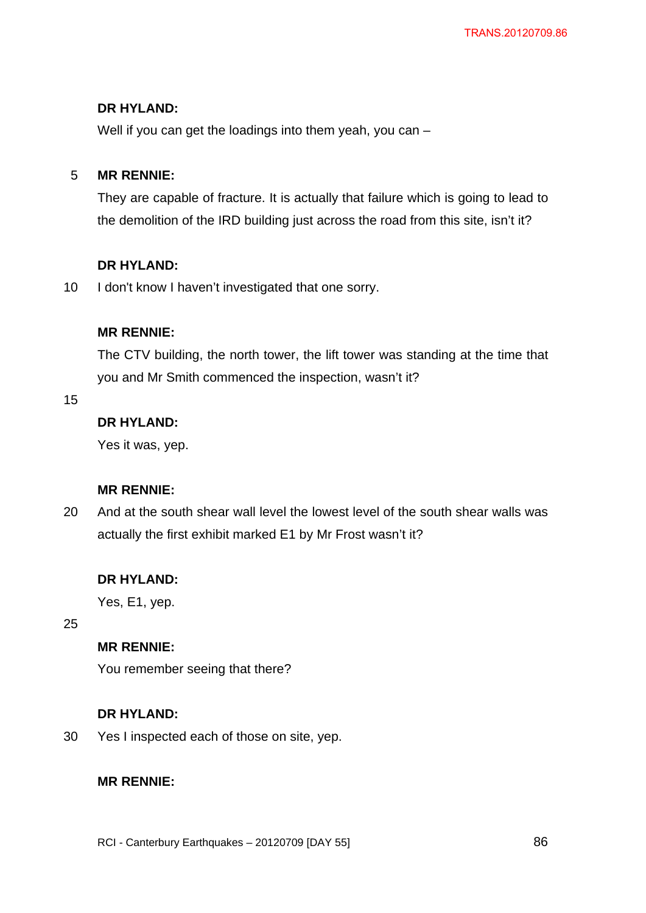# **DR HYLAND:**

Well if you can get the loadings into them yeah, you can –

#### 5 **MR RENNIE:**

They are capable of fracture. It is actually that failure which is going to lead to the demolition of the IRD building just across the road from this site, isn't it?

# **DR HYLAND:**

10 I don't know I haven't investigated that one sorry.

# **MR RENNIE:**

The CTV building, the north tower, the lift tower was standing at the time that you and Mr Smith commenced the inspection, wasn't it?

15

# **DR HYLAND:**

Yes it was, yep.

# **MR RENNIE:**

20 And at the south shear wall level the lowest level of the south shear walls was actually the first exhibit marked E1 by Mr Frost wasn't it?

# **DR HYLAND:**

Yes, E1, yep.

25

# **MR RENNIE:**

You remember seeing that there?

# **DR HYLAND:**

30 Yes I inspected each of those on site, yep.

# **MR RENNIE:**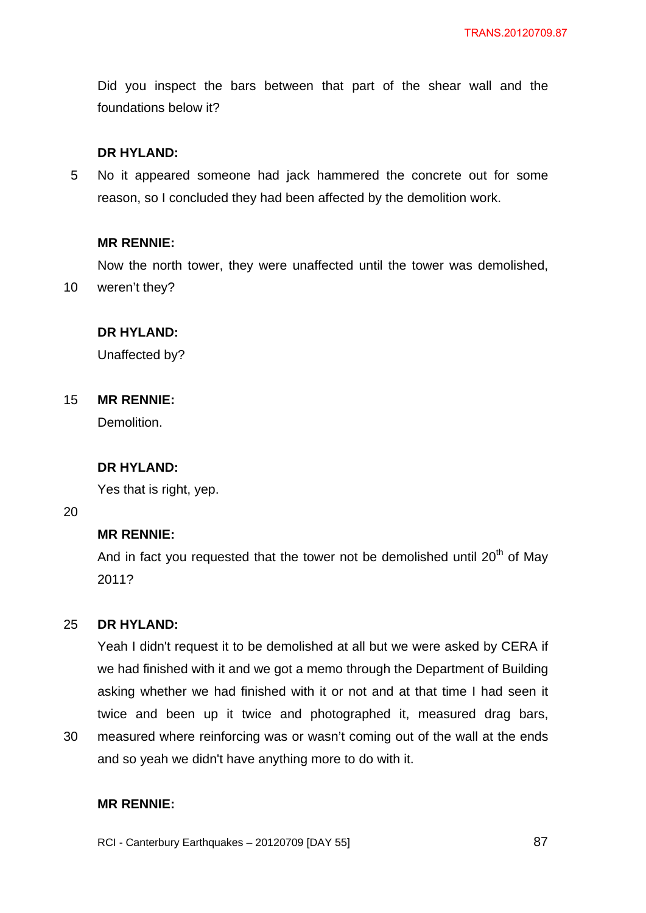Did you inspect the bars between that part of the shear wall and the foundations below it?

### **DR HYLAND:**

5 No it appeared someone had jack hammered the concrete out for some reason, so I concluded they had been affected by the demolition work.

#### **MR RENNIE:**

Now the north tower, they were unaffected until the tower was demolished,

10 weren't they?

# **DR HYLAND:**

Unaffected by?

#### 15 **MR RENNIE:**

Demolition.

#### **DR HYLAND:**

Yes that is right, yep.

20

### **MR RENNIE:**

And in fact you requested that the tower not be demolished until  $20<sup>th</sup>$  of May 2011?

#### 25 **DR HYLAND:**

Yeah I didn't request it to be demolished at all but we were asked by CERA if we had finished with it and we got a memo through the Department of Building asking whether we had finished with it or not and at that time I had seen it twice and been up it twice and photographed it, measured drag bars,

30 measured where reinforcing was or wasn't coming out of the wall at the ends and so yeah we didn't have anything more to do with it.

### **MR RENNIE:**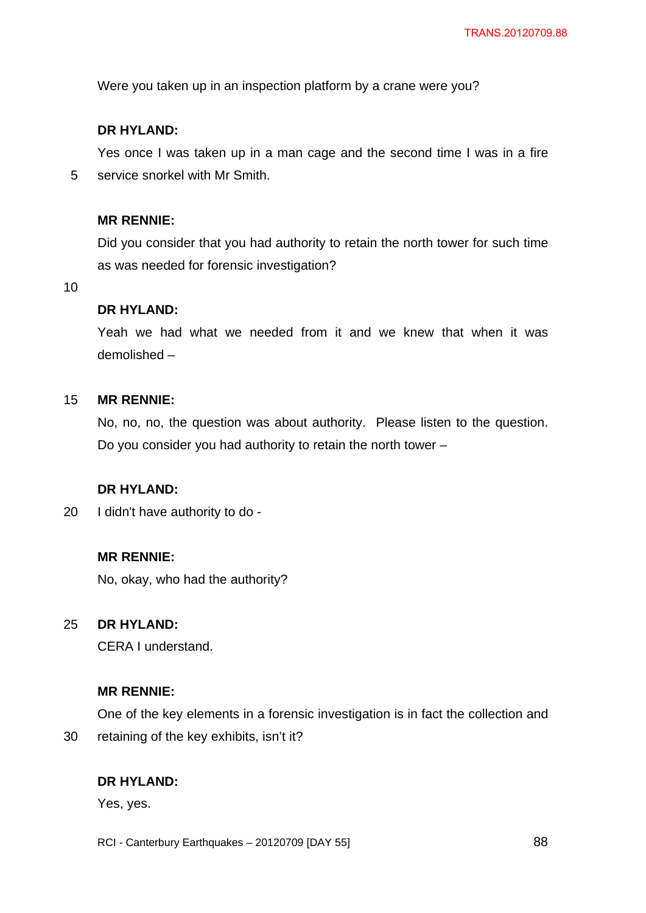Were you taken up in an inspection platform by a crane were you?

# **DR HYLAND:**

5 Yes once I was taken up in a man cage and the second time I was in a fire service snorkel with Mr Smith.

### **MR RENNIE:**

Did you consider that you had authority to retain the north tower for such time as was needed for forensic investigation?

10

### **DR HYLAND:**

Yeah we had what we needed from it and we knew that when it was demolished –

#### 15 **MR RENNIE:**

No, no, no, the question was about authority. Please listen to the question. Do you consider you had authority to retain the north tower –

# **DR HYLAND:**

20 I didn't have authority to do -

# **MR RENNIE:**

No, okay, who had the authority?

#### 25 **DR HYLAND:**

CERA I understand.

### **MR RENNIE:**

One of the key elements in a forensic investigation is in fact the collection and retaining of the key exhibits, isn't it?

# **DR HYLAND:**

Yes, yes.

30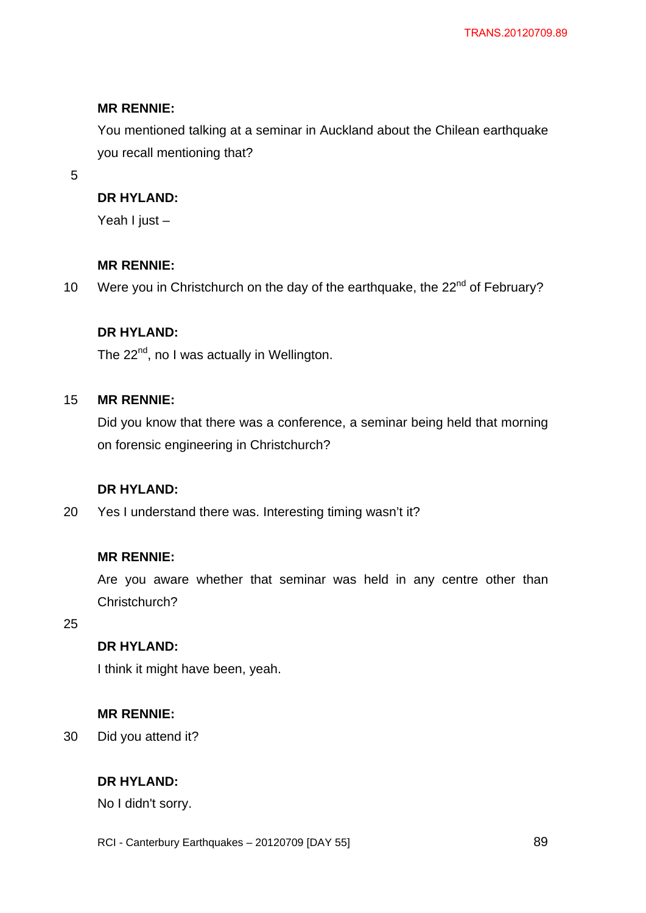You mentioned talking at a seminar in Auckland about the Chilean earthquake you recall mentioning that?

5

# **DR HYLAND:**

Yeah I just –

# **MR RENNIE:**

10 Were you in Christchurch on the day of the earthquake, the 22<sup>nd</sup> of February?

# **DR HYLAND:**

The 22<sup>nd</sup>, no I was actually in Wellington.

#### 15 **MR RENNIE:**

Did you know that there was a conference, a seminar being held that morning on forensic engineering in Christchurch?

# **DR HYLAND:**

20 Yes I understand there was. Interesting timing wasn't it?

# **MR RENNIE:**

Are you aware whether that seminar was held in any centre other than Christchurch?

25

# **DR HYLAND:**

I think it might have been, yeah.

# **MR RENNIE:**

30 Did you attend it?

# **DR HYLAND:**

No I didn't sorry.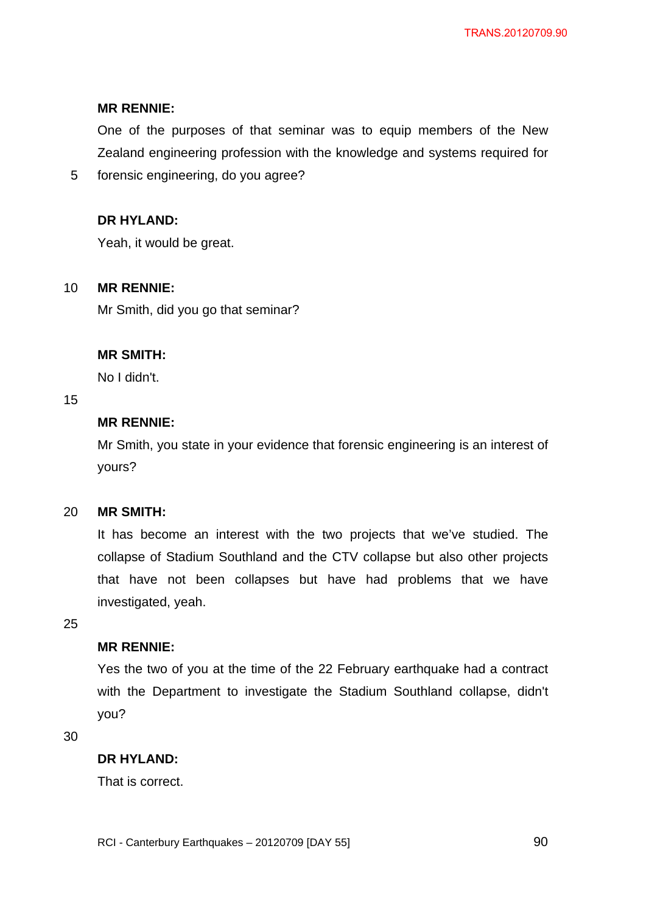One of the purposes of that seminar was to equip members of the New Zealand engineering profession with the knowledge and systems required for

5 forensic engineering, do you agree?

# **DR HYLAND:**

Yeah, it would be great.

#### 10 **MR RENNIE:**

Mr Smith, did you go that seminar?

# **MR SMITH:**

No I didn't.

### 15

# **MR RENNIE:**

Mr Smith, you state in your evidence that forensic engineering is an interest of yours?

#### 20 **MR SMITH:**

It has become an interest with the two projects that we've studied. The collapse of Stadium Southland and the CTV collapse but also other projects that have not been collapses but have had problems that we have investigated, yeah.

25

# **MR RENNIE:**

Yes the two of you at the time of the 22 February earthquake had a contract with the Department to investigate the Stadium Southland collapse, didn't you?

30

# **DR HYLAND:**

That is correct.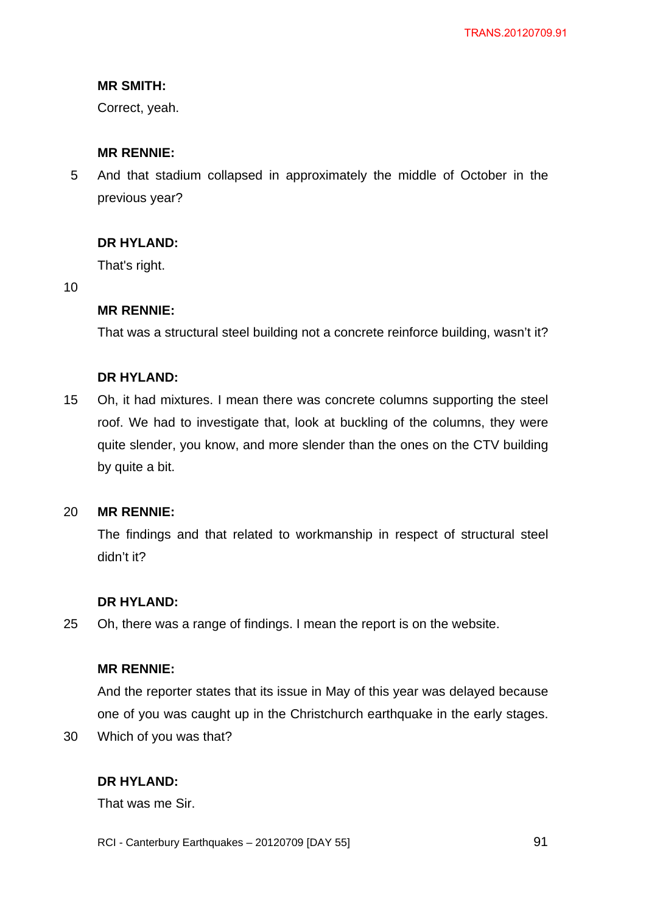# **MR SMITH:**

Correct, yeah.

## **MR RENNIE:**

5 And that stadium collapsed in approximately the middle of October in the previous year?

# **DR HYLAND:**

That's right.

10

### **MR RENNIE:**

That was a structural steel building not a concrete reinforce building, wasn't it?

### **DR HYLAND:**

15 Oh, it had mixtures. I mean there was concrete columns supporting the steel roof. We had to investigate that, look at buckling of the columns, they were quite slender, you know, and more slender than the ones on the CTV building by quite a bit.

#### 20 **MR RENNIE:**

The findings and that related to workmanship in respect of structural steel didn't it?

#### **DR HYLAND:**

25 Oh, there was a range of findings. I mean the report is on the website.

### **MR RENNIE:**

And the reporter states that its issue in May of this year was delayed because one of you was caught up in the Christchurch earthquake in the early stages.

30 Which of you was that?

# **DR HYLAND:**

That was me Sir.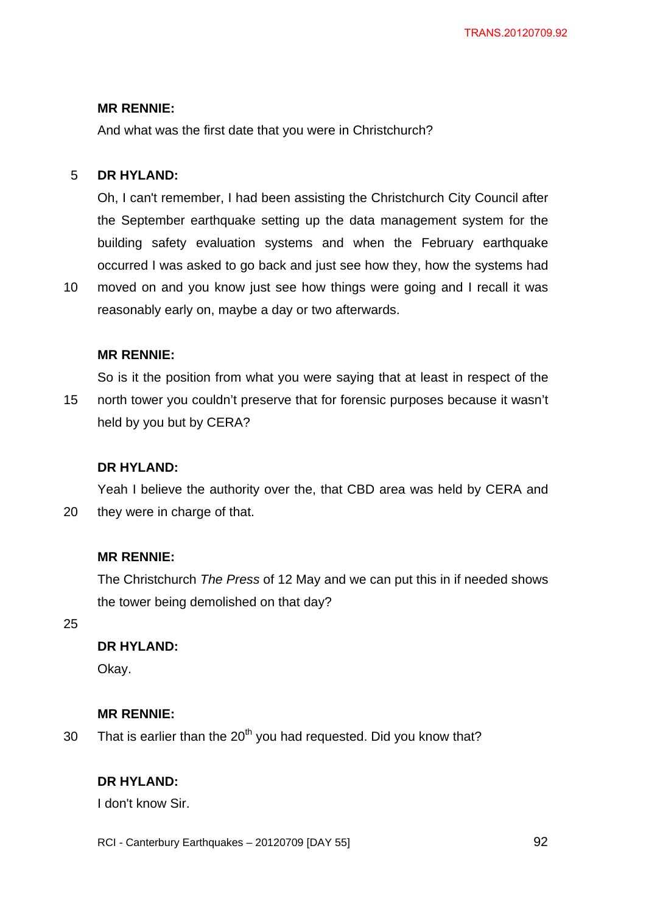And what was the first date that you were in Christchurch?

#### 5 **DR HYLAND:**

Oh, I can't remember, I had been assisting the Christchurch City Council after the September earthquake setting up the data management system for the building safety evaluation systems and when the February earthquake occurred I was asked to go back and just see how they, how the systems had

10 moved on and you know just see how things were going and I recall it was reasonably early on, maybe a day or two afterwards.

#### **MR RENNIE:**

15 So is it the position from what you were saying that at least in respect of the north tower you couldn't preserve that for forensic purposes because it wasn't held by you but by CERA?

#### **DR HYLAND:**

20 Yeah I believe the authority over the, that CBD area was held by CERA and they were in charge of that.

### **MR RENNIE:**

The Christchurch *The Press* of 12 May and we can put this in if needed shows the tower being demolished on that day?

25

# **DR HYLAND:**

Okay.

#### **MR RENNIE:**

30 That is earlier than the  $20<sup>th</sup>$  you had requested. Did you know that?

### **DR HYLAND:**

I don't know Sir.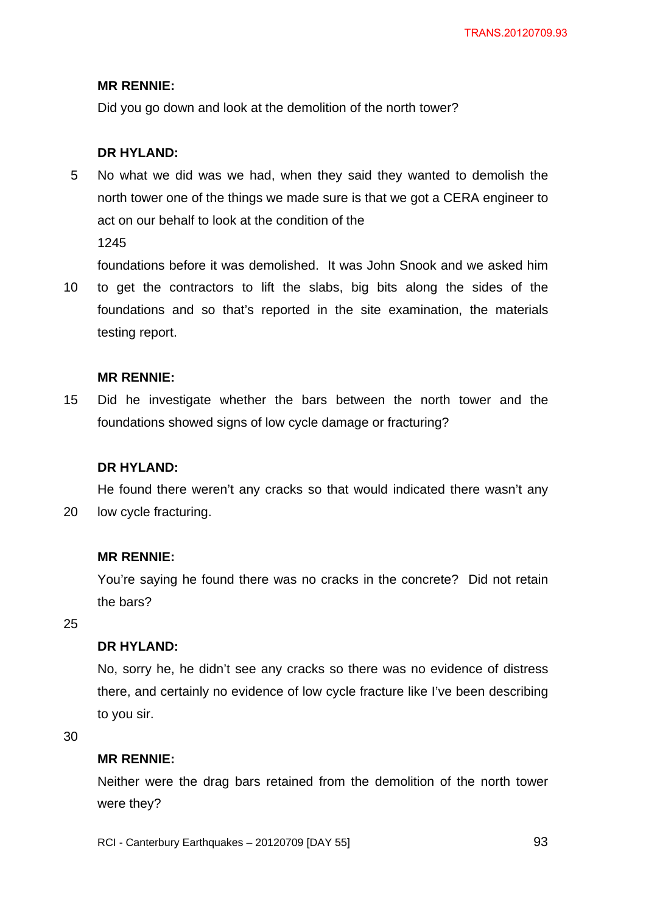Did you go down and look at the demolition of the north tower?

# **DR HYLAND:**

5 No what we did was we had, when they said they wanted to demolish the north tower one of the things we made sure is that we got a CERA engineer to act on our behalf to look at the condition of the

1245

foundations before it was demolished. It was John Snook and we asked him

10 to get the contractors to lift the slabs, big bits along the sides of the foundations and so that's reported in the site examination, the materials testing report.

### **MR RENNIE:**

15 Did he investigate whether the bars between the north tower and the foundations showed signs of low cycle damage or fracturing?

# **DR HYLAND:**

20 He found there weren't any cracks so that would indicated there wasn't any low cycle fracturing.

### **MR RENNIE:**

You're saying he found there was no cracks in the concrete? Did not retain the bars?

25

# **DR HYLAND:**

No, sorry he, he didn't see any cracks so there was no evidence of distress there, and certainly no evidence of low cycle fracture like I've been describing to you sir.

30

# **MR RENNIE:**

Neither were the drag bars retained from the demolition of the north tower were they?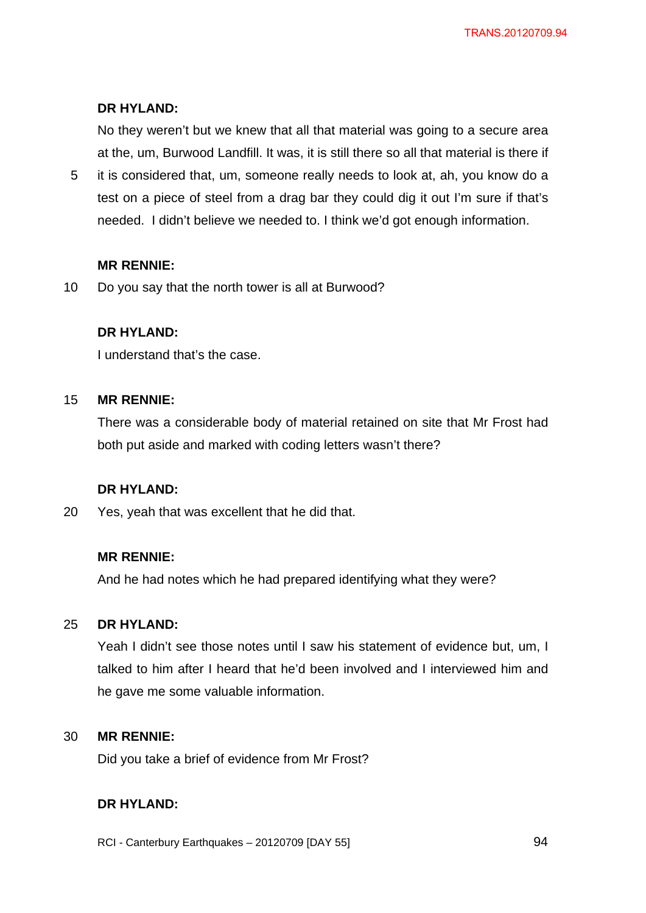# **DR HYLAND:**

No they weren't but we knew that all that material was going to a secure area at the, um, Burwood Landfill. It was, it is still there so all that material is there if

5 it is considered that, um, someone really needs to look at, ah, you know do a test on a piece of steel from a drag bar they could dig it out I'm sure if that's needed. I didn't believe we needed to. I think we'd got enough information.

### **MR RENNIE:**

10 Do you say that the north tower is all at Burwood?

### **DR HYLAND:**

I understand that's the case.

#### 15 **MR RENNIE:**

There was a considerable body of material retained on site that Mr Frost had both put aside and marked with coding letters wasn't there?

# **DR HYLAND:**

20 Yes, yeah that was excellent that he did that.

### **MR RENNIE:**

And he had notes which he had prepared identifying what they were?

#### 25 **DR HYLAND:**

Yeah I didn't see those notes until I saw his statement of evidence but, um, I talked to him after I heard that he'd been involved and I interviewed him and he gave me some valuable information.

#### 30 **MR RENNIE:**

Did you take a brief of evidence from Mr Frost?

# **DR HYLAND:**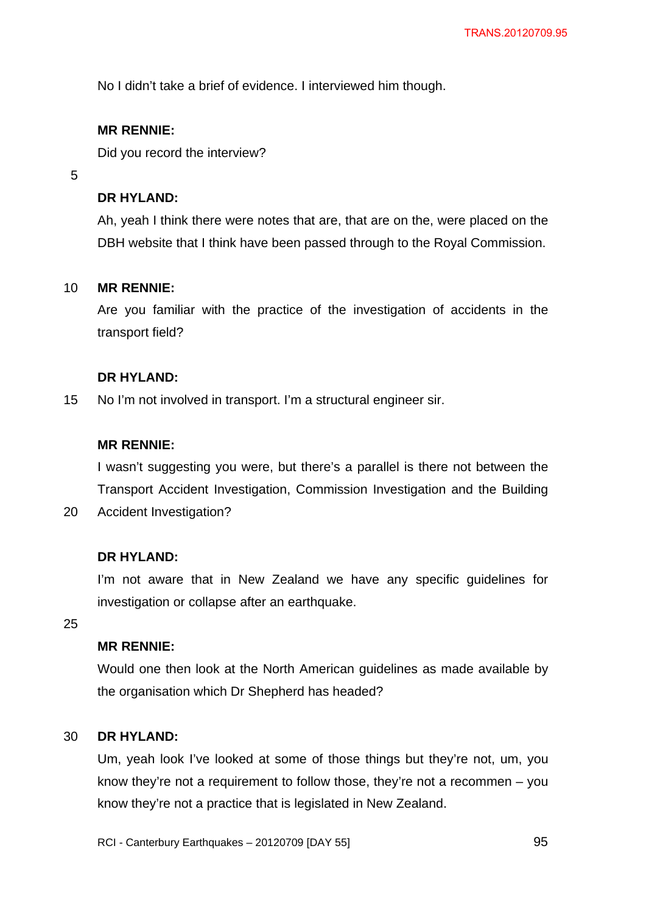No I didn't take a brief of evidence. I interviewed him though.

# **MR RENNIE:**

Did you record the interview?

5

# **DR HYLAND:**

Ah, yeah I think there were notes that are, that are on the, were placed on the DBH website that I think have been passed through to the Royal Commission.

#### 10 **MR RENNIE:**

Are you familiar with the practice of the investigation of accidents in the transport field?

### **DR HYLAND:**

15 No I'm not involved in transport. I'm a structural engineer sir.

#### **MR RENNIE:**

I wasn't suggesting you were, but there's a parallel is there not between the Transport Accident Investigation, Commission Investigation and the Building

20 Accident Investigation?

### **DR HYLAND:**

I'm not aware that in New Zealand we have any specific guidelines for investigation or collapse after an earthquake.

25

## **MR RENNIE:**

Would one then look at the North American guidelines as made available by the organisation which Dr Shepherd has headed?

#### 30 **DR HYLAND:**

Um, yeah look I've looked at some of those things but they're not, um, you know they're not a requirement to follow those, they're not a recommen – you know they're not a practice that is legislated in New Zealand.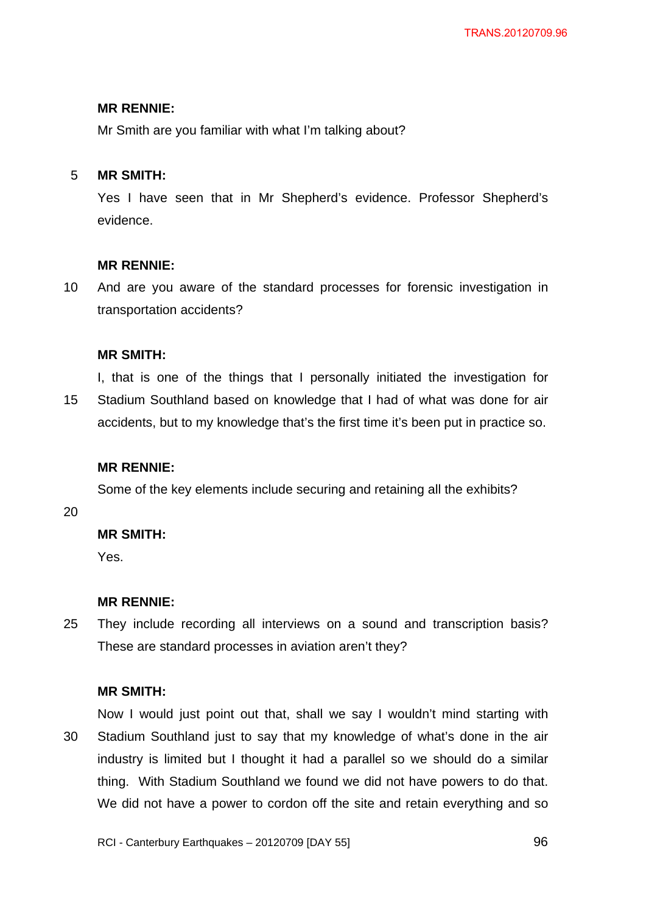Mr Smith are you familiar with what I'm talking about?

#### 5 **MR SMITH:**

Yes I have seen that in Mr Shepherd's evidence. Professor Shepherd's evidence.

# **MR RENNIE:**

10 And are you aware of the standard processes for forensic investigation in transportation accidents?

### **MR SMITH:**

15 I, that is one of the things that I personally initiated the investigation for Stadium Southland based on knowledge that I had of what was done for air accidents, but to my knowledge that's the first time it's been put in practice so.

# **MR RENNIE:**

Some of the key elements include securing and retaining all the exhibits?

20

# **MR SMITH:**

Yes.

# **MR RENNIE:**

25 They include recording all interviews on a sound and transcription basis? These are standard processes in aviation aren't they?

#### **MR SMITH:**

30 Now I would just point out that, shall we say I wouldn't mind starting with Stadium Southland just to say that my knowledge of what's done in the air industry is limited but I thought it had a parallel so we should do a similar thing. With Stadium Southland we found we did not have powers to do that. We did not have a power to cordon off the site and retain everything and so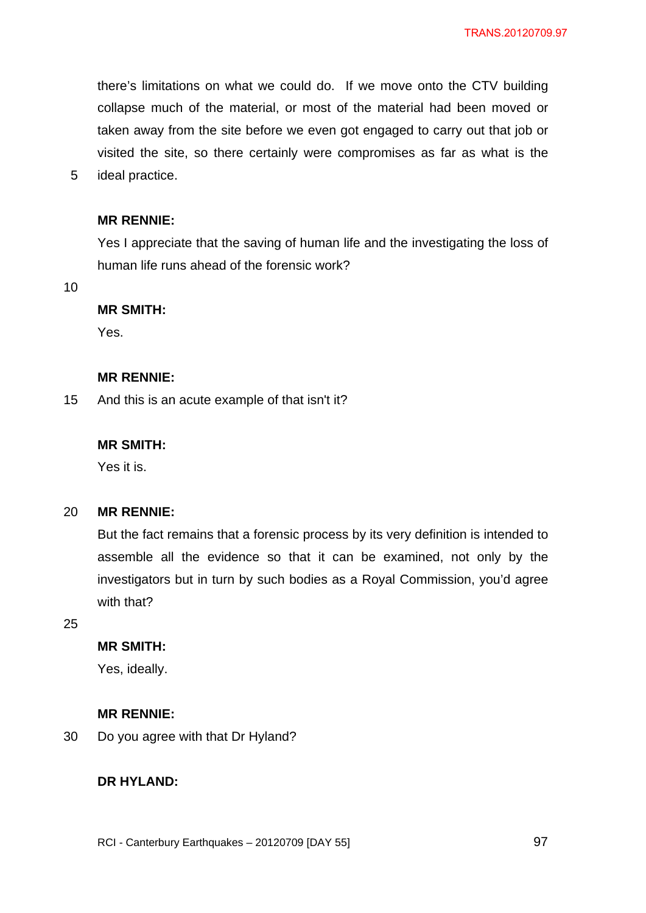there's limitations on what we could do. If we move onto the CTV building collapse much of the material, or most of the material had been moved or taken away from the site before we even got engaged to carry out that job or visited the site, so there certainly were compromises as far as what is the ideal practice.

# **MR RENNIE:**

Yes I appreciate that the saving of human life and the investigating the loss of human life runs ahead of the forensic work?

10

5

# **MR SMITH:**

Yes.

# **MR RENNIE:**

15 And this is an acute example of that isn't it?

# **MR SMITH:**

Yes it is.

#### 20 **MR RENNIE:**

But the fact remains that a forensic process by its very definition is intended to assemble all the evidence so that it can be examined, not only by the investigators but in turn by such bodies as a Royal Commission, you'd agree with that?

25

# **MR SMITH:**

Yes, ideally.

# **MR RENNIE:**

30 Do you agree with that Dr Hyland?

# **DR HYLAND:**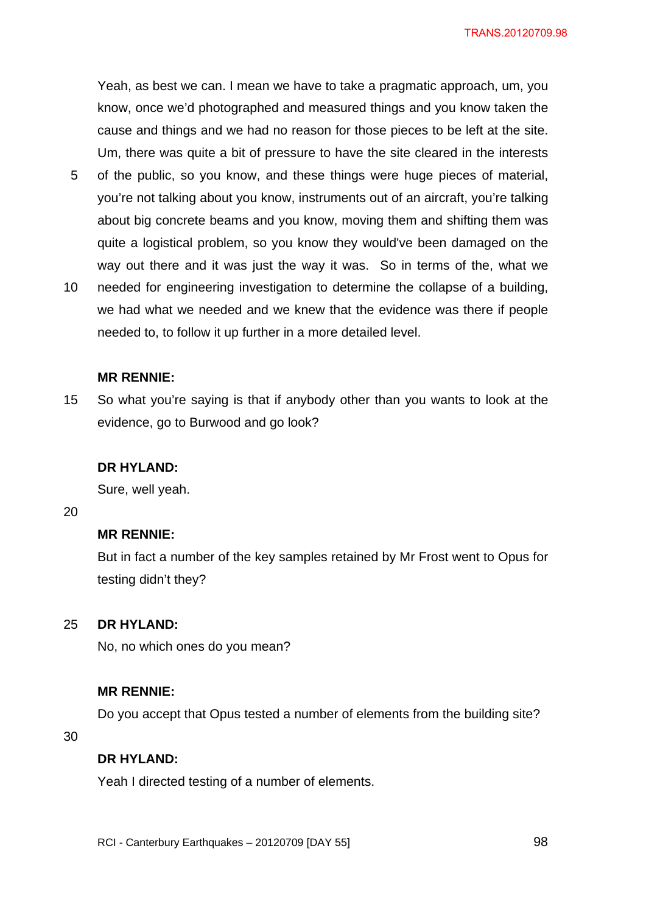Yeah, as best we can. I mean we have to take a pragmatic approach, um, you know, once we'd photographed and measured things and you know taken the cause and things and we had no reason for those pieces to be left at the site. Um, there was quite a bit of pressure to have the site cleared in the interests

- 5 of the public, so you know, and these things were huge pieces of material, you're not talking about you know, instruments out of an aircraft, you're talking about big concrete beams and you know, moving them and shifting them was quite a logistical problem, so you know they would've been damaged on the way out there and it was just the way it was. So in terms of the, what we
- 10 needed for engineering investigation to determine the collapse of a building, we had what we needed and we knew that the evidence was there if people needed to, to follow it up further in a more detailed level.

#### **MR RENNIE:**

15 So what you're saying is that if anybody other than you wants to look at the evidence, go to Burwood and go look?

#### **DR HYLAND:**

Sure, well yeah.

20

## **MR RENNIE:**

But in fact a number of the key samples retained by Mr Frost went to Opus for testing didn't they?

#### 25 **DR HYLAND:**

No, no which ones do you mean?

#### **MR RENNIE:**

Do you accept that Opus tested a number of elements from the building site?

30

### **DR HYLAND:**

Yeah I directed testing of a number of elements.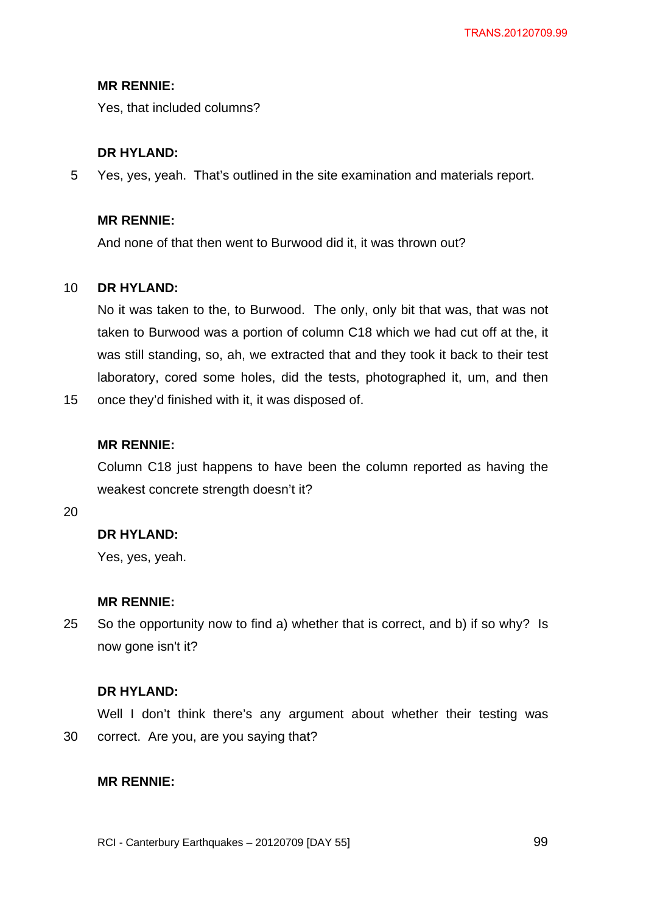Yes, that included columns?

## **DR HYLAND:**

5 Yes, yes, yeah. That's outlined in the site examination and materials report.

### **MR RENNIE:**

And none of that then went to Burwood did it, it was thrown out?

#### 10 **DR HYLAND:**

No it was taken to the, to Burwood. The only, only bit that was, that was not taken to Burwood was a portion of column C18 which we had cut off at the, it was still standing, so, ah, we extracted that and they took it back to their test laboratory, cored some holes, did the tests, photographed it, um, and then

15 once they'd finished with it, it was disposed of.

### **MR RENNIE:**

Column C18 just happens to have been the column reported as having the weakest concrete strength doesn't it?

20

# **DR HYLAND:**

Yes, yes, yeah.

#### **MR RENNIE:**

25 So the opportunity now to find a) whether that is correct, and b) if so why? Is now gone isn't it?

# **DR HYLAND:**

30 Well I don't think there's any argument about whether their testing was correct. Are you, are you saying that?

#### **MR RENNIE:**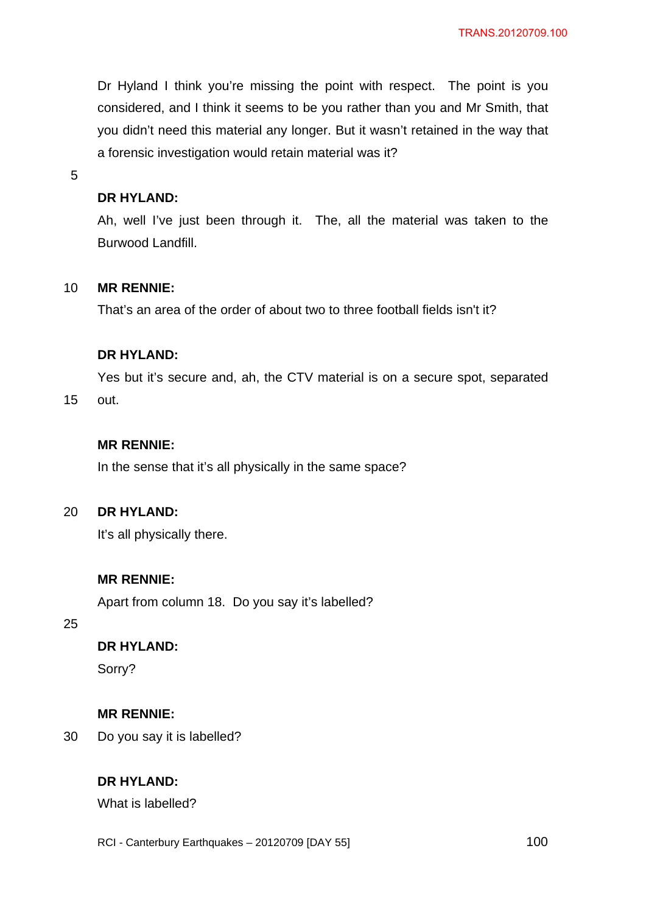Dr Hyland I think you're missing the point with respect. The point is you considered, and I think it seems to be you rather than you and Mr Smith, that you didn't need this material any longer. But it wasn't retained in the way that a forensic investigation would retain material was it?

5

### **DR HYLAND:**

Ah, well I've just been through it. The, all the material was taken to the Burwood Landfill.

#### 10 **MR RENNIE:**

That's an area of the order of about two to three football fields isn't it?

### **DR HYLAND:**

Yes but it's secure and, ah, the CTV material is on a secure spot, separated

15 out.

# **MR RENNIE:**

In the sense that it's all physically in the same space?

#### $20<sub>2</sub>$ **DR HYLAND:**

It's all physically there.

# **MR RENNIE:**

Apart from column 18. Do you say it's labelled?

25

# **DR HYLAND:**

Sorry?

# **MR RENNIE:**

30 Do you say it is labelled?

# **DR HYLAND:**

What is labelled?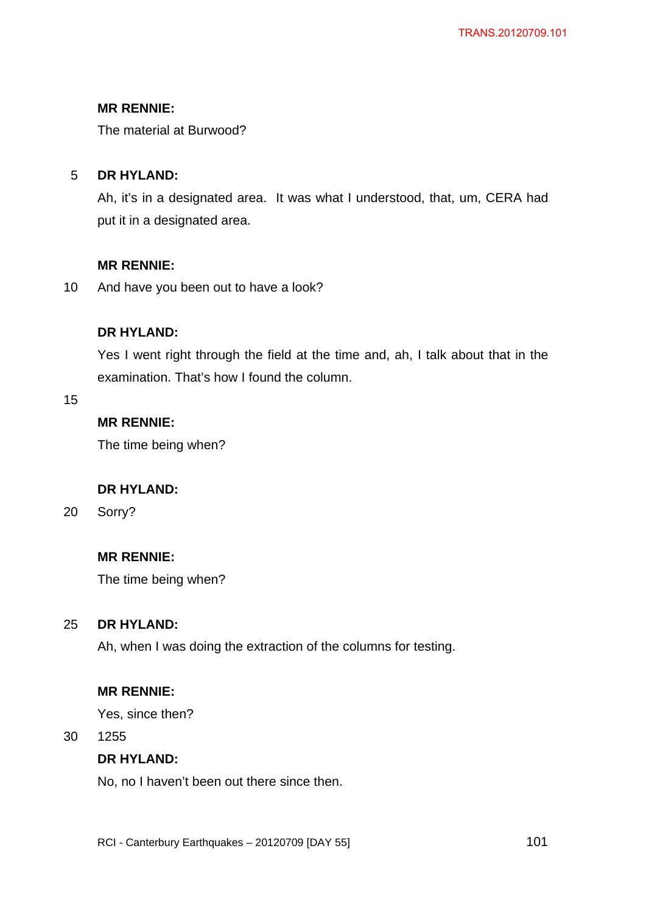The material at Burwood?

#### 5 **DR HYLAND:**

Ah, it's in a designated area. It was what I understood, that, um, CERA had put it in a designated area.

# **MR RENNIE:**

10 And have you been out to have a look?

# **DR HYLAND:**

Yes I went right through the field at the time and, ah, I talk about that in the examination. That's how I found the column.

15

# **MR RENNIE:**

The time being when?

# **DR HYLAND:**

20 Sorry?

# **MR RENNIE:**

The time being when?

#### 25 **DR HYLAND:**

Ah, when I was doing the extraction of the columns for testing.

# **MR RENNIE:**

Yes, since then?

30 1255

# **DR HYLAND:**

No, no I haven't been out there since then.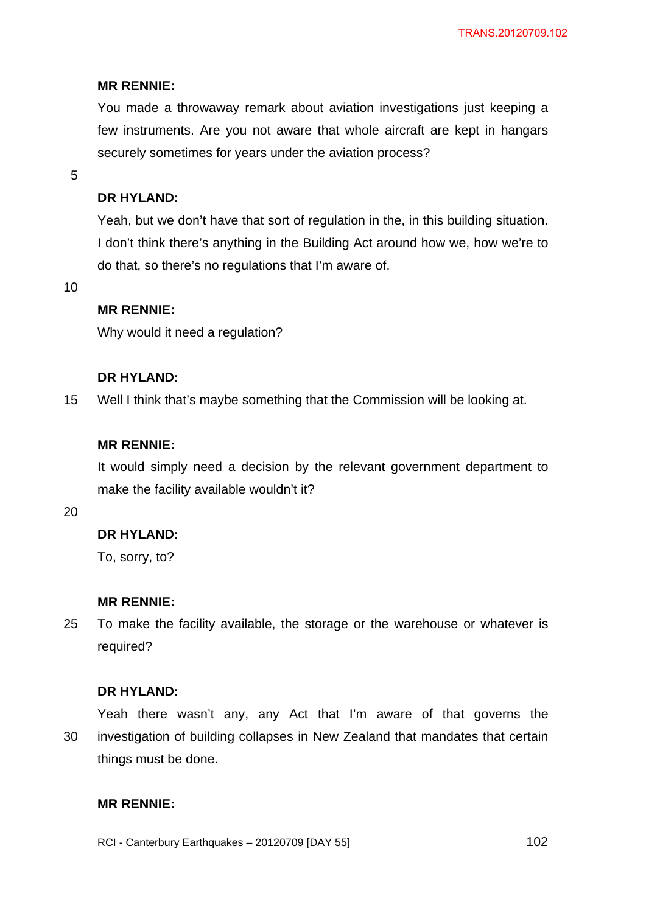You made a throwaway remark about aviation investigations just keeping a few instruments. Are you not aware that whole aircraft are kept in hangars securely sometimes for years under the aviation process?

5

# **DR HYLAND:**

Yeah, but we don't have that sort of regulation in the, in this building situation. I don't think there's anything in the Building Act around how we, how we're to do that, so there's no regulations that I'm aware of.

10

## **MR RENNIE:**

Why would it need a regulation?

#### **DR HYLAND:**

15 Well I think that's maybe something that the Commission will be looking at.

#### **MR RENNIE:**

It would simply need a decision by the relevant government department to make the facility available wouldn't it?

20

### **DR HYLAND:**

To, sorry, to?

#### **MR RENNIE:**

25 To make the facility available, the storage or the warehouse or whatever is required?

#### **DR HYLAND:**

30 Yeah there wasn't any, any Act that I'm aware of that governs the investigation of building collapses in New Zealand that mandates that certain things must be done.

# **MR RENNIE:**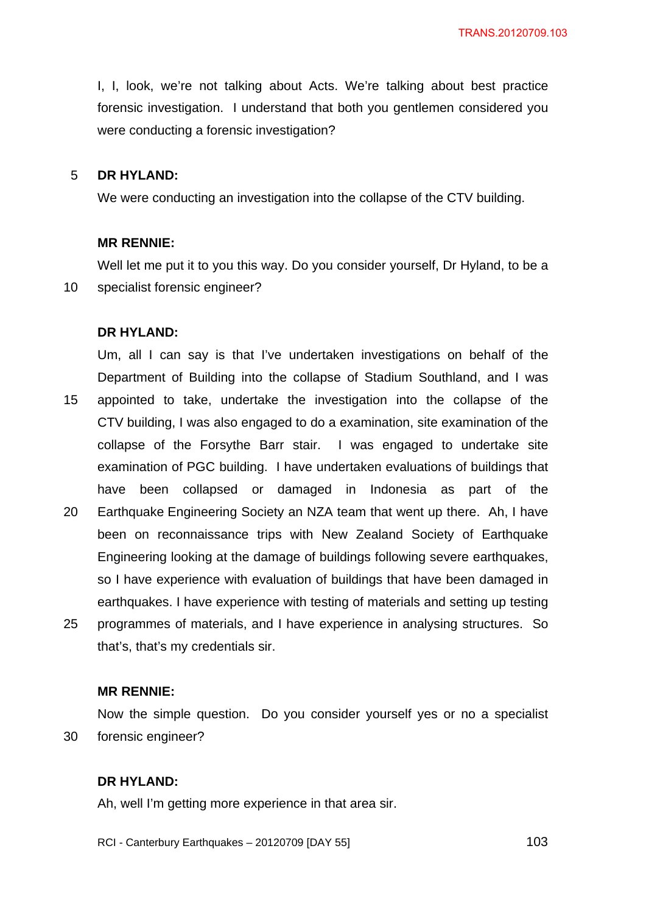I, I, look, we're not talking about Acts. We're talking about best practice forensic investigation. I understand that both you gentlemen considered you were conducting a forensic investigation?

#### 5 **DR HYLAND:**

We were conducting an investigation into the collapse of the CTV building.

#### **MR RENNIE:**

10 Well let me put it to you this way. Do you consider yourself, Dr Hyland, to be a specialist forensic engineer?

#### **DR HYLAND:**

15 20 25 Um, all I can say is that I've undertaken investigations on behalf of the Department of Building into the collapse of Stadium Southland, and I was appointed to take, undertake the investigation into the collapse of the CTV building, I was also engaged to do a examination, site examination of the collapse of the Forsythe Barr stair. I was engaged to undertake site examination of PGC building. I have undertaken evaluations of buildings that have been collapsed or damaged in Indonesia as part of the Earthquake Engineering Society an NZA team that went up there. Ah, I have been on reconnaissance trips with New Zealand Society of Earthquake Engineering looking at the damage of buildings following severe earthquakes, so I have experience with evaluation of buildings that have been damaged in earthquakes. I have experience with testing of materials and setting up testing programmes of materials, and I have experience in analysing structures. So

#### **MR RENNIE:**

that's, that's my credentials sir.

30 Now the simple question. Do you consider yourself yes or no a specialist forensic engineer?

#### **DR HYLAND:**

Ah, well I'm getting more experience in that area sir.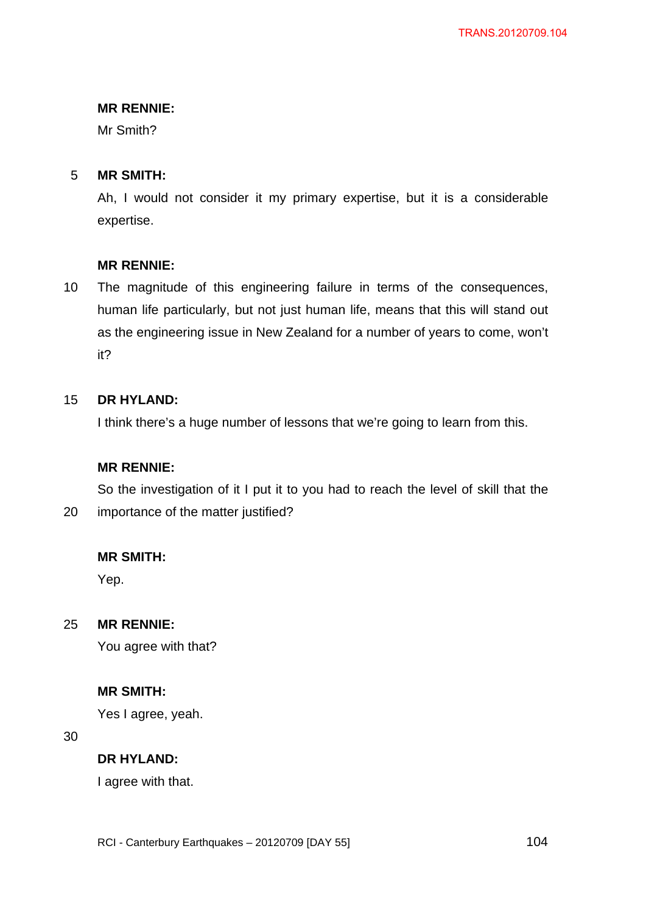Mr Smith?

#### 5 **MR SMITH:**

Ah, I would not consider it my primary expertise, but it is a considerable expertise.

### **MR RENNIE:**

10 The magnitude of this engineering failure in terms of the consequences, human life particularly, but not just human life, means that this will stand out as the engineering issue in New Zealand for a number of years to come, won't it?

#### 15 **DR HYLAND:**

I think there's a huge number of lessons that we're going to learn from this.

#### **MR RENNIE:**

20 So the investigation of it I put it to you had to reach the level of skill that the importance of the matter justified?

### **MR SMITH:**

Yep.

25 **MR RENNIE:** 

You agree with that?

### **MR SMITH:**

Yes I agree, yeah.

30

#### **DR HYLAND:**

I agree with that.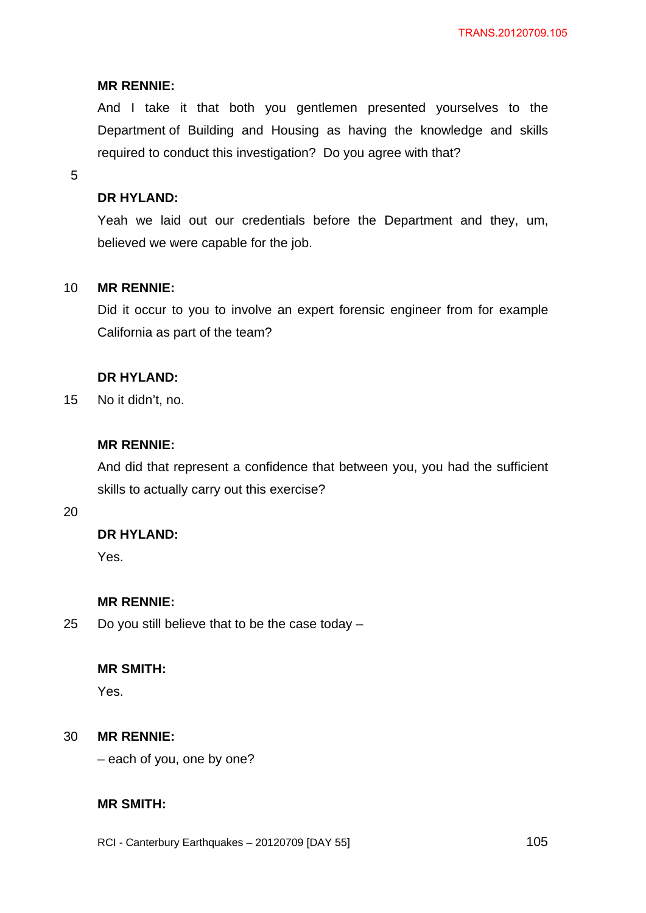And I take it that both you gentlemen presented yourselves to the Department of Building and Housing as having the knowledge and skills required to conduct this investigation? Do you agree with that?

5

## **DR HYLAND:**

Yeah we laid out our credentials before the Department and they, um, believed we were capable for the job.

#### 10 **MR RENNIE:**

Did it occur to you to involve an expert forensic engineer from for example California as part of the team?

### **DR HYLAND:**

15 No it didn't, no.

# **MR RENNIE:**

And did that represent a confidence that between you, you had the sufficient skills to actually carry out this exercise?

20

# **DR HYLAND:**

Yes.

#### **MR RENNIE:**

25 Do you still believe that to be the case today –

### **MR SMITH:**

Yes.

#### 30 **MR RENNIE:**

– each of you, one by one?

# **MR SMITH:**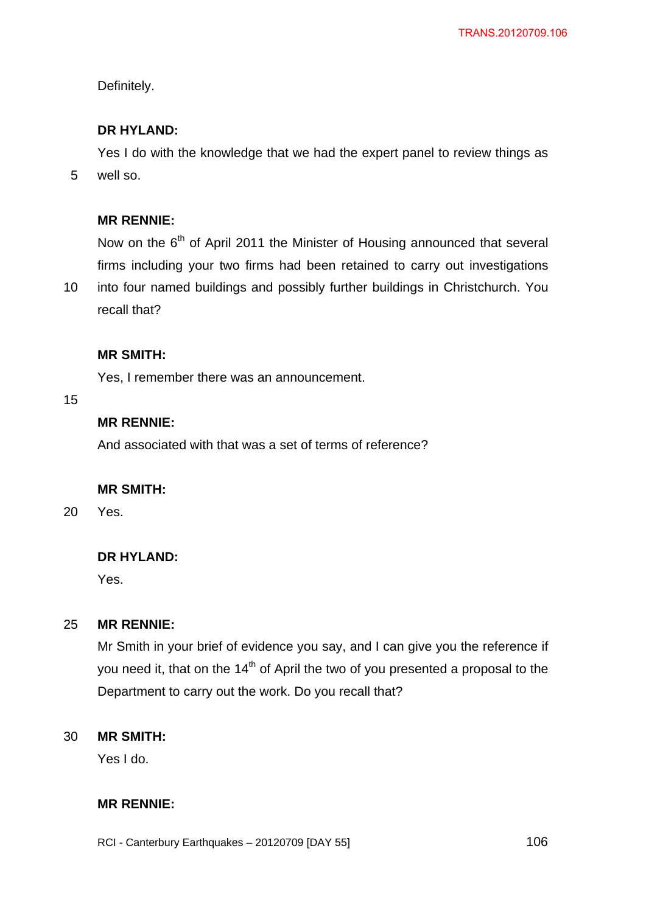Definitely.

# **DR HYLAND:**

Yes I do with the knowledge that we had the expert panel to review things as well so.

### **MR RENNIE:**

Now on the  $6<sup>th</sup>$  of April 2011 the Minister of Housing announced that several firms including your two firms had been retained to carry out investigations

10 into four named buildings and possibly further buildings in Christchurch. You recall that?

#### **MR SMITH:**

Yes, I remember there was an announcement.

15

5

# **MR RENNIE:**

And associated with that was a set of terms of reference?

#### **MR SMITH:**

20 Yes.

#### **DR HYLAND:**

Yes.

#### 25 **MR RENNIE:**

Mr Smith in your brief of evidence you say, and I can give you the reference if you need it, that on the  $14<sup>th</sup>$  of April the two of you presented a proposal to the Department to carry out the work. Do you recall that?

#### 30 **MR SMITH:**

Yes I do.

# **MR RENNIE:**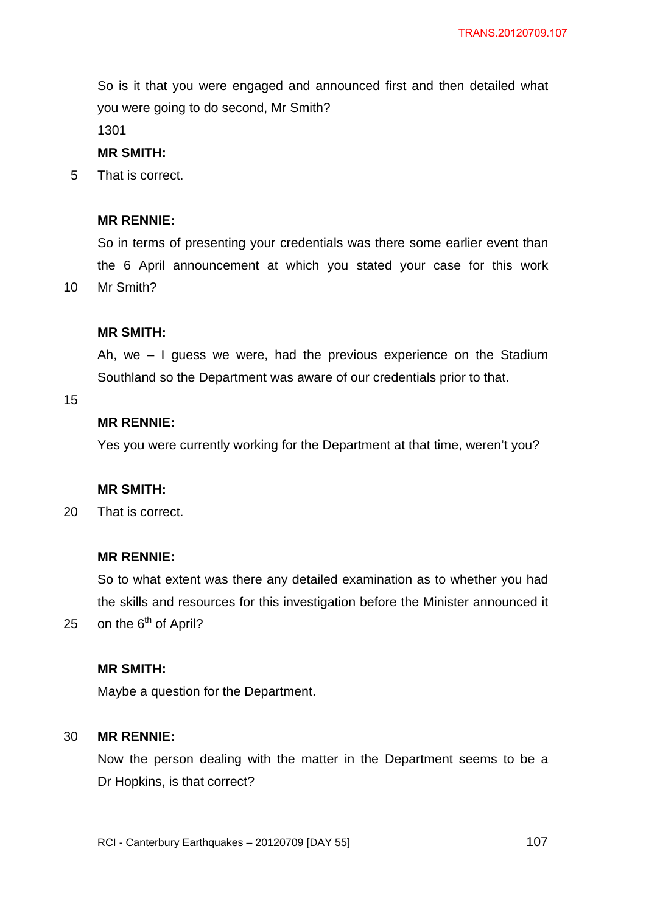So is it that you were engaged and announced first and then detailed what you were going to do second, Mr Smith?

1301

#### **MR SMITH:**

5 That is correct.

#### **MR RENNIE:**

So in terms of presenting your credentials was there some earlier event than the 6 April announcement at which you stated your case for this work Mr Smith?

#### **MR SMITH:**

Ah, we – I guess we were, had the previous experience on the Stadium Southland so the Department was aware of our credentials prior to that.

15

25

10

# **MR RENNIE:**

Yes you were currently working for the Department at that time, weren't you?

#### **MR SMITH:**

20 That is correct.

### **MR RENNIE:**

So to what extent was there any detailed examination as to whether you had the skills and resources for this investigation before the Minister announced it on the  $6<sup>th</sup>$  of April?

### **MR SMITH:**

Maybe a question for the Department.

#### 30 **MR RENNIE:**

Now the person dealing with the matter in the Department seems to be a Dr Hopkins, is that correct?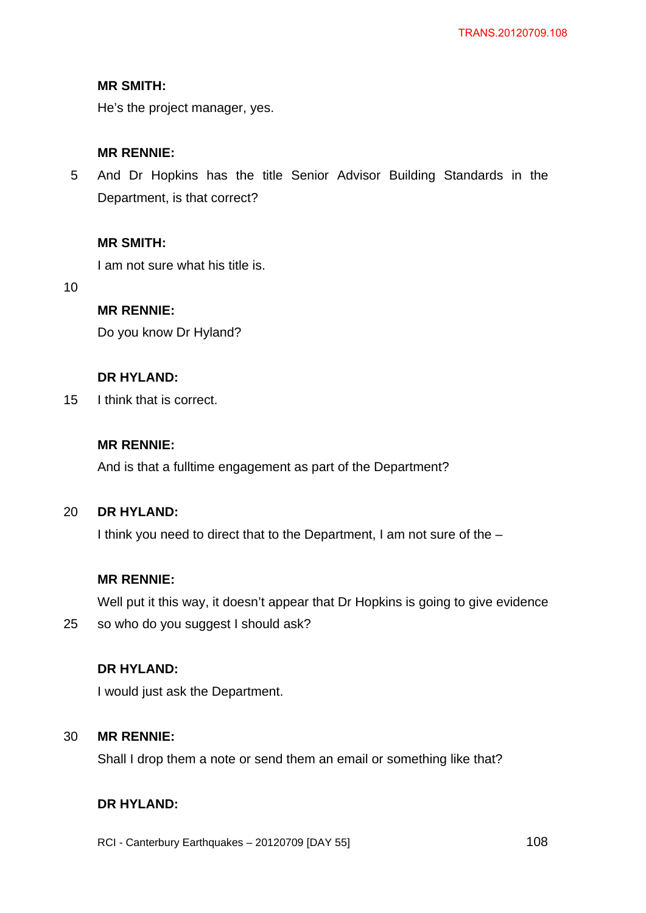# **MR SMITH:**

He's the project manager, yes.

# **MR RENNIE:**

5 And Dr Hopkins has the title Senior Advisor Building Standards in the Department, is that correct?

# **MR SMITH:**

I am not sure what his title is.

10

# **MR RENNIE:**

Do you know Dr Hyland?

# **DR HYLAND:**

15 I think that is correct.

# **MR RENNIE:**

And is that a fulltime engagement as part of the Department?

#### $20<sub>2</sub>$ **DR HYLAND:**

I think you need to direct that to the Department, I am not sure of the –

#### **MR RENNIE:**

Well put it this way, it doesn't appear that Dr Hopkins is going to give evidence

25 so who do you suggest I should ask?

## **DR HYLAND:**

I would just ask the Department.

#### 30 **MR RENNIE:**

Shall I drop them a note or send them an email or something like that?

# **DR HYLAND:**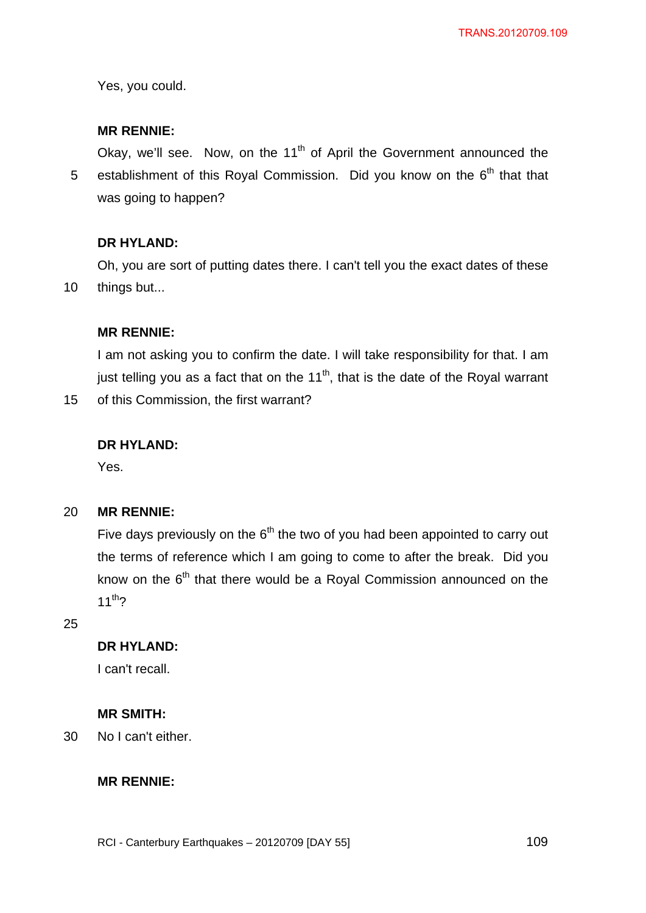Yes, you could.

## **MR RENNIE:**

5 Okay, we'll see. Now, on the 11<sup>th</sup> of April the Government announced the establishment of this Royal Commission. Did you know on the  $6<sup>th</sup>$  that that was going to happen?

## **DR HYLAND:**

10 Oh, you are sort of putting dates there. I can't tell you the exact dates of these things but...

## **MR RENNIE:**

I am not asking you to confirm the date. I will take responsibility for that. I am just telling you as a fact that on the  $11<sup>th</sup>$ , that is the date of the Royal warrant

15 of this Commission, the first warrant?

### **DR HYLAND:**

Yes.

#### 20 **MR RENNIE:**

Five days previously on the  $6<sup>th</sup>$  the two of you had been appointed to carry out the terms of reference which I am going to come to after the break. Did you know on the  $6<sup>th</sup>$  that there would be a Royal Commission announced on the  $11^{th}$ ?

25

# **DR HYLAND:**

I can't recall.

## **MR SMITH:**

30 No I can't either.

### **MR RENNIE:**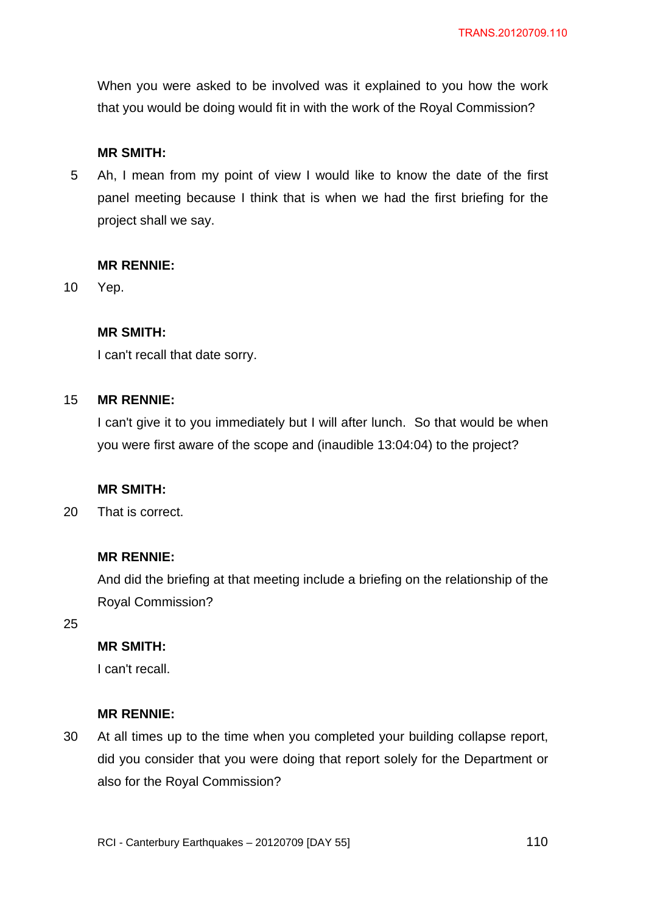When you were asked to be involved was it explained to you how the work that you would be doing would fit in with the work of the Royal Commission?

## **MR SMITH:**

5 Ah, I mean from my point of view I would like to know the date of the first panel meeting because I think that is when we had the first briefing for the project shall we say.

## **MR RENNIE:**

10 Yep.

## **MR SMITH:**

I can't recall that date sorry.

#### 15 **MR RENNIE:**

I can't give it to you immediately but I will after lunch. So that would be when you were first aware of the scope and (inaudible 13:04:04) to the project?

## **MR SMITH:**

20 That is correct.

## **MR RENNIE:**

And did the briefing at that meeting include a briefing on the relationship of the Royal Commission?

25

## **MR SMITH:**

I can't recall.

### **MR RENNIE:**

30 At all times up to the time when you completed your building collapse report, did you consider that you were doing that report solely for the Department or also for the Royal Commission?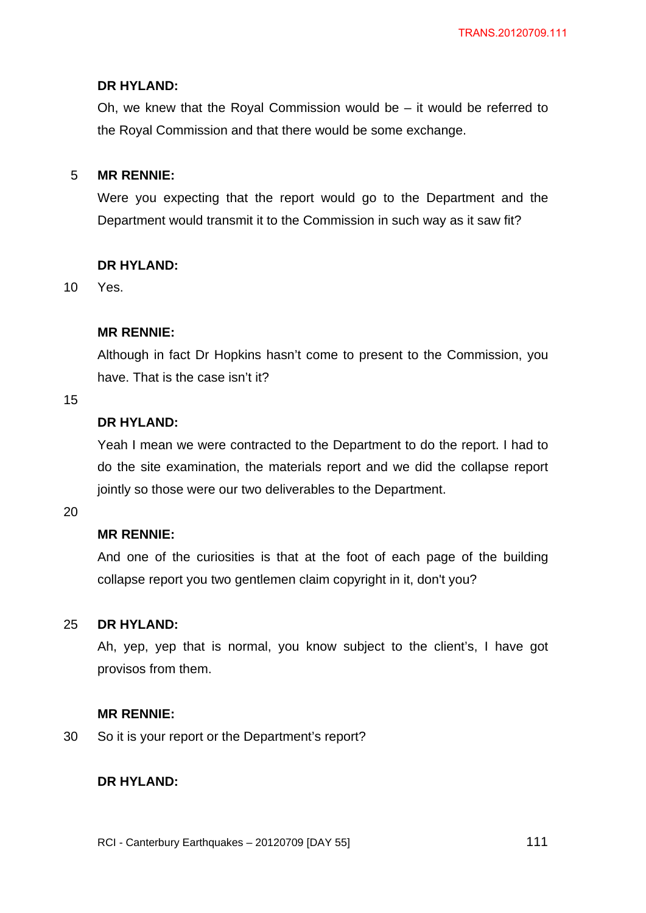## **DR HYLAND:**

Oh, we knew that the Royal Commission would be – it would be referred to the Royal Commission and that there would be some exchange.

#### 5 **MR RENNIE:**

Were you expecting that the report would go to the Department and the Department would transmit it to the Commission in such way as it saw fit?

## **DR HYLAND:**

10 Yes.

## **MR RENNIE:**

Although in fact Dr Hopkins hasn't come to present to the Commission, you have. That is the case isn't it?

## 15

# **DR HYLAND:**

Yeah I mean we were contracted to the Department to do the report. I had to do the site examination, the materials report and we did the collapse report jointly so those were our two deliverables to the Department.

20

## **MR RENNIE:**

And one of the curiosities is that at the foot of each page of the building collapse report you two gentlemen claim copyright in it, don't you?

#### 25 **DR HYLAND:**

Ah, yep, yep that is normal, you know subject to the client's, I have got provisos from them.

### **MR RENNIE:**

30 So it is your report or the Department's report?

### **DR HYLAND:**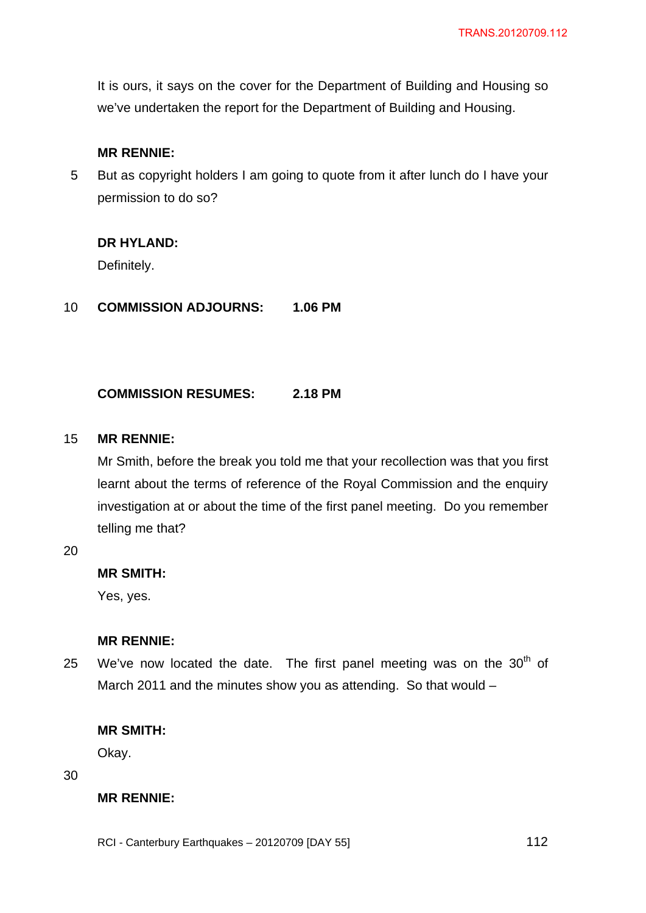It is ours, it says on the cover for the Department of Building and Housing so we've undertaken the report for the Department of Building and Housing.

## **MR RENNIE:**

5 But as copyright holders I am going to quote from it after lunch do I have your permission to do so?

## **DR HYLAND:**

Definitely.

10 **COMMISSION ADJOURNS: 1.06 PM** 

### **COMMISSION RESUMES: 2.18 PM**

#### 15 **MR RENNIE:**

Mr Smith, before the break you told me that your recollection was that you first learnt about the terms of reference of the Royal Commission and the enquiry investigation at or about the time of the first panel meeting. Do you remember telling me that?

20

## **MR SMITH:**

Yes, yes.

### **MR RENNIE:**

25 We've now located the date. The first panel meeting was on the  $30<sup>th</sup>$  of March 2011 and the minutes show you as attending. So that would –

## **MR SMITH:**

Okay.

30

## **MR RENNIE:**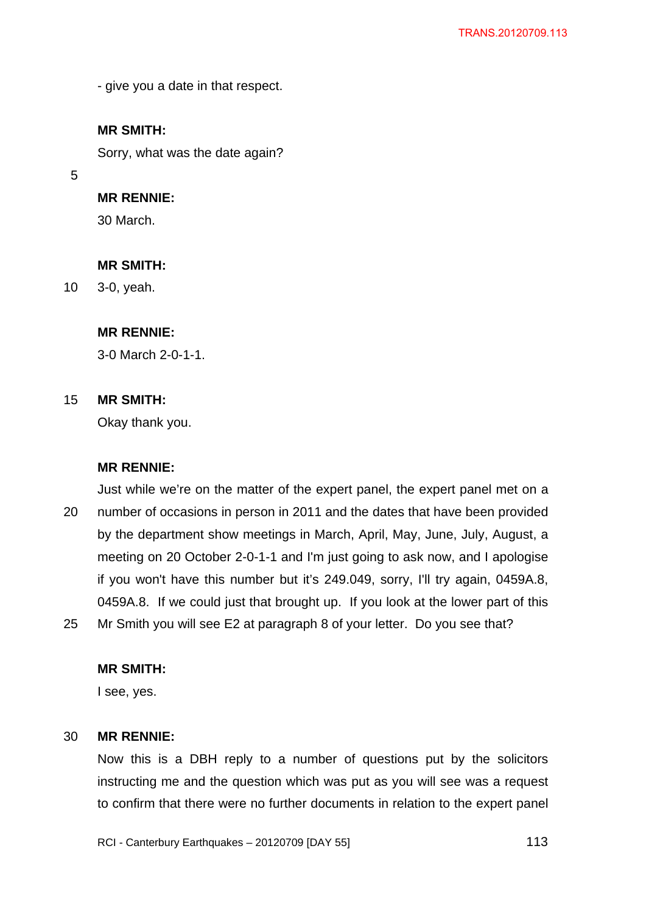- give you a date in that respect.

# **MR SMITH:**

Sorry, what was the date again?

5

# **MR RENNIE:**

30 March.

#### **MR SMITH:**

10 3-0, yeah.

## **MR RENNIE:**

3-0 March 2-0-1-1.

#### 15 **MR SMITH:**

Okay thank you.

#### **MR RENNIE:**

20 25 Just while we're on the matter of the expert panel, the expert panel met on a number of occasions in person in 2011 and the dates that have been provided by the department show meetings in March, April, May, June, July, August, a meeting on 20 October 2-0-1-1 and I'm just going to ask now, and I apologise if you won't have this number but it's 249.049, sorry, I'll try again, 0459A.8, 0459A.8. If we could just that brought up. If you look at the lower part of this Mr Smith you will see E2 at paragraph 8 of your letter. Do you see that?

### **MR SMITH:**

I see, yes.

#### 30 **MR RENNIE:**

Now this is a DBH reply to a number of questions put by the solicitors instructing me and the question which was put as you will see was a request to confirm that there were no further documents in relation to the expert panel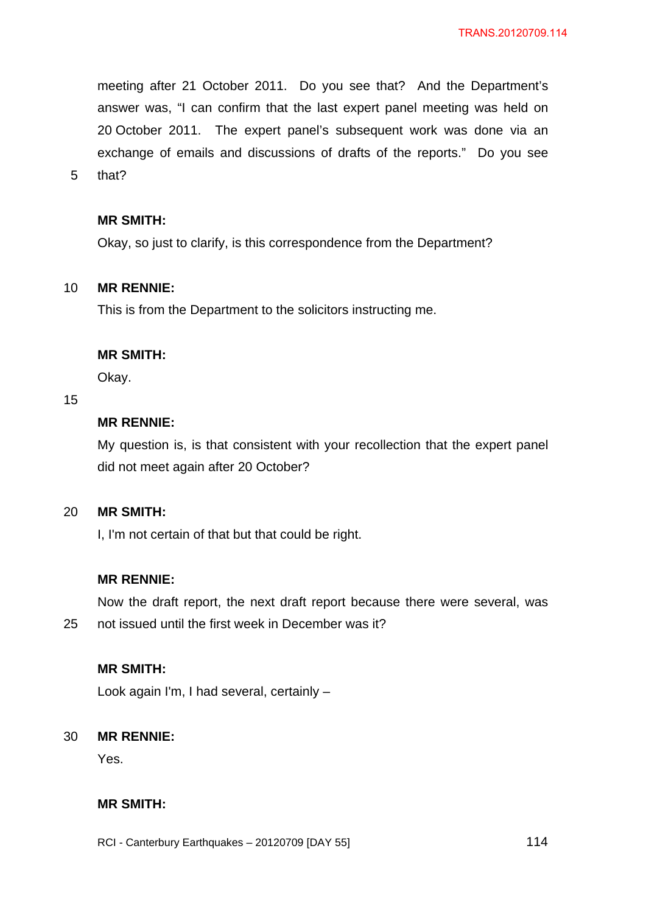meeting after 21 October 2011. Do you see that? And the Department's answer was, "I can confirm that the last expert panel meeting was held on 20 October 2011. The expert panel's subsequent work was done via an exchange of emails and discussions of drafts of the reports." Do you see

5 that?

## **MR SMITH:**

Okay, so just to clarify, is this correspondence from the Department?

#### 10 **MR RENNIE:**

This is from the Department to the solicitors instructing me.

## **MR SMITH:**

Okay.

## 15

25

# **MR RENNIE:**

My question is, is that consistent with your recollection that the expert panel did not meet again after 20 October?

#### 20 **MR SMITH:**

I, I'm not certain of that but that could be right.

## **MR RENNIE:**

Now the draft report, the next draft report because there were several, was not issued until the first week in December was it?

## **MR SMITH:**

Look again I'm, I had several, certainly –

#### 30 **MR RENNIE:**

Yes.

# **MR SMITH:**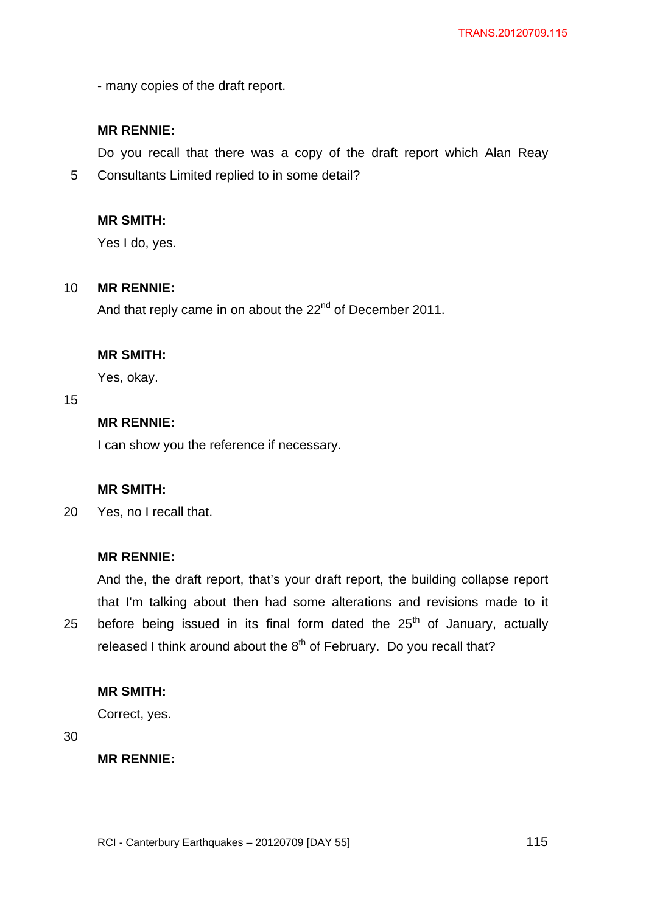- many copies of the draft report.

## **MR RENNIE:**

Do you recall that there was a copy of the draft report which Alan Reay

5 Consultants Limited replied to in some detail?

## **MR SMITH:**

Yes I do, yes.

#### 10 **MR RENNIE:**

And that reply came in on about the 22<sup>nd</sup> of December 2011.

## **MR SMITH:**

Yes, okay.

## 15

# **MR RENNIE:**

I can show you the reference if necessary.

## **MR SMITH:**

20 Yes, no I recall that.

### **MR RENNIE:**

25 And the, the draft report, that's your draft report, the building collapse report that I'm talking about then had some alterations and revisions made to it before being issued in its final form dated the  $25<sup>th</sup>$  of January, actually released I think around about the  $8<sup>th</sup>$  of February. Do you recall that?

### **MR SMITH:**

Correct, yes.

30

**MR RENNIE:**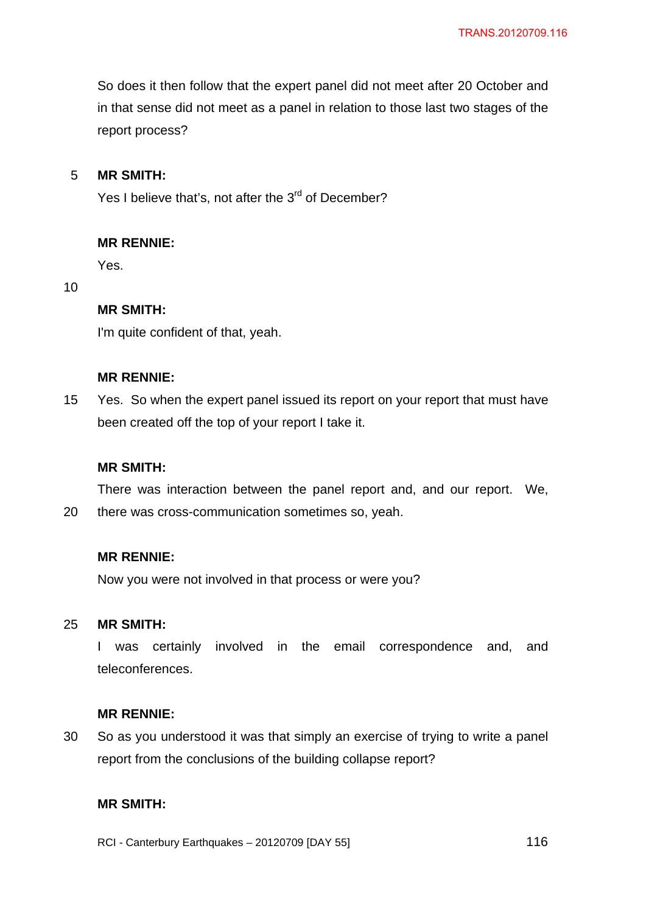So does it then follow that the expert panel did not meet after 20 October and in that sense did not meet as a panel in relation to those last two stages of the report process?

#### 5 **MR SMITH:**

Yes I believe that's, not after the 3<sup>rd</sup> of December?

#### **MR RENNIE:**

Yes.

#### 10

## **MR SMITH:**

I'm quite confident of that, yeah.

## **MR RENNIE:**

15 Yes. So when the expert panel issued its report on your report that must have been created off the top of your report I take it.

#### **MR SMITH:**

There was interaction between the panel report and, and our report. We,

20 there was cross-communication sometimes so, yeah.

## **MR RENNIE:**

Now you were not involved in that process or were you?

#### 25 **MR SMITH:**

I was certainly involved in the email correspondence and, and teleconferences.

#### **MR RENNIE:**

30 So as you understood it was that simply an exercise of trying to write a panel report from the conclusions of the building collapse report?

# **MR SMITH:**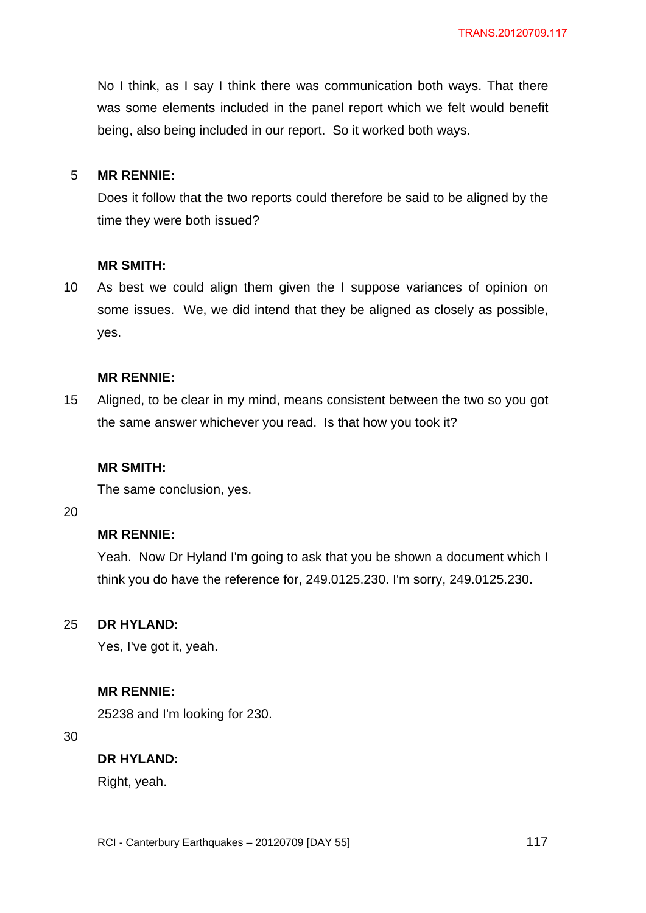No I think, as I say I think there was communication both ways. That there was some elements included in the panel report which we felt would benefit being, also being included in our report. So it worked both ways.

#### 5 **MR RENNIE:**

Does it follow that the two reports could therefore be said to be aligned by the time they were both issued?

#### **MR SMITH:**

10 As best we could align them given the I suppose variances of opinion on some issues. We, we did intend that they be aligned as closely as possible, yes.

### **MR RENNIE:**

15 Aligned, to be clear in my mind, means consistent between the two so you got the same answer whichever you read. Is that how you took it?

#### **MR SMITH:**

The same conclusion, yes.

20

## **MR RENNIE:**

Yeah. Now Dr Hyland I'm going to ask that you be shown a document which I think you do have the reference for, 249.0125.230. I'm sorry, 249.0125.230.

#### 25 **DR HYLAND:**

Yes, I've got it, yeah.

#### **MR RENNIE:**

25238 and I'm looking for 230.

30

## **DR HYLAND:**

Right, yeah.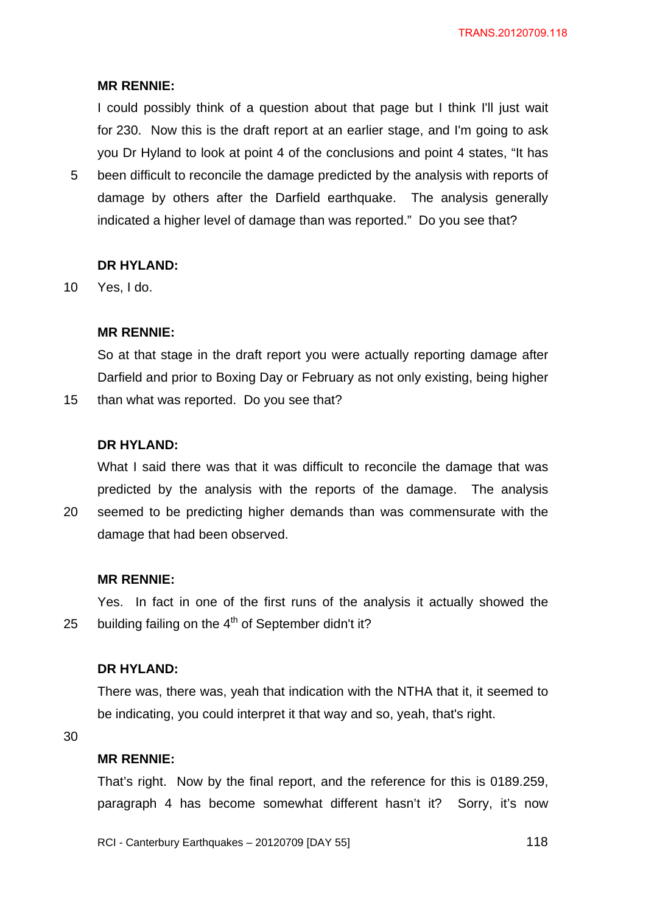## **MR RENNIE:**

I could possibly think of a question about that page but I think I'll just wait for 230. Now this is the draft report at an earlier stage, and I'm going to ask you Dr Hyland to look at point 4 of the conclusions and point 4 states, "It has

5 been difficult to reconcile the damage predicted by the analysis with reports of damage by others after the Darfield earthquake. The analysis generally indicated a higher level of damage than was reported." Do you see that?

#### **DR HYLAND:**

10 Yes, I do.

15

20

## **MR RENNIE:**

So at that stage in the draft report you were actually reporting damage after Darfield and prior to Boxing Day or February as not only existing, being higher than what was reported. Do you see that?

## **DR HYLAND:**

What I said there was that it was difficult to reconcile the damage that was predicted by the analysis with the reports of the damage. The analysis seemed to be predicting higher demands than was commensurate with the

damage that had been observed.

#### **MR RENNIE:**

25 Yes. In fact in one of the first runs of the analysis it actually showed the building failing on the  $4<sup>th</sup>$  of September didn't it?

### **DR HYLAND:**

There was, there was, yeah that indication with the NTHA that it, it seemed to be indicating, you could interpret it that way and so, yeah, that's right.

30

#### **MR RENNIE:**

That's right. Now by the final report, and the reference for this is 0189.259, paragraph 4 has become somewhat different hasn't it? Sorry, it's now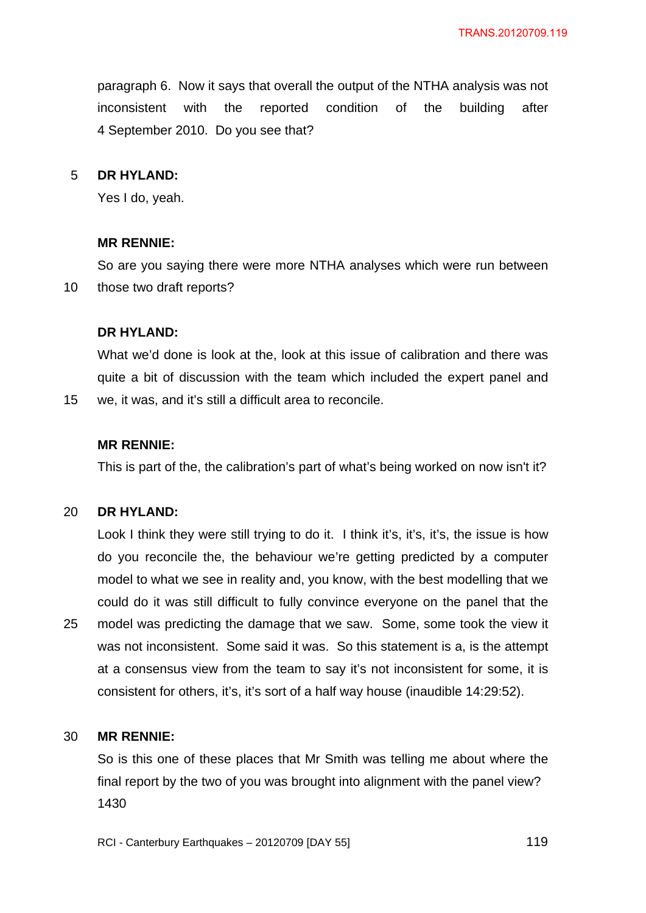paragraph 6. Now it says that overall the output of the NTHA analysis was not inconsistent with the reported condition of the building after 4 September 2010. Do you see that?

#### 5 **DR HYLAND:**

Yes I do, yeah.

#### **MR RENNIE:**

10 So are you saying there were more NTHA analyses which were run between those two draft reports?

#### **DR HYLAND:**

What we'd done is look at the, look at this issue of calibration and there was quite a bit of discussion with the team which included the expert panel and we, it was, and it's still a difficult area to reconcile.

#### **MR RENNIE:**

This is part of the, the calibration's part of what's being worked on now isn't it?

#### 20 **DR HYLAND:**

15

25 Look I think they were still trying to do it. I think it's, it's, it's, the issue is how do you reconcile the, the behaviour we're getting predicted by a computer model to what we see in reality and, you know, with the best modelling that we could do it was still difficult to fully convince everyone on the panel that the model was predicting the damage that we saw. Some, some took the view it was not inconsistent. Some said it was. So this statement is a, is the attempt at a consensus view from the team to say it's not inconsistent for some, it is consistent for others, it's, it's sort of a half way house (inaudible 14:29:52).

#### 30 **MR RENNIE:**

So is this one of these places that Mr Smith was telling me about where the final report by the two of you was brought into alignment with the panel view? 1430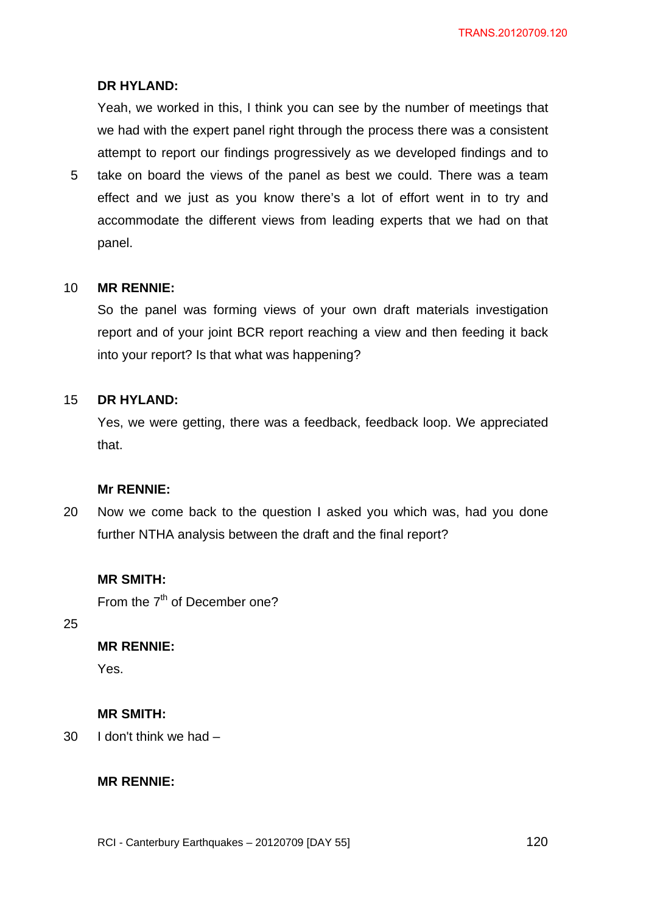## **DR HYLAND:**

Yeah, we worked in this, I think you can see by the number of meetings that we had with the expert panel right through the process there was a consistent attempt to report our findings progressively as we developed findings and to

5 take on board the views of the panel as best we could. There was a team effect and we just as you know there's a lot of effort went in to try and accommodate the different views from leading experts that we had on that panel.

#### 10 **MR RENNIE:**

So the panel was forming views of your own draft materials investigation report and of your joint BCR report reaching a view and then feeding it back into your report? Is that what was happening?

#### 15 **DR HYLAND:**

Yes, we were getting, there was a feedback, feedback loop. We appreciated that.

#### **Mr RENNIE:**

20 Now we come back to the question I asked you which was, had you done further NTHA analysis between the draft and the final report?

## **MR SMITH:**

From the 7<sup>th</sup> of December one?

25

## **MR RENNIE:**

Yes.

#### **MR SMITH:**

30 I don't think we had –

#### **MR RENNIE:**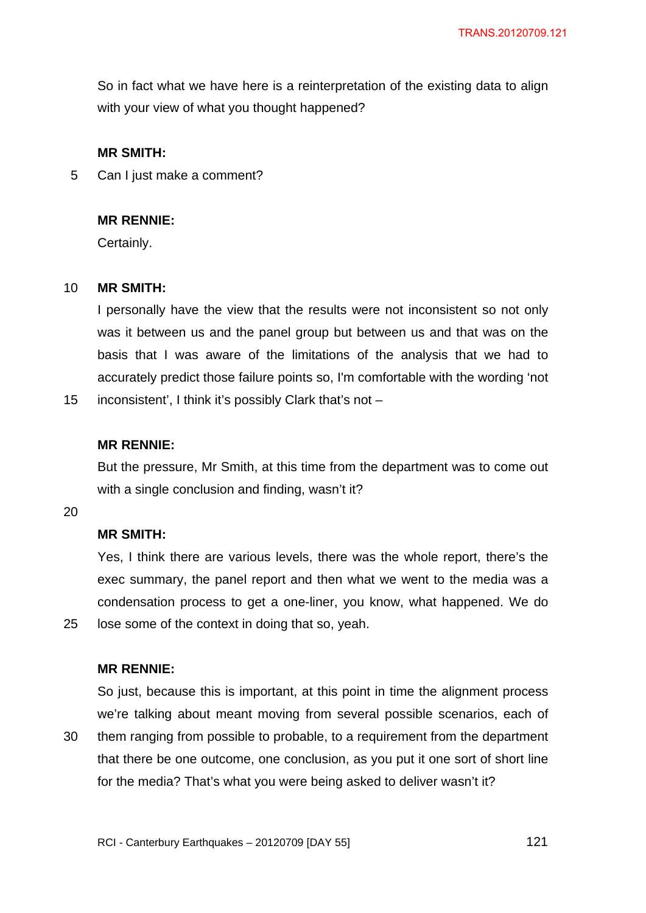So in fact what we have here is a reinterpretation of the existing data to align with your view of what you thought happened?

### **MR SMITH:**

5 Can I just make a comment?

#### **MR RENNIE:**

Certainly.

#### 10 **MR SMITH:**

I personally have the view that the results were not inconsistent so not only was it between us and the panel group but between us and that was on the basis that I was aware of the limitations of the analysis that we had to accurately predict those failure points so, I'm comfortable with the wording 'not

15 inconsistent', I think it's possibly Clark that's not –

### **MR RENNIE:**

But the pressure, Mr Smith, at this time from the department was to come out with a single conclusion and finding, wasn't it?

20

25

## **MR SMITH:**

Yes, I think there are various levels, there was the whole report, there's the exec summary, the panel report and then what we went to the media was a condensation process to get a one-liner, you know, what happened. We do lose some of the context in doing that so, yeah.

### **MR RENNIE:**

30 So just, because this is important, at this point in time the alignment process we're talking about meant moving from several possible scenarios, each of them ranging from possible to probable, to a requirement from the department that there be one outcome, one conclusion, as you put it one sort of short line for the media? That's what you were being asked to deliver wasn't it?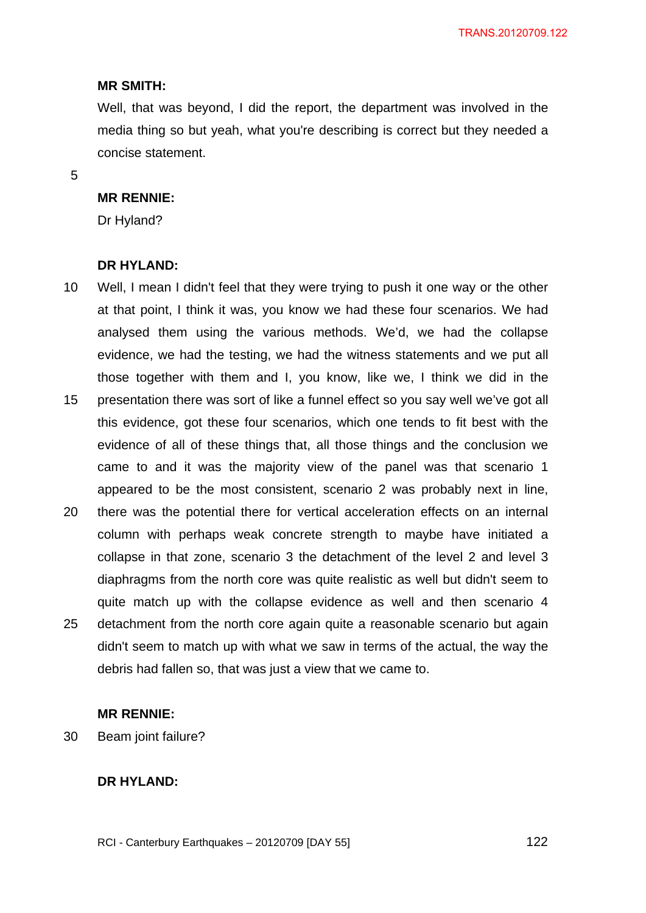#### **MR SMITH:**

Well, that was beyond, I did the report, the department was involved in the media thing so but yeah, what you're describing is correct but they needed a concise statement.

5

#### **MR RENNIE:**

Dr Hyland?

#### **DR HYLAND:**

- 10 15 Well, I mean I didn't feel that they were trying to push it one way or the other at that point, I think it was, you know we had these four scenarios. We had analysed them using the various methods. We'd, we had the collapse evidence, we had the testing, we had the witness statements and we put all those together with them and I, you know, like we, I think we did in the presentation there was sort of like a funnel effect so you say well we've got all this evidence, got these four scenarios, which one tends to fit best with the evidence of all of these things that, all those things and the conclusion we came to and it was the majority view of the panel was that scenario 1 appeared to be the most consistent, scenario 2 was probably next in line,
- 20 25 there was the potential there for vertical acceleration effects on an internal column with perhaps weak concrete strength to maybe have initiated a collapse in that zone, scenario 3 the detachment of the level 2 and level 3 diaphragms from the north core was quite realistic as well but didn't seem to quite match up with the collapse evidence as well and then scenario 4 detachment from the north core again quite a reasonable scenario but again didn't seem to match up with what we saw in terms of the actual, the way the debris had fallen so, that was just a view that we came to.

## **MR RENNIE:**

30 Beam joint failure?

#### **DR HYLAND:**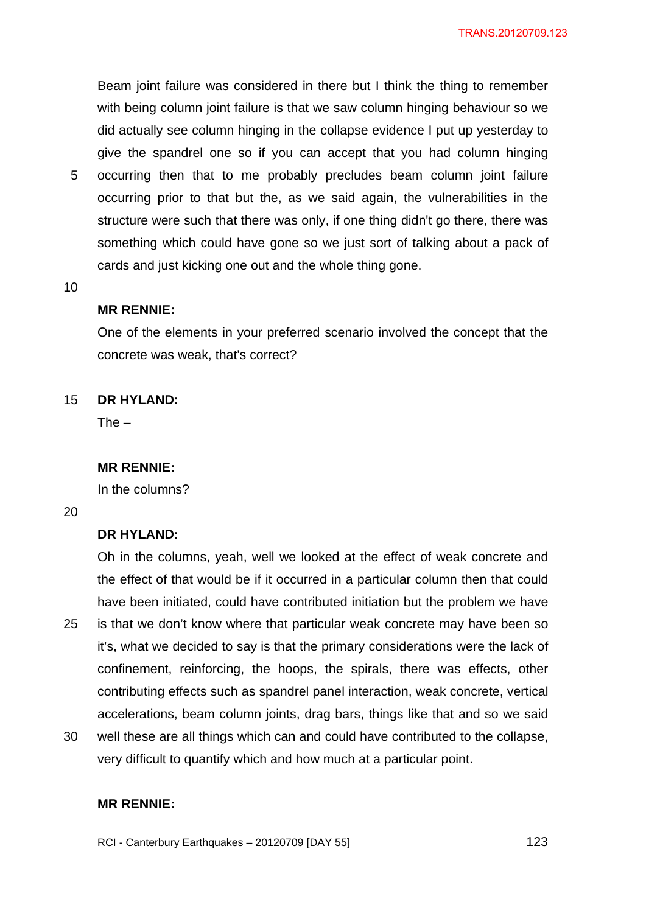Beam joint failure was considered in there but I think the thing to remember with being column joint failure is that we saw column hinging behaviour so we did actually see column hinging in the collapse evidence I put up yesterday to give the spandrel one so if you can accept that you had column hinging occurring then that to me probably precludes beam column joint failure

5 occurring prior to that but the, as we said again, the vulnerabilities in the structure were such that there was only, if one thing didn't go there, there was something which could have gone so we just sort of talking about a pack of cards and just kicking one out and the whole thing gone.

10

### **MR RENNIE:**

One of the elements in your preferred scenario involved the concept that the concrete was weak, that's correct?

#### 15 **DR HYLAND:**

 $The -$ 

#### **MR RENNIE:**

In the columns?

20

# **DR HYLAND:**

25 Oh in the columns, yeah, well we looked at the effect of weak concrete and the effect of that would be if it occurred in a particular column then that could have been initiated, could have contributed initiation but the problem we have is that we don't know where that particular weak concrete may have been so it's, what we decided to say is that the primary considerations were the lack of confinement, reinforcing, the hoops, the spirals, there was effects, other contributing effects such as spandrel panel interaction, weak concrete, vertical accelerations, beam column joints, drag bars, things like that and so we said

30 well these are all things which can and could have contributed to the collapse, very difficult to quantify which and how much at a particular point.

## **MR RENNIE:**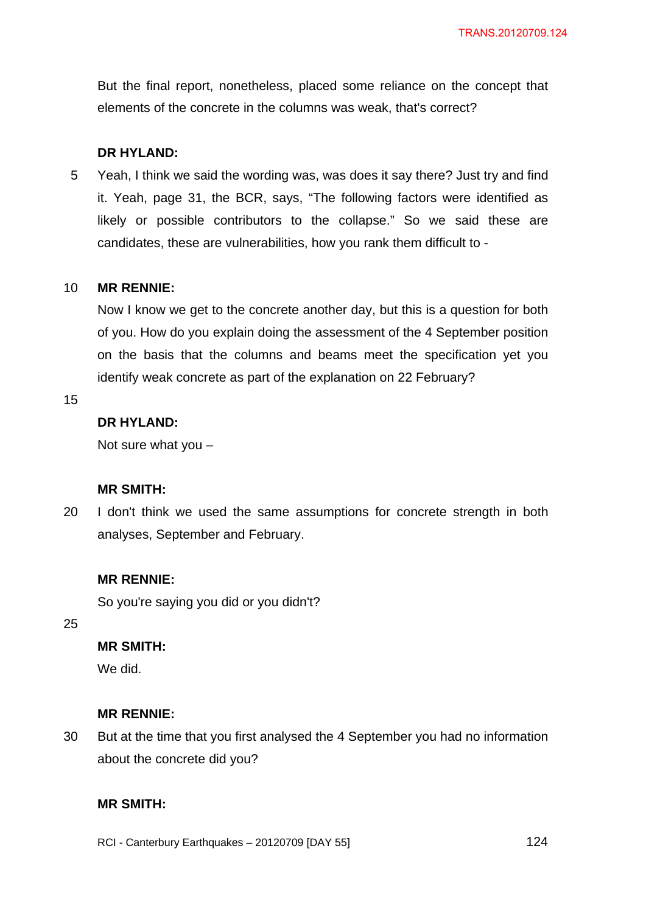But the final report, nonetheless, placed some reliance on the concept that elements of the concrete in the columns was weak, that's correct?

## **DR HYLAND:**

5 Yeah, I think we said the wording was, was does it say there? Just try and find it. Yeah, page 31, the BCR, says, "The following factors were identified as likely or possible contributors to the collapse." So we said these are candidates, these are vulnerabilities, how you rank them difficult to -

#### 10 **MR RENNIE:**

Now I know we get to the concrete another day, but this is a question for both of you. How do you explain doing the assessment of the 4 September position on the basis that the columns and beams meet the specification yet you identify weak concrete as part of the explanation on 22 February?

15

# **DR HYLAND:**

Not sure what you –

## **MR SMITH:**

20 I don't think we used the same assumptions for concrete strength in both analyses, September and February.

## **MR RENNIE:**

So you're saying you did or you didn't?

25

# **MR SMITH:**

We did.

### **MR RENNIE:**

30 But at the time that you first analysed the 4 September you had no information about the concrete did you?

## **MR SMITH:**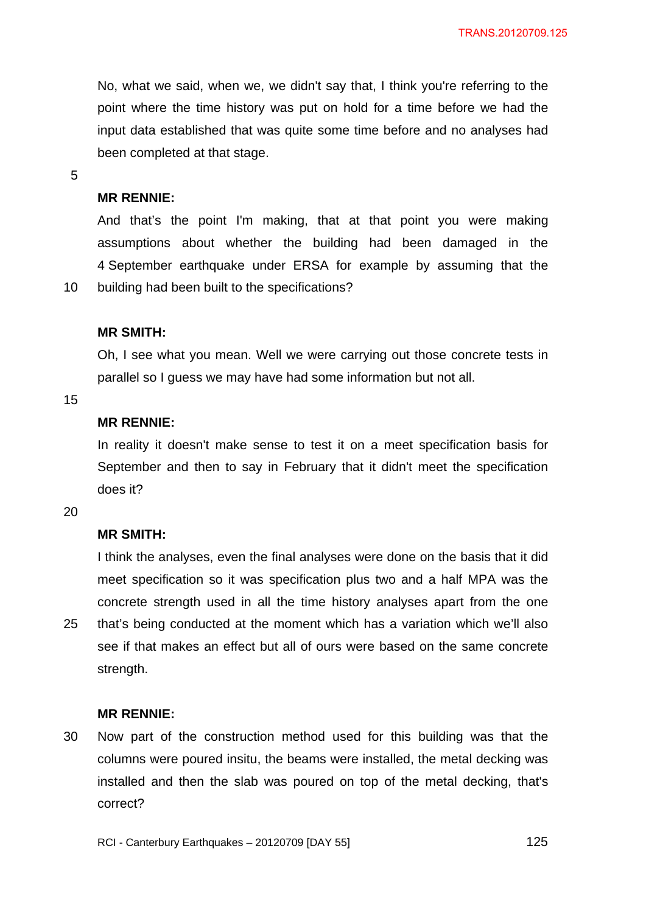No, what we said, when we, we didn't say that, I think you're referring to the point where the time history was put on hold for a time before we had the input data established that was quite some time before and no analyses had been completed at that stage.

5

## **MR RENNIE:**

And that's the point I'm making, that at that point you were making assumptions about whether the building had been damaged in the 4 September earthquake under ERSA for example by assuming that the building had been built to the specifications?

#### **MR SMITH:**

Oh, I see what you mean. Well we were carrying out those concrete tests in parallel so I guess we may have had some information but not all.

15

10

## **MR RENNIE:**

In reality it doesn't make sense to test it on a meet specification basis for September and then to say in February that it didn't meet the specification does it?

20

## **MR SMITH:**

25 I think the analyses, even the final analyses were done on the basis that it did meet specification so it was specification plus two and a half MPA was the concrete strength used in all the time history analyses apart from the one that's being conducted at the moment which has a variation which we'll also see if that makes an effect but all of ours were based on the same concrete strength.

#### **MR RENNIE:**

30 Now part of the construction method used for this building was that the columns were poured insitu, the beams were installed, the metal decking was installed and then the slab was poured on top of the metal decking, that's correct?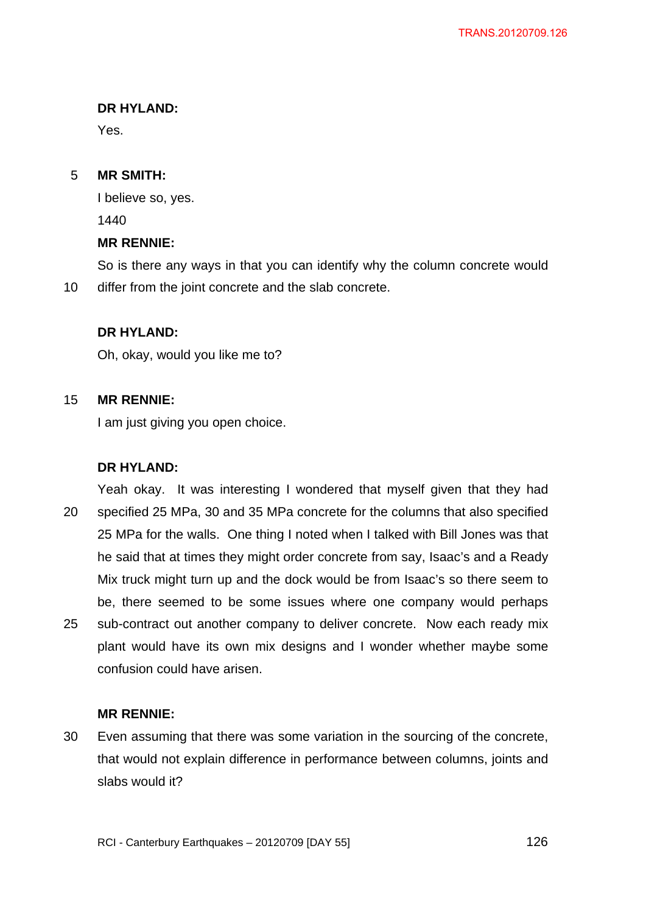## **DR HYLAND:**

Yes.

#### 5 **MR SMITH:**

I believe so, yes. 1440

# **MR RENNIE:**

10 So is there any ways in that you can identify why the column concrete would differ from the joint concrete and the slab concrete.

## **DR HYLAND:**

Oh, okay, would you like me to?

#### 15 **MR RENNIE:**

I am just giving you open choice.

### **DR HYLAND:**

20 25 Yeah okay. It was interesting I wondered that myself given that they had specified 25 MPa, 30 and 35 MPa concrete for the columns that also specified 25 MPa for the walls. One thing I noted when I talked with Bill Jones was that he said that at times they might order concrete from say, Isaac's and a Ready Mix truck might turn up and the dock would be from Isaac's so there seem to be, there seemed to be some issues where one company would perhaps sub-contract out another company to deliver concrete. Now each ready mix plant would have its own mix designs and I wonder whether maybe some confusion could have arisen.

## **MR RENNIE:**

30 Even assuming that there was some variation in the sourcing of the concrete, that would not explain difference in performance between columns, joints and slabs would it?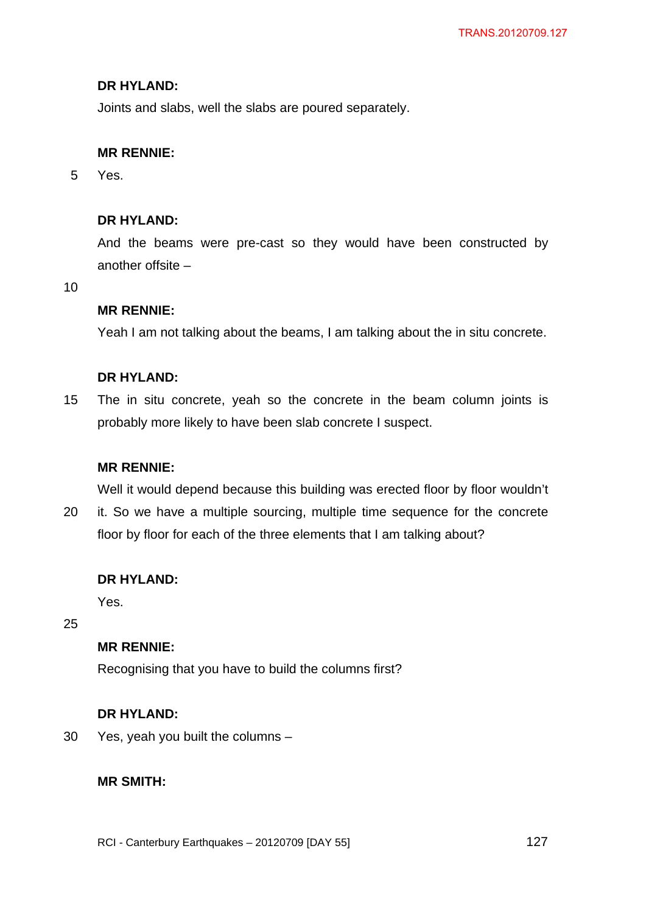## **DR HYLAND:**

Joints and slabs, well the slabs are poured separately.

### **MR RENNIE:**

5 Yes.

## **DR HYLAND:**

And the beams were pre-cast so they would have been constructed by another offsite –

10

## **MR RENNIE:**

Yeah I am not talking about the beams, I am talking about the in situ concrete.

## **DR HYLAND:**

15 The in situ concrete, yeah so the concrete in the beam column joints is probably more likely to have been slab concrete I suspect.

#### **MR RENNIE:**

Well it would depend because this building was erected floor by floor wouldn't

20 it. So we have a multiple sourcing, multiple time sequence for the concrete floor by floor for each of the three elements that I am talking about?

### **DR HYLAND:**

Yes.

25

## **MR RENNIE:**

Recognising that you have to build the columns first?

#### **DR HYLAND:**

30 Yes, yeah you built the columns –

## **MR SMITH:**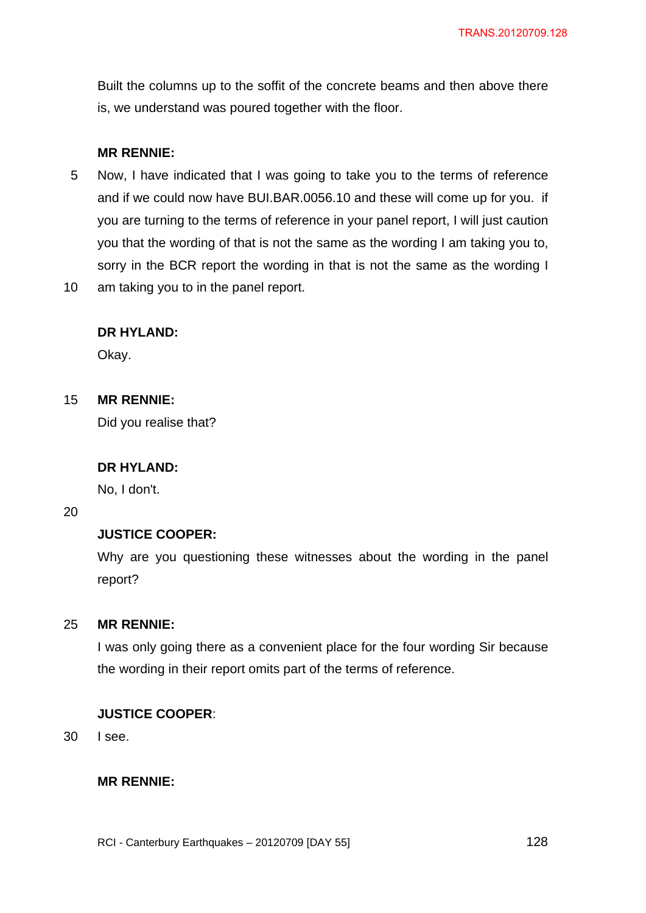Built the columns up to the soffit of the concrete beams and then above there is, we understand was poured together with the floor.

## **MR RENNIE:**

- 5 Now, I have indicated that I was going to take you to the terms of reference and if we could now have BUI.BAR.0056.10 and these will come up for you. if you are turning to the terms of reference in your panel report, I will just caution you that the wording of that is not the same as the wording I am taking you to, sorry in the BCR report the wording in that is not the same as the wording I
- 10 am taking you to in the panel report.

## **DR HYLAND:**

Okay.

#### 15 **MR RENNIE:**

Did you realise that?

### **DR HYLAND:**

No, I don't.

### 20

## **JUSTICE COOPER:**

Why are you questioning these witnesses about the wording in the panel report?

#### 25 **MR RENNIE:**

I was only going there as a convenient place for the four wording Sir because the wording in their report omits part of the terms of reference.

### **JUSTICE COOPER**:

30 I see.

### **MR RENNIE:**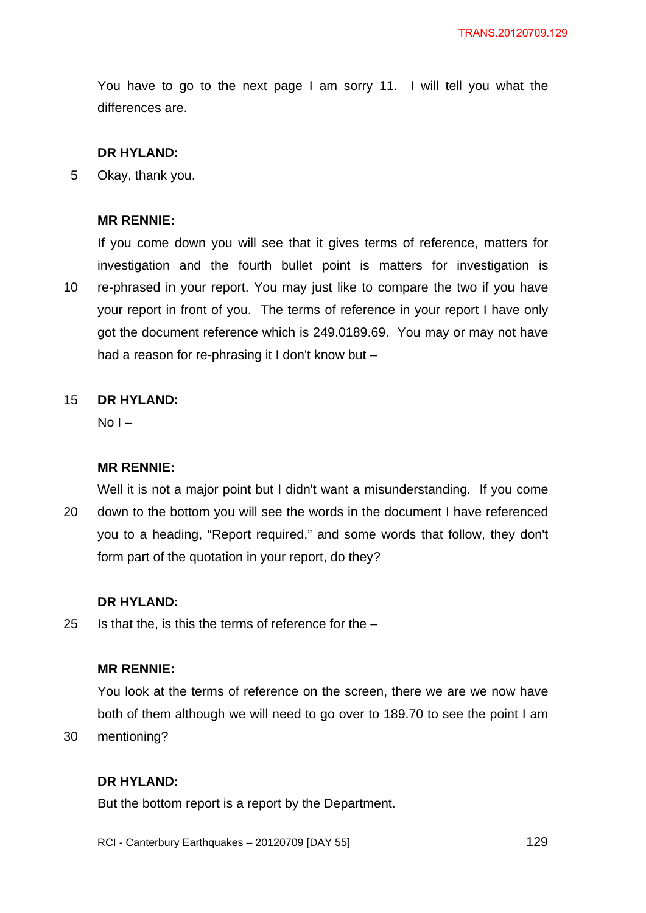You have to go to the next page I am sorry 11. I will tell you what the differences are.

### **DR HYLAND:**

5 Okay, thank you.

#### **MR RENNIE:**

10 If you come down you will see that it gives terms of reference, matters for investigation and the fourth bullet point is matters for investigation is re-phrased in your report. You may just like to compare the two if you have your report in front of you. The terms of reference in your report I have only got the document reference which is 249.0189.69. You may or may not have had a reason for re-phrasing it I don't know but –

#### 15 **DR HYLAND:**

 $No I -$ 

### **MR RENNIE:**

20 Well it is not a major point but I didn't want a misunderstanding. If you come down to the bottom you will see the words in the document I have referenced you to a heading, "Report required," and some words that follow, they don't form part of the quotation in your report, do they?

## **DR HYLAND:**

25 Is that the, is this the terms of reference for the  $-$ 

## **MR RENNIE:**

You look at the terms of reference on the screen, there we are we now have both of them although we will need to go over to 189.70 to see the point I am mentioning?

30

# **DR HYLAND:**

But the bottom report is a report by the Department.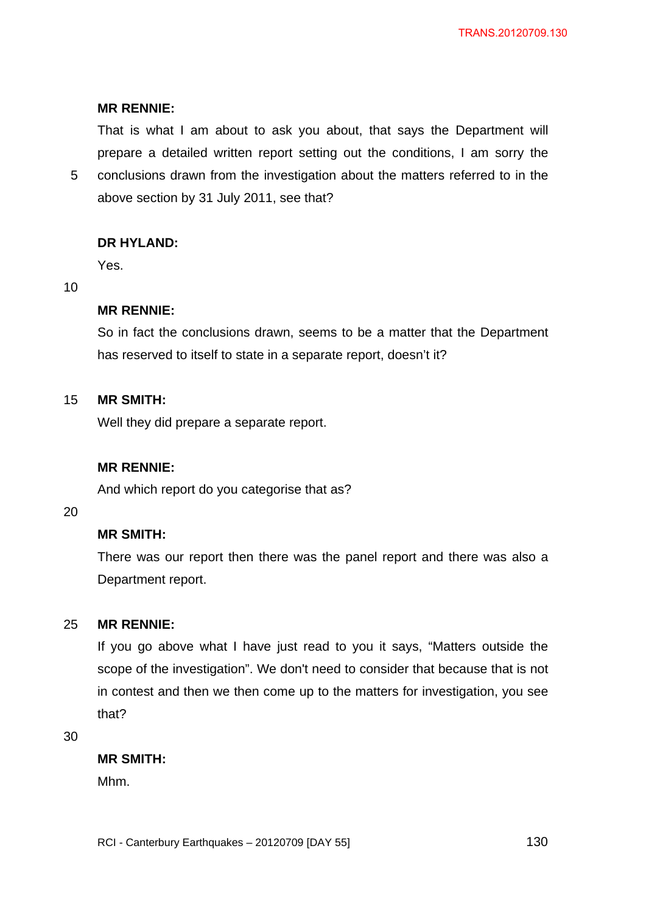## **MR RENNIE:**

That is what I am about to ask you about, that says the Department will prepare a detailed written report setting out the conditions, I am sorry the

5 conclusions drawn from the investigation about the matters referred to in the above section by 31 July 2011, see that?

## **DR HYLAND:**

Yes.

### 10

## **MR RENNIE:**

So in fact the conclusions drawn, seems to be a matter that the Department has reserved to itself to state in a separate report, doesn't it?

#### 15 **MR SMITH:**

Well they did prepare a separate report.

### **MR RENNIE:**

And which report do you categorise that as?

20

## **MR SMITH:**

There was our report then there was the panel report and there was also a Department report.

#### 25 **MR RENNIE:**

If you go above what I have just read to you it says, "Matters outside the scope of the investigation". We don't need to consider that because that is not in contest and then we then come up to the matters for investigation, you see that?

30

## **MR SMITH:**

Mhm.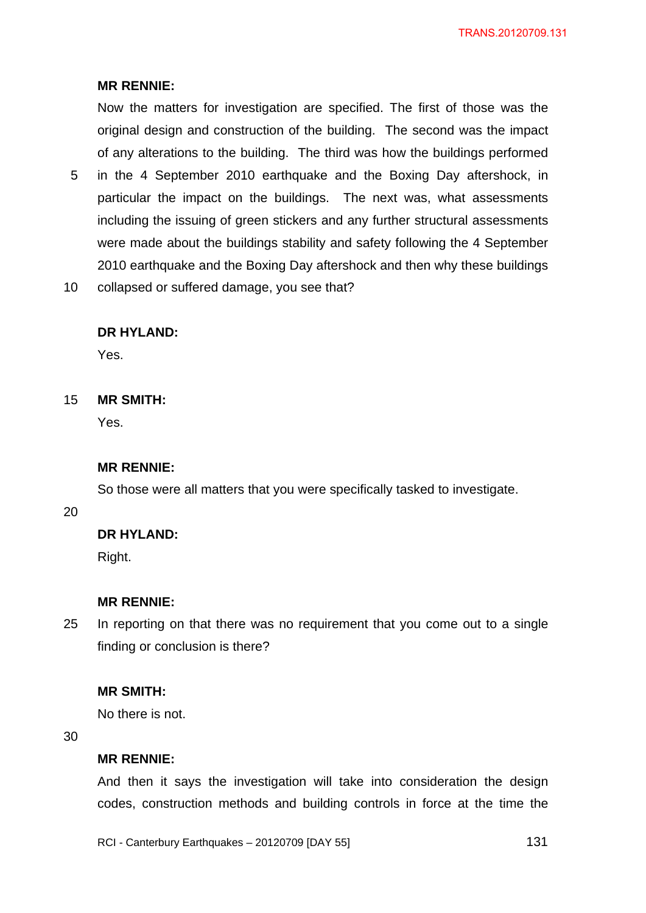## **MR RENNIE:**

Now the matters for investigation are specified. The first of those was the original design and construction of the building. The second was the impact of any alterations to the building. The third was how the buildings performed

- 5 in the 4 September 2010 earthquake and the Boxing Day aftershock, in particular the impact on the buildings. The next was, what assessments including the issuing of green stickers and any further structural assessments were made about the buildings stability and safety following the 4 September 2010 earthquake and the Boxing Day aftershock and then why these buildings
- 10 collapsed or suffered damage, you see that?

## **DR HYLAND:**

Yes.

#### 15 **MR SMITH:**

Yes.

#### **MR RENNIE:**

So those were all matters that you were specifically tasked to investigate.

### 20

#### **DR HYLAND:**

Right.

#### **MR RENNIE:**

25 In reporting on that there was no requirement that you come out to a single finding or conclusion is there?

#### **MR SMITH:**

No there is not.

30

#### **MR RENNIE:**

And then it says the investigation will take into consideration the design codes, construction methods and building controls in force at the time the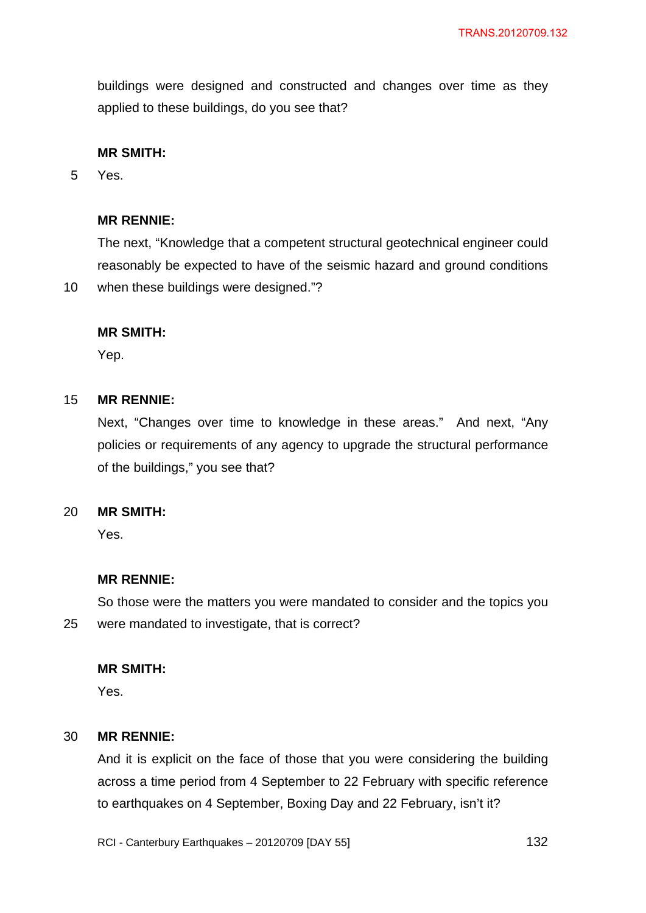buildings were designed and constructed and changes over time as they applied to these buildings, do you see that?

## **MR SMITH:**

5 Yes.

10

### **MR RENNIE:**

The next, "Knowledge that a competent structural geotechnical engineer could reasonably be expected to have of the seismic hazard and ground conditions when these buildings were designed."?

### **MR SMITH:**

Yep.

#### 15 **MR RENNIE:**

Next, "Changes over time to knowledge in these areas." And next, "Any policies or requirements of any agency to upgrade the structural performance of the buildings," you see that?

#### 20 **MR SMITH:**

Yes.

## **MR RENNIE:**

25 So those were the matters you were mandated to consider and the topics you were mandated to investigate, that is correct?

### **MR SMITH:**

Yes.

#### 30 **MR RENNIE:**

And it is explicit on the face of those that you were considering the building across a time period from 4 September to 22 February with specific reference to earthquakes on 4 September, Boxing Day and 22 February, isn't it?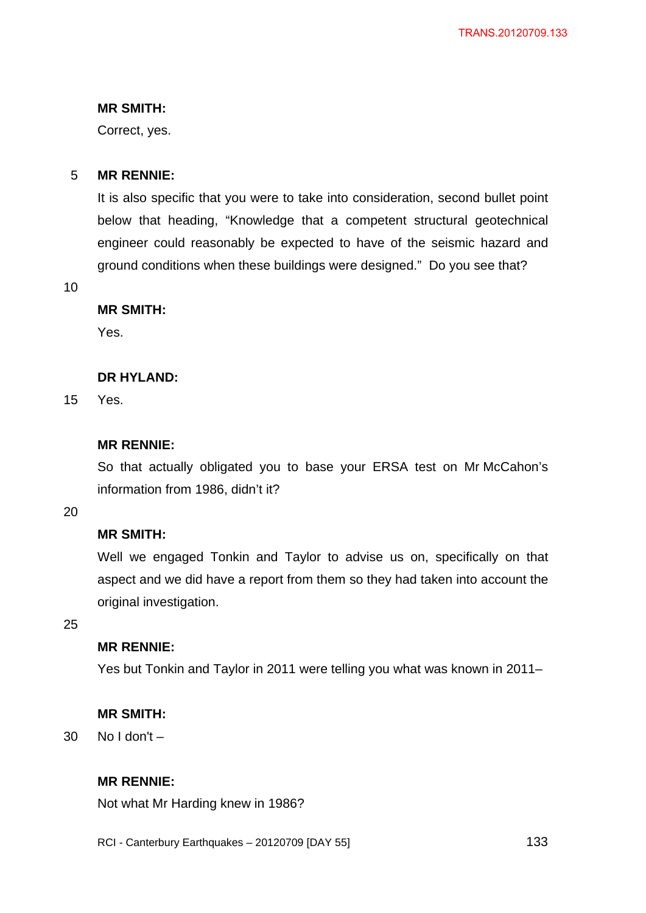## **MR SMITH:**

Correct, yes.

#### 5 **MR RENNIE:**

It is also specific that you were to take into consideration, second bullet point below that heading, "Knowledge that a competent structural geotechnical engineer could reasonably be expected to have of the seismic hazard and ground conditions when these buildings were designed." Do you see that?

10

### **MR SMITH:**

Yes.

## **DR HYLAND:**

15 Yes.

## **MR RENNIE:**

So that actually obligated you to base your ERSA test on Mr McCahon's information from 1986, didn't it?

20

# **MR SMITH:**

Well we engaged Tonkin and Taylor to advise us on, specifically on that aspect and we did have a report from them so they had taken into account the original investigation.

25

## **MR RENNIE:**

Yes but Tonkin and Taylor in 2011 were telling you what was known in 2011–

### **MR SMITH:**

30 No I don't –

## **MR RENNIE:**

Not what Mr Harding knew in 1986?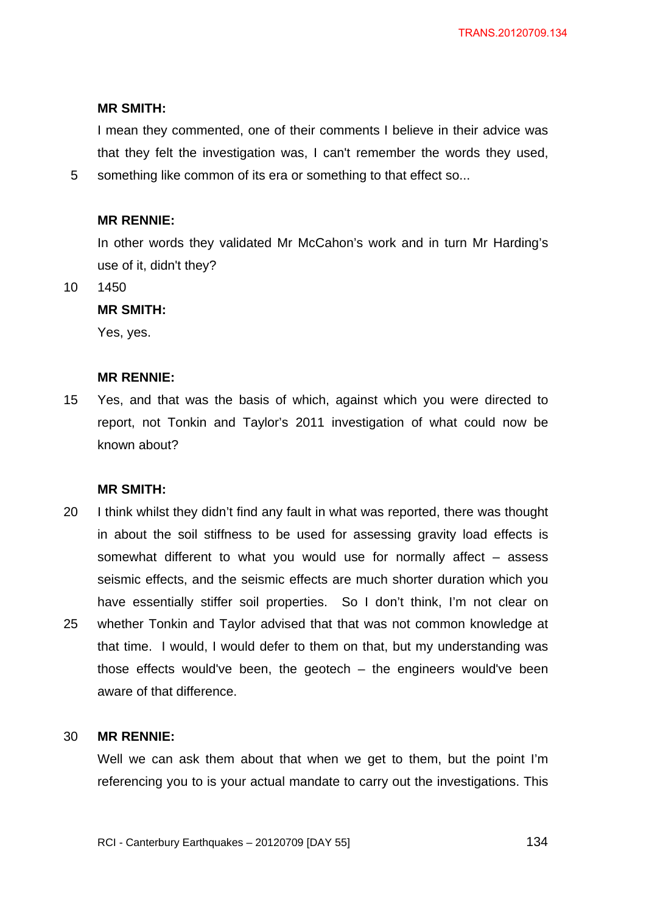#### **MR SMITH:**

I mean they commented, one of their comments I believe in their advice was that they felt the investigation was, I can't remember the words they used, something like common of its era or something to that effect so...

#### **MR RENNIE:**

In other words they validated Mr McCahon's work and in turn Mr Harding's use of it, didn't they?

10 1450

5

#### **MR SMITH:**

Yes, yes.

#### **MR RENNIE:**

15 Yes, and that was the basis of which, against which you were directed to report, not Tonkin and Taylor's 2011 investigation of what could now be known about?

#### **MR SMITH:**

20 25 I think whilst they didn't find any fault in what was reported, there was thought in about the soil stiffness to be used for assessing gravity load effects is somewhat different to what you would use for normally affect – assess seismic effects, and the seismic effects are much shorter duration which you have essentially stiffer soil properties. So I don't think, I'm not clear on whether Tonkin and Taylor advised that that was not common knowledge at that time. I would, I would defer to them on that, but my understanding was those effects would've been, the geotech – the engineers would've been aware of that difference.

#### 30 **MR RENNIE:**

Well we can ask them about that when we get to them, but the point I'm referencing you to is your actual mandate to carry out the investigations. This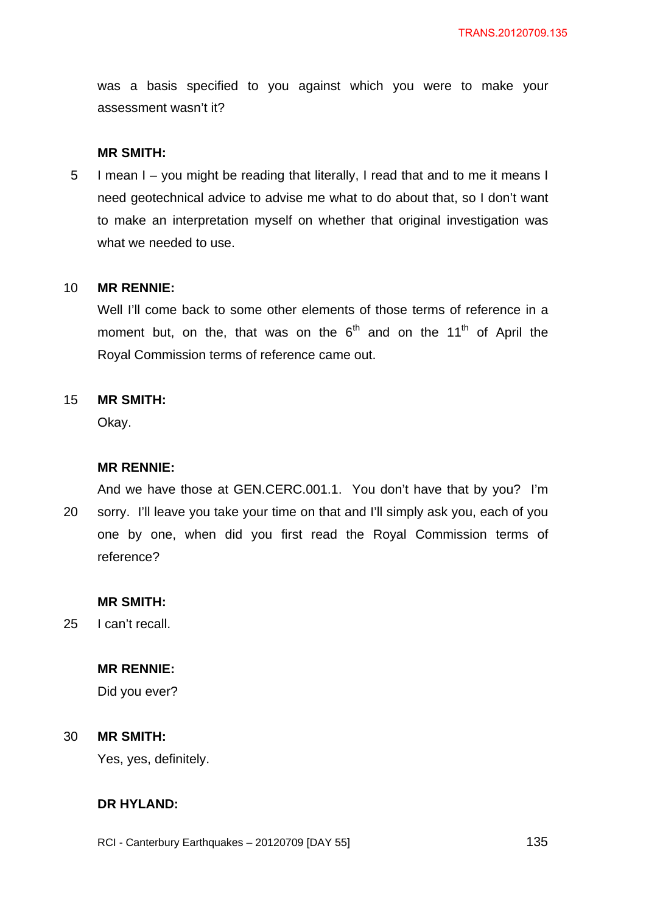was a basis specified to you against which you were to make your assessment wasn't it?

#### **MR SMITH:**

5 I mean I – you might be reading that literally, I read that and to me it means I need geotechnical advice to advise me what to do about that, so I don't want to make an interpretation myself on whether that original investigation was what we needed to use.

#### 10 **MR RENNIE:**

Well I'll come back to some other elements of those terms of reference in a moment but, on the, that was on the  $6<sup>th</sup>$  and on the 11<sup>th</sup> of April the Royal Commission terms of reference came out.

#### 15 **MR SMITH:**

Okay.

### **MR RENNIE:**

20 And we have those at GEN.CERC.001.1. You don't have that by you? I'm sorry. I'll leave you take your time on that and I'll simply ask you, each of you one by one, when did you first read the Royal Commission terms of reference?

### **MR SMITH:**

25 I can't recall.

## **MR RENNIE:**

Did you ever?

#### 30 **MR SMITH:**

Yes, yes, definitely.

# **DR HYLAND:**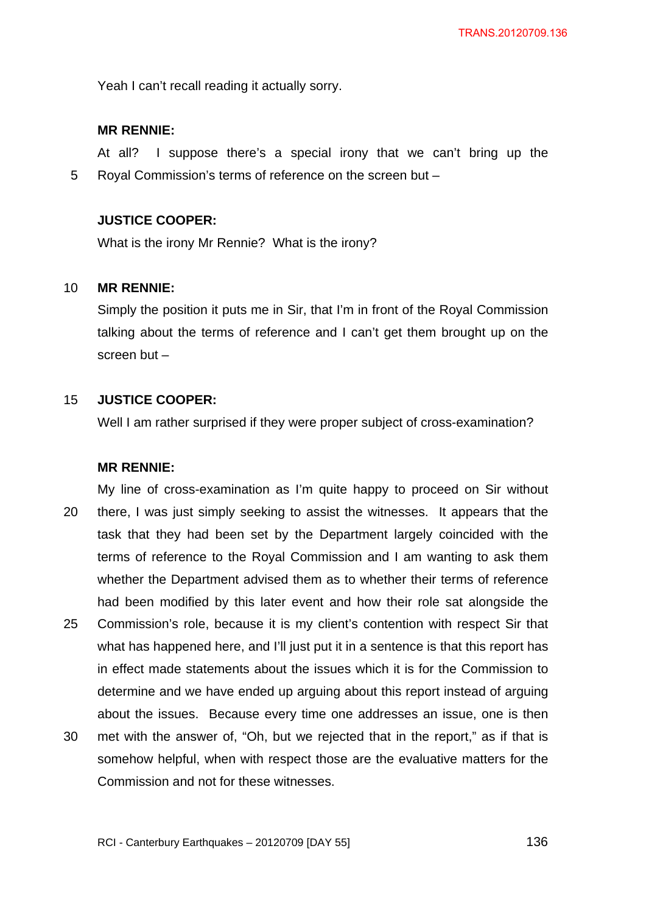Yeah I can't recall reading it actually sorry.

## **MR RENNIE:**

5 At all? I suppose there's a special irony that we can't bring up the Royal Commission's terms of reference on the screen but –

## **JUSTICE COOPER:**

What is the irony Mr Rennie? What is the irony?

#### 10 **MR RENNIE:**

Simply the position it puts me in Sir, that I'm in front of the Royal Commission talking about the terms of reference and I can't get them brought up on the screen but –

#### 15 **JUSTICE COOPER:**

Well I am rather surprised if they were proper subject of cross-examination?

#### **MR RENNIE:**

20 25 My line of cross-examination as I'm quite happy to proceed on Sir without there, I was just simply seeking to assist the witnesses. It appears that the task that they had been set by the Department largely coincided with the terms of reference to the Royal Commission and I am wanting to ask them whether the Department advised them as to whether their terms of reference had been modified by this later event and how their role sat alongside the Commission's role, because it is my client's contention with respect Sir that what has happened here, and I'll just put it in a sentence is that this report has in effect made statements about the issues which it is for the Commission to determine and we have ended up arguing about this report instead of arguing about the issues. Because every time one addresses an issue, one is then

30 met with the answer of, "Oh, but we rejected that in the report," as if that is somehow helpful, when with respect those are the evaluative matters for the Commission and not for these witnesses.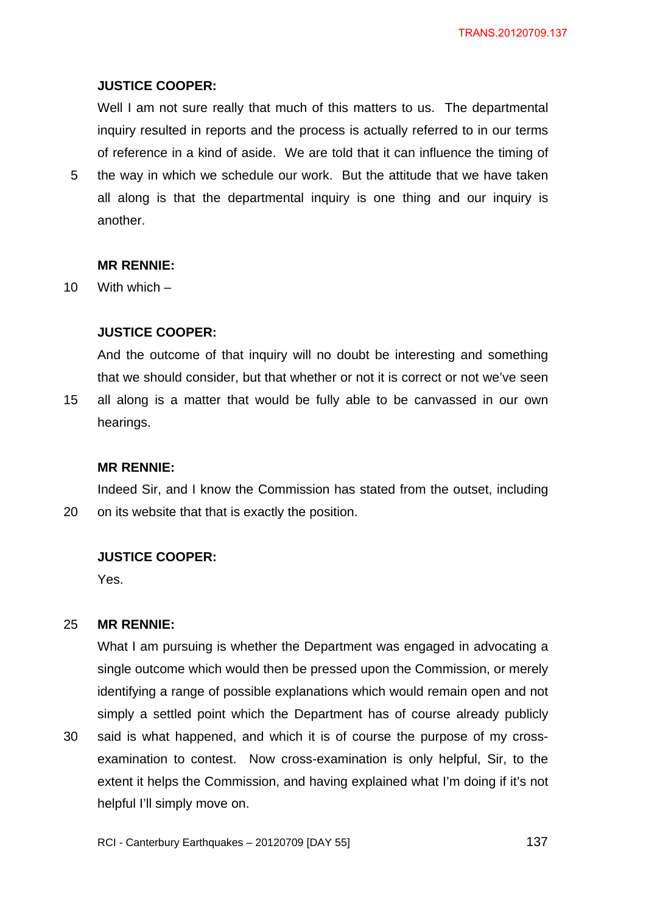## **JUSTICE COOPER:**

Well I am not sure really that much of this matters to us. The departmental inquiry resulted in reports and the process is actually referred to in our terms of reference in a kind of aside. We are told that it can influence the timing of

5 the way in which we schedule our work. But the attitude that we have taken all along is that the departmental inquiry is one thing and our inquiry is another.

#### **MR RENNIE:**

10 With which –

15

## **JUSTICE COOPER:**

And the outcome of that inquiry will no doubt be interesting and something that we should consider, but that whether or not it is correct or not we've seen all along is a matter that would be fully able to be canvassed in our own hearings.

#### **MR RENNIE:**

20 Indeed Sir, and I know the Commission has stated from the outset, including on its website that that is exactly the position.

#### **JUSTICE COOPER:**

Yes.

#### 25 **MR RENNIE:**

What I am pursuing is whether the Department was engaged in advocating a single outcome which would then be pressed upon the Commission, or merely identifying a range of possible explanations which would remain open and not simply a settled point which the Department has of course already publicly said is what happened, and which it is of course the purpose of my cross-

30 examination to contest. Now cross-examination is only helpful, Sir, to the extent it helps the Commission, and having explained what I'm doing if it's not helpful I'll simply move on.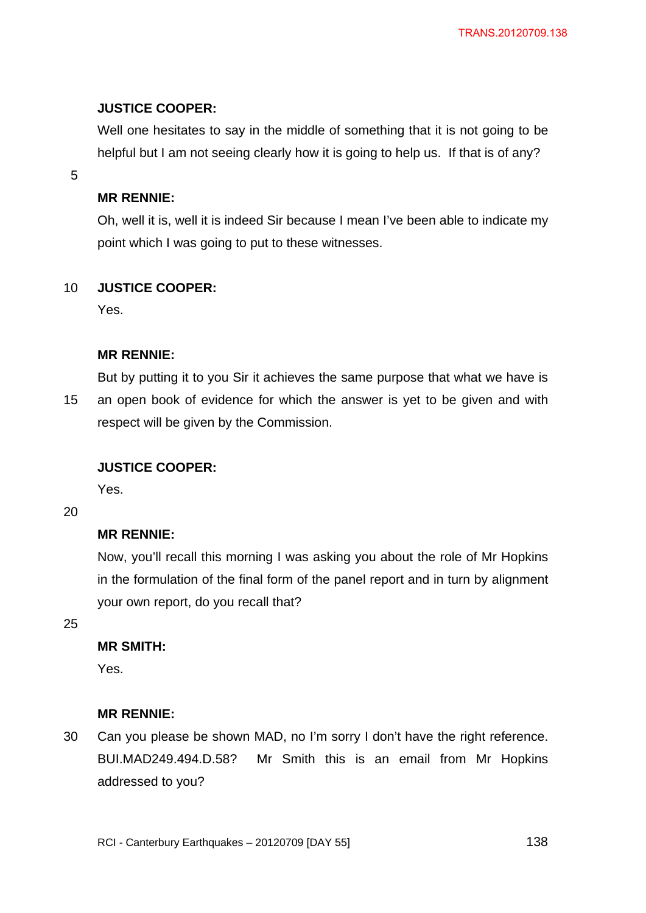## **JUSTICE COOPER:**

Well one hesitates to say in the middle of something that it is not going to be helpful but I am not seeing clearly how it is going to help us. If that is of any?

5

## **MR RENNIE:**

Oh, well it is, well it is indeed Sir because I mean I've been able to indicate my point which I was going to put to these witnesses.

#### 10 **JUSTICE COOPER:**

Yes.

## **MR RENNIE:**

15 But by putting it to you Sir it achieves the same purpose that what we have is an open book of evidence for which the answer is yet to be given and with respect will be given by the Commission.

### **JUSTICE COOPER:**

Yes.

20

## **MR RENNIE:**

Now, you'll recall this morning I was asking you about the role of Mr Hopkins in the formulation of the final form of the panel report and in turn by alignment your own report, do you recall that?

25

# **MR SMITH:**

Yes.

### **MR RENNIE:**

30 Can you please be shown MAD, no I'm sorry I don't have the right reference. BUI.MAD249.494.D.58? Mr Smith this is an email from Mr Hopkins addressed to you?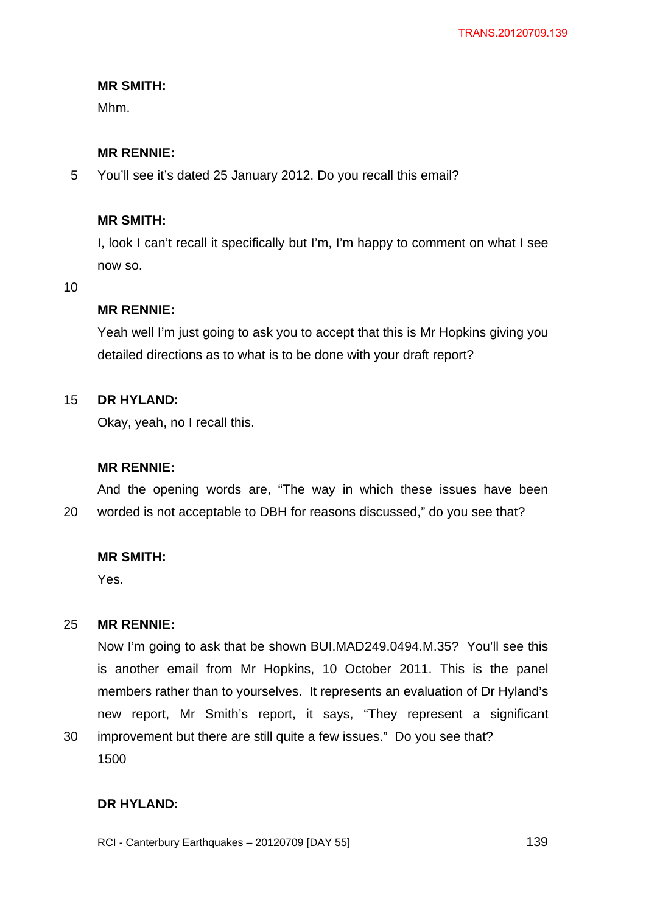## **MR SMITH:**

Mhm.

## **MR RENNIE:**

5 You'll see it's dated 25 January 2012. Do you recall this email?

## **MR SMITH:**

I, look I can't recall it specifically but I'm, I'm happy to comment on what I see now so.

#### 10

## **MR RENNIE:**

Yeah well I'm just going to ask you to accept that this is Mr Hopkins giving you detailed directions as to what is to be done with your draft report?

#### 15 **DR HYLAND:**

Okay, yeah, no I recall this.

### **MR RENNIE:**

20 And the opening words are, "The way in which these issues have been worded is not acceptable to DBH for reasons discussed," do you see that?

## **MR SMITH:**

Yes.

#### 25 **MR RENNIE:**

Now I'm going to ask that be shown BUI.MAD249.0494.M.35? You'll see this is another email from Mr Hopkins, 10 October 2011. This is the panel members rather than to yourselves. It represents an evaluation of Dr Hyland's new report, Mr Smith's report, it says, "They represent a significant improvement but there are still quite a few issues." Do you see that?

1500

30

## **DR HYLAND:**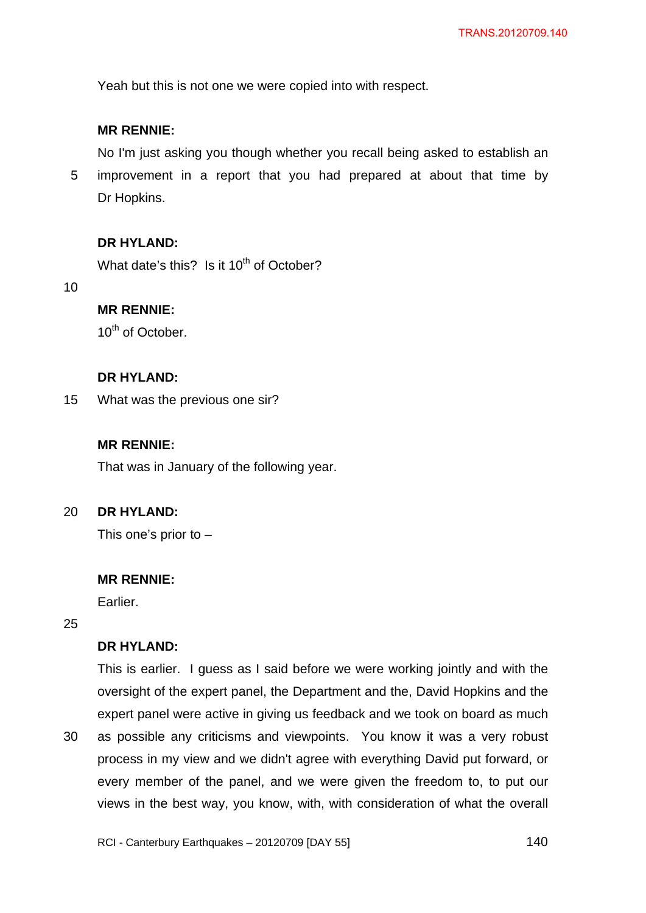Yeah but this is not one we were copied into with respect.

## **MR RENNIE:**

5 No I'm just asking you though whether you recall being asked to establish an improvement in a report that you had prepared at about that time by Dr Hopkins.

## **DR HYLAND:**

What date's this? Is it  $10^{th}$  of October?

10

# **MR RENNIE:**

10<sup>th</sup> of October.

### **DR HYLAND:**

15 What was the previous one sir?

### **MR RENNIE:**

That was in January of the following year.

#### $20<sub>2</sub>$ **DR HYLAND:**

This one's prior to –

#### **MR RENNIE:**

Earlier.

25

30

# **DR HYLAND:**

This is earlier. I guess as I said before we were working jointly and with the oversight of the expert panel, the Department and the, David Hopkins and the expert panel were active in giving us feedback and we took on board as much as possible any criticisms and viewpoints. You know it was a very robust process in my view and we didn't agree with everything David put forward, or every member of the panel, and we were given the freedom to, to put our

views in the best way, you know, with, with consideration of what the overall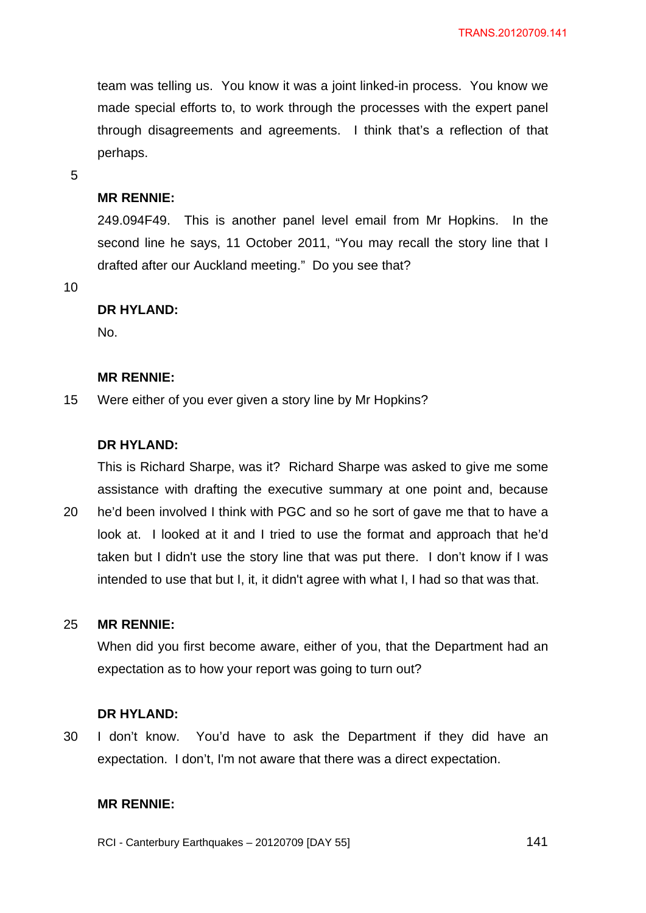team was telling us. You know it was a joint linked-in process. You know we made special efforts to, to work through the processes with the expert panel through disagreements and agreements. I think that's a reflection of that perhaps.

5

### **MR RENNIE:**

249.094F49. This is another panel level email from Mr Hopkins. In the second line he says, 11 October 2011, "You may recall the story line that I drafted after our Auckland meeting." Do you see that?

10

### **DR HYLAND:**

No.

#### **MR RENNIE:**

15 Were either of you ever given a story line by Mr Hopkins?

### **DR HYLAND:**

This is Richard Sharpe, was it? Richard Sharpe was asked to give me some assistance with drafting the executive summary at one point and, because

20 he'd been involved I think with PGC and so he sort of gave me that to have a look at. I looked at it and I tried to use the format and approach that he'd taken but I didn't use the story line that was put there. I don't know if I was intended to use that but I, it, it didn't agree with what I, I had so that was that.

#### 25 **MR RENNIE:**

When did you first become aware, either of you, that the Department had an expectation as to how your report was going to turn out?

#### **DR HYLAND:**

30 I don't know. You'd have to ask the Department if they did have an expectation. I don't, I'm not aware that there was a direct expectation.

### **MR RENNIE:**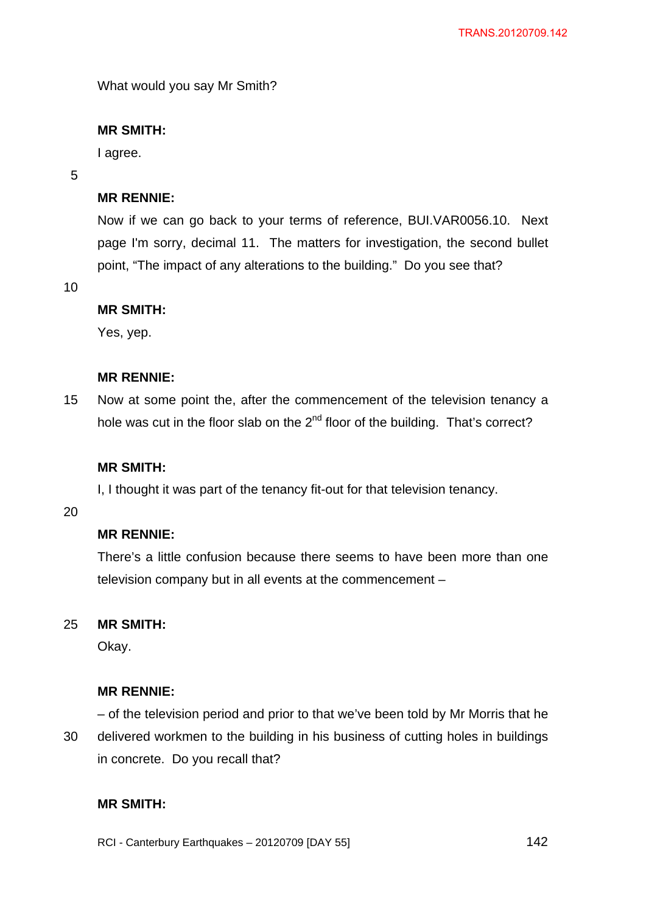What would you say Mr Smith?

## **MR SMITH:**

I agree.

### 5

## **MR RENNIE:**

Now if we can go back to your terms of reference, BUI.VAR0056.10. Next page I'm sorry, decimal 11. The matters for investigation, the second bullet point, "The impact of any alterations to the building." Do you see that?

10

## **MR SMITH:**

Yes, yep.

### **MR RENNIE:**

15 Now at some point the, after the commencement of the television tenancy a hole was cut in the floor slab on the  $2<sup>nd</sup>$  floor of the building. That's correct?

### **MR SMITH:**

I, I thought it was part of the tenancy fit-out for that television tenancy.

20

## **MR RENNIE:**

There's a little confusion because there seems to have been more than one television company but in all events at the commencement –

#### 25 **MR SMITH:**

Okay.

## **MR RENNIE:**

30 – of the television period and prior to that we've been told by Mr Morris that he delivered workmen to the building in his business of cutting holes in buildings in concrete. Do you recall that?

# **MR SMITH:**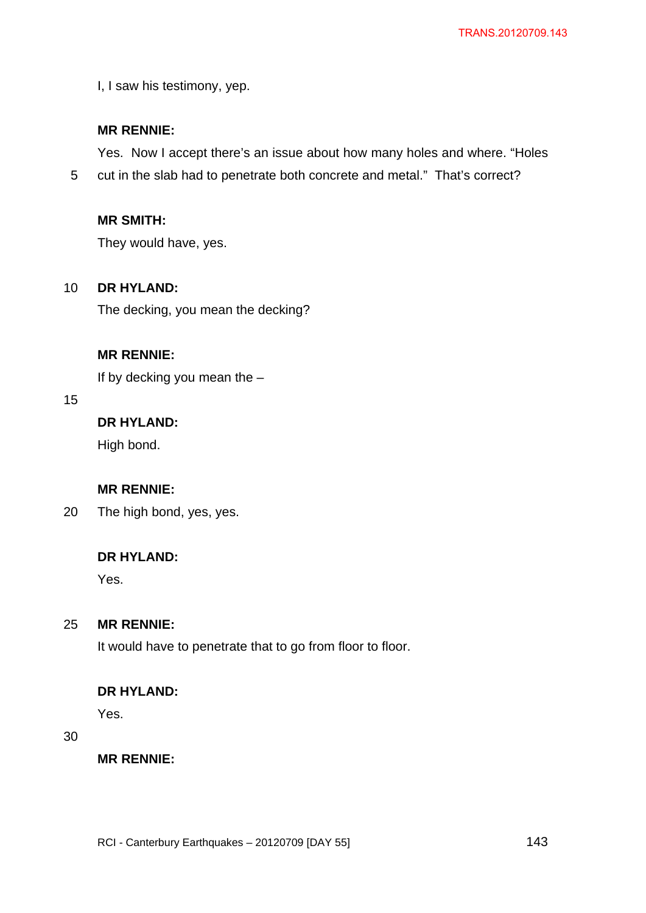I, I saw his testimony, yep.

# **MR RENNIE:**

Yes. Now I accept there's an issue about how many holes and where. "Holes

5 cut in the slab had to penetrate both concrete and metal." That's correct?

# **MR SMITH:**

They would have, yes.

#### 10 **DR HYLAND:**

The decking, you mean the decking?

## **MR RENNIE:**

If by decking you mean the –

## 15

# **DR HYLAND:**

High bond.

# **MR RENNIE:**

20 The high bond, yes, yes.

## **DR HYLAND:**

Yes.

#### 25 **MR RENNIE:**

It would have to penetrate that to go from floor to floor.

## **DR HYLAND:**

Yes.

# 30

**MR RENNIE:**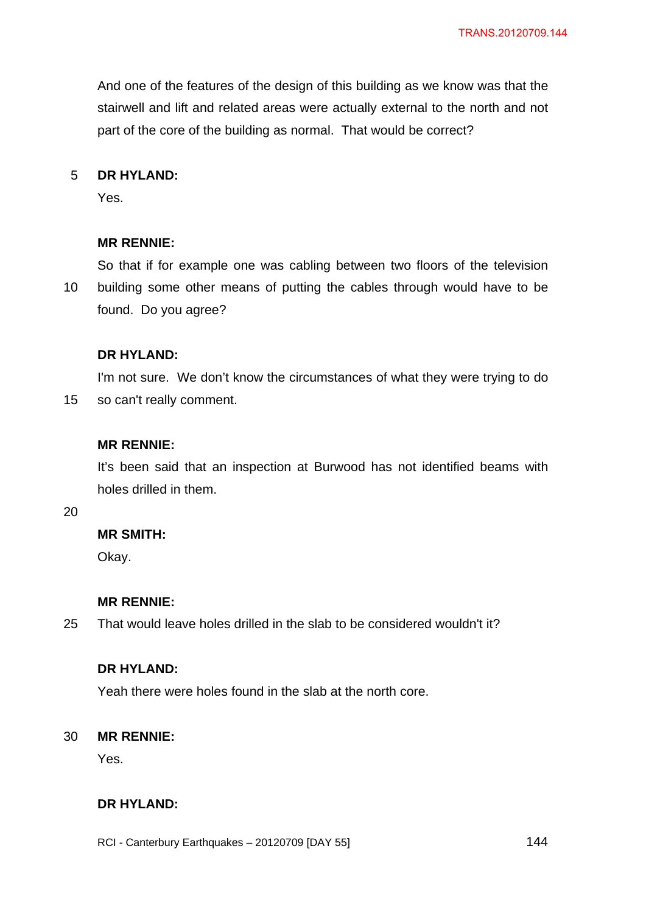And one of the features of the design of this building as we know was that the stairwell and lift and related areas were actually external to the north and not part of the core of the building as normal. That would be correct?

#### 5 **DR HYLAND:**

Yes.

#### **MR RENNIE:**

10 So that if for example one was cabling between two floors of the television building some other means of putting the cables through would have to be found. Do you agree?

#### **DR HYLAND:**

15 I'm not sure. We don't know the circumstances of what they were trying to do so can't really comment.

### **MR RENNIE:**

It's been said that an inspection at Burwood has not identified beams with holes drilled in them.

20

## **MR SMITH:**

Okay.

## **MR RENNIE:**

25 That would leave holes drilled in the slab to be considered wouldn't it?

## **DR HYLAND:**

Yeah there were holes found in the slab at the north core.

#### 30 **MR RENNIE:**

Yes.

# **DR HYLAND:**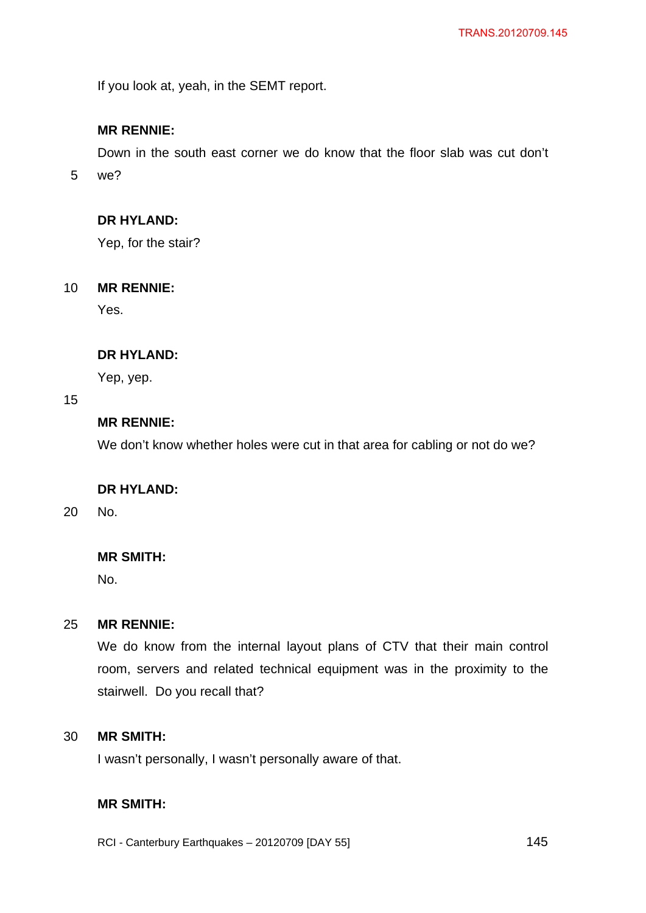If you look at, yeah, in the SEMT report.

# **MR RENNIE:**

Down in the south east corner we do know that the floor slab was cut don't

5 we?

## **DR HYLAND:**

Yep, for the stair?

#### 10 **MR RENNIE:**

Yes.

#### **DR HYLAND:**

Yep, yep.

### 15

# **MR RENNIE:**

We don't know whether holes were cut in that area for cabling or not do we?

### **DR HYLAND:**

20 No.

## **MR SMITH:**

No.

#### 25 **MR RENNIE:**

We do know from the internal layout plans of CTV that their main control room, servers and related technical equipment was in the proximity to the stairwell. Do you recall that?

#### 30 **MR SMITH:**

I wasn't personally, I wasn't personally aware of that.

# **MR SMITH:**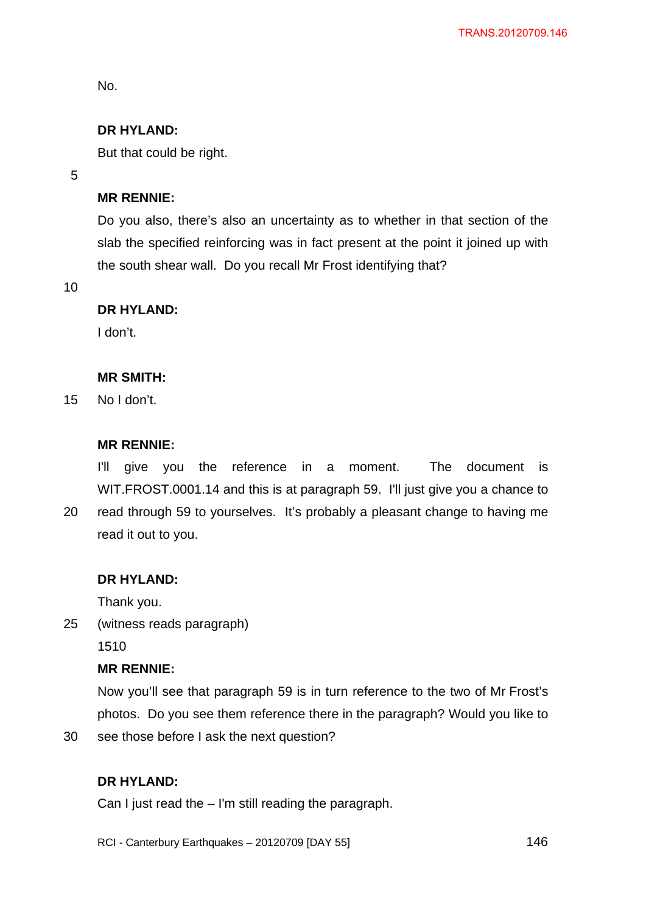No.

## **DR HYLAND:**

But that could be right.

5

## **MR RENNIE:**

Do you also, there's also an uncertainty as to whether in that section of the slab the specified reinforcing was in fact present at the point it joined up with the south shear wall. Do you recall Mr Frost identifying that?

10

#### **DR HYLAND:**

I don't.

### **MR SMITH:**

15 No I don't.

# **MR RENNIE:**

I'll give you the reference in a moment. The document is WIT.FROST.0001.14 and this is at paragraph 59. I'll just give you a chance to

20 read through 59 to yourselves. It's probably a pleasant change to having me read it out to you.

#### **DR HYLAND:**

Thank you.

25 (witness reads paragraph)

1510

## **MR RENNIE:**

Now you'll see that paragraph 59 is in turn reference to the two of Mr Frost's photos. Do you see them reference there in the paragraph? Would you like to

30 see those before I ask the next question?

# **DR HYLAND:**

Can I just read the – I'm still reading the paragraph.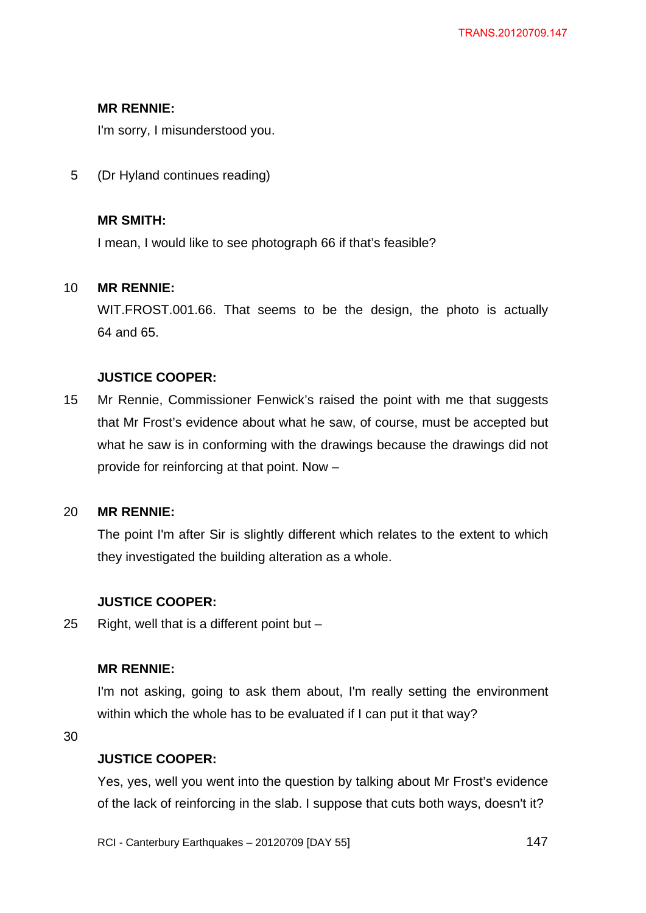## **MR RENNIE:**

I'm sorry, I misunderstood you.

5 (Dr Hyland continues reading)

## **MR SMITH:**

I mean, I would like to see photograph 66 if that's feasible?

#### 10 **MR RENNIE:**

WIT.FROST.001.66. That seems to be the design, the photo is actually 64 and 65.

## **JUSTICE COOPER:**

15 Mr Rennie, Commissioner Fenwick's raised the point with me that suggests that Mr Frost's evidence about what he saw, of course, must be accepted but what he saw is in conforming with the drawings because the drawings did not provide for reinforcing at that point. Now –

#### 20 **MR RENNIE:**

The point I'm after Sir is slightly different which relates to the extent to which they investigated the building alteration as a whole.

## **JUSTICE COOPER:**

25 Right, well that is a different point but –

## **MR RENNIE:**

I'm not asking, going to ask them about, I'm really setting the environment within which the whole has to be evaluated if I can put it that way?

30

### **JUSTICE COOPER:**

Yes, yes, well you went into the question by talking about Mr Frost's evidence of the lack of reinforcing in the slab. I suppose that cuts both ways, doesn't it?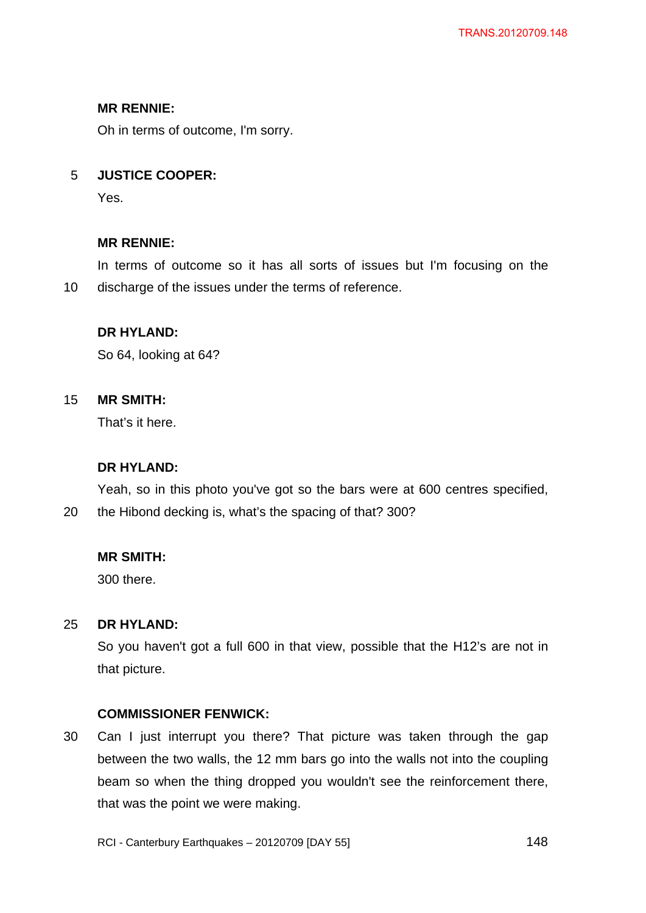## **MR RENNIE:**

Oh in terms of outcome, I'm sorry.

#### 5 **JUSTICE COOPER:**

Yes.

## **MR RENNIE:**

10 In terms of outcome so it has all sorts of issues but I'm focusing on the discharge of the issues under the terms of reference.

## **DR HYLAND:**

So 64, looking at 64?

#### 15 **MR SMITH:**

That's it here.

### **DR HYLAND:**

Yeah, so in this photo you've got so the bars were at 600 centres specified,

20 the Hibond decking is, what's the spacing of that? 300?

### **MR SMITH:**

300 there.

#### 25 **DR HYLAND:**

So you haven't got a full 600 in that view, possible that the H12's are not in that picture.

### **COMMISSIONER FENWICK:**

30 Can I just interrupt you there? That picture was taken through the gap between the two walls, the 12 mm bars go into the walls not into the coupling beam so when the thing dropped you wouldn't see the reinforcement there, that was the point we were making.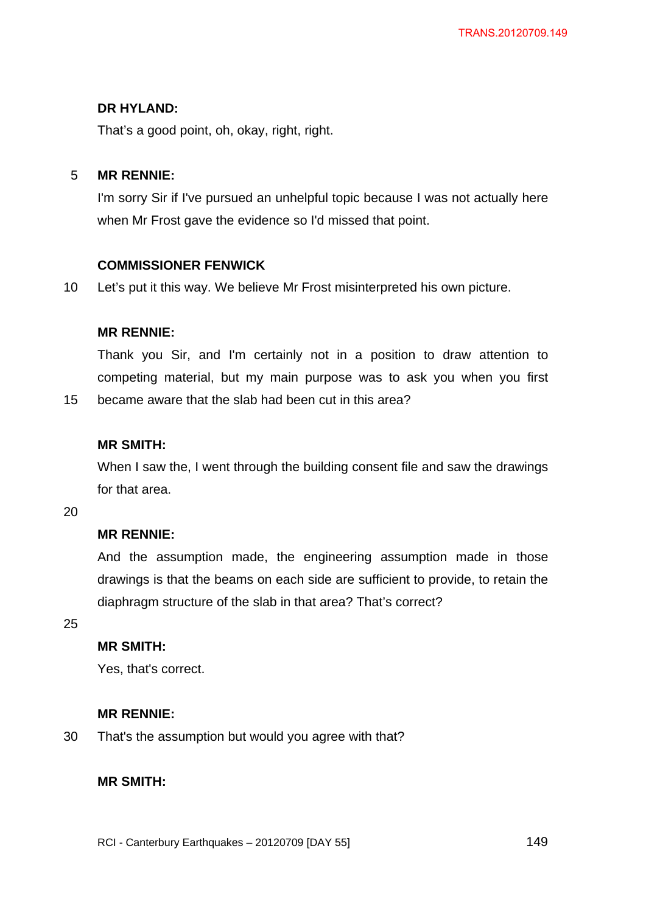That's a good point, oh, okay, right, right.

#### 5 **MR RENNIE:**

I'm sorry Sir if I've pursued an unhelpful topic because I was not actually here when Mr Frost gave the evidence so I'd missed that point.

### **COMMISSIONER FENWICK**

10 Let's put it this way. We believe Mr Frost misinterpreted his own picture.

## **MR RENNIE:**

Thank you Sir, and I'm certainly not in a position to draw attention to competing material, but my main purpose was to ask you when you first

15 became aware that the slab had been cut in this area?

# **MR SMITH:**

When I saw the, I went through the building consent file and saw the drawings for that area.

20

# **MR RENNIE:**

And the assumption made, the engineering assumption made in those drawings is that the beams on each side are sufficient to provide, to retain the diaphragm structure of the slab in that area? That's correct?

25

# **MR SMITH:**

Yes, that's correct.

### **MR RENNIE:**

30 That's the assumption but would you agree with that?

### **MR SMITH:**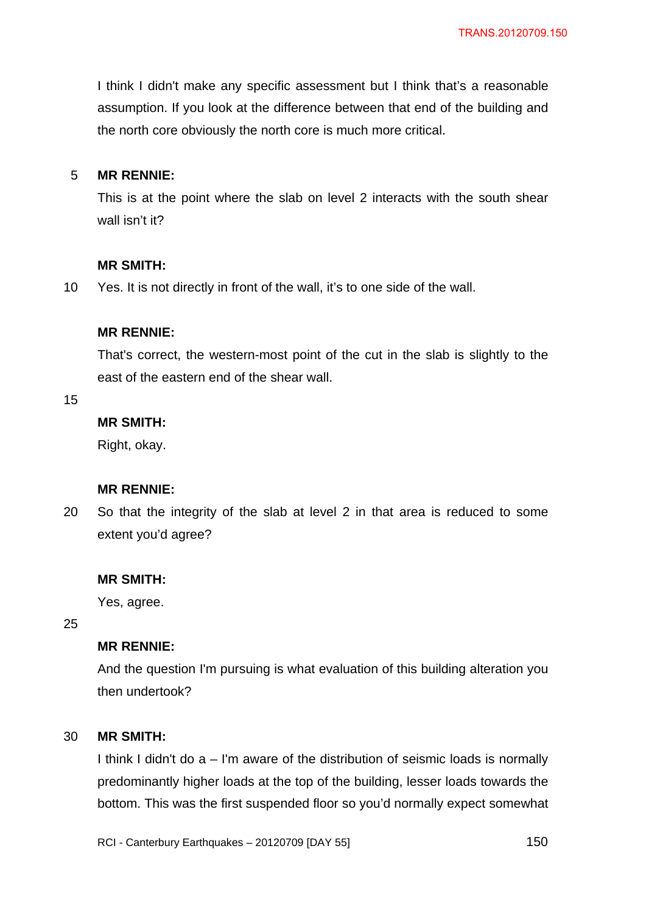I think I didn't make any specific assessment but I think that's a reasonable assumption. If you look at the difference between that end of the building and the north core obviously the north core is much more critical.

#### 5 **MR RENNIE:**

This is at the point where the slab on level 2 interacts with the south shear wall isn't it?

#### **MR SMITH:**

10 Yes. It is not directly in front of the wall, it's to one side of the wall.

### **MR RENNIE:**

That's correct, the western-most point of the cut in the slab is slightly to the east of the eastern end of the shear wall.

15

# **MR SMITH:**

Right, okay.

## **MR RENNIE:**

20 So that the integrity of the slab at level 2 in that area is reduced to some extent you'd agree?

#### **MR SMITH:**

Yes, agree.

25

## **MR RENNIE:**

And the question I'm pursuing is what evaluation of this building alteration you then undertook?

#### 30 **MR SMITH:**

I think I didn't do a – I'm aware of the distribution of seismic loads is normally predominantly higher loads at the top of the building, lesser loads towards the bottom. This was the first suspended floor so you'd normally expect somewhat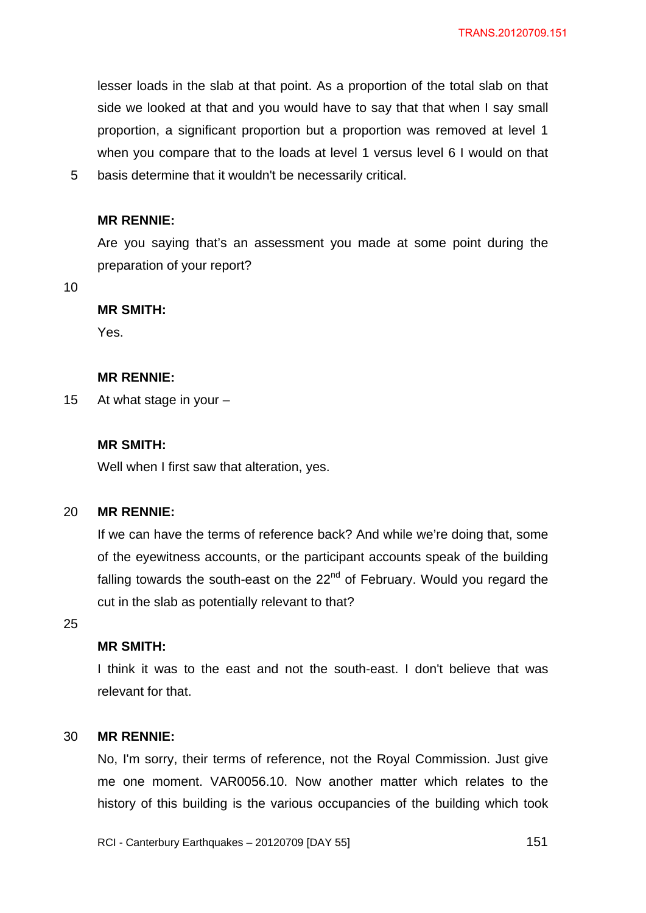lesser loads in the slab at that point. As a proportion of the total slab on that side we looked at that and you would have to say that that when I say small proportion, a significant proportion but a proportion was removed at level 1 when you compare that to the loads at level 1 versus level 6 I would on that basis determine that it wouldn't be necessarily critical.

#### **MR RENNIE:**

Are you saying that's an assessment you made at some point during the preparation of your report?

10

5

#### **MR SMITH:**

Yes.

#### **MR RENNIE:**

15 At what stage in your –

#### **MR SMITH:**

Well when I first saw that alteration, yes.

#### 20 **MR RENNIE:**

If we can have the terms of reference back? And while we're doing that, some of the eyewitness accounts, or the participant accounts speak of the building falling towards the south-east on the  $22<sup>nd</sup>$  of February. Would you regard the cut in the slab as potentially relevant to that?

25

## **MR SMITH:**

I think it was to the east and not the south-east. I don't believe that was relevant for that.

#### 30 **MR RENNIE:**

No, I'm sorry, their terms of reference, not the Royal Commission. Just give me one moment. VAR0056.10. Now another matter which relates to the history of this building is the various occupancies of the building which took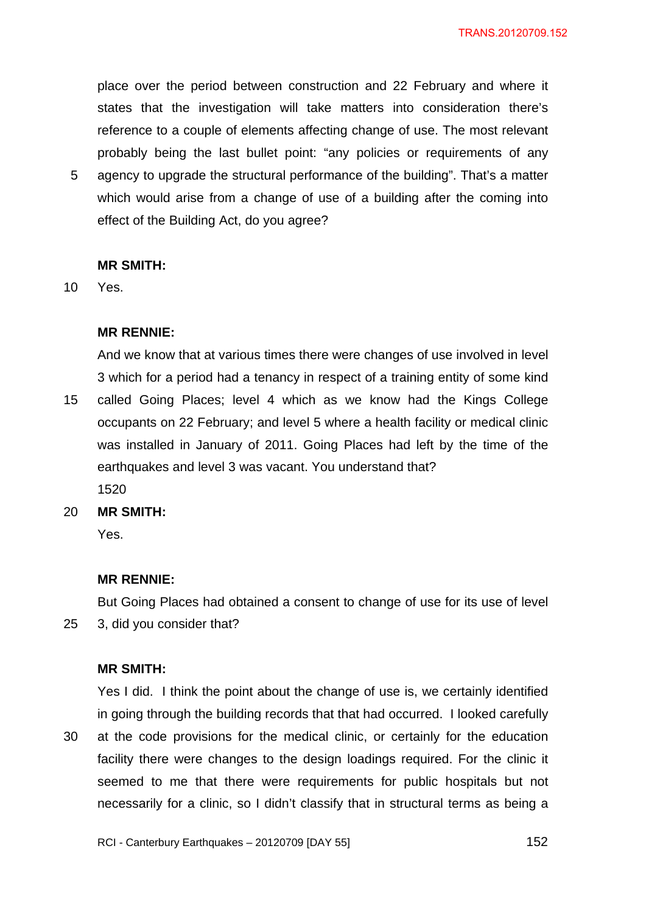place over the period between construction and 22 February and where it states that the investigation will take matters into consideration there's reference to a couple of elements affecting change of use. The most relevant probably being the last bullet point: "any policies or requirements of any

5 agency to upgrade the structural performance of the building". That's a matter which would arise from a change of use of a building after the coming into effect of the Building Act, do you agree?

#### **MR SMITH:**

10 Yes.

### **MR RENNIE:**

15 And we know that at various times there were changes of use involved in level 3 which for a period had a tenancy in respect of a training entity of some kind called Going Places; level 4 which as we know had the Kings College occupants on 22 February; and level 5 where a health facility or medical clinic was installed in January of 2011. Going Places had left by the time of the earthquakes and level 3 was vacant. You understand that?

1520

20 **MR SMITH:** 

Yes.

25

### **MR RENNIE:**

But Going Places had obtained a consent to change of use for its use of level 3, did you consider that?

## **MR SMITH:**

30 Yes I did. I think the point about the change of use is, we certainly identified in going through the building records that that had occurred. I looked carefully at the code provisions for the medical clinic, or certainly for the education facility there were changes to the design loadings required. For the clinic it seemed to me that there were requirements for public hospitals but not necessarily for a clinic, so I didn't classify that in structural terms as being a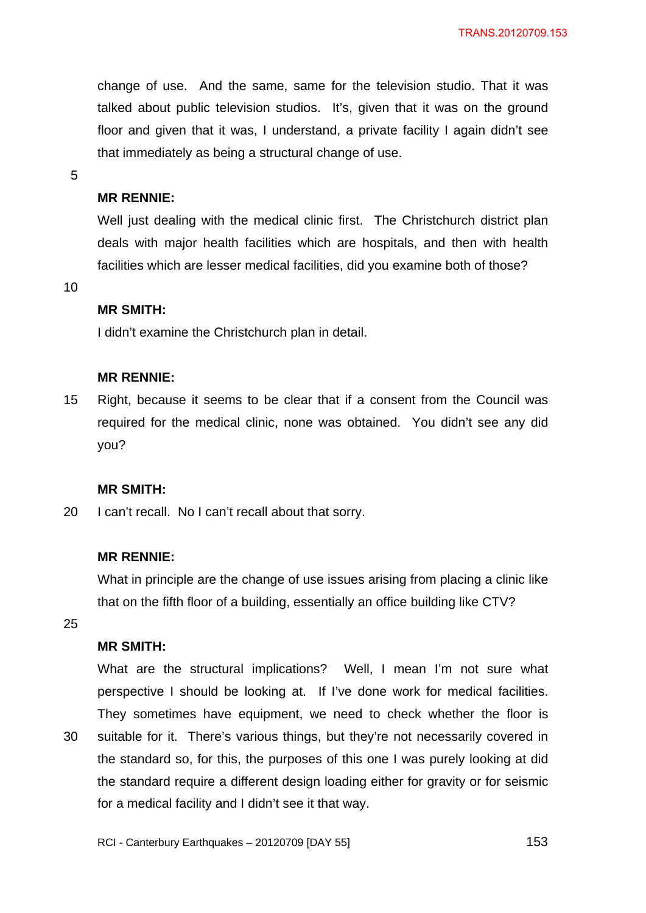change of use. And the same, same for the television studio. That it was talked about public television studios. It's, given that it was on the ground floor and given that it was, I understand, a private facility I again didn't see that immediately as being a structural change of use.

5

### **MR RENNIE:**

Well just dealing with the medical clinic first. The Christchurch district plan deals with major health facilities which are hospitals, and then with health facilities which are lesser medical facilities, did you examine both of those?

10

## **MR SMITH:**

I didn't examine the Christchurch plan in detail.

### **MR RENNIE:**

15 Right, because it seems to be clear that if a consent from the Council was required for the medical clinic, none was obtained. You didn't see any did you?

### **MR SMITH:**

20 I can't recall. No I can't recall about that sorry.

### **MR RENNIE:**

What in principle are the change of use issues arising from placing a clinic like that on the fifth floor of a building, essentially an office building like CTV?

25

30

# **MR SMITH:**

What are the structural implications? Well, I mean I'm not sure what perspective I should be looking at. If I've done work for medical facilities. They sometimes have equipment, we need to check whether the floor is suitable for it. There's various things, but they're not necessarily covered in the standard so, for this, the purposes of this one I was purely looking at did the standard require a different design loading either for gravity or for seismic for a medical facility and I didn't see it that way.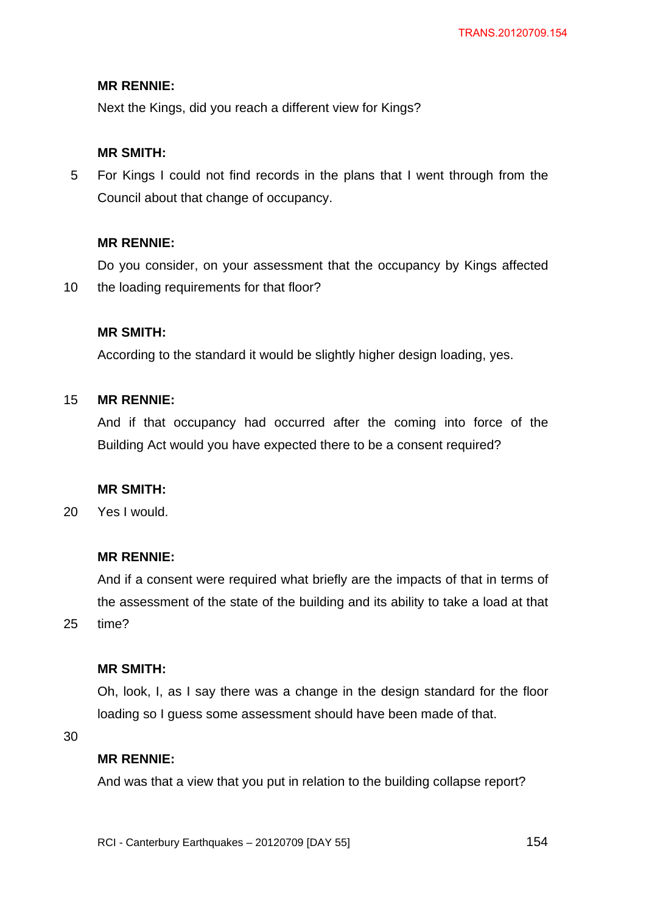### **MR RENNIE:**

Next the Kings, did you reach a different view for Kings?

### **MR SMITH:**

5 For Kings I could not find records in the plans that I went through from the Council about that change of occupancy.

## **MR RENNIE:**

10 Do you consider, on your assessment that the occupancy by Kings affected the loading requirements for that floor?

### **MR SMITH:**

According to the standard it would be slightly higher design loading, yes.

#### 15 **MR RENNIE:**

And if that occupancy had occurred after the coming into force of the Building Act would you have expected there to be a consent required?

## **MR SMITH:**

20 Yes I would.

### **MR RENNIE:**

And if a consent were required what briefly are the impacts of that in terms of the assessment of the state of the building and its ability to take a load at that time?

#### **MR SMITH:**

Oh, look, I, as I say there was a change in the design standard for the floor loading so I guess some assessment should have been made of that.

30

25

### **MR RENNIE:**

And was that a view that you put in relation to the building collapse report?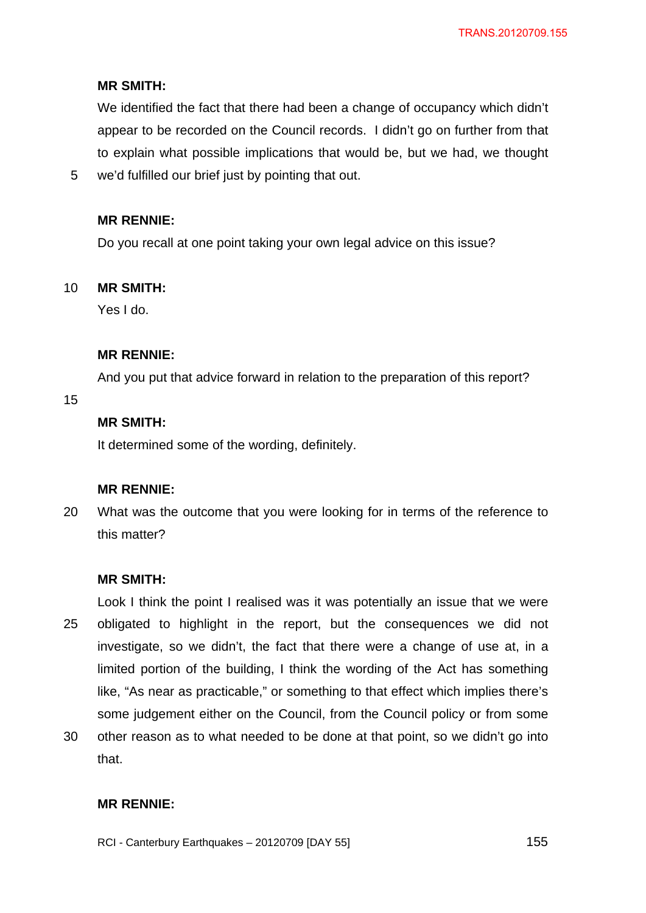## **MR SMITH:**

We identified the fact that there had been a change of occupancy which didn't appear to be recorded on the Council records. I didn't go on further from that to explain what possible implications that would be, but we had, we thought

5 we'd fulfilled our brief just by pointing that out.

### **MR RENNIE:**

Do you recall at one point taking your own legal advice on this issue?

#### 10 **MR SMITH:**

Yes I do.

## **MR RENNIE:**

And you put that advice forward in relation to the preparation of this report?

15

# **MR SMITH:**

It determined some of the wording, definitely.

## **MR RENNIE:**

20 What was the outcome that you were looking for in terms of the reference to this matter?

### **MR SMITH:**

25 Look I think the point I realised was it was potentially an issue that we were obligated to highlight in the report, but the consequences we did not investigate, so we didn't, the fact that there were a change of use at, in a limited portion of the building, I think the wording of the Act has something like, "As near as practicable," or something to that effect which implies there's some judgement either on the Council, from the Council policy or from some

30 other reason as to what needed to be done at that point, so we didn't go into that.

## **MR RENNIE:**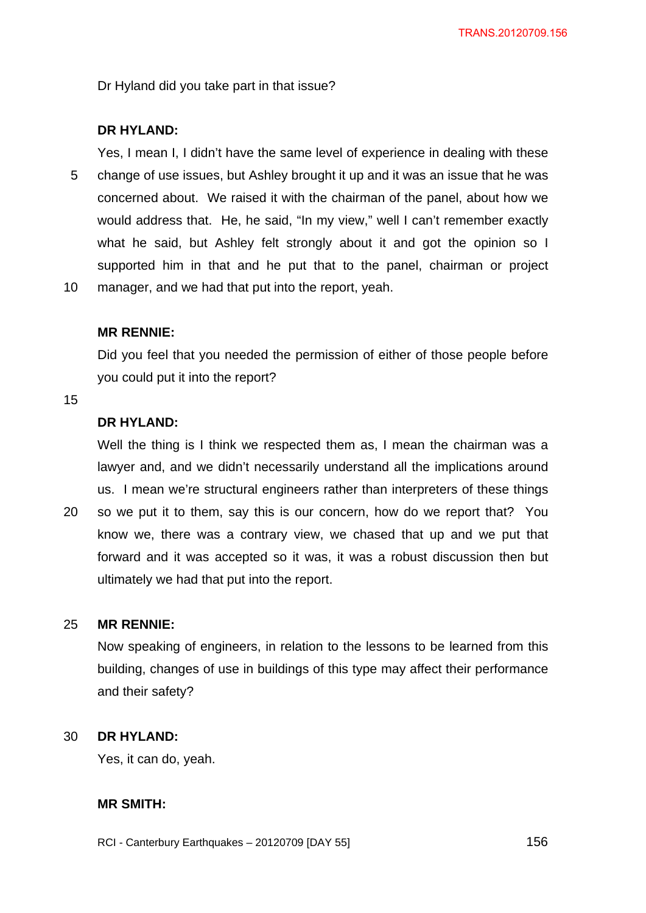Dr Hyland did you take part in that issue?

### **DR HYLAND:**

5 10 Yes, I mean I, I didn't have the same level of experience in dealing with these change of use issues, but Ashley brought it up and it was an issue that he was concerned about. We raised it with the chairman of the panel, about how we would address that. He, he said, "In my view," well I can't remember exactly what he said, but Ashley felt strongly about it and got the opinion so I supported him in that and he put that to the panel, chairman or project manager, and we had that put into the report, yeah.

#### **MR RENNIE:**

Did you feel that you needed the permission of either of those people before you could put it into the report?

#### 15

20

# **DR HYLAND:**

Well the thing is I think we respected them as, I mean the chairman was a lawyer and, and we didn't necessarily understand all the implications around us. I mean we're structural engineers rather than interpreters of these things so we put it to them, say this is our concern, how do we report that? You know we, there was a contrary view, we chased that up and we put that forward and it was accepted so it was, it was a robust discussion then but

#### 25 **MR RENNIE:**

Now speaking of engineers, in relation to the lessons to be learned from this building, changes of use in buildings of this type may affect their performance and their safety?

#### 30 **DR HYLAND:**

Yes, it can do, yeah.

## **MR SMITH:**

RCI - Canterbury Earthquakes – 20120709 [DAY 55]

ultimately we had that put into the report.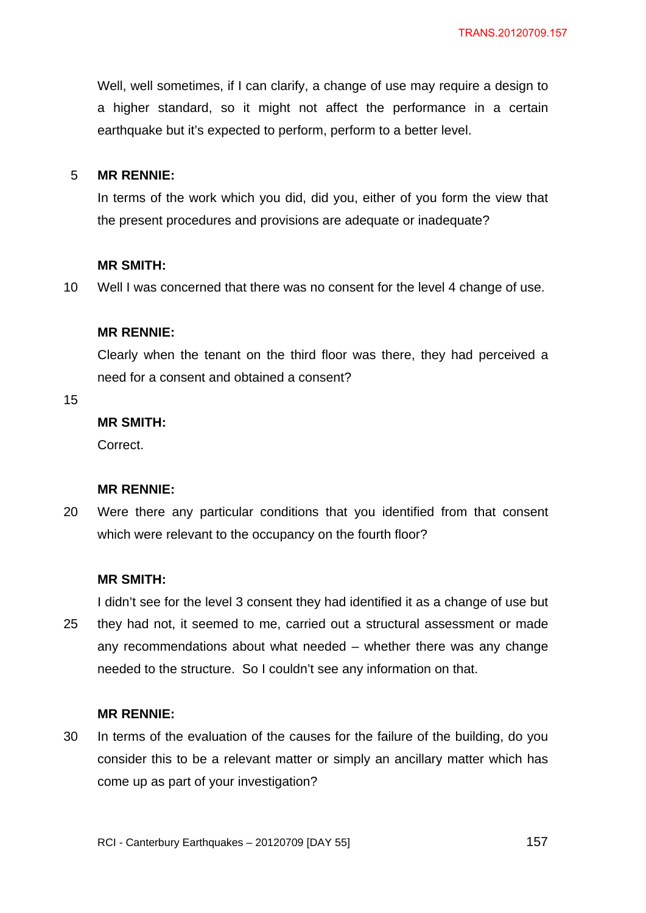Well, well sometimes, if I can clarify, a change of use may require a design to a higher standard, so it might not affect the performance in a certain earthquake but it's expected to perform, perform to a better level.

#### 5 **MR RENNIE:**

In terms of the work which you did, did you, either of you form the view that the present procedures and provisions are adequate or inadequate?

#### **MR SMITH:**

10 Well I was concerned that there was no consent for the level 4 change of use.

#### **MR RENNIE:**

Clearly when the tenant on the third floor was there, they had perceived a need for a consent and obtained a consent?

15

# **MR SMITH:**

Correct.

### **MR RENNIE:**

20 Were there any particular conditions that you identified from that consent which were relevant to the occupancy on the fourth floor?

#### **MR SMITH:**

I didn't see for the level 3 consent they had identified it as a change of use but

25 they had not, it seemed to me, carried out a structural assessment or made any recommendations about what needed – whether there was any change needed to the structure. So I couldn't see any information on that.

### **MR RENNIE:**

30 In terms of the evaluation of the causes for the failure of the building, do you consider this to be a relevant matter or simply an ancillary matter which has come up as part of your investigation?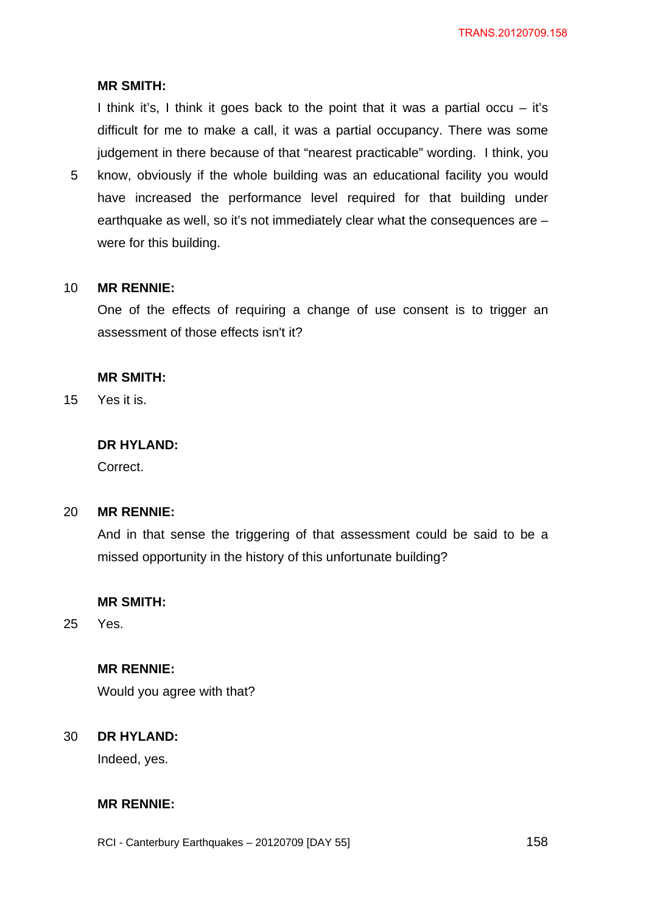## **MR SMITH:**

I think it's, I think it goes back to the point that it was a partial occu  $-$  it's difficult for me to make a call, it was a partial occupancy. There was some judgement in there because of that "nearest practicable" wording. I think, you

5 know, obviously if the whole building was an educational facility you would have increased the performance level required for that building under earthquake as well, so it's not immediately clear what the consequences are – were for this building.

#### 10 **MR RENNIE:**

One of the effects of requiring a change of use consent is to trigger an assessment of those effects isn't it?

#### **MR SMITH:**

15 Yes it is.

# **DR HYLAND:**

Correct.

#### 20 **MR RENNIE:**

And in that sense the triggering of that assessment could be said to be a missed opportunity in the history of this unfortunate building?

### **MR SMITH:**

25 Yes.

#### **MR RENNIE:**

Would you agree with that?

#### 30 **DR HYLAND:**

Indeed, yes.

### **MR RENNIE:**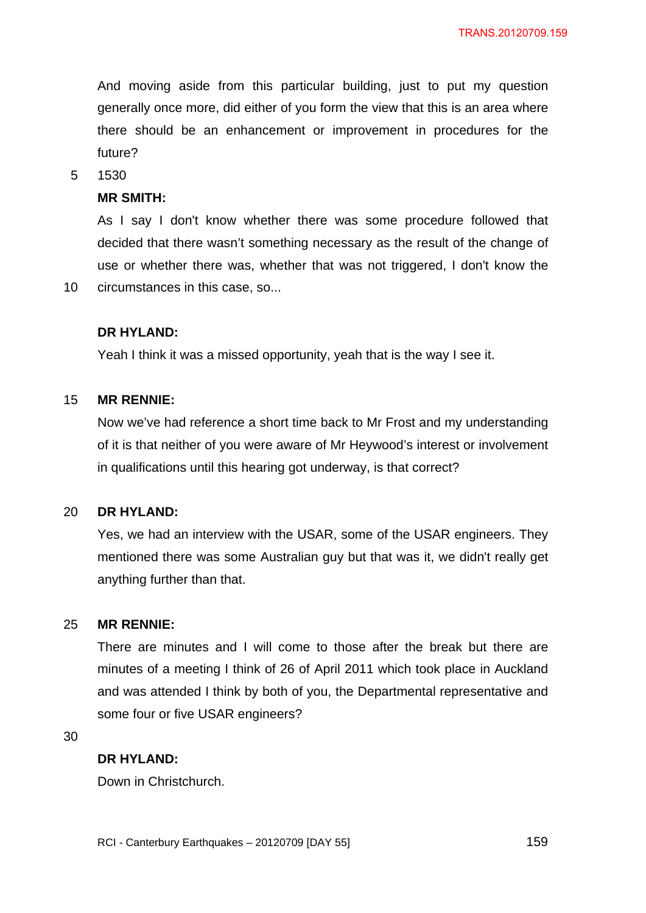And moving aside from this particular building, just to put my question generally once more, did either of you form the view that this is an area where there should be an enhancement or improvement in procedures for the future?

5 1530

10

#### **MR SMITH:**

As I say I don't know whether there was some procedure followed that decided that there wasn't something necessary as the result of the change of use or whether there was, whether that was not triggered, I don't know the circumstances in this case, so...

#### **DR HYLAND:**

Yeah I think it was a missed opportunity, yeah that is the way I see it.

#### 15 **MR RENNIE:**

Now we've had reference a short time back to Mr Frost and my understanding of it is that neither of you were aware of Mr Heywood's interest or involvement in qualifications until this hearing got underway, is that correct?

#### 20 **DR HYLAND:**

Yes, we had an interview with the USAR, some of the USAR engineers. They mentioned there was some Australian guy but that was it, we didn't really get anything further than that.

#### 25 **MR RENNIE:**

There are minutes and I will come to those after the break but there are minutes of a meeting I think of 26 of April 2011 which took place in Auckland and was attended I think by both of you, the Departmental representative and some four or five USAR engineers?

30

## **DR HYLAND:**

Down in Christchurch.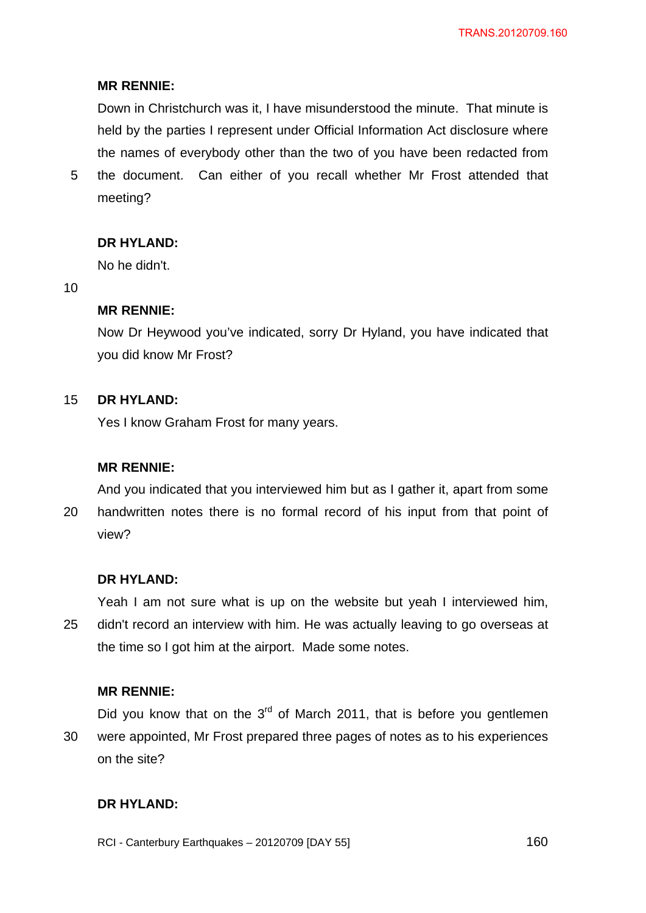## **MR RENNIE:**

Down in Christchurch was it, I have misunderstood the minute. That minute is held by the parties I represent under Official Information Act disclosure where the names of everybody other than the two of you have been redacted from

5 the document. Can either of you recall whether Mr Frost attended that meeting?

## **DR HYLAND:**

No he didn't.

10

### **MR RENNIE:**

Now Dr Heywood you've indicated, sorry Dr Hyland, you have indicated that you did know Mr Frost?

#### 15 **DR HYLAND:**

Yes I know Graham Frost for many years.

### **MR RENNIE:**

20 And you indicated that you interviewed him but as I gather it, apart from some handwritten notes there is no formal record of his input from that point of view?

### **DR HYLAND:**

25 Yeah I am not sure what is up on the website but yeah I interviewed him, didn't record an interview with him. He was actually leaving to go overseas at the time so I got him at the airport. Made some notes.

#### **MR RENNIE:**

30 Did you know that on the  $3<sup>rd</sup>$  of March 2011, that is before you gentlemen were appointed, Mr Frost prepared three pages of notes as to his experiences on the site?

## **DR HYLAND:**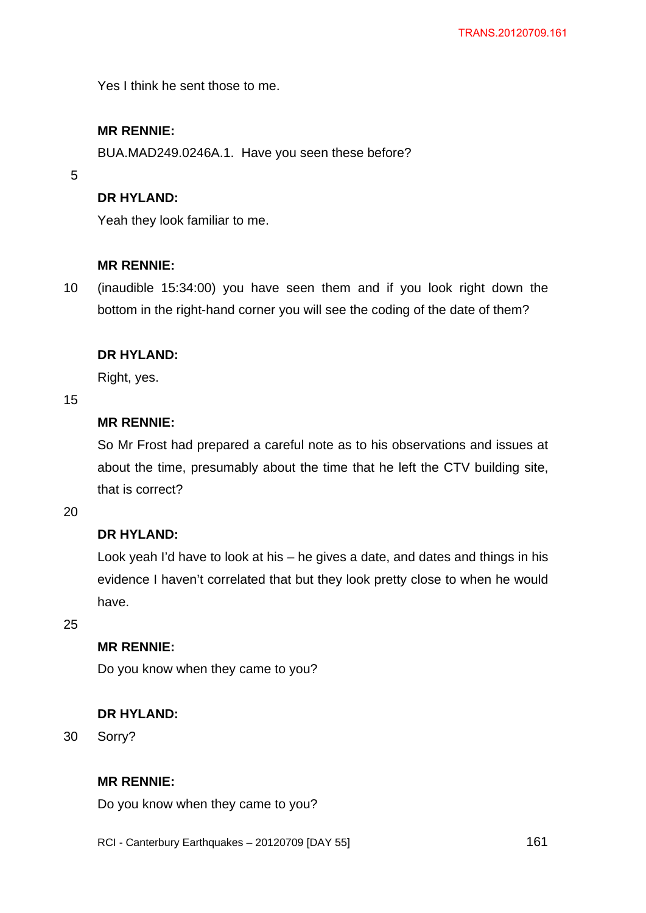Yes I think he sent those to me.

# **MR RENNIE:**

BUA.MAD249.0246A.1. Have you seen these before?

5

## **DR HYLAND:**

Yeah they look familiar to me.

## **MR RENNIE:**

10 (inaudible 15:34:00) you have seen them and if you look right down the bottom in the right-hand corner you will see the coding of the date of them?

## **DR HYLAND:**

Right, yes.

15

# **MR RENNIE:**

So Mr Frost had prepared a careful note as to his observations and issues at about the time, presumably about the time that he left the CTV building site, that is correct?

20

# **DR HYLAND:**

Look yeah I'd have to look at his – he gives a date, and dates and things in his evidence I haven't correlated that but they look pretty close to when he would have.

25

## **MR RENNIE:**

Do you know when they came to you?

## **DR HYLAND:**

30 Sorry?

## **MR RENNIE:**

Do you know when they came to you?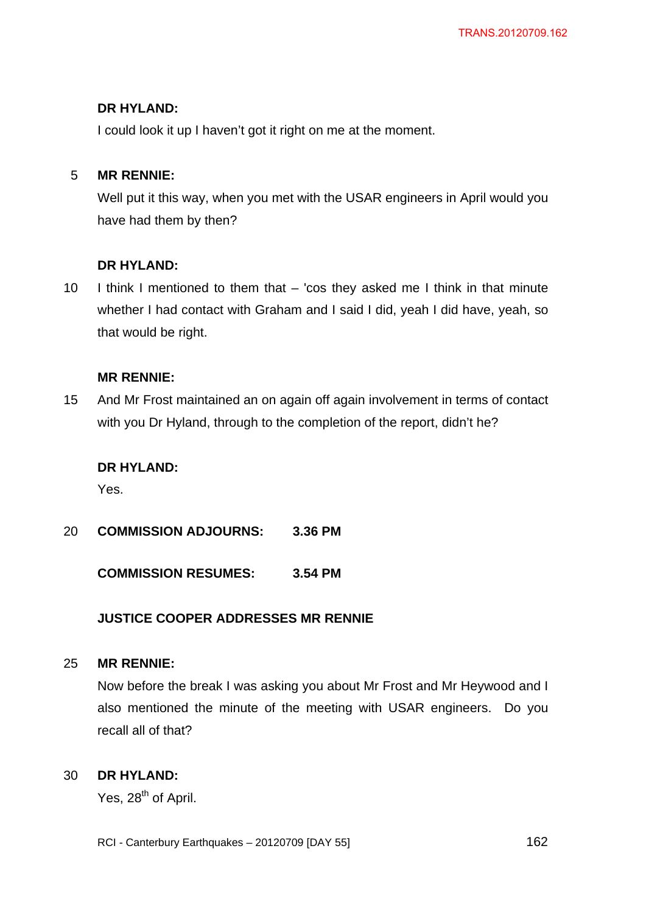I could look it up I haven't got it right on me at the moment.

#### 5 **MR RENNIE:**

Well put it this way, when you met with the USAR engineers in April would you have had them by then?

# **DR HYLAND:**

10 I think I mentioned to them that – 'cos they asked me I think in that minute whether I had contact with Graham and I said I did, yeah I did have, yeah, so that would be right.

## **MR RENNIE:**

15 And Mr Frost maintained an on again off again involvement in terms of contact with you Dr Hyland, through to the completion of the report, didn't he?

## **DR HYLAND:**

Yes.

20 **COMMISSION ADJOURNS: 3.36 PM** 

**COMMISSION RESUMES: 3.54 PM** 

## **JUSTICE COOPER ADDRESSES MR RENNIE**

#### 25 **MR RENNIE:**

Now before the break I was asking you about Mr Frost and Mr Heywood and I also mentioned the minute of the meeting with USAR engineers. Do you recall all of that?

#### 30 **DR HYLAND:**

Yes, 28<sup>th</sup> of April.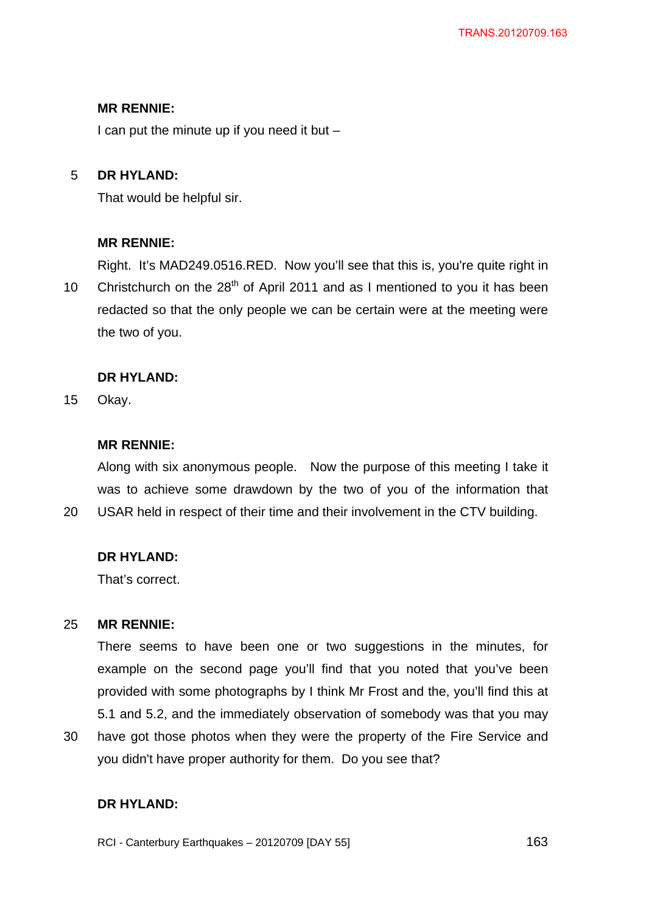## **MR RENNIE:**

I can put the minute up if you need it but  $-$ 

#### 5 **DR HYLAND:**

That would be helpful sir.

## **MR RENNIE:**

10 Right. It's MAD249.0516.RED. Now you'll see that this is, you're quite right in Christchurch on the  $28<sup>th</sup>$  of April 2011 and as I mentioned to you it has been redacted so that the only people we can be certain were at the meeting were the two of you.

## **DR HYLAND:**

15 Okay.

20

## **MR RENNIE:**

Along with six anonymous people. Now the purpose of this meeting I take it was to achieve some drawdown by the two of you of the information that USAR held in respect of their time and their involvement in the CTV building.

# **DR HYLAND:**

That's correct.

#### 25 **MR RENNIE:**

There seems to have been one or two suggestions in the minutes, for example on the second page you'll find that you noted that you've been provided with some photographs by I think Mr Frost and the, you'll find this at 5.1 and 5.2, and the immediately observation of somebody was that you may

30 have got those photos when they were the property of the Fire Service and you didn't have proper authority for them. Do you see that?

## **DR HYLAND:**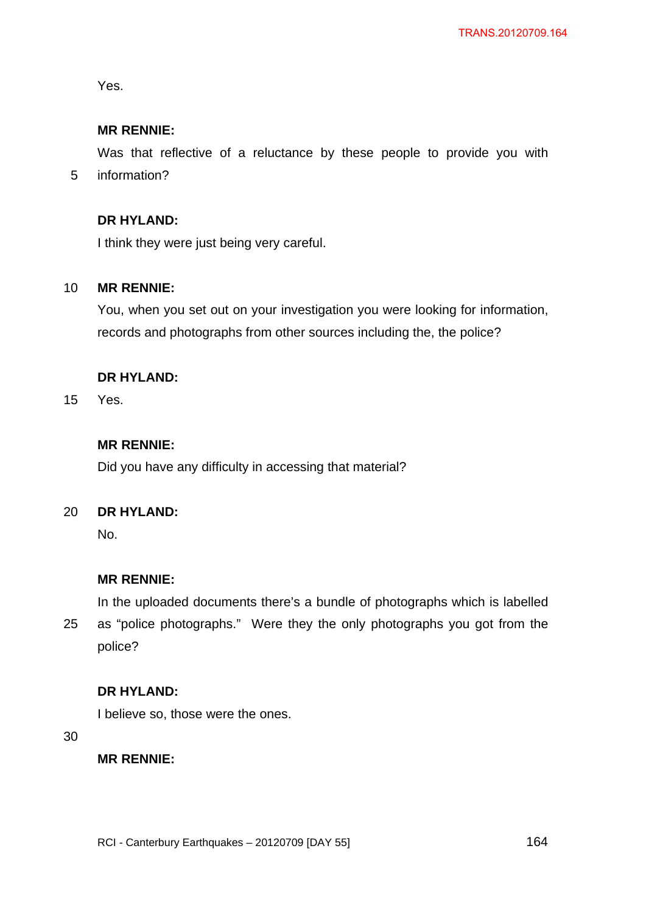Yes.

5

# **MR RENNIE:**

Was that reflective of a reluctance by these people to provide you with information?

## **DR HYLAND:**

I think they were just being very careful.

#### 10 **MR RENNIE:**

You, when you set out on your investigation you were looking for information, records and photographs from other sources including the, the police?

## **DR HYLAND:**

15 Yes.

## **MR RENNIE:**

Did you have any difficulty in accessing that material?

#### 20 **DR HYLAND:**

No.

#### **MR RENNIE:**

25 In the uploaded documents there's a bundle of photographs which is labelled as "police photographs." Were they the only photographs you got from the police?

### **DR HYLAND:**

I believe so, those were the ones.

30

### **MR RENNIE:**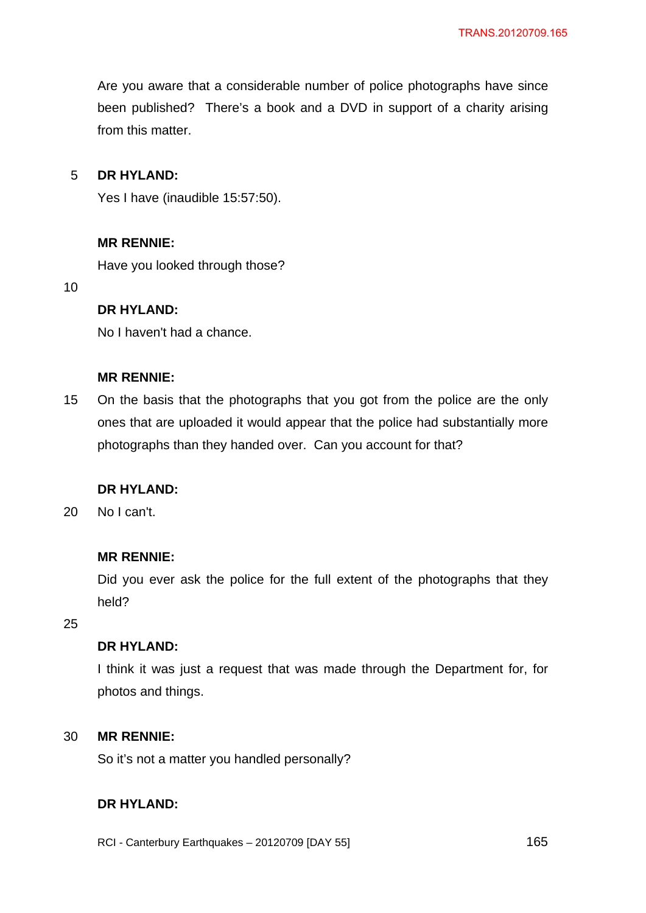Are you aware that a considerable number of police photographs have since been published? There's a book and a DVD in support of a charity arising from this matter.

#### 5 **DR HYLAND:**

Yes I have (inaudible 15:57:50).

## **MR RENNIE:**

Have you looked through those?

10

## **DR HYLAND:**

No I haven't had a chance.

#### **MR RENNIE:**

15 On the basis that the photographs that you got from the police are the only ones that are uploaded it would appear that the police had substantially more photographs than they handed over. Can you account for that?

## **DR HYLAND:**

20 No I can't.

### **MR RENNIE:**

Did you ever ask the police for the full extent of the photographs that they held?

25

## **DR HYLAND:**

I think it was just a request that was made through the Department for, for photos and things.

#### 30 **MR RENNIE:**

So it's not a matter you handled personally?

# **DR HYLAND:**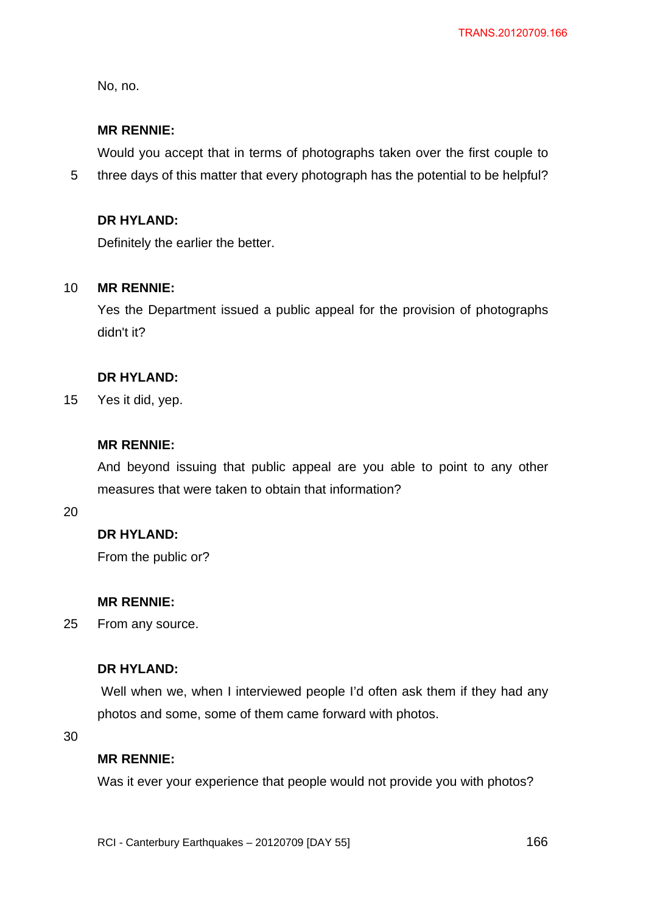No, no.

5

## **MR RENNIE:**

Would you accept that in terms of photographs taken over the first couple to three days of this matter that every photograph has the potential to be helpful?

## **DR HYLAND:**

Definitely the earlier the better.

#### 10 **MR RENNIE:**

Yes the Department issued a public appeal for the provision of photographs didn't it?

## **DR HYLAND:**

15 Yes it did, yep.

## **MR RENNIE:**

And beyond issuing that public appeal are you able to point to any other measures that were taken to obtain that information?

20

# **DR HYLAND:**

From the public or?

## **MR RENNIE:**

25 From any source.

## **DR HYLAND:**

Well when we, when I interviewed people I'd often ask them if they had any photos and some, some of them came forward with photos.

30

### **MR RENNIE:**

Was it ever your experience that people would not provide you with photos?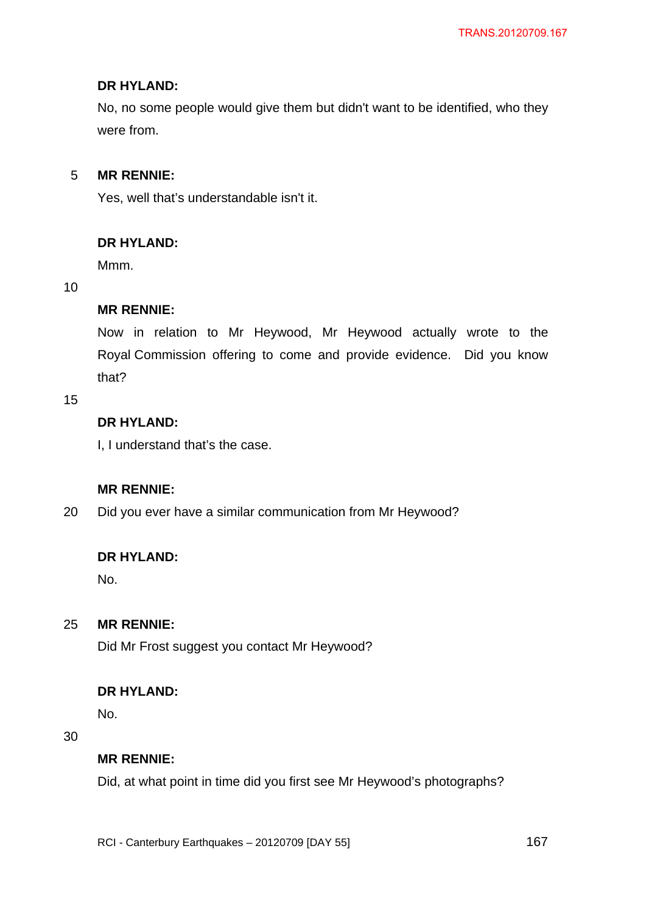No, no some people would give them but didn't want to be identified, who they were from.

#### 5 **MR RENNIE:**

Yes, well that's understandable isn't it.

## **DR HYLAND:**

Mmm.

### 10

## **MR RENNIE:**

Now in relation to Mr Heywood, Mr Heywood actually wrote to the Royal Commission offering to come and provide evidence. Did you know that?

15

# **DR HYLAND:**

I, I understand that's the case.

## **MR RENNIE:**

20 Did you ever have a similar communication from Mr Heywood?

### **DR HYLAND:**

No.

#### 25 **MR RENNIE:**

Did Mr Frost suggest you contact Mr Heywood?

## **DR HYLAND:**

No.

### 30

# **MR RENNIE:**

Did, at what point in time did you first see Mr Heywood's photographs?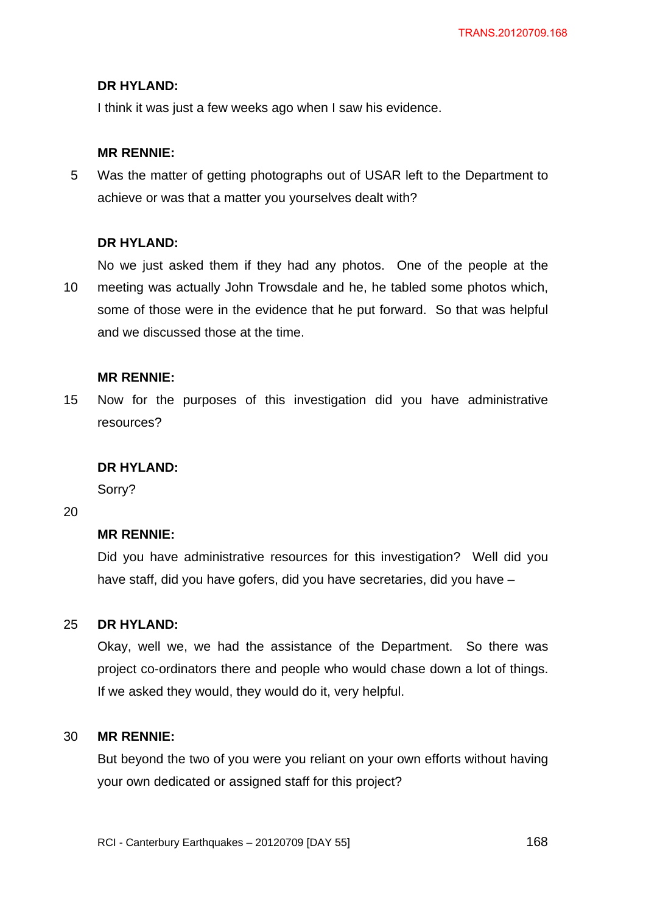I think it was just a few weeks ago when I saw his evidence.

### **MR RENNIE:**

5 Was the matter of getting photographs out of USAR left to the Department to achieve or was that a matter you yourselves dealt with?

## **DR HYLAND:**

No we just asked them if they had any photos. One of the people at the

10 meeting was actually John Trowsdale and he, he tabled some photos which, some of those were in the evidence that he put forward. So that was helpful and we discussed those at the time.

### **MR RENNIE:**

15 Now for the purposes of this investigation did you have administrative resources?

### **DR HYLAND:**

Sorry?

## 20

### **MR RENNIE:**

Did you have administrative resources for this investigation? Well did you have staff, did you have gofers, did you have secretaries, did you have –

#### 25 **DR HYLAND:**

Okay, well we, we had the assistance of the Department. So there was project co-ordinators there and people who would chase down a lot of things. If we asked they would, they would do it, very helpful.

#### 30 **MR RENNIE:**

But beyond the two of you were you reliant on your own efforts without having your own dedicated or assigned staff for this project?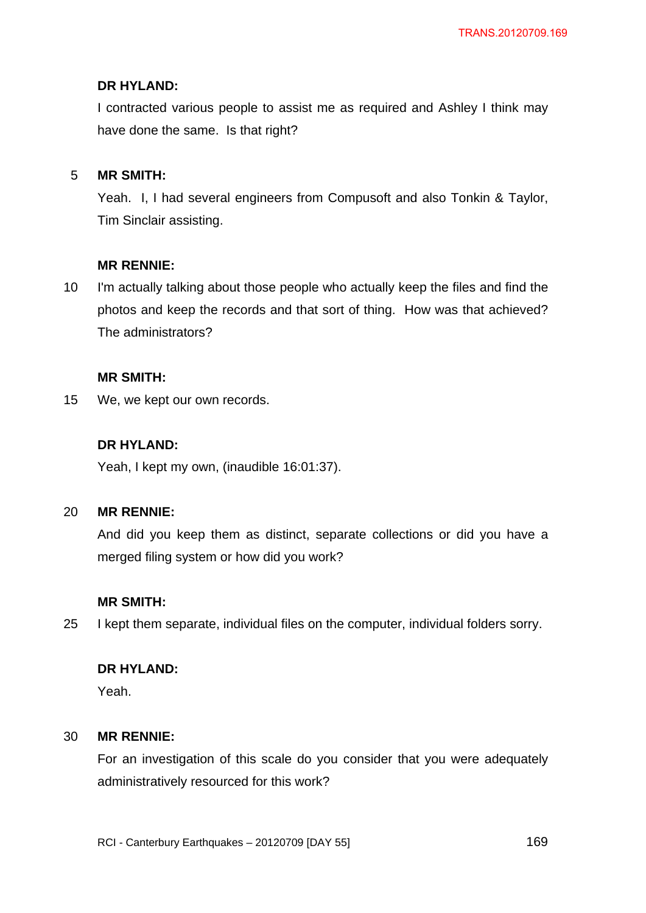I contracted various people to assist me as required and Ashley I think may have done the same. Is that right?

#### 5 **MR SMITH:**

Yeah. I, I had several engineers from Compusoft and also Tonkin & Taylor, Tim Sinclair assisting.

### **MR RENNIE:**

10 I'm actually talking about those people who actually keep the files and find the photos and keep the records and that sort of thing. How was that achieved? The administrators?

## **MR SMITH:**

15 We, we kept our own records.

## **DR HYLAND:**

Yeah, I kept my own, (inaudible 16:01:37).

#### 20 **MR RENNIE:**

And did you keep them as distinct, separate collections or did you have a merged filing system or how did you work?

## **MR SMITH:**

25 I kept them separate, individual files on the computer, individual folders sorry.

## **DR HYLAND:**

Yeah.

#### 30 **MR RENNIE:**

For an investigation of this scale do you consider that you were adequately administratively resourced for this work?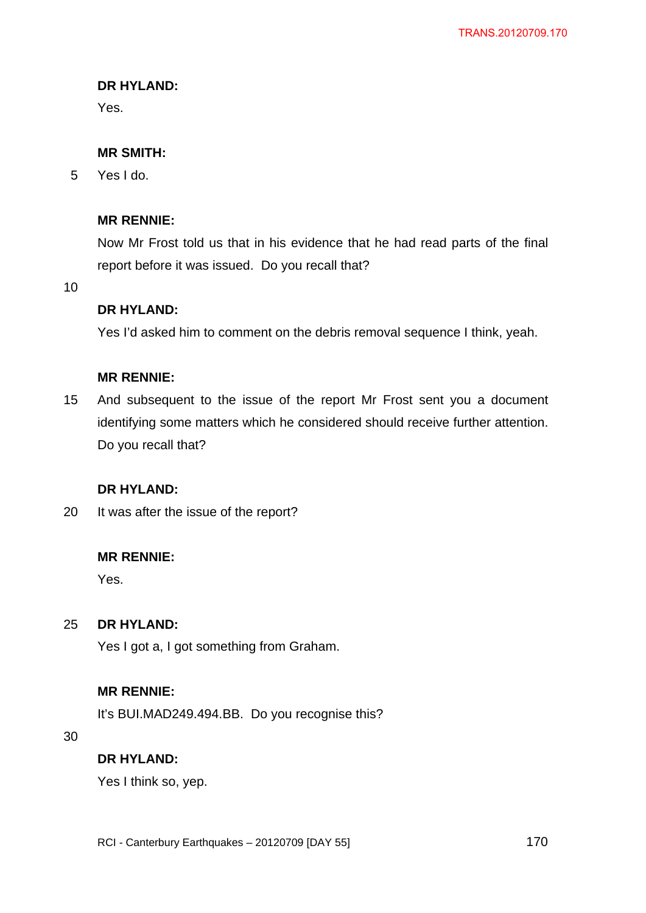Yes.

# **MR SMITH:**

5 Yes I do.

# **MR RENNIE:**

Now Mr Frost told us that in his evidence that he had read parts of the final report before it was issued. Do you recall that?

10

# **DR HYLAND:**

Yes I'd asked him to comment on the debris removal sequence I think, yeah.

# **MR RENNIE:**

15 And subsequent to the issue of the report Mr Frost sent you a document identifying some matters which he considered should receive further attention. Do you recall that?

# **DR HYLAND:**

20 It was after the issue of the report?

# **MR RENNIE:**

Yes.

#### 25 **DR HYLAND:**

Yes I got a, I got something from Graham.

# **MR RENNIE:**

It's BUI.MAD249.494.BB. Do you recognise this?

30

# **DR HYLAND:**

Yes I think so, yep.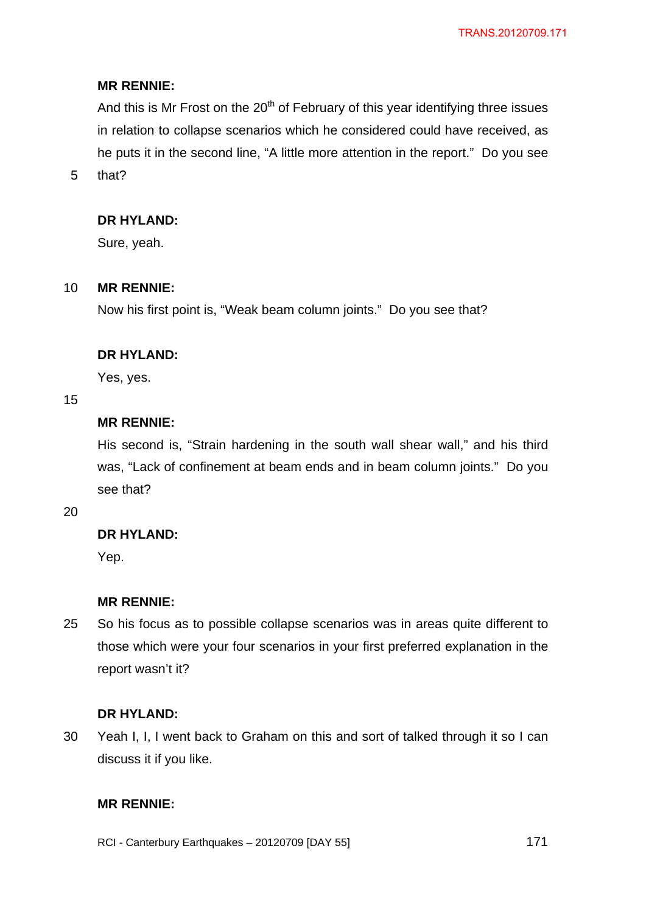## **MR RENNIE:**

And this is Mr Frost on the  $20<sup>th</sup>$  of February of this year identifying three issues in relation to collapse scenarios which he considered could have received, as he puts it in the second line, "A little more attention in the report." Do you see

5 that?

## **DR HYLAND:**

Sure, yeah.

#### 10 **MR RENNIE:**

Now his first point is, "Weak beam column joints." Do you see that?

#### **DR HYLAND:**

Yes, yes.

15

# **MR RENNIE:**

His second is, "Strain hardening in the south wall shear wall," and his third was, "Lack of confinement at beam ends and in beam column joints." Do you see that?

20

## **DR HYLAND:**

Yep.

### **MR RENNIE:**

25 So his focus as to possible collapse scenarios was in areas quite different to those which were your four scenarios in your first preferred explanation in the report wasn't it?

#### **DR HYLAND:**

30 Yeah I, I, I went back to Graham on this and sort of talked through it so I can discuss it if you like.

### **MR RENNIE:**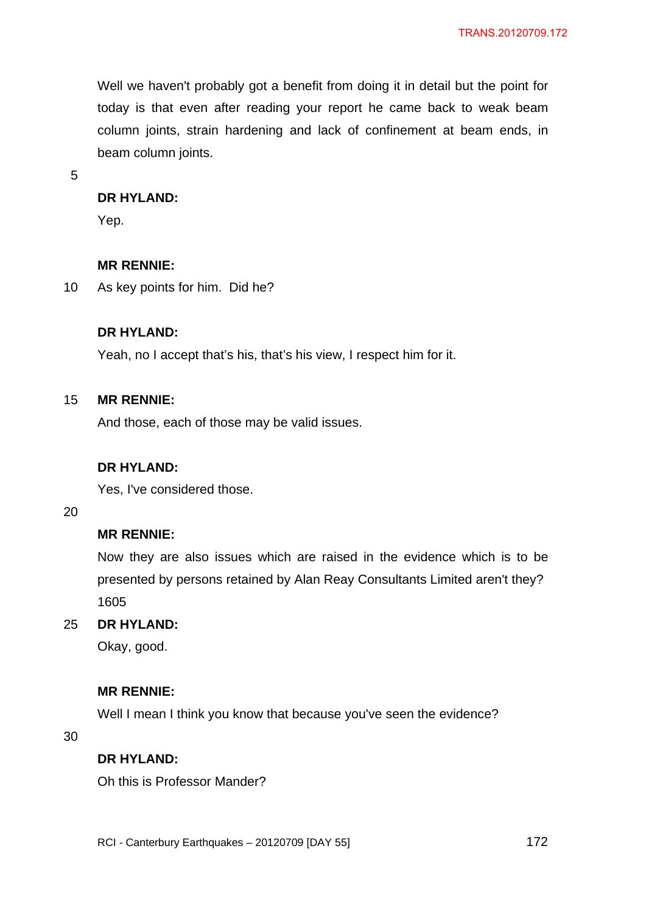Well we haven't probably got a benefit from doing it in detail but the point for today is that even after reading your report he came back to weak beam column joints, strain hardening and lack of confinement at beam ends, in beam column joints.

5

#### **DR HYLAND:**

Yep.

#### **MR RENNIE:**

10 As key points for him. Did he?

### **DR HYLAND:**

Yeah, no I accept that's his, that's his view, I respect him for it.

#### 15 **MR RENNIE:**

And those, each of those may be valid issues.

#### **DR HYLAND:**

Yes, I've considered those.

20

## **MR RENNIE:**

Now they are also issues which are raised in the evidence which is to be presented by persons retained by Alan Reay Consultants Limited aren't they? 1605

#### 25 **DR HYLAND:**

Okay, good.

### **MR RENNIE:**

Well I mean I think you know that because you've seen the evidence?

30

### **DR HYLAND:**

Oh this is Professor Mander?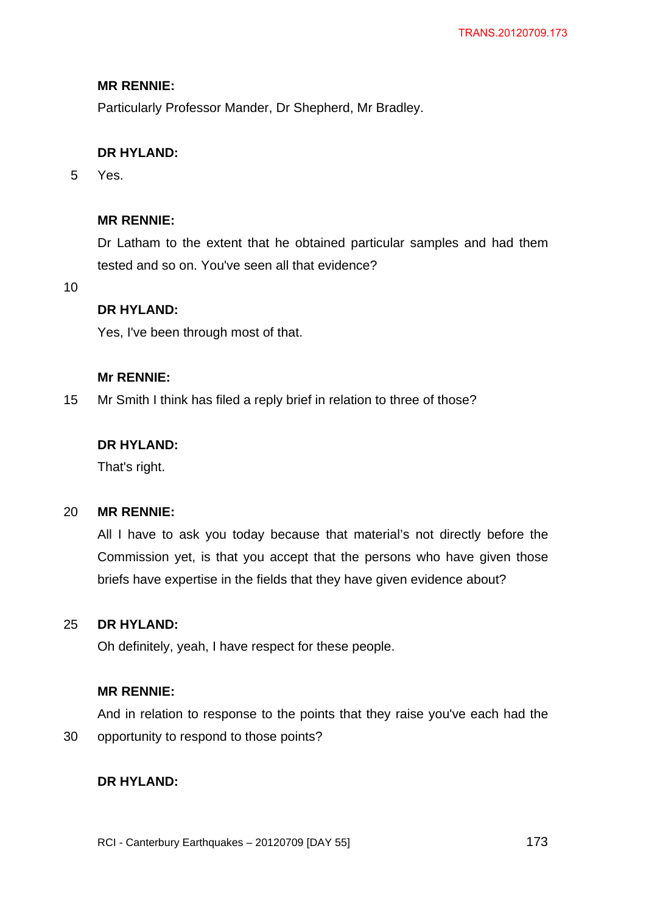# **MR RENNIE:**

Particularly Professor Mander, Dr Shepherd, Mr Bradley.

# **DR HYLAND:**

5 Yes.

# **MR RENNIE:**

Dr Latham to the extent that he obtained particular samples and had them tested and so on. You've seen all that evidence?

10

## **DR HYLAND:**

Yes, I've been through most of that.

## **Mr RENNIE:**

15 Mr Smith I think has filed a reply brief in relation to three of those?

## **DR HYLAND:**

That's right.

#### 20 **MR RENNIE:**

All I have to ask you today because that material's not directly before the Commission yet, is that you accept that the persons who have given those briefs have expertise in the fields that they have given evidence about?

#### 25 **DR HYLAND:**

Oh definitely, yeah, I have respect for these people.

## **MR RENNIE:**

30 And in relation to response to the points that they raise you've each had the opportunity to respond to those points?

## **DR HYLAND:**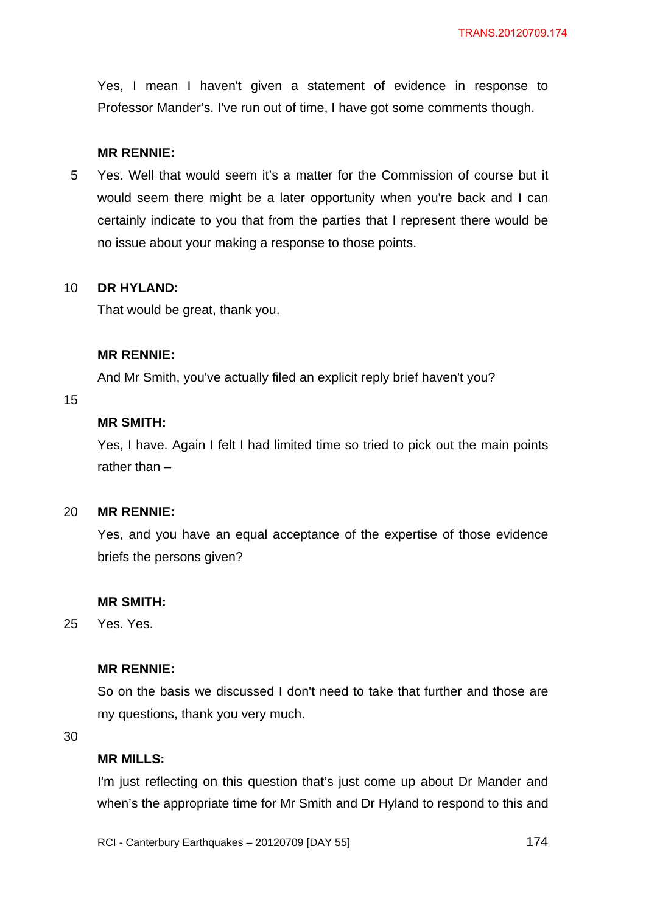Yes, I mean I haven't given a statement of evidence in response to Professor Mander's. I've run out of time, I have got some comments though.

### **MR RENNIE:**

5 Yes. Well that would seem it's a matter for the Commission of course but it would seem there might be a later opportunity when you're back and I can certainly indicate to you that from the parties that I represent there would be no issue about your making a response to those points.

#### 10 **DR HYLAND:**

That would be great, thank you.

## **MR RENNIE:**

And Mr Smith, you've actually filed an explicit reply brief haven't you?

## 15

# **MR SMITH:**

Yes, I have. Again I felt I had limited time so tried to pick out the main points rather than –

#### 20 **MR RENNIE:**

Yes, and you have an equal acceptance of the expertise of those evidence briefs the persons given?

### **MR SMITH:**

25 Yes. Yes.

## **MR RENNIE:**

So on the basis we discussed I don't need to take that further and those are my questions, thank you very much.

30

## **MR MILLS:**

I'm just reflecting on this question that's just come up about Dr Mander and when's the appropriate time for Mr Smith and Dr Hyland to respond to this and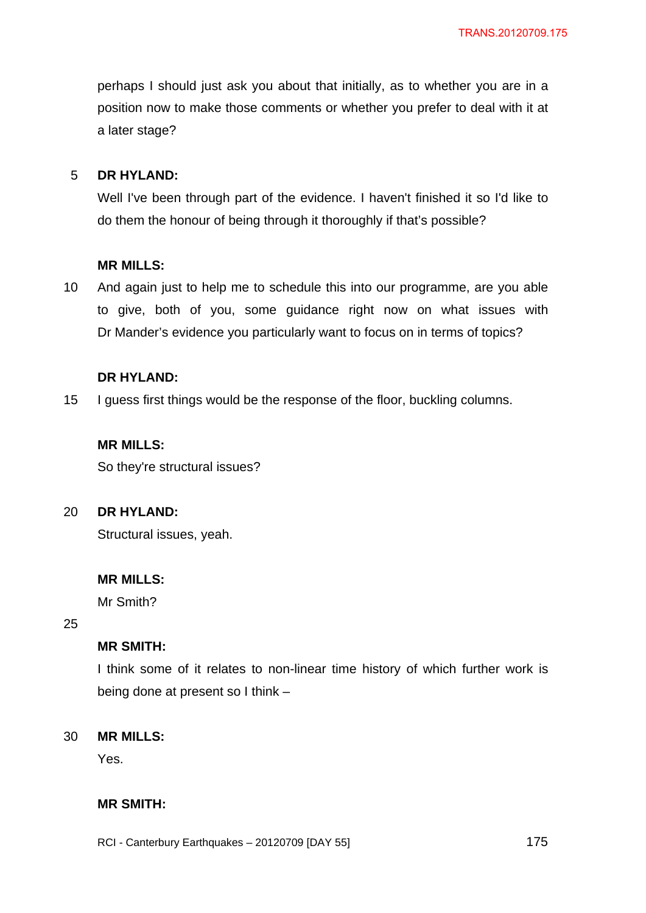perhaps I should just ask you about that initially, as to whether you are in a position now to make those comments or whether you prefer to deal with it at a later stage?

#### 5 **DR HYLAND:**

Well I've been through part of the evidence. I haven't finished it so I'd like to do them the honour of being through it thoroughly if that's possible?

### **MR MILLS:**

10 And again just to help me to schedule this into our programme, are you able to give, both of you, some guidance right now on what issues with Dr Mander's evidence you particularly want to focus on in terms of topics?

#### **DR HYLAND:**

15 I guess first things would be the response of the floor, buckling columns.

## **MR MILLS:**

So they're structural issues?

#### $20<sub>2</sub>$ **DR HYLAND:**

Structural issues, yeah.

#### **MR MILLS:**

Mr Smith?

25

## **MR SMITH:**

I think some of it relates to non-linear time history of which further work is being done at present so I think –

#### 30 **MR MILLS:**

Yes.

# **MR SMITH:**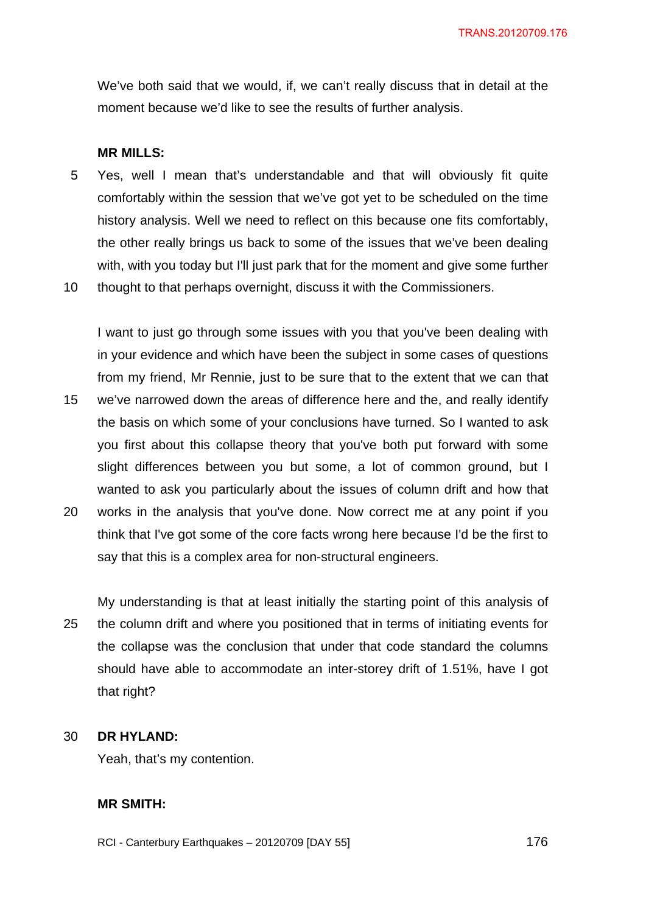We've both said that we would, if, we can't really discuss that in detail at the moment because we'd like to see the results of further analysis.

#### **MR MILLS:**

- 5 Yes, well I mean that's understandable and that will obviously fit quite comfortably within the session that we've got yet to be scheduled on the time history analysis. Well we need to reflect on this because one fits comfortably, the other really brings us back to some of the issues that we've been dealing with, with you today but I'll just park that for the moment and give some further
- 10 thought to that perhaps overnight, discuss it with the Commissioners.

15 20 I want to just go through some issues with you that you've been dealing with in your evidence and which have been the subject in some cases of questions from my friend, Mr Rennie, just to be sure that to the extent that we can that we've narrowed down the areas of difference here and the, and really identify the basis on which some of your conclusions have turned. So I wanted to ask you first about this collapse theory that you've both put forward with some slight differences between you but some, a lot of common ground, but I wanted to ask you particularly about the issues of column drift and how that works in the analysis that you've done. Now correct me at any point if you think that I've got some of the core facts wrong here because I'd be the first to

say that this is a complex area for non-structural engineers.

25 My understanding is that at least initially the starting point of this analysis of the column drift and where you positioned that in terms of initiating events for the collapse was the conclusion that under that code standard the columns should have able to accommodate an inter-storey drift of 1.51%, have I got that right?

#### 30 **DR HYLAND:**

Yeah, that's my contention.

### **MR SMITH:**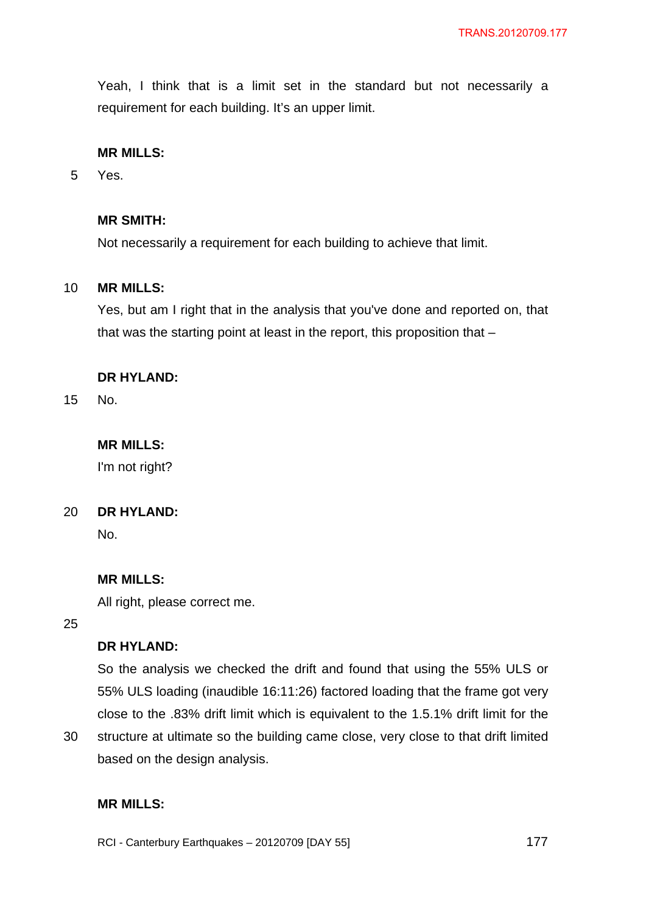Yeah, I think that is a limit set in the standard but not necessarily a requirement for each building. It's an upper limit.

### **MR MILLS:**

5 Yes.

### **MR SMITH:**

Not necessarily a requirement for each building to achieve that limit.

#### 10 **MR MILLS:**

Yes, but am I right that in the analysis that you've done and reported on, that that was the starting point at least in the report, this proposition that –

## **DR HYLAND:**

15 No.

# **MR MILLS:**

I'm not right?

#### 20 **DR HYLAND:**

No.

### **MR MILLS:**

All right, please correct me.

based on the design analysis.

25

# **DR HYLAND:**

So the analysis we checked the drift and found that using the 55% ULS or 55% ULS loading (inaudible 16:11:26) factored loading that the frame got very close to the .83% drift limit which is equivalent to the 1.5.1% drift limit for the structure at ultimate so the building came close, very close to that drift limited

30

# **MR MILLS:**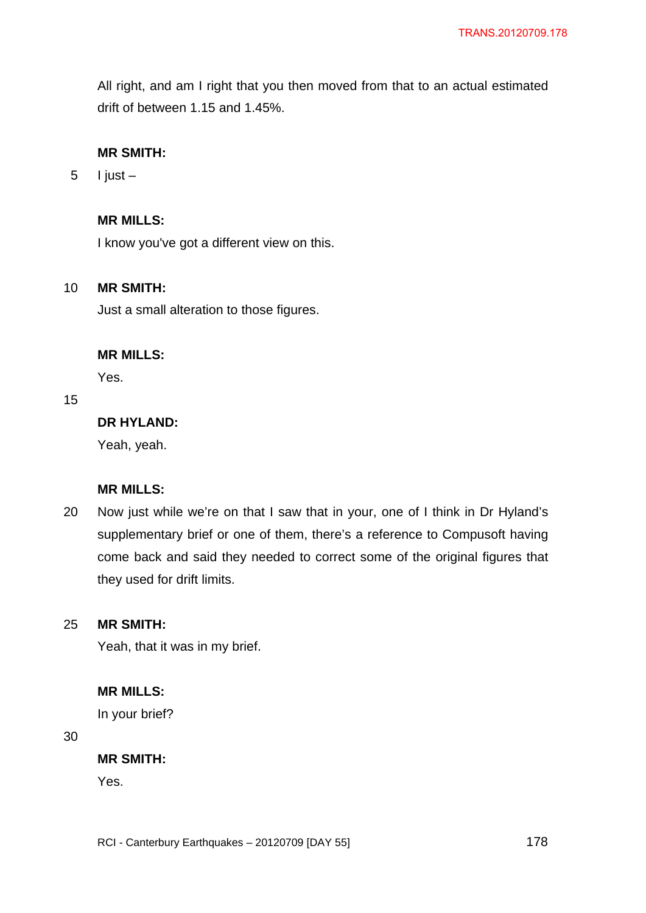All right, and am I right that you then moved from that to an actual estimated drift of between 1.15 and 1.45%.

## **MR SMITH:**

5 I just –

## **MR MILLS:**

I know you've got a different view on this.

#### 10 **MR SMITH:**

Just a small alteration to those figures.

### **MR MILLS:**

Yes.

## 15

# **DR HYLAND:**

Yeah, yeah.

## **MR MILLS:**

20 Now just while we're on that I saw that in your, one of I think in Dr Hyland's supplementary brief or one of them, there's a reference to Compusoft having come back and said they needed to correct some of the original figures that they used for drift limits.

#### 25 **MR SMITH:**

Yeah, that it was in my brief.

### **MR MILLS:**

In your brief?

30

### **MR SMITH:**

Yes.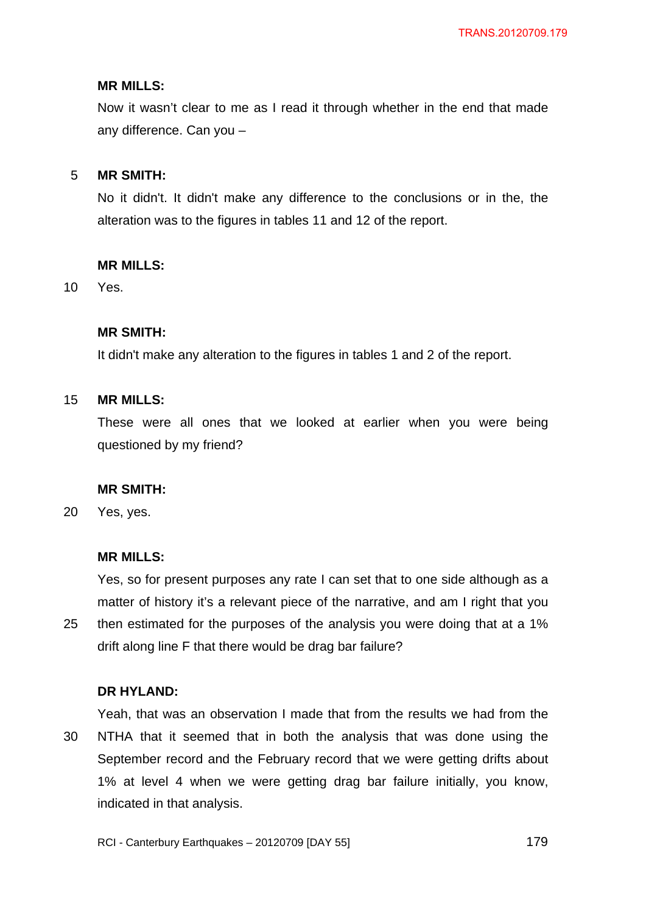### **MR MILLS:**

Now it wasn't clear to me as I read it through whether in the end that made any difference. Can you –

#### 5 **MR SMITH:**

No it didn't. It didn't make any difference to the conclusions or in the, the alteration was to the figures in tables 11 and 12 of the report.

## **MR MILLS:**

10 Yes.

## **MR SMITH:**

It didn't make any alteration to the figures in tables 1 and 2 of the report.

#### 15 **MR MILLS:**

These were all ones that we looked at earlier when you were being questioned by my friend?

## **MR SMITH:**

20 Yes, yes.

## **MR MILLS:**

25 Yes, so for present purposes any rate I can set that to one side although as a matter of history it's a relevant piece of the narrative, and am I right that you then estimated for the purposes of the analysis you were doing that at a 1% drift along line F that there would be drag bar failure?

### **DR HYLAND:**

30 Yeah, that was an observation I made that from the results we had from the NTHA that it seemed that in both the analysis that was done using the September record and the February record that we were getting drifts about 1% at level 4 when we were getting drag bar failure initially, you know, indicated in that analysis.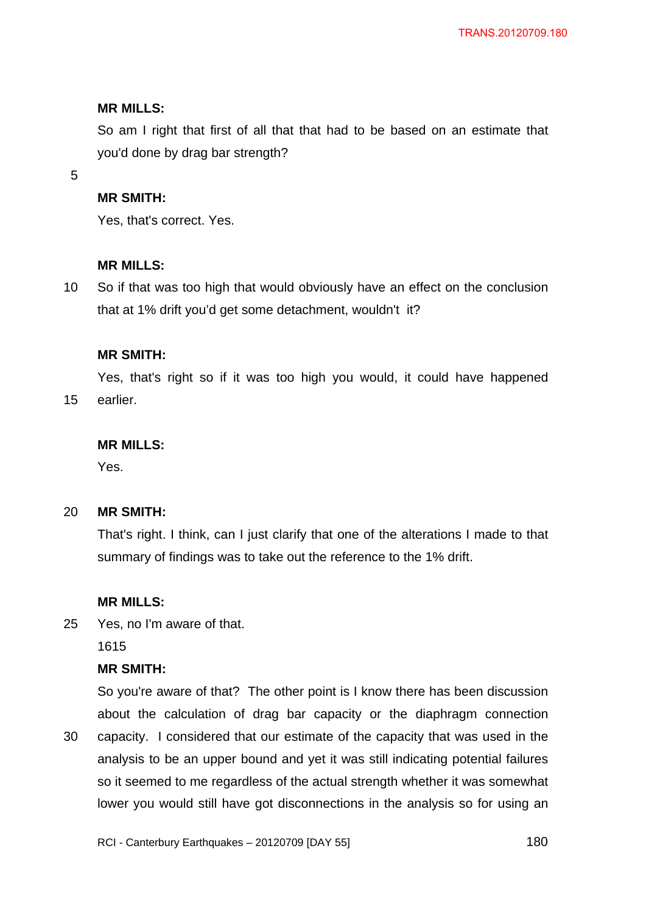### **MR MILLS:**

So am I right that first of all that that had to be based on an estimate that you'd done by drag bar strength?

5

## **MR SMITH:**

Yes, that's correct. Yes.

### **MR MILLS:**

10 So if that was too high that would obviously have an effect on the conclusion that at 1% drift you'd get some detachment, wouldn't it?

## **MR SMITH:**

15 Yes, that's right so if it was too high you would, it could have happened earlier.

### **MR MILLS:**

Yes.

#### 20 **MR SMITH:**

That's right. I think, can I just clarify that one of the alterations I made to that summary of findings was to take out the reference to the 1% drift.

## **MR MILLS:**

25 Yes, no I'm aware of that.

1615

## **MR SMITH:**

30 So you're aware of that? The other point is I know there has been discussion about the calculation of drag bar capacity or the diaphragm connection capacity. I considered that our estimate of the capacity that was used in the analysis to be an upper bound and yet it was still indicating potential failures so it seemed to me regardless of the actual strength whether it was somewhat lower you would still have got disconnections in the analysis so for using an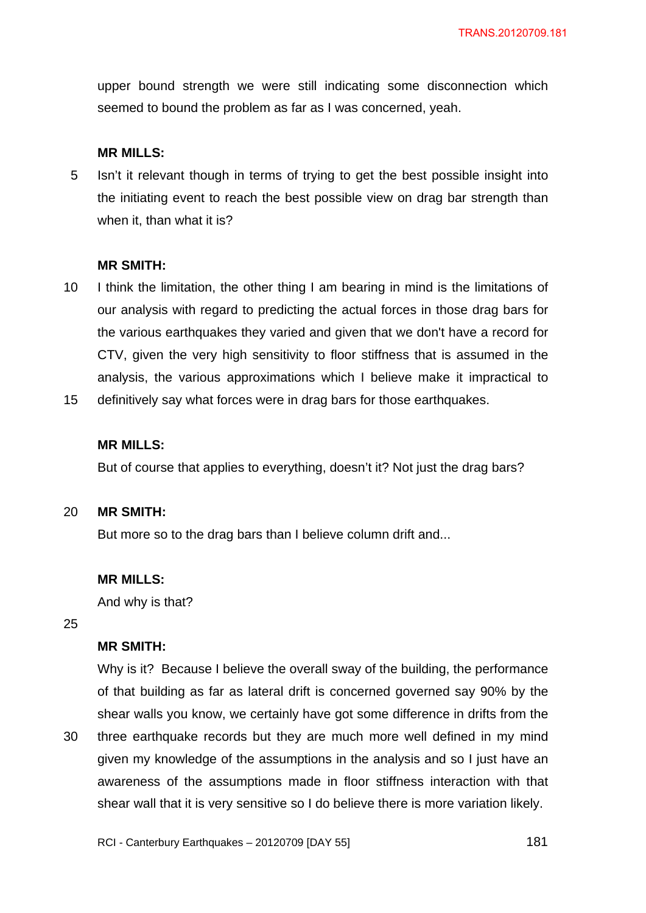upper bound strength we were still indicating some disconnection which seemed to bound the problem as far as I was concerned, yeah.

#### **MR MILLS:**

5 Isn't it relevant though in terms of trying to get the best possible insight into the initiating event to reach the best possible view on drag bar strength than when it, than what it is?

#### **MR SMITH:**

- 10 I think the limitation, the other thing I am bearing in mind is the limitations of our analysis with regard to predicting the actual forces in those drag bars for the various earthquakes they varied and given that we don't have a record for CTV, given the very high sensitivity to floor stiffness that is assumed in the analysis, the various approximations which I believe make it impractical to
- 15 definitively say what forces were in drag bars for those earthquakes.

### **MR MILLS:**

But of course that applies to everything, doesn't it? Not just the drag bars?

#### 20 **MR SMITH:**

But more so to the drag bars than I believe column drift and...

#### **MR MILLS:**

And why is that?

25

30

## **MR SMITH:**

Why is it? Because I believe the overall sway of the building, the performance of that building as far as lateral drift is concerned governed say 90% by the shear walls you know, we certainly have got some difference in drifts from the three earthquake records but they are much more well defined in my mind given my knowledge of the assumptions in the analysis and so I just have an awareness of the assumptions made in floor stiffness interaction with that shear wall that it is very sensitive so I do believe there is more variation likely.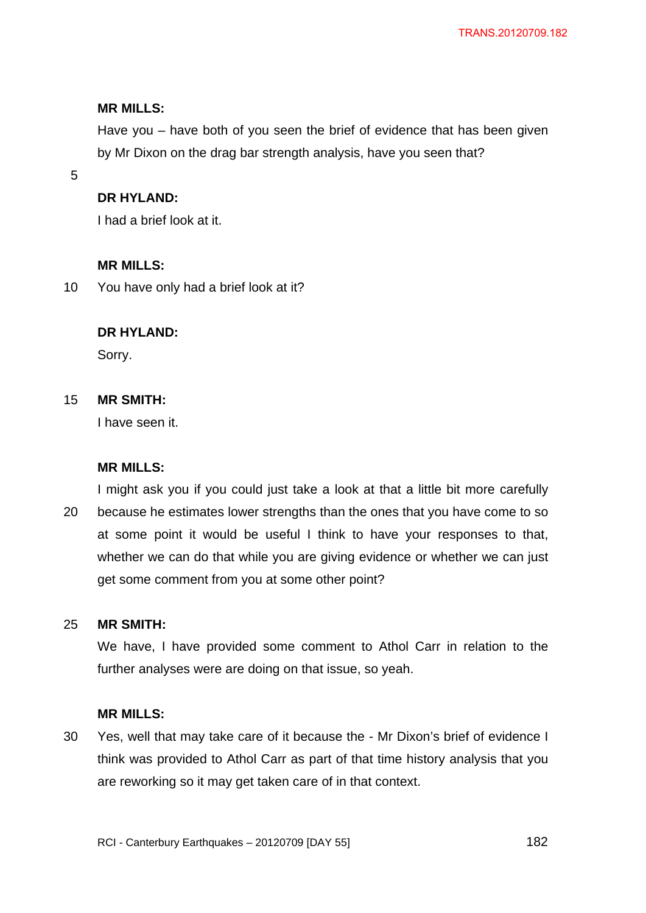Have you – have both of you seen the brief of evidence that has been given by Mr Dixon on the drag bar strength analysis, have you seen that?

5

### **DR HYLAND:**

I had a brief look at it.

### **MR MILLS:**

10 You have only had a brief look at it?

## **DR HYLAND:**

Sorry.

#### 15 **MR SMITH:**

I have seen it.

### **MR MILLS:**

20 I might ask you if you could just take a look at that a little bit more carefully because he estimates lower strengths than the ones that you have come to so at some point it would be useful I think to have your responses to that, whether we can do that while you are giving evidence or whether we can just get some comment from you at some other point?

#### 25 **MR SMITH:**

We have, I have provided some comment to Athol Carr in relation to the further analyses were are doing on that issue, so yeah.

### **MR MILLS:**

30 Yes, well that may take care of it because the - Mr Dixon's brief of evidence I think was provided to Athol Carr as part of that time history analysis that you are reworking so it may get taken care of in that context.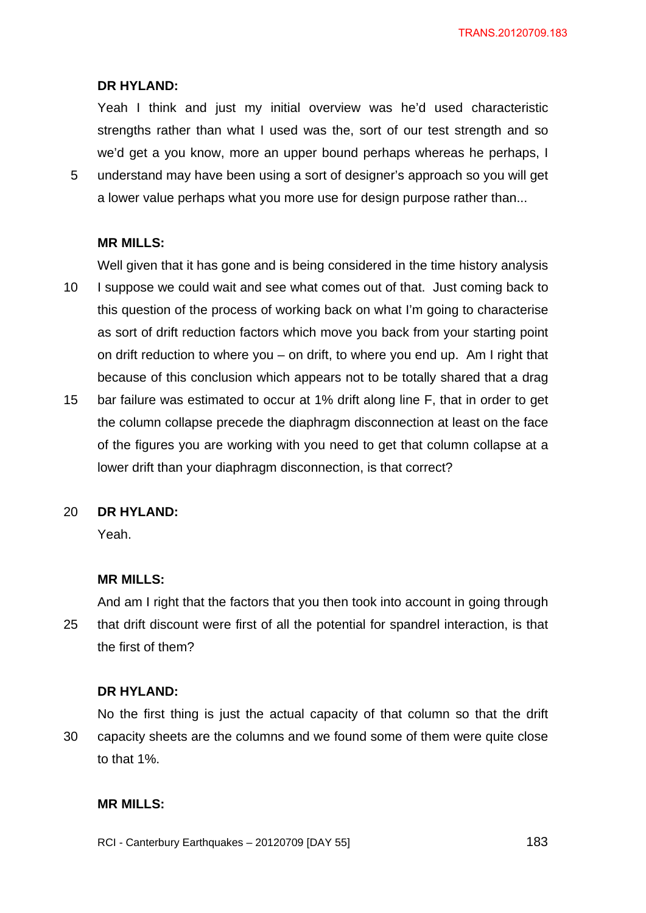Yeah I think and just my initial overview was he'd used characteristic strengths rather than what I used was the, sort of our test strength and so we'd get a you know, more an upper bound perhaps whereas he perhaps, I

5 understand may have been using a sort of designer's approach so you will get a lower value perhaps what you more use for design purpose rather than...

#### **MR MILLS:**

Well given that it has gone and is being considered in the time history analysis

- 10 I suppose we could wait and see what comes out of that. Just coming back to this question of the process of working back on what I'm going to characterise as sort of drift reduction factors which move you back from your starting point on drift reduction to where you – on drift, to where you end up. Am I right that because of this conclusion which appears not to be totally shared that a drag
- 15 bar failure was estimated to occur at 1% drift along line F, that in order to get the column collapse precede the diaphragm disconnection at least on the face of the figures you are working with you need to get that column collapse at a lower drift than your diaphragm disconnection, is that correct?

#### 20 **DR HYLAND:**

Yeah.

#### **MR MILLS:**

25 And am I right that the factors that you then took into account in going through that drift discount were first of all the potential for spandrel interaction, is that the first of them?

#### **DR HYLAND:**

30 No the first thing is just the actual capacity of that column so that the drift capacity sheets are the columns and we found some of them were quite close to that 1%.

### **MR MILLS:**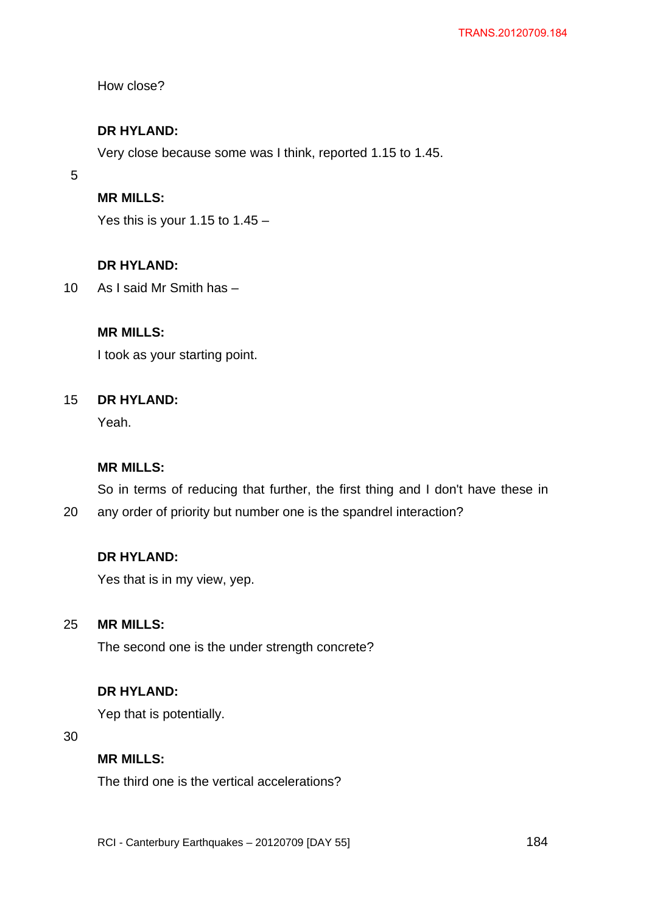How close?

## **DR HYLAND:**

Very close because some was I think, reported 1.15 to 1.45.

5

# **MR MILLS:**

Yes this is your 1.15 to  $1.45 -$ 

# **DR HYLAND:**

10 As I said Mr Smith has –

## **MR MILLS:**

I took as your starting point.

#### 15 **DR HYLAND:**

Yeah.

## **MR MILLS:**

So in terms of reducing that further, the first thing and I don't have these in

20 any order of priority but number one is the spandrel interaction?

# **DR HYLAND:**

Yes that is in my view, yep.

#### 25 **MR MILLS:**

The second one is the under strength concrete?

## **DR HYLAND:**

Yep that is potentially.

#### 30

## **MR MILLS:**

The third one is the vertical accelerations?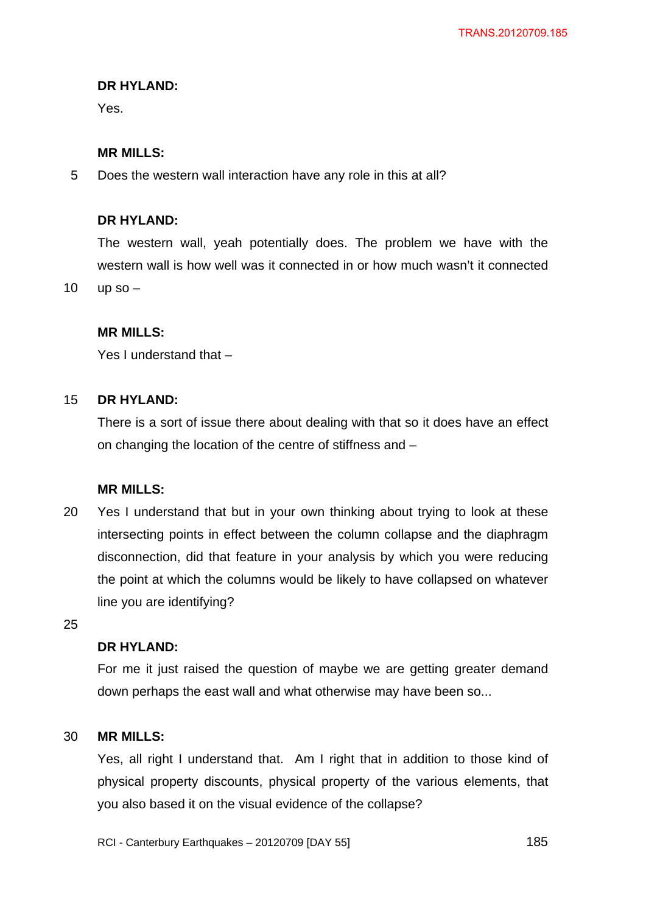Yes.

## **MR MILLS:**

5 Does the western wall interaction have any role in this at all?

### **DR HYLAND:**

The western wall, yeah potentially does. The problem we have with the western wall is how well was it connected in or how much wasn't it connected

10 up so –

## **MR MILLS:**

Yes I understand that –

#### 15 **DR HYLAND:**

There is a sort of issue there about dealing with that so it does have an effect on changing the location of the centre of stiffness and –

### **MR MILLS:**

20 Yes I understand that but in your own thinking about trying to look at these intersecting points in effect between the column collapse and the diaphragm disconnection, did that feature in your analysis by which you were reducing the point at which the columns would be likely to have collapsed on whatever line you are identifying?

25

## **DR HYLAND:**

For me it just raised the question of maybe we are getting greater demand down perhaps the east wall and what otherwise may have been so...

#### 30 **MR MILLS:**

Yes, all right I understand that. Am I right that in addition to those kind of physical property discounts, physical property of the various elements, that you also based it on the visual evidence of the collapse?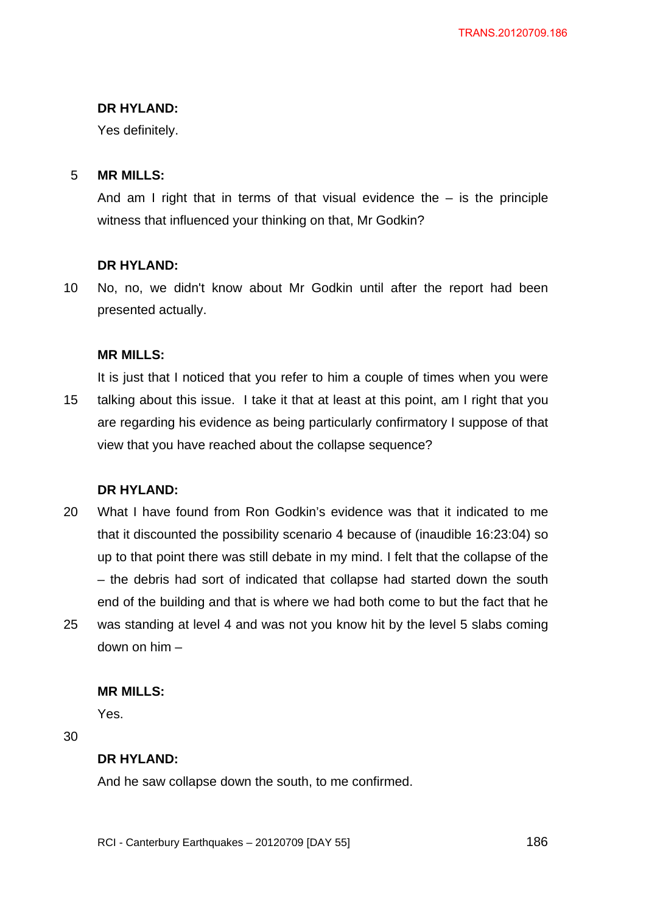Yes definitely.

#### 5 **MR MILLS:**

And am I right that in terms of that visual evidence the  $-$  is the principle witness that influenced your thinking on that, Mr Godkin?

## **DR HYLAND:**

10 No, no, we didn't know about Mr Godkin until after the report had been presented actually.

## **MR MILLS:**

15 It is just that I noticed that you refer to him a couple of times when you were talking about this issue. I take it that at least at this point, am I right that you are regarding his evidence as being particularly confirmatory I suppose of that view that you have reached about the collapse sequence?

## **DR HYLAND:**

20 25 What I have found from Ron Godkin's evidence was that it indicated to me that it discounted the possibility scenario 4 because of (inaudible 16:23:04) so up to that point there was still debate in my mind. I felt that the collapse of the – the debris had sort of indicated that collapse had started down the south end of the building and that is where we had both come to but the fact that he was standing at level 4 and was not you know hit by the level 5 slabs coming down on him –

### **MR MILLS:**

Yes.

30

## **DR HYLAND:**

And he saw collapse down the south, to me confirmed.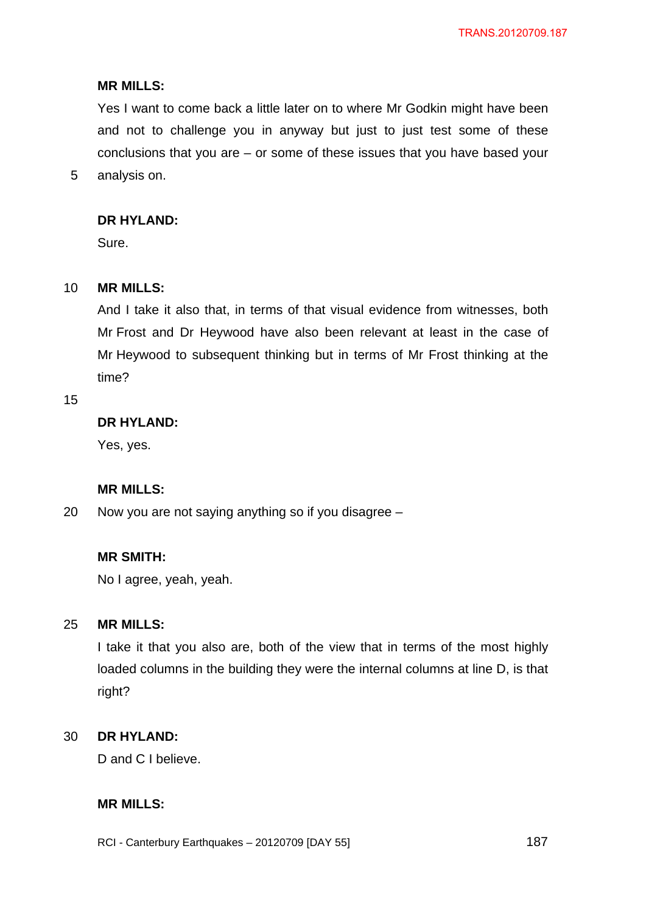Yes I want to come back a little later on to where Mr Godkin might have been and not to challenge you in anyway but just to just test some of these conclusions that you are – or some of these issues that you have based your analysis on.

### **DR HYLAND:**

Sure.

#### 10 **MR MILLS:**

And I take it also that, in terms of that visual evidence from witnesses, both Mr Frost and Dr Heywood have also been relevant at least in the case of Mr Heywood to subsequent thinking but in terms of Mr Frost thinking at the time?

15

5

## **DR HYLAND:**

Yes, yes.

### **MR MILLS:**

20 Now you are not saying anything so if you disagree –

#### **MR SMITH:**

No I agree, yeah, yeah.

#### 25 **MR MILLS:**

I take it that you also are, both of the view that in terms of the most highly loaded columns in the building they were the internal columns at line D, is that right?

#### 30 **DR HYLAND:**

D and C I believe.

# **MR MILLS:**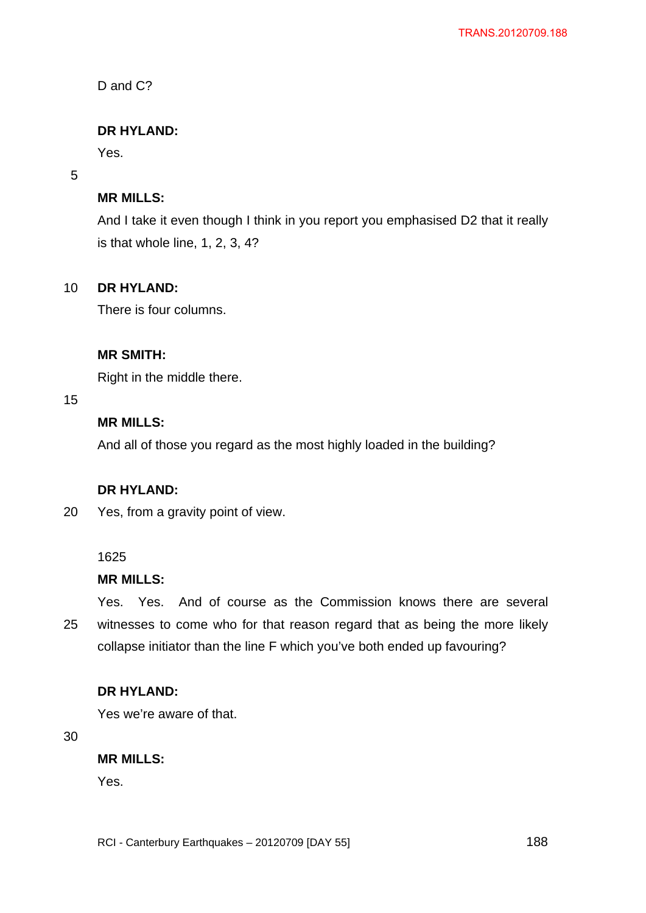D and C?

## **DR HYLAND:**

Yes.

### 5

## **MR MILLS:**

And I take it even though I think in you report you emphasised D2 that it really is that whole line, 1, 2, 3, 4?

#### 10 **DR HYLAND:**

There is four columns.

## **MR SMITH:**

Right in the middle there.

## 15

# **MR MILLS:**

And all of those you regard as the most highly loaded in the building?

## **DR HYLAND:**

20 Yes, from a gravity point of view.

## 1625

## **MR MILLS:**

25 Yes. Yes. And of course as the Commission knows there are several witnesses to come who for that reason regard that as being the more likely collapse initiator than the line F which you've both ended up favouring?

### **DR HYLAND:**

Yes we're aware of that.

30

## **MR MILLS:**

Yes.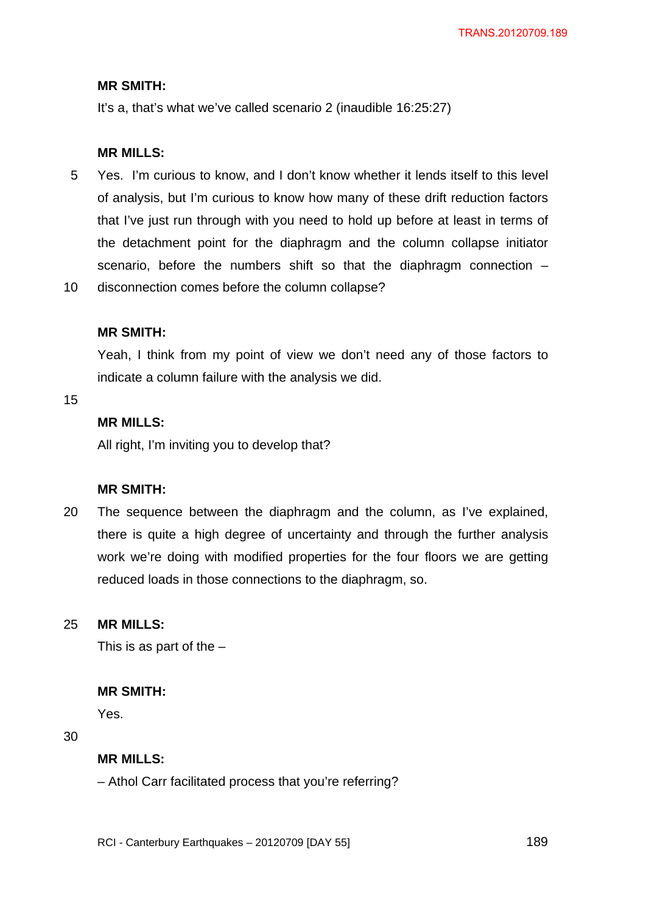## **MR SMITH:**

It's a, that's what we've called scenario 2 (inaudible 16:25:27)

### **MR MILLS:**

5 Yes. I'm curious to know, and I don't know whether it lends itself to this level of analysis, but I'm curious to know how many of these drift reduction factors that I've just run through with you need to hold up before at least in terms of the detachment point for the diaphragm and the column collapse initiator scenario, before the numbers shift so that the diaphragm connection -

10 disconnection comes before the column collapse?

## **MR SMITH:**

Yeah, I think from my point of view we don't need any of those factors to indicate a column failure with the analysis we did.

15

# **MR MILLS:**

All right, I'm inviting you to develop that?

## **MR SMITH:**

20 The sequence between the diaphragm and the column, as I've explained, there is quite a high degree of uncertainty and through the further analysis work we're doing with modified properties for the four floors we are getting reduced loads in those connections to the diaphragm, so.

#### 25 **MR MILLS:**

This is as part of the  $-$ 

### **MR SMITH:**

Yes.

30

### **MR MILLS:**

– Athol Carr facilitated process that you're referring?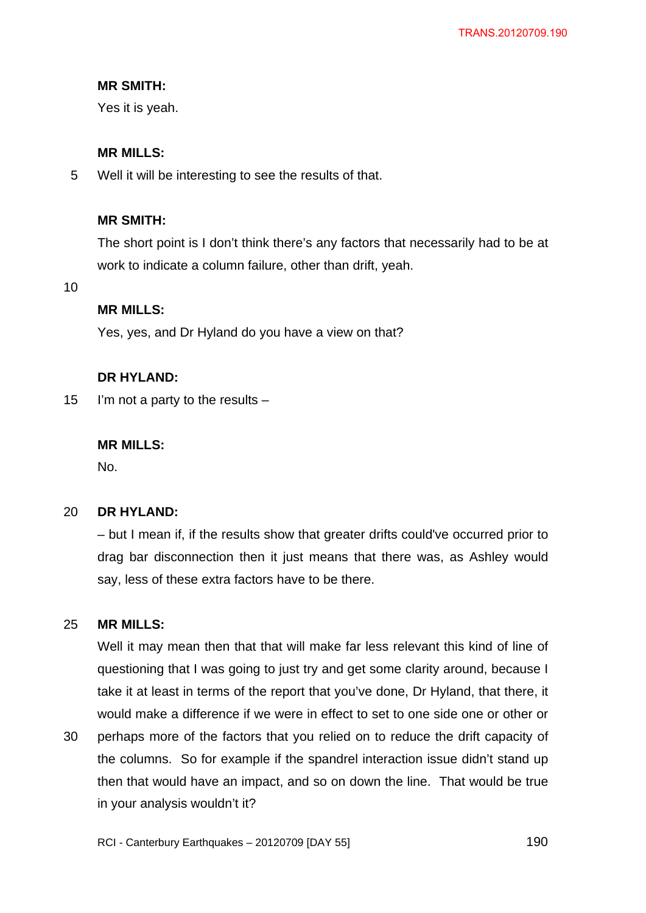## **MR SMITH:**

Yes it is yeah.

## **MR MILLS:**

5 Well it will be interesting to see the results of that.

## **MR SMITH:**

The short point is I don't think there's any factors that necessarily had to be at work to indicate a column failure, other than drift, yeah.

10

## **MR MILLS:**

Yes, yes, and Dr Hyland do you have a view on that?

## **DR HYLAND:**

15 I'm not a party to the results –

### **MR MILLS:**

No.

#### 20 **DR HYLAND:**

– but I mean if, if the results show that greater drifts could've occurred prior to drag bar disconnection then it just means that there was, as Ashley would say, less of these extra factors have to be there.

#### 25 **MR MILLS:**

Well it may mean then that that will make far less relevant this kind of line of questioning that I was going to just try and get some clarity around, because I take it at least in terms of the report that you've done, Dr Hyland, that there, it would make a difference if we were in effect to set to one side one or other or

30 perhaps more of the factors that you relied on to reduce the drift capacity of the columns. So for example if the spandrel interaction issue didn't stand up then that would have an impact, and so on down the line. That would be true in your analysis wouldn't it?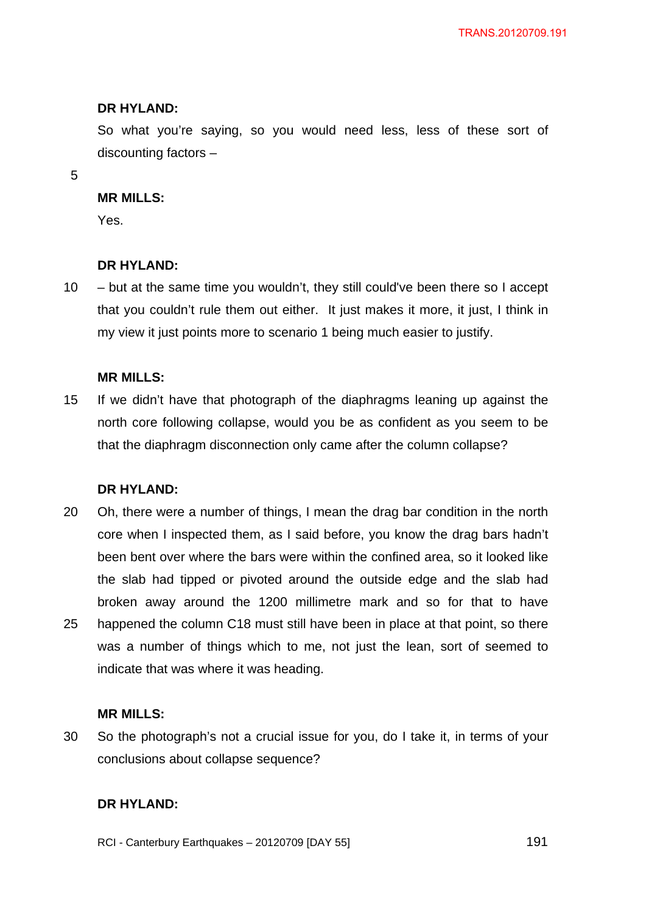So what you're saying, so you would need less, less of these sort of discounting factors –

5

#### **MR MILLS:**

Yes.

### **DR HYLAND:**

10 – but at the same time you wouldn't, they still could've been there so I accept that you couldn't rule them out either. It just makes it more, it just, I think in my view it just points more to scenario 1 being much easier to justify.

### **MR MILLS:**

15 If we didn't have that photograph of the diaphragms leaning up against the north core following collapse, would you be as confident as you seem to be that the diaphragm disconnection only came after the column collapse?

### **DR HYLAND:**

20 25 Oh, there were a number of things, I mean the drag bar condition in the north core when I inspected them, as I said before, you know the drag bars hadn't been bent over where the bars were within the confined area, so it looked like the slab had tipped or pivoted around the outside edge and the slab had broken away around the 1200 millimetre mark and so for that to have happened the column C18 must still have been in place at that point, so there was a number of things which to me, not just the lean, sort of seemed to indicate that was where it was heading.

### **MR MILLS:**

30 So the photograph's not a crucial issue for you, do I take it, in terms of your conclusions about collapse sequence?

### **DR HYLAND:**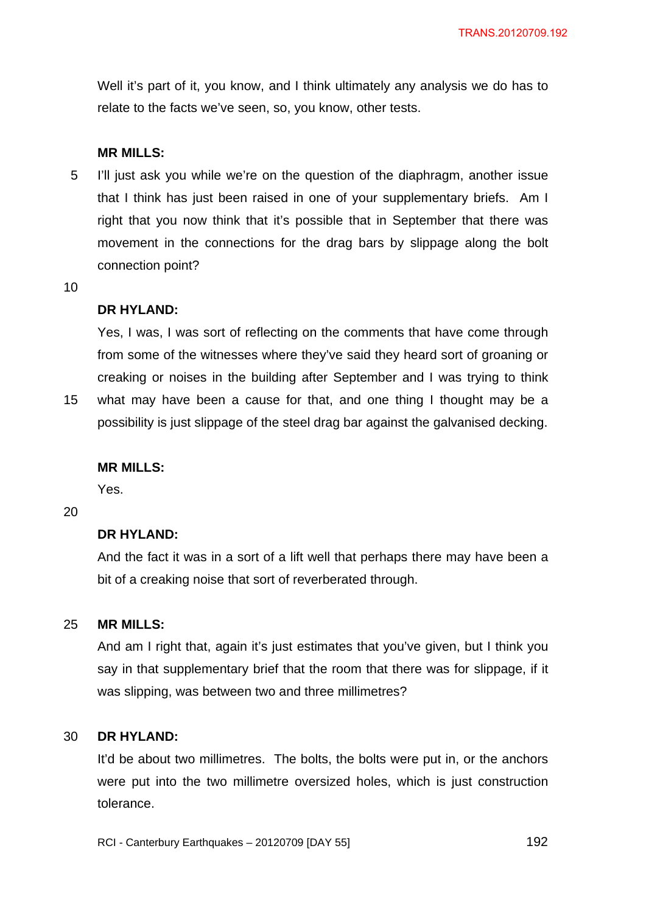Well it's part of it, you know, and I think ultimately any analysis we do has to relate to the facts we've seen, so, you know, other tests.

#### **MR MILLS:**

5 I'll just ask you while we're on the question of the diaphragm, another issue that I think has just been raised in one of your supplementary briefs. Am I right that you now think that it's possible that in September that there was movement in the connections for the drag bars by slippage along the bolt connection point?

10

#### **DR HYLAND:**

Yes, I was, I was sort of reflecting on the comments that have come through from some of the witnesses where they've said they heard sort of groaning or creaking or noises in the building after September and I was trying to think

15 what may have been a cause for that, and one thing I thought may be a possibility is just slippage of the steel drag bar against the galvanised decking.

#### **MR MILLS:**

Yes.

20

## **DR HYLAND:**

And the fact it was in a sort of a lift well that perhaps there may have been a bit of a creaking noise that sort of reverberated through.

#### 25 **MR MILLS:**

And am I right that, again it's just estimates that you've given, but I think you say in that supplementary brief that the room that there was for slippage, if it was slipping, was between two and three millimetres?

#### 30 **DR HYLAND:**

It'd be about two millimetres. The bolts, the bolts were put in, or the anchors were put into the two millimetre oversized holes, which is just construction tolerance.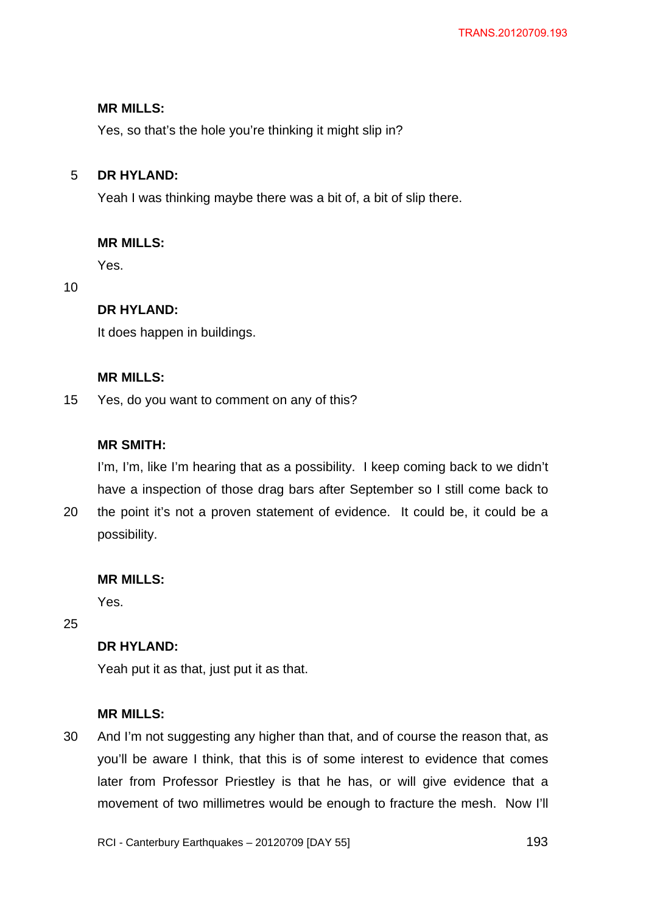Yes, so that's the hole you're thinking it might slip in?

#### 5 **DR HYLAND:**

Yeah I was thinking maybe there was a bit of, a bit of slip there.

## **MR MILLS:**

Yes.

10

## **DR HYLAND:**

It does happen in buildings.

### **MR MILLS:**

15 Yes, do you want to comment on any of this?

## **MR SMITH:**

I'm, I'm, like I'm hearing that as a possibility. I keep coming back to we didn't have a inspection of those drag bars after September so I still come back to

20 the point it's not a proven statement of evidence. It could be, it could be a possibility.

### **MR MILLS:**

Yes.

25

## **DR HYLAND:**

Yeah put it as that, just put it as that.

## **MR MILLS:**

30 And I'm not suggesting any higher than that, and of course the reason that, as you'll be aware I think, that this is of some interest to evidence that comes later from Professor Priestley is that he has, or will give evidence that a movement of two millimetres would be enough to fracture the mesh. Now I'll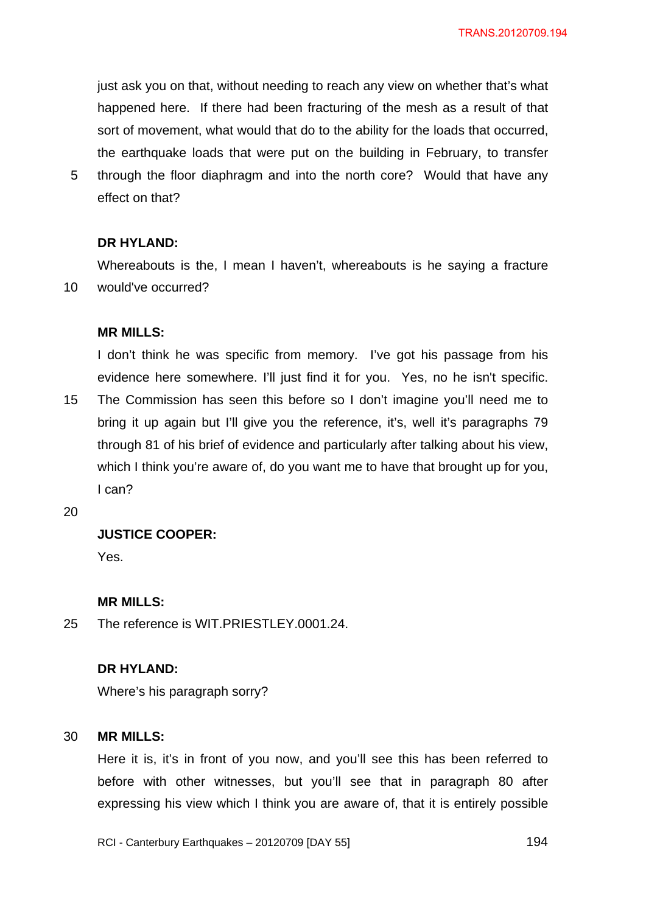just ask you on that, without needing to reach any view on whether that's what happened here. If there had been fracturing of the mesh as a result of that sort of movement, what would that do to the ability for the loads that occurred, the earthquake loads that were put on the building in February, to transfer

5 through the floor diaphragm and into the north core? Would that have any effect on that?

### **DR HYLAND:**

10 Whereabouts is the, I mean I haven't, whereabouts is he saying a fracture would've occurred?

### **MR MILLS:**

15 I don't think he was specific from memory. I've got his passage from his evidence here somewhere. I'll just find it for you. Yes, no he isn't specific. The Commission has seen this before so I don't imagine you'll need me to bring it up again but I'll give you the reference, it's, well it's paragraphs 79 through 81 of his brief of evidence and particularly after talking about his view, which I think you're aware of, do you want me to have that brought up for you, I can?

20

### **JUSTICE COOPER:**

Yes.

#### **MR MILLS:**

25 The reference is WIT.PRIESTLEY.0001.24.

### **DR HYLAND:**

Where's his paragraph sorry?

#### 30 **MR MILLS:**

Here it is, it's in front of you now, and you'll see this has been referred to before with other witnesses, but you'll see that in paragraph 80 after expressing his view which I think you are aware of, that it is entirely possible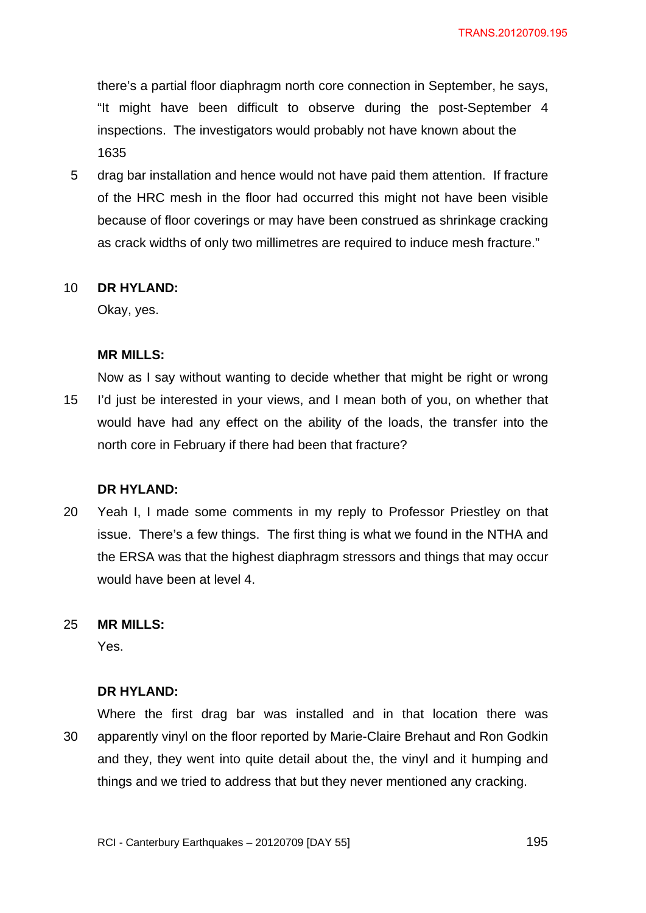there's a partial floor diaphragm north core connection in September, he says, "It might have been difficult to observe during the post-September 4 inspections. The investigators would probably not have known about the 1635

5 drag bar installation and hence would not have paid them attention. If fracture of the HRC mesh in the floor had occurred this might not have been visible because of floor coverings or may have been construed as shrinkage cracking as crack widths of only two millimetres are required to induce mesh fracture."

#### 10 **DR HYLAND:**

Okay, yes.

#### **MR MILLS:**

15 Now as I say without wanting to decide whether that might be right or wrong I'd just be interested in your views, and I mean both of you, on whether that would have had any effect on the ability of the loads, the transfer into the north core in February if there had been that fracture?

#### **DR HYLAND:**

20 Yeah I, I made some comments in my reply to Professor Priestley on that issue. There's a few things. The first thing is what we found in the NTHA and the ERSA was that the highest diaphragm stressors and things that may occur would have been at level 4.

#### 25 **MR MILLS:**

Yes.

#### **DR HYLAND:**

30 Where the first drag bar was installed and in that location there was apparently vinyl on the floor reported by Marie-Claire Brehaut and Ron Godkin and they, they went into quite detail about the, the vinyl and it humping and things and we tried to address that but they never mentioned any cracking.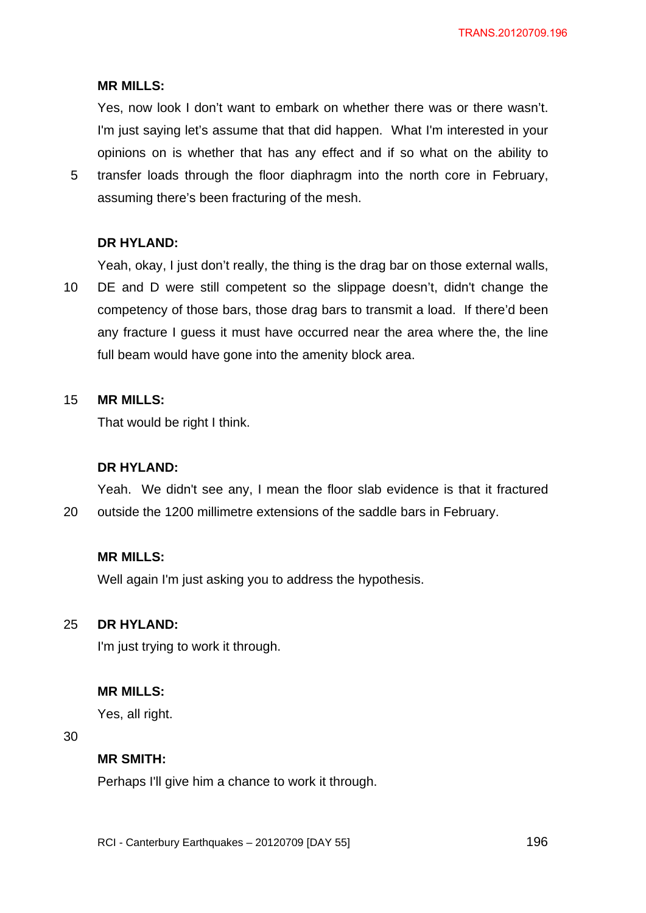Yes, now look I don't want to embark on whether there was or there wasn't. I'm just saying let's assume that that did happen. What I'm interested in your opinions on is whether that has any effect and if so what on the ability to

5 transfer loads through the floor diaphragm into the north core in February, assuming there's been fracturing of the mesh.

## **DR HYLAND:**

Yeah, okay, I just don't really, the thing is the drag bar on those external walls,

10 DE and D were still competent so the slippage doesn't, didn't change the competency of those bars, those drag bars to transmit a load. If there'd been any fracture I guess it must have occurred near the area where the, the line full beam would have gone into the amenity block area.

#### 15 **MR MILLS:**

That would be right I think.

### **DR HYLAND:**

20 Yeah. We didn't see any, I mean the floor slab evidence is that it fractured outside the 1200 millimetre extensions of the saddle bars in February.

## **MR MILLS:**

Well again I'm just asking you to address the hypothesis.

#### 25 **DR HYLAND:**

I'm just trying to work it through.

### **MR MILLS:**

Yes, all right.

30

### **MR SMITH:**

Perhaps I'll give him a chance to work it through.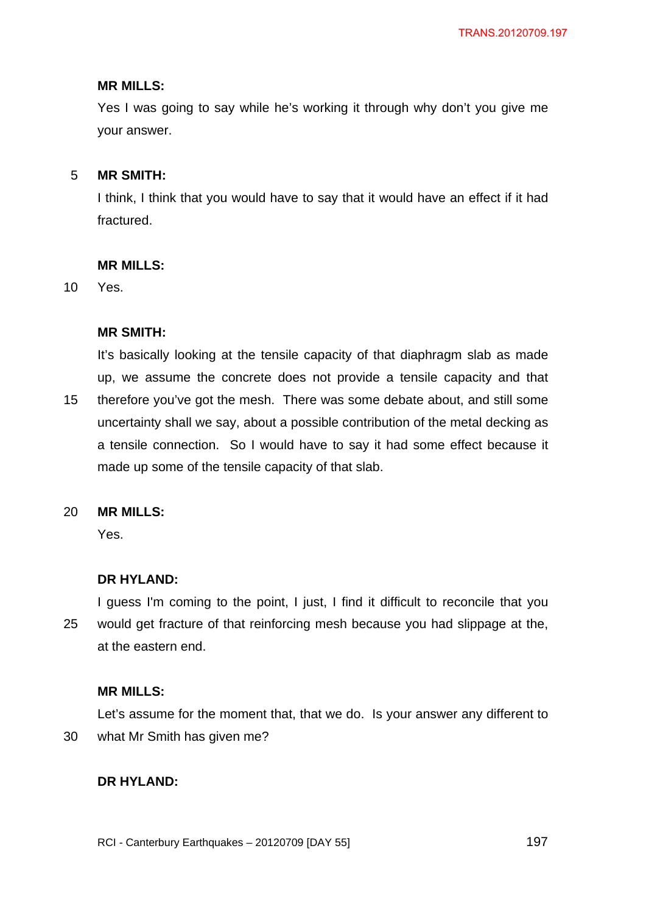Yes I was going to say while he's working it through why don't you give me your answer.

#### 5 **MR SMITH:**

I think, I think that you would have to say that it would have an effect if it had fractured.

### **MR MILLS:**

10 Yes.

## **MR SMITH:**

15 It's basically looking at the tensile capacity of that diaphragm slab as made up, we assume the concrete does not provide a tensile capacity and that therefore you've got the mesh. There was some debate about, and still some uncertainty shall we say, about a possible contribution of the metal decking as a tensile connection. So I would have to say it had some effect because it made up some of the tensile capacity of that slab.

#### 20 **MR MILLS:**

Yes.

## **DR HYLAND:**

25 I guess I'm coming to the point, I just, I find it difficult to reconcile that you would get fracture of that reinforcing mesh because you had slippage at the, at the eastern end.

## **MR MILLS:**

30 Let's assume for the moment that, that we do. Is your answer any different to what Mr Smith has given me?

## **DR HYLAND:**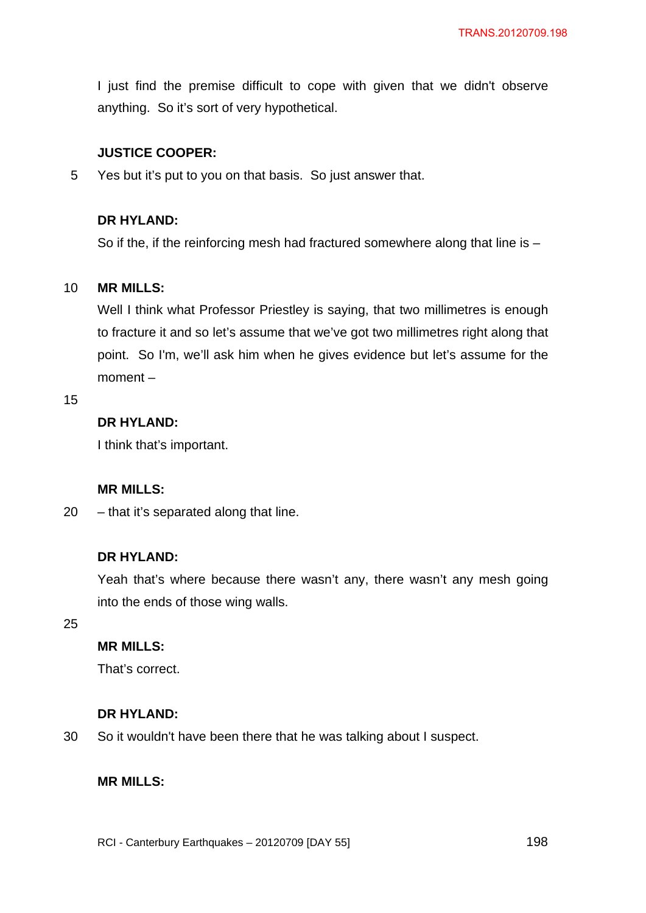I just find the premise difficult to cope with given that we didn't observe anything. So it's sort of very hypothetical.

## **JUSTICE COOPER:**

5 Yes but it's put to you on that basis. So just answer that.

## **DR HYLAND:**

So if the, if the reinforcing mesh had fractured somewhere along that line is –

#### 10 **MR MILLS:**

Well I think what Professor Priestley is saying, that two millimetres is enough to fracture it and so let's assume that we've got two millimetres right along that point. So I'm, we'll ask him when he gives evidence but let's assume for the moment –

#### 15

# **DR HYLAND:**

I think that's important.

#### **MR MILLS:**

20 – that it's separated along that line.

### **DR HYLAND:**

Yeah that's where because there wasn't any, there wasn't any mesh going into the ends of those wing walls.

25

# **MR MILLS:**

That's correct.

#### **DR HYLAND:**

30 So it wouldn't have been there that he was talking about I suspect.

#### **MR MILLS:**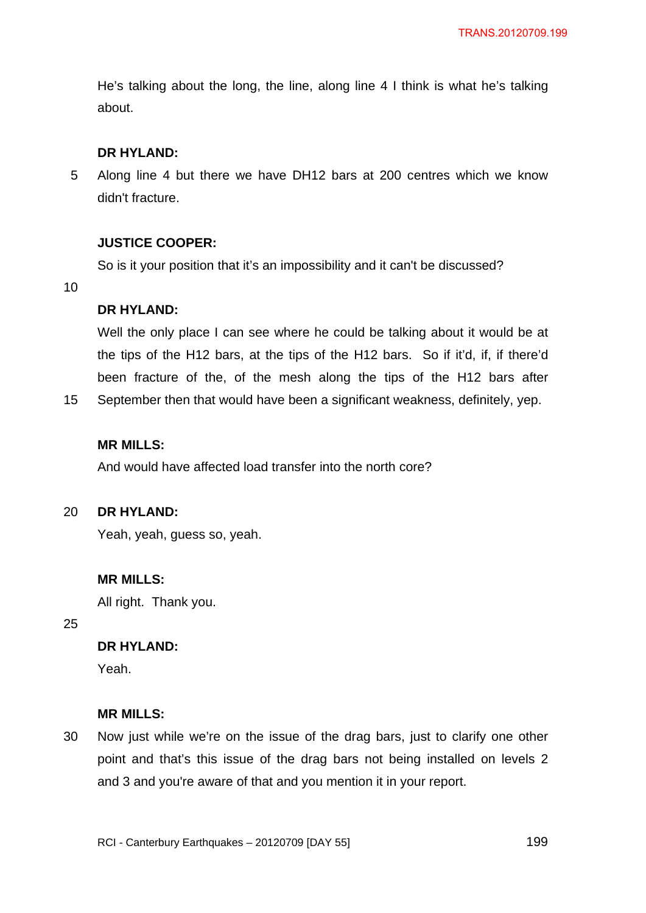He's talking about the long, the line, along line 4 I think is what he's talking about.

# **DR HYLAND:**

5 Along line 4 but there we have DH12 bars at 200 centres which we know didn't fracture.

## **JUSTICE COOPER:**

So is it your position that it's an impossibility and it can't be discussed?

10

15

## **DR HYLAND:**

Well the only place I can see where he could be talking about it would be at the tips of the H12 bars, at the tips of the H12 bars. So if it'd, if, if there'd been fracture of the, of the mesh along the tips of the H12 bars after September then that would have been a significant weakness, definitely, yep.

## **MR MILLS:**

And would have affected load transfer into the north core?

#### $20<sub>2</sub>$ **DR HYLAND:**

Yeah, yeah, guess so, yeah.

### **MR MILLS:**

All right. Thank you.

25

# **DR HYLAND:**

Yeah.

### **MR MILLS:**

30 Now just while we're on the issue of the drag bars, just to clarify one other point and that's this issue of the drag bars not being installed on levels 2 and 3 and you're aware of that and you mention it in your report.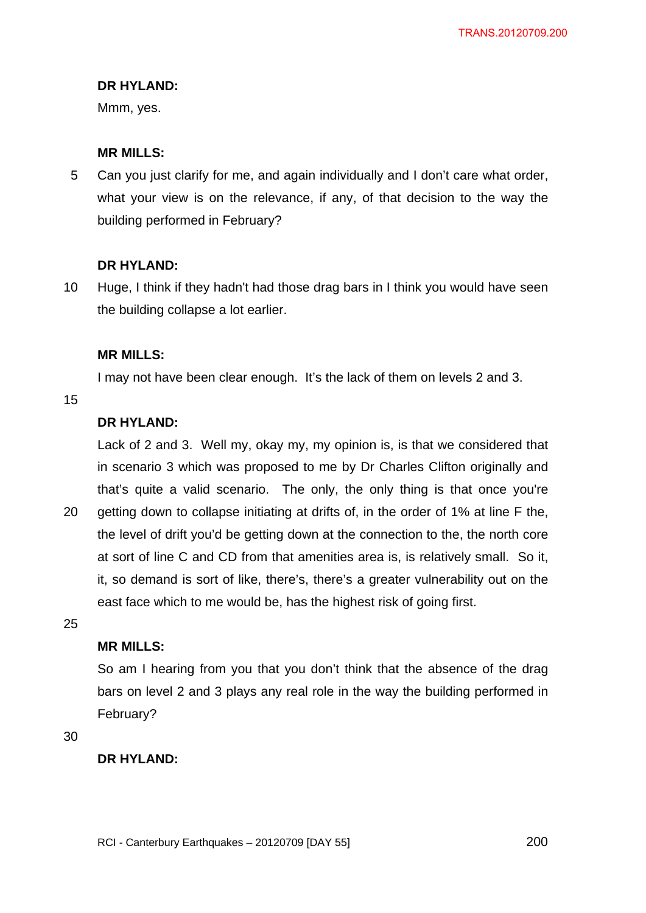Mmm, yes.

## **MR MILLS:**

5 Can you just clarify for me, and again individually and I don't care what order, what your view is on the relevance, if any, of that decision to the way the building performed in February?

## **DR HYLAND:**

10 Huge, I think if they hadn't had those drag bars in I think you would have seen the building collapse a lot earlier.

## **MR MILLS:**

I may not have been clear enough. It's the lack of them on levels 2 and 3.

15

# **DR HYLAND:**

Lack of 2 and 3. Well my, okay my, my opinion is, is that we considered that in scenario 3 which was proposed to me by Dr Charles Clifton originally and that's quite a valid scenario. The only, the only thing is that once you're

20 getting down to collapse initiating at drifts of, in the order of 1% at line F the, the level of drift you'd be getting down at the connection to the, the north core at sort of line C and CD from that amenities area is, is relatively small. So it, it, so demand is sort of like, there's, there's a greater vulnerability out on the east face which to me would be, has the highest risk of going first.

25

# **MR MILLS:**

So am I hearing from you that you don't think that the absence of the drag bars on level 2 and 3 plays any real role in the way the building performed in February?

30

## **DR HYLAND:**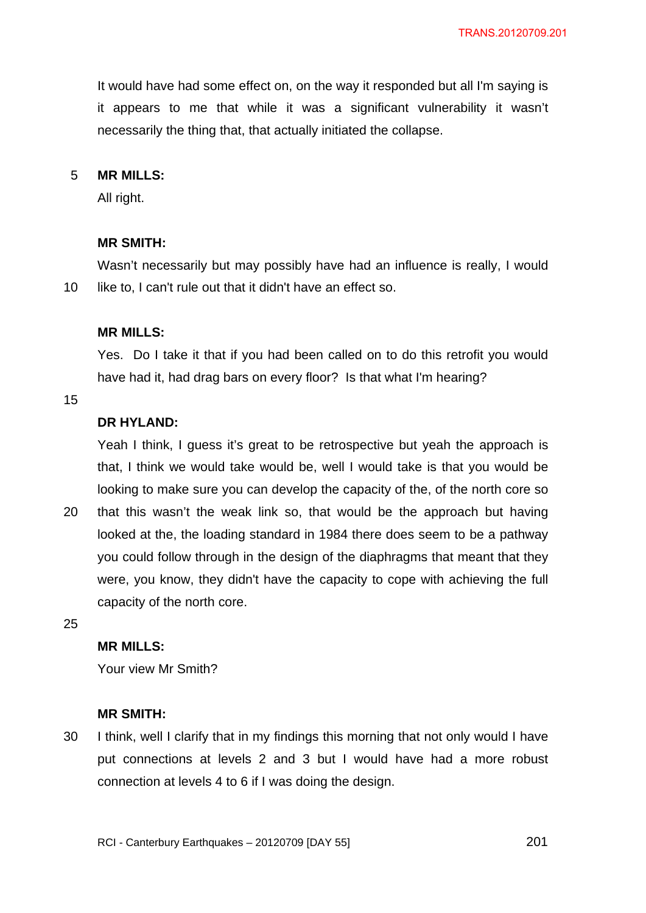It would have had some effect on, on the way it responded but all I'm saying is it appears to me that while it was a significant vulnerability it wasn't necessarily the thing that, that actually initiated the collapse.

#### 5 **MR MILLS:**

All right.

#### **MR SMITH:**

10 Wasn't necessarily but may possibly have had an influence is really, I would like to, I can't rule out that it didn't have an effect so.

### **MR MILLS:**

Yes. Do I take it that if you had been called on to do this retrofit you would have had it, had drag bars on every floor? Is that what I'm hearing?

15

# **DR HYLAND:**

Yeah I think, I guess it's great to be retrospective but yeah the approach is that, I think we would take would be, well I would take is that you would be looking to make sure you can develop the capacity of the, of the north core so

20 that this wasn't the weak link so, that would be the approach but having looked at the, the loading standard in 1984 there does seem to be a pathway you could follow through in the design of the diaphragms that meant that they were, you know, they didn't have the capacity to cope with achieving the full capacity of the north core.

25

## **MR MILLS:**

Your view Mr Smith?

#### **MR SMITH:**

30 I think, well I clarify that in my findings this morning that not only would I have put connections at levels 2 and 3 but I would have had a more robust connection at levels 4 to 6 if I was doing the design.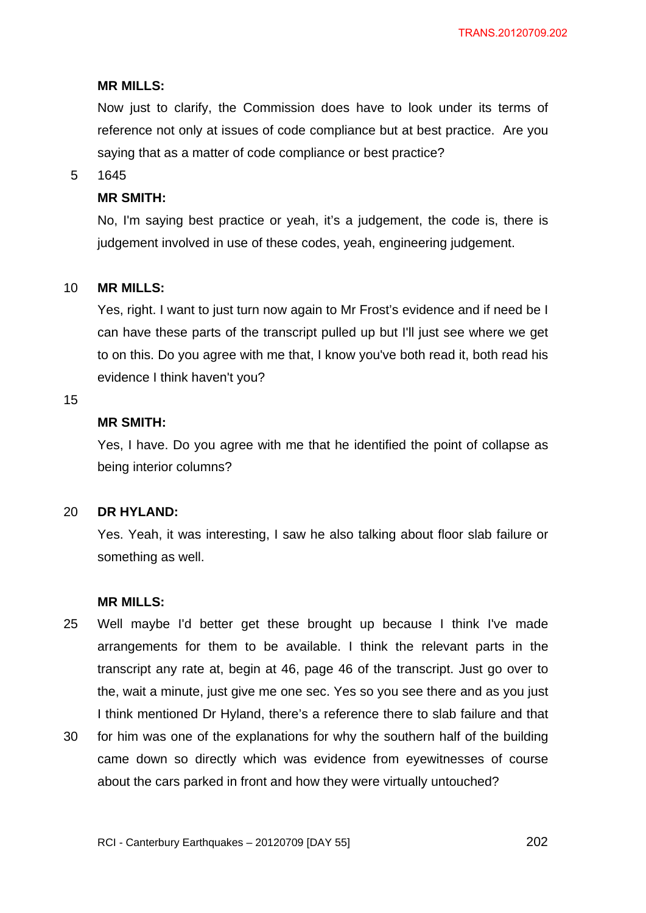Now just to clarify, the Commission does have to look under its terms of reference not only at issues of code compliance but at best practice. Are you saying that as a matter of code compliance or best practice?

#### 5 1645

### **MR SMITH:**

No, I'm saying best practice or yeah, it's a judgement, the code is, there is judgement involved in use of these codes, yeah, engineering judgement.

#### 10 **MR MILLS:**

Yes, right. I want to just turn now again to Mr Frost's evidence and if need be I can have these parts of the transcript pulled up but I'll just see where we get to on this. Do you agree with me that, I know you've both read it, both read his evidence I think haven't you?

### 15

## **MR SMITH:**

Yes, I have. Do you agree with me that he identified the point of collapse as being interior columns?

#### 20 **DR HYLAND:**

Yes. Yeah, it was interesting, I saw he also talking about floor slab failure or something as well.

### **MR MILLS:**

- 25 Well maybe I'd better get these brought up because I think I've made arrangements for them to be available. I think the relevant parts in the transcript any rate at, begin at 46, page 46 of the transcript. Just go over to the, wait a minute, just give me one sec. Yes so you see there and as you just I think mentioned Dr Hyland, there's a reference there to slab failure and that
- 30 for him was one of the explanations for why the southern half of the building came down so directly which was evidence from eyewitnesses of course about the cars parked in front and how they were virtually untouched?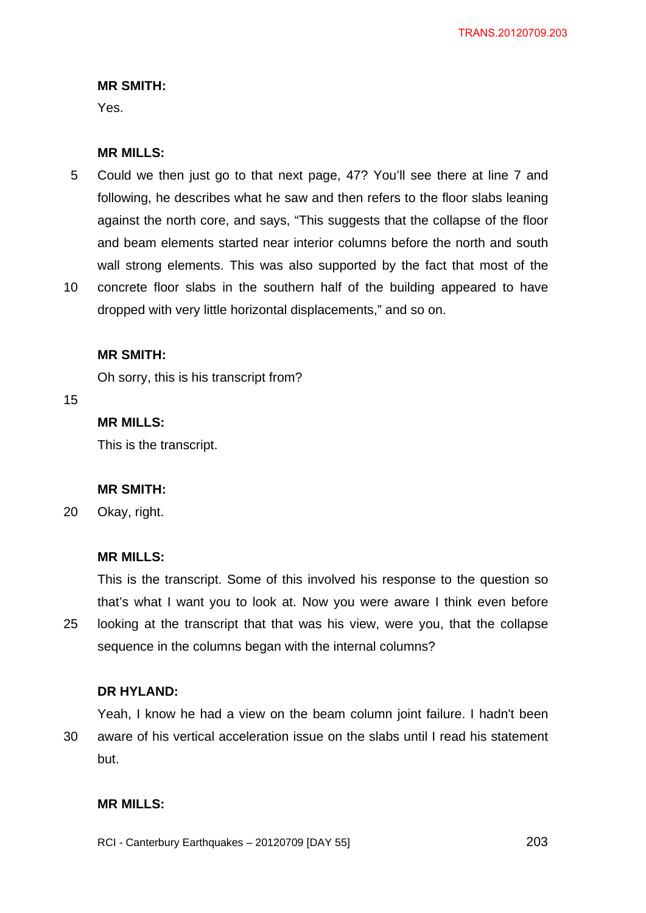## **MR SMITH:**

Yes.

## **MR MILLS:**

- 5 Could we then just go to that next page, 47? You'll see there at line 7 and following, he describes what he saw and then refers to the floor slabs leaning against the north core, and says, "This suggests that the collapse of the floor and beam elements started near interior columns before the north and south wall strong elements. This was also supported by the fact that most of the
- 10 concrete floor slabs in the southern half of the building appeared to have dropped with very little horizontal displacements," and so on.

### **MR SMITH:**

Oh sorry, this is his transcript from?

15

# **MR MILLS:**

This is the transcript.

### **MR SMITH:**

20 Okay, right.

### **MR MILLS:**

25 This is the transcript. Some of this involved his response to the question so that's what I want you to look at. Now you were aware I think even before looking at the transcript that that was his view, were you, that the collapse sequence in the columns began with the internal columns?

### **DR HYLAND:**

30 Yeah, I know he had a view on the beam column joint failure. I hadn't been aware of his vertical acceleration issue on the slabs until I read his statement but.

# **MR MILLS:**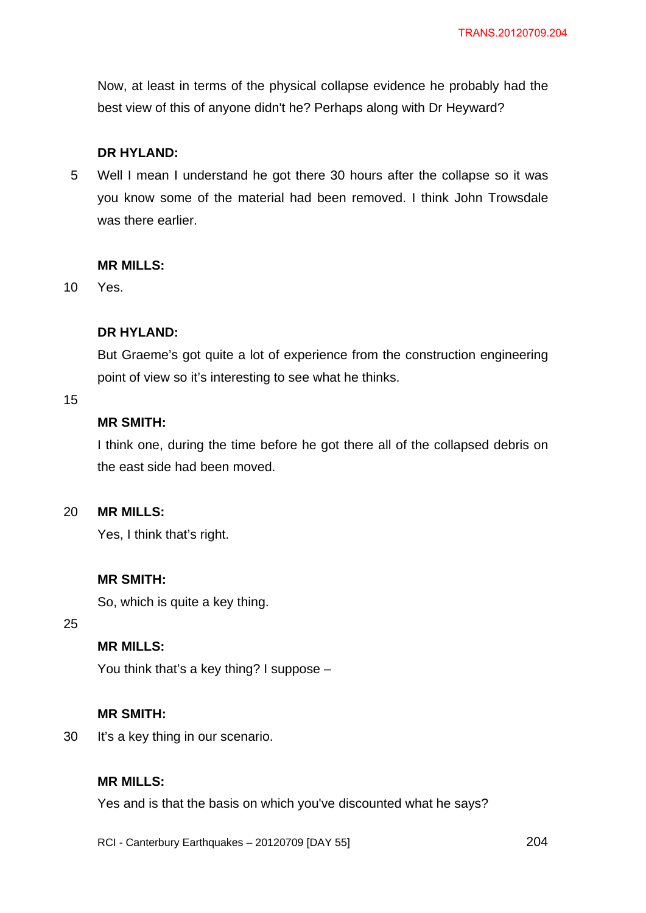Now, at least in terms of the physical collapse evidence he probably had the best view of this of anyone didn't he? Perhaps along with Dr Heyward?

### **DR HYLAND:**

5 Well I mean I understand he got there 30 hours after the collapse so it was you know some of the material had been removed. I think John Trowsdale was there earlier.

### **MR MILLS:**

10 Yes.

### **DR HYLAND:**

But Graeme's got quite a lot of experience from the construction engineering point of view so it's interesting to see what he thinks.

15

## **MR SMITH:**

I think one, during the time before he got there all of the collapsed debris on the east side had been moved.

 $20<sub>2</sub>$ **MR MILLS:** 

Yes, I think that's right.

### **MR SMITH:**

So, which is quite a key thing.

25

# **MR MILLS:**

You think that's a key thing? I suppose –

#### **MR SMITH:**

30 It's a key thing in our scenario.

## **MR MILLS:**

Yes and is that the basis on which you've discounted what he says?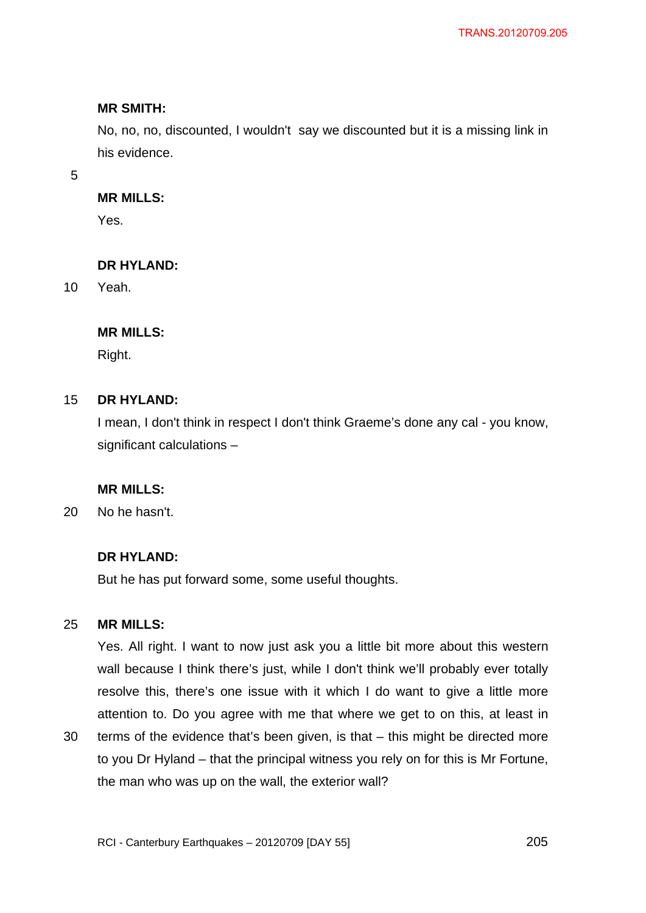## **MR SMITH:**

No, no, no, discounted, I wouldn't say we discounted but it is a missing link in his evidence.

5

## **MR MILLS:**

Yes.

## **DR HYLAND:**

10 Yeah.

## **MR MILLS:**

Right.

#### 15 **DR HYLAND:**

I mean, I don't think in respect I don't think Graeme's done any cal - you know, significant calculations –

## **MR MILLS:**

20 No he hasn't.

## **DR HYLAND:**

But he has put forward some, some useful thoughts.

#### 25 **MR MILLS:**

Yes. All right. I want to now just ask you a little bit more about this western wall because I think there's just, while I don't think we'll probably ever totally resolve this, there's one issue with it which I do want to give a little more attention to. Do you agree with me that where we get to on this, at least in

30 terms of the evidence that's been given, is that – this might be directed more to you Dr Hyland – that the principal witness you rely on for this is Mr Fortune, the man who was up on the wall, the exterior wall?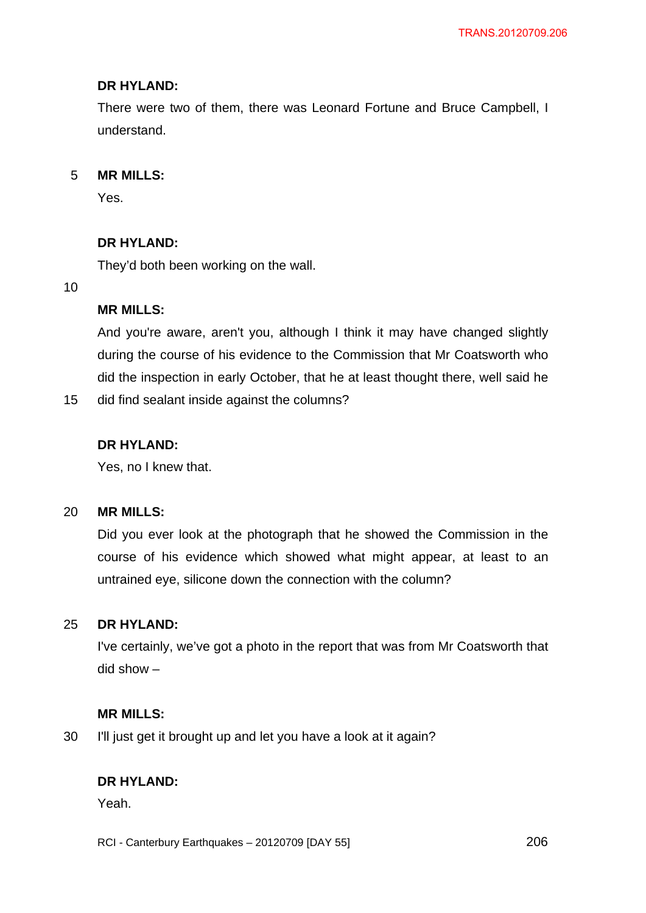There were two of them, there was Leonard Fortune and Bruce Campbell, I understand.

#### 5 **MR MILLS:**

Yes.

# **DR HYLAND:**

They'd both been working on the wall.

10

## **MR MILLS:**

And you're aware, aren't you, although I think it may have changed slightly during the course of his evidence to the Commission that Mr Coatsworth who did the inspection in early October, that he at least thought there, well said he

15 did find sealant inside against the columns?

## **DR HYLAND:**

Yes, no I knew that.

#### 20 **MR MILLS:**

Did you ever look at the photograph that he showed the Commission in the course of his evidence which showed what might appear, at least to an untrained eye, silicone down the connection with the column?

#### 25 **DR HYLAND:**

I've certainly, we've got a photo in the report that was from Mr Coatsworth that did show –

## **MR MILLS:**

30 I'll just get it brought up and let you have a look at it again?

## **DR HYLAND:**

Yeah.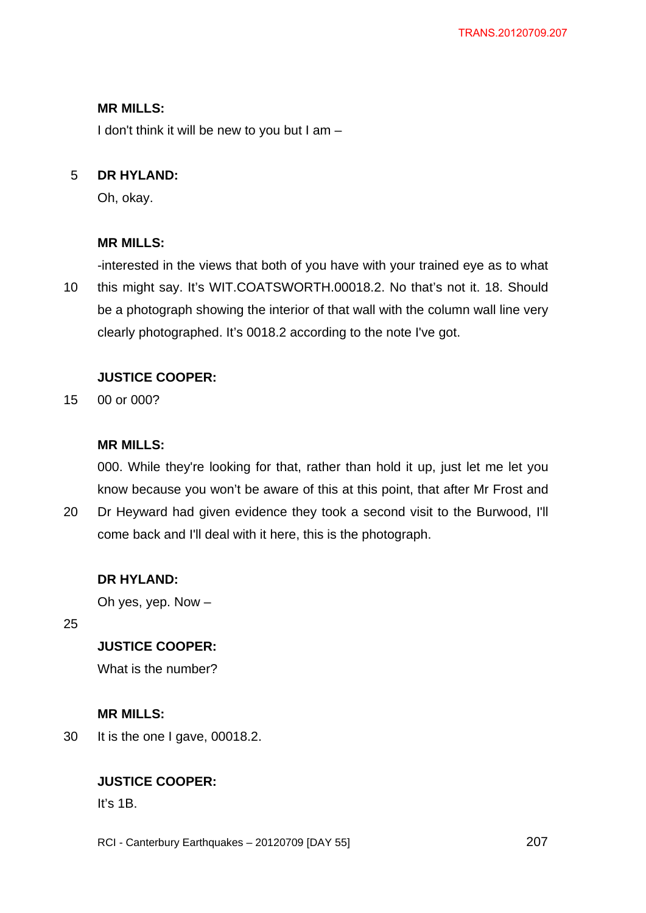I don't think it will be new to you but I am –

#### 5 **DR HYLAND:**

Oh, okay.

## **MR MILLS:**

10 -interested in the views that both of you have with your trained eye as to what this might say. It's WIT.COATSWORTH.00018.2. No that's not it. 18. Should be a photograph showing the interior of that wall with the column wall line very clearly photographed. It's 0018.2 according to the note I've got.

## **JUSTICE COOPER:**

15 00 or 000?

## **MR MILLS:**

000. While they're looking for that, rather than hold it up, just let me let you know because you won't be aware of this at this point, that after Mr Frost and

20 Dr Heyward had given evidence they took a second visit to the Burwood, I'll come back and I'll deal with it here, this is the photograph.

### **DR HYLAND:**

Oh yes, yep. Now –

25

# **JUSTICE COOPER:**

What is the number?

## **MR MILLS:**

30 It is the one I gave, 00018.2.

# **JUSTICE COOPER:**

It's 1B.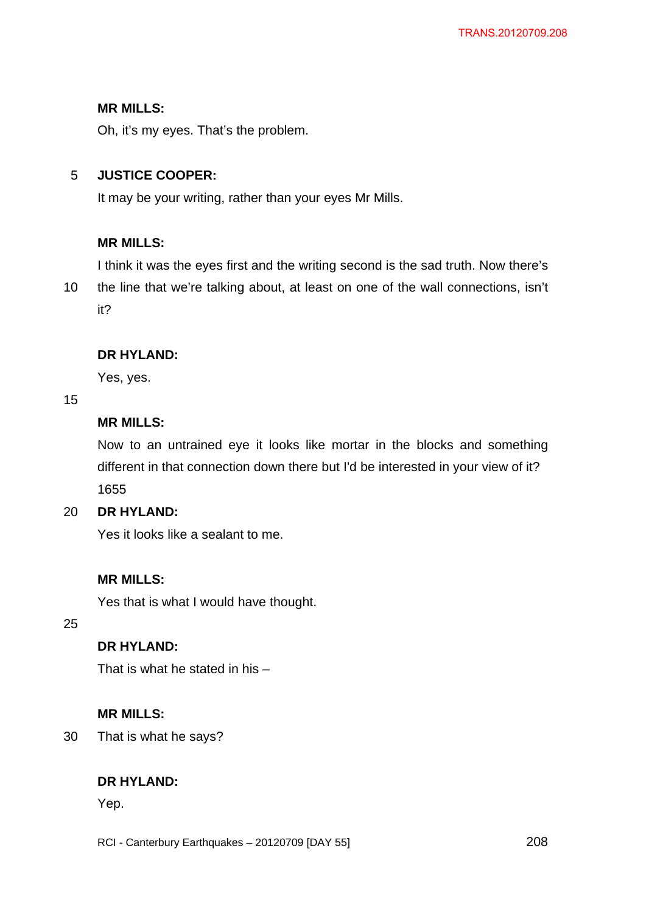Oh, it's my eyes. That's the problem.

#### 5 **JUSTICE COOPER:**

It may be your writing, rather than your eyes Mr Mills.

# **MR MILLS:**

I think it was the eyes first and the writing second is the sad truth. Now there's

10 the line that we're talking about, at least on one of the wall connections, isn't it?

# **DR HYLAND:**

Yes, yes.

## 15

# **MR MILLS:**

Now to an untrained eye it looks like mortar in the blocks and something different in that connection down there but I'd be interested in your view of it? 1655

#### $20<sub>2</sub>$ **DR HYLAND:**

Yes it looks like a sealant to me.

# **MR MILLS:**

Yes that is what I would have thought.

25

# **DR HYLAND:**

That is what he stated in his –

# **MR MILLS:**

30 That is what he says?

# **DR HYLAND:**

Yep.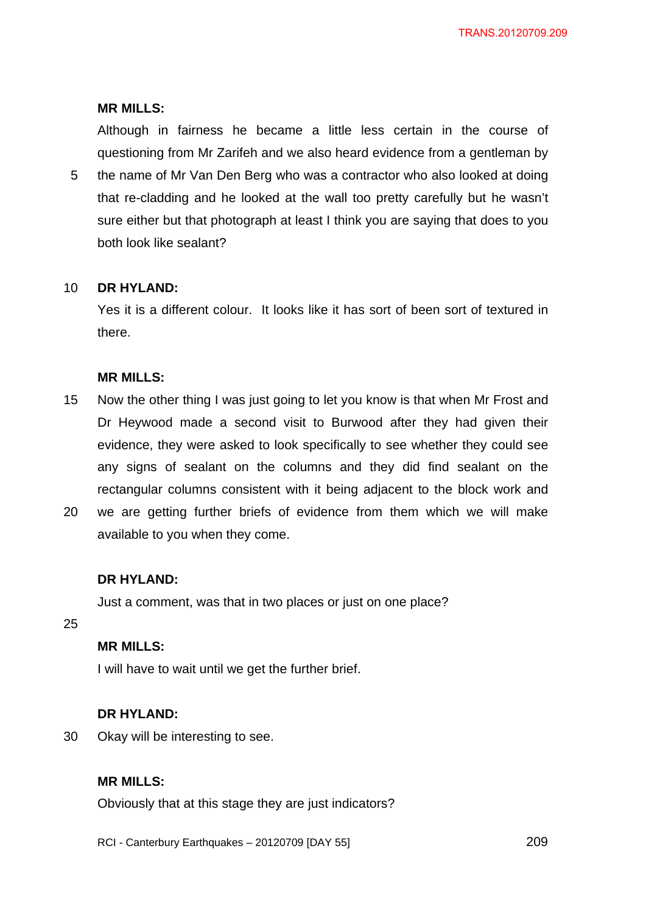Although in fairness he became a little less certain in the course of questioning from Mr Zarifeh and we also heard evidence from a gentleman by

5 the name of Mr Van Den Berg who was a contractor who also looked at doing that re-cladding and he looked at the wall too pretty carefully but he wasn't sure either but that photograph at least I think you are saying that does to you both look like sealant?

#### 10 **DR HYLAND:**

Yes it is a different colour. It looks like it has sort of been sort of textured in there.

### **MR MILLS:**

- 15 Now the other thing I was just going to let you know is that when Mr Frost and Dr Heywood made a second visit to Burwood after they had given their evidence, they were asked to look specifically to see whether they could see any signs of sealant on the columns and they did find sealant on the rectangular columns consistent with it being adjacent to the block work and
- 20 we are getting further briefs of evidence from them which we will make available to you when they come.

### **DR HYLAND:**

Just a comment, was that in two places or just on one place?

## 25

## **MR MILLS:**

I will have to wait until we get the further brief.

### **DR HYLAND:**

30 Okay will be interesting to see.

## **MR MILLS:**

Obviously that at this stage they are just indicators?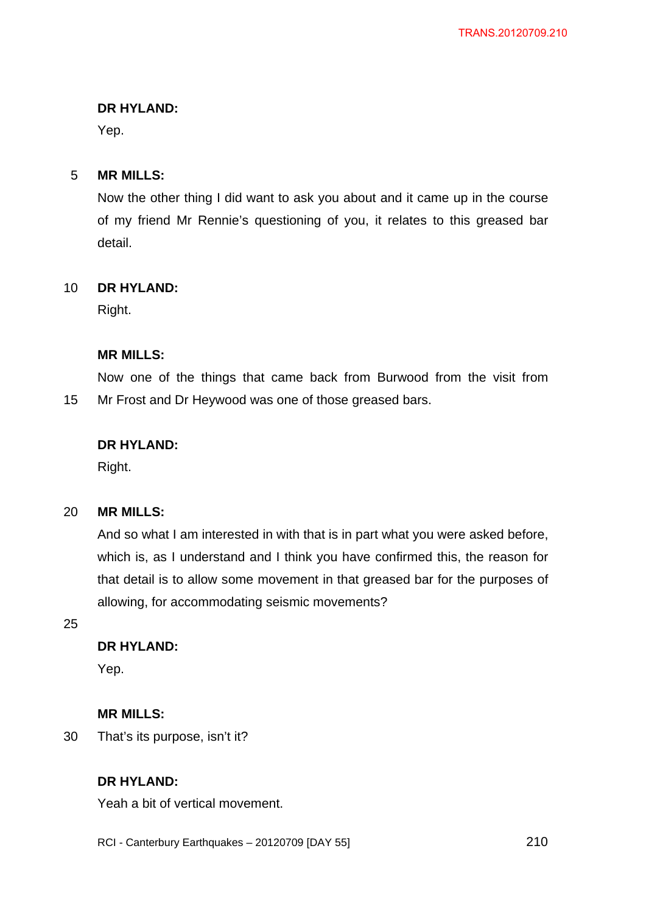Yep.

#### 5 **MR MILLS:**

Now the other thing I did want to ask you about and it came up in the course of my friend Mr Rennie's questioning of you, it relates to this greased bar detail.

#### 10 **DR HYLAND:**

Right.

## **MR MILLS:**

15 Now one of the things that came back from Burwood from the visit from Mr Frost and Dr Heywood was one of those greased bars.

## **DR HYLAND:**

Right.

#### 20 **MR MILLS:**

And so what I am interested in with that is in part what you were asked before, which is, as I understand and I think you have confirmed this, the reason for that detail is to allow some movement in that greased bar for the purposes of allowing, for accommodating seismic movements?

25

# **DR HYLAND:**

Yep.

# **MR MILLS:**

30 That's its purpose, isn't it?

# **DR HYLAND:**

Yeah a bit of vertical movement.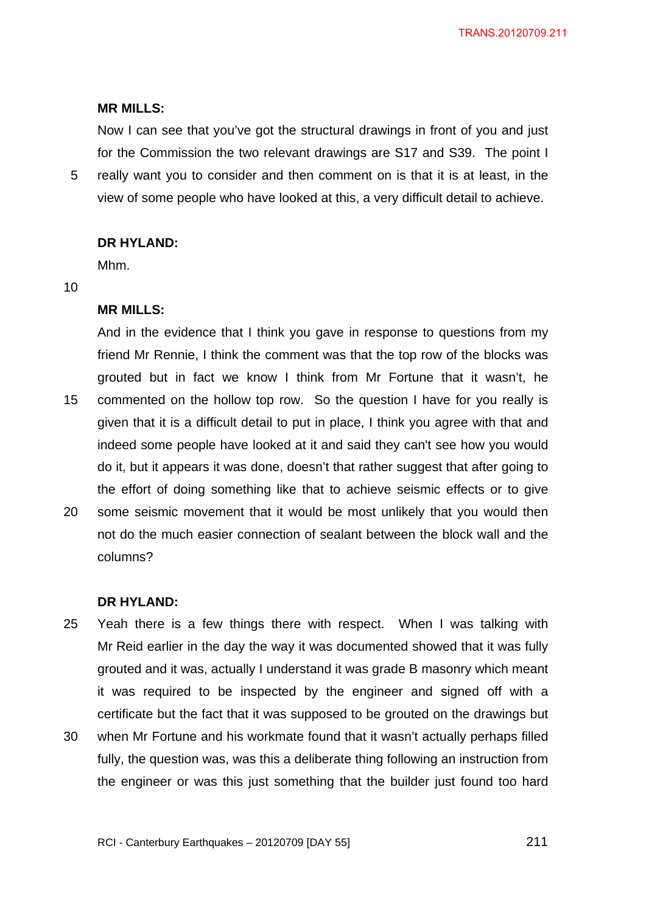Now I can see that you've got the structural drawings in front of you and just for the Commission the two relevant drawings are S17 and S39. The point I really want you to consider and then comment on is that it is at least, in the

5 view of some people who have looked at this, a very difficult detail to achieve.

#### **DR HYLAND:**

Mhm.

#### 10

#### **MR MILLS:**

15 And in the evidence that I think you gave in response to questions from my friend Mr Rennie, I think the comment was that the top row of the blocks was grouted but in fact we know I think from Mr Fortune that it wasn't, he commented on the hollow top row. So the question I have for you really is given that it is a difficult detail to put in place, I think you agree with that and indeed some people have looked at it and said they can't see how you would do it, but it appears it was done, doesn't that rather suggest that after going to the effort of doing something like that to achieve seismic effects or to give

20 some seismic movement that it would be most unlikely that you would then not do the much easier connection of sealant between the block wall and the columns?

#### **DR HYLAND:**

- 25 Yeah there is a few things there with respect. When I was talking with Mr Reid earlier in the day the way it was documented showed that it was fully grouted and it was, actually I understand it was grade B masonry which meant it was required to be inspected by the engineer and signed off with a certificate but the fact that it was supposed to be grouted on the drawings but
- 30 when Mr Fortune and his workmate found that it wasn't actually perhaps filled fully, the question was, was this a deliberate thing following an instruction from the engineer or was this just something that the builder just found too hard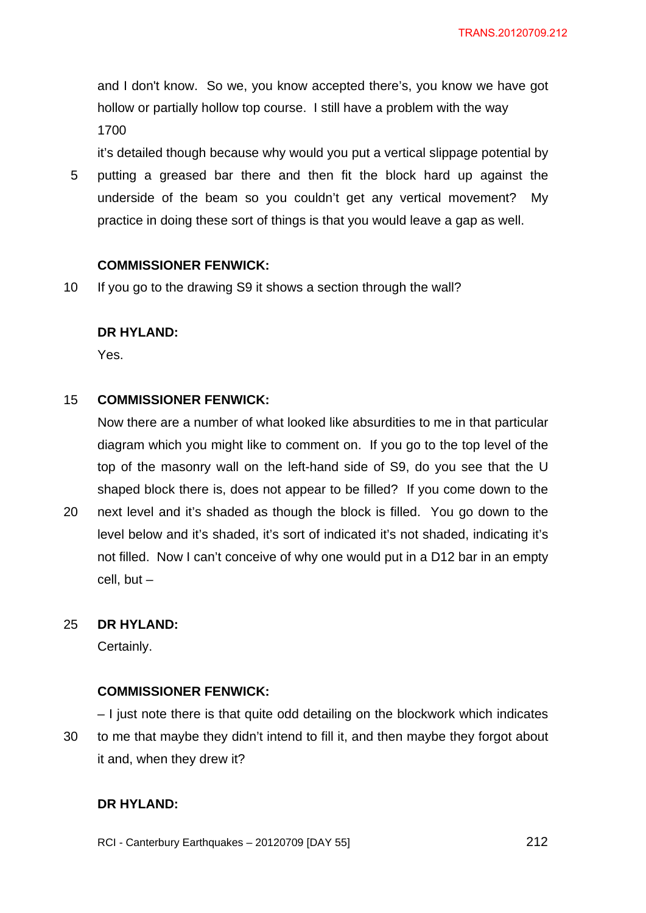and I don't know. So we, you know accepted there's, you know we have got hollow or partially hollow top course. I still have a problem with the way 1700

it's detailed though because why would you put a vertical slippage potential by

5 putting a greased bar there and then fit the block hard up against the underside of the beam so you couldn't get any vertical movement? My practice in doing these sort of things is that you would leave a gap as well.

## **COMMISSIONER FENWICK:**

10 If you go to the drawing S9 it shows a section through the wall?

## **DR HYLAND:**

Yes.

#### 15 **COMMISSIONER FENWICK:**

Now there are a number of what looked like absurdities to me in that particular diagram which you might like to comment on. If you go to the top level of the top of the masonry wall on the left-hand side of S9, do you see that the U shaped block there is, does not appear to be filled? If you come down to the

20 next level and it's shaded as though the block is filled. You go down to the level below and it's shaded, it's sort of indicated it's not shaded, indicating it's not filled. Now I can't conceive of why one would put in a D12 bar in an empty cell, but  $-$ 

#### 25 **DR HYLAND:**

Certainly.

## **COMMISSIONER FENWICK:**

30 – I just note there is that quite odd detailing on the blockwork which indicates to me that maybe they didn't intend to fill it, and then maybe they forgot about it and, when they drew it?

## **DR HYLAND:**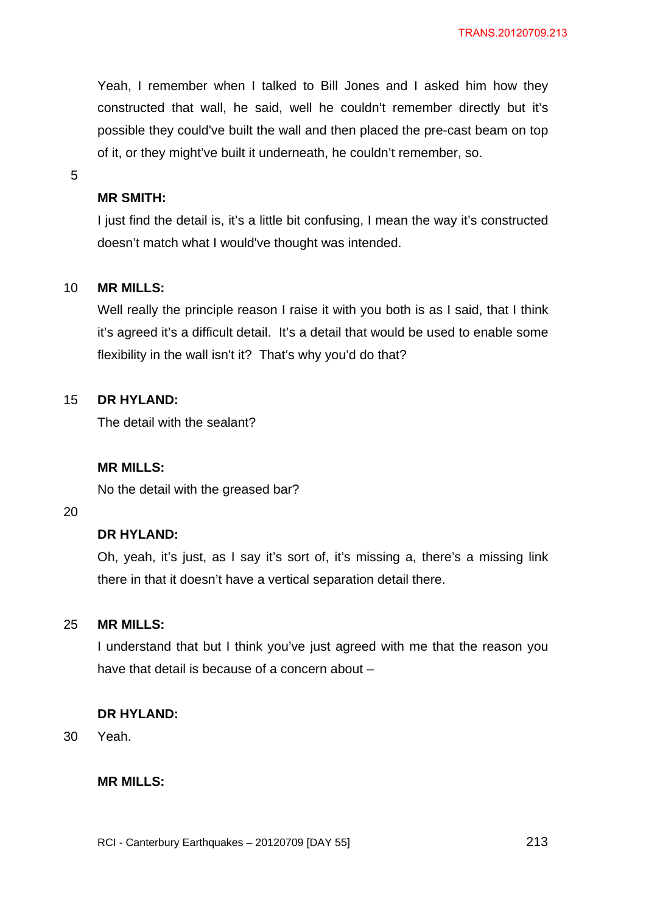Yeah, I remember when I talked to Bill Jones and I asked him how they constructed that wall, he said, well he couldn't remember directly but it's possible they could've built the wall and then placed the pre-cast beam on top of it, or they might've built it underneath, he couldn't remember, so.

5

## **MR SMITH:**

I just find the detail is, it's a little bit confusing, I mean the way it's constructed doesn't match what I would've thought was intended.

#### 10 **MR MILLS:**

Well really the principle reason I raise it with you both is as I said, that I think it's agreed it's a difficult detail. It's a detail that would be used to enable some flexibility in the wall isn't it? That's why you'd do that?

#### 15 **DR HYLAND:**

The detail with the sealant?

### **MR MILLS:**

No the detail with the greased bar?

#### 20

## **DR HYLAND:**

Oh, yeah, it's just, as I say it's sort of, it's missing a, there's a missing link there in that it doesn't have a vertical separation detail there.

#### 25 **MR MILLS:**

I understand that but I think you've just agreed with me that the reason you have that detail is because of a concern about –

### **DR HYLAND:**

30 Yeah.

### **MR MILLS:**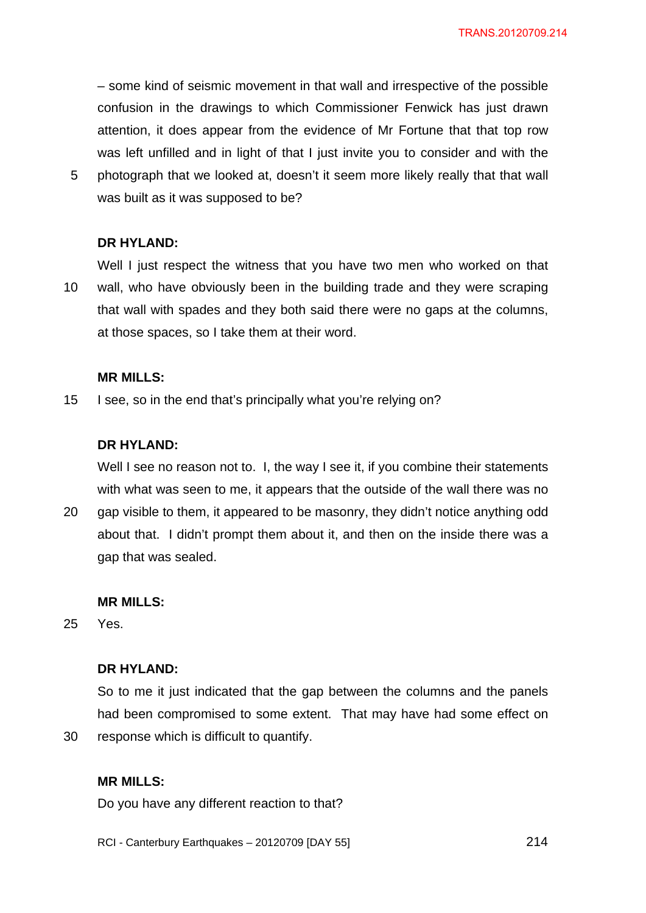– some kind of seismic movement in that wall and irrespective of the possible confusion in the drawings to which Commissioner Fenwick has just drawn attention, it does appear from the evidence of Mr Fortune that that top row was left unfilled and in light of that I just invite you to consider and with the photograph that we looked at, doesn't it seem more likely really that that wall was built as it was supposed to be?

#### **DR HYLAND:**

5

10 Well I just respect the witness that you have two men who worked on that wall, who have obviously been in the building trade and they were scraping that wall with spades and they both said there were no gaps at the columns, at those spaces, so I take them at their word.

#### **MR MILLS:**

15 I see, so in the end that's principally what you're relying on?

#### **DR HYLAND:**

Well I see no reason not to. I, the way I see it, if you combine their statements with what was seen to me, it appears that the outside of the wall there was no

20 gap visible to them, it appeared to be masonry, they didn't notice anything odd about that. I didn't prompt them about it, and then on the inside there was a gap that was sealed.

#### **MR MILLS:**

25 Yes.

30

### **DR HYLAND:**

So to me it just indicated that the gap between the columns and the panels had been compromised to some extent. That may have had some effect on response which is difficult to quantify.

### **MR MILLS:**

Do you have any different reaction to that?